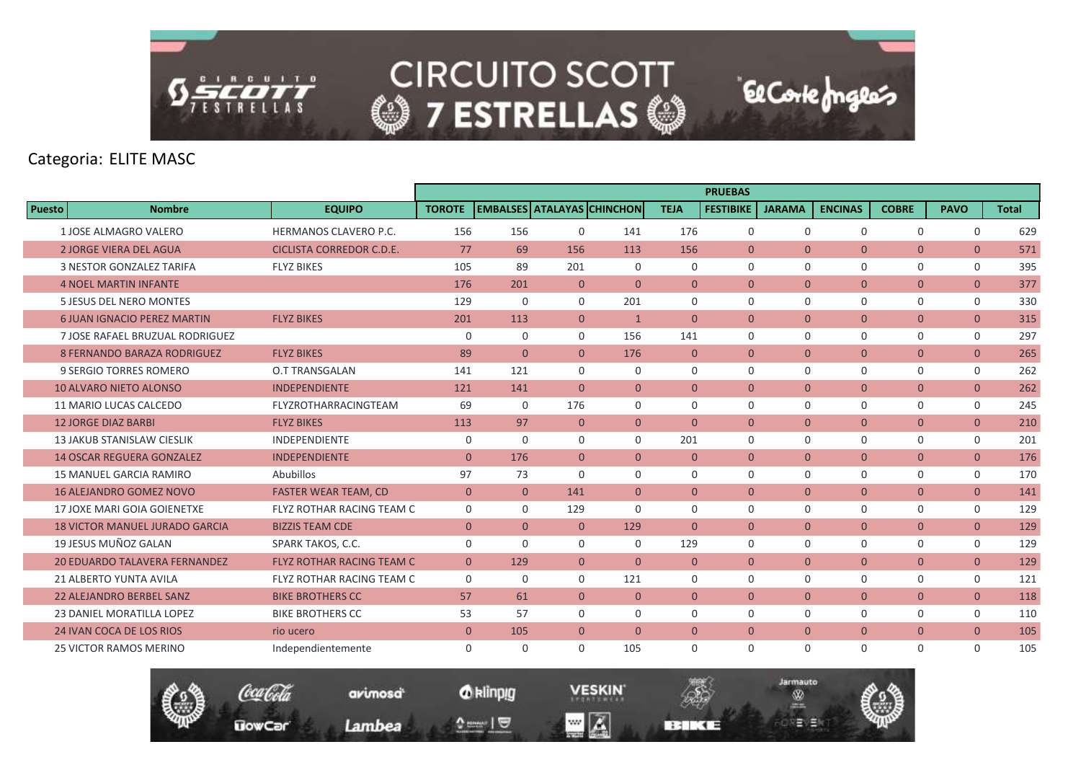

# Categoria: ELITE MASC

|               |                                       |                                  |                |                |                |                                    |                | <b>PRUEBAS</b>   |               |                |                |                |              |
|---------------|---------------------------------------|----------------------------------|----------------|----------------|----------------|------------------------------------|----------------|------------------|---------------|----------------|----------------|----------------|--------------|
| <b>Puesto</b> | <b>Nombre</b>                         | <b>EQUIPO</b>                    | <b>TOROTE</b>  |                |                | <b>LEMBALSES ATALAYAS CHINCHON</b> | <b>TEJA</b>    | <b>FESTIBIKE</b> | <b>JARAMA</b> | <b>ENCINAS</b> | <b>COBRE</b>   | <b>PAVO</b>    | <b>Total</b> |
|               | 1 JOSE ALMAGRO VALERO                 | HERMANOS CLAVERO P.C.            | 156            | 156            | $\Omega$       | 141                                | 176            | $\Omega$         | $\Omega$      | $\Omega$       | $\Omega$       | $\Omega$       | 629          |
|               | <b>2 JORGE VIERA DEL AGUA</b>         | <b>CICLISTA CORREDOR C.D.E.</b>  | 77             | 69             | 156            | 113                                | 156            | $\overline{0}$   | $\mathbf{0}$  | $\overline{0}$ | $\mathbf{0}$   | $\overline{0}$ | 571          |
|               | <b>3 NESTOR GONZALEZ TARIFA</b>       | <b>FLYZ BIKES</b>                | 105            | 89             | 201            | $\mathbf 0$                        | $\mathbf 0$    | $\mathbf 0$      | $\mathbf 0$   | $\mathbf 0$    | $\mathbf 0$    | $\mathbf 0$    | 395          |
|               | <b>4 NOEL MARTIN INFANTE</b>          |                                  | 176            | 201            | $\overline{0}$ | $\Omega$                           | $\overline{0}$ | $\Omega$         | $\mathbf{0}$  | $\overline{0}$ | $\overline{0}$ | $\overline{0}$ | 377          |
|               | 5 JESUS DEL NERO MONTES               |                                  | 129            | $\mathbf 0$    | $\Omega$       | 201                                | $\mathbf 0$    | $\Omega$         | $\mathbf 0$   | $\Omega$       | $\mathbf 0$    | $\mathbf 0$    | 330          |
|               | 6 JUAN IGNACIO PEREZ MARTIN           | <b>FLYZ BIKES</b>                | 201            | 113            | $\overline{0}$ | $\mathbf{1}$                       | $\mathbf{0}$   | $\overline{0}$   | $\mathbf{0}$  | $\overline{0}$ | $\mathbf{0}$   | $\overline{0}$ | 315          |
|               | 7 JOSE RAFAEL BRUZUAL RODRIGUEZ       |                                  | $\mathbf 0$    | $\mathbf 0$    | $\Omega$       | 156                                | 141            | $\mathbf 0$      | $\mathbf 0$   | 0              | 0              | $\mathsf{O}$   | 297          |
|               | <b>8 FERNANDO BARAZA RODRIGUEZ</b>    | <b>FLYZ BIKES</b>                | 89             | $\Omega$       | $\Omega$       | 176                                | $\Omega$       | $\Omega$         | $\Omega$      | $\Omega$       | $\overline{0}$ | $\overline{0}$ | 265          |
|               | 9 SERGIO TORRES ROMERO                | <b>O.T TRANSGALAN</b>            | 141            | 121            | $\Omega$       | $\Omega$                           | 0              | $\mathbf 0$      | $\mathbf 0$   | $\mathbf 0$    | $\mathbf 0$    | $\mathbf 0$    | 262          |
|               | <b>10 ALVARO NIETO ALONSO</b>         | <b>INDEPENDIENTE</b>             | 121            | 141            | $\overline{0}$ | $\overline{0}$                     | $\mathbf{0}$   | $\mathbf{0}$     | $\mathbf{0}$  | $\overline{0}$ | $\mathbf{0}$   | $\overline{0}$ | 262          |
|               | 11 MARIO LUCAS CALCEDO                | FLYZROTHARRACINGTEAM             | 69             | $\mathbf 0$    | 176            | $\mathbf 0$                        | 0              | $\mathbf 0$      | $\mathbf 0$   | $\mathbf 0$    | 0              | $\mathsf{O}$   | 245          |
|               | <b>12 JORGE DIAZ BARBI</b>            | <b>FLYZ BIKES</b>                | 113            | 97             | $\Omega$       | $\mathbf{0}$                       | $\theta$       | $\Omega$         | $\mathbf{0}$  | $\overline{0}$ | $\mathbf{0}$   | $\overline{0}$ | 210          |
|               | <b>13 JAKUB STANISLAW CIESLIK</b>     | <b>INDEPENDIENTE</b>             | $\mathbf 0$    | $\Omega$       | $\Omega$       | $\Omega$                           | 201            | $\Omega$         | $\mathbf 0$   | $\Omega$       | $\mathbf 0$    | $\mathbf 0$    | 201          |
|               | <b>14 OSCAR REGUERA GONZALEZ</b>      | <b>INDEPENDIENTE</b>             | $\Omega$       | 176            | $\Omega$       | $\Omega$                           | $\mathbf{0}$   | $\mathbf{0}$     | $\mathbf{0}$  | $\overline{0}$ | $\overline{0}$ | $\overline{0}$ | 176          |
|               | <b>15 MANUEL GARCIA RAMIRO</b>        | Abubillos                        | 97             | 73             | $\Omega$       | $\mathbf 0$                        | 0              | $\mathbf 0$      | $\mathbf 0$   | $\mathbf 0$    | $\mathbf 0$    | $\mathbf 0$    | 170          |
|               | <b>16 ALEJANDRO GOMEZ NOVO</b>        | <b>FASTER WEAR TEAM, CD</b>      | $\overline{0}$ | $\overline{0}$ | 141            | $\overline{0}$                     | $\overline{0}$ | $\mathbf{0}$     | $\mathbf{0}$  | $\overline{0}$ | $\overline{0}$ | $\overline{0}$ | 141          |
|               | 17 JOXE MARI GOIA GOIENETXE           | FLYZ ROTHAR RACING TEAM C        | 0              | $\Omega$       | 129            | $\Omega$                           | 0              | $\mathbf 0$      | $\mathbf 0$   | $\mathbf 0$    | 0              | $\mathbf 0$    | 129          |
|               | <b>18 VICTOR MANUEL JURADO GARCIA</b> | <b>BIZZIS TEAM CDE</b>           | $\mathbf{0}$   | $\overline{0}$ | $\overline{0}$ | 129                                | $\mathbf{0}$   | $\mathbf{0}$     | $\mathbf{0}$  | $\overline{0}$ | $\overline{0}$ | $\overline{0}$ | 129          |
|               | 19 JESUS MUÑOZ GALAN                  | SPARK TAKOS, C.C.                | $\Omega$       | $\Omega$       | $\Omega$       | $\Omega$                           | 129            | $\Omega$         | $\Omega$      | $\Omega$       | $\mathbf 0$    | $\mathbf 0$    | 129          |
|               | <b>20 EDUARDO TALAVERA FERNANDEZ</b>  | <b>FLYZ ROTHAR RACING TEAM C</b> | $\mathbf{0}$   | 129            | $\overline{0}$ | $\overline{0}$                     | $\mathbf{0}$   | $\mathbf{0}$     | $\mathbf{0}$  | $\overline{0}$ | $\overline{0}$ | $\overline{0}$ | 129          |
|               | <b>21 ALBERTO YUNTA AVILA</b>         | FLYZ ROTHAR RACING TEAM C        | $\mathbf 0$    | $\mathbf 0$    | $\mathbf 0$    | 121                                | $\mathbf 0$    | $\mathbf 0$      | $\mathbf 0$   | $\mathbf 0$    | 0              | $\mathsf{O}$   | 121          |
|               | <b>22 ALEJANDRO BERBEL SANZ</b>       | <b>BIKE BROTHERS CC</b>          | 57             | 61             | $\overline{0}$ | $\mathbf{0}$                       | $\overline{0}$ | $\mathbf{0}$     | $\mathbf{0}$  | $\overline{0}$ | $\overline{0}$ | $\overline{0}$ | 118          |
|               | 23 DANIEL MORATILLA LOPEZ             | <b>BIKE BROTHERS CC</b>          | 53             | 57             | $\Omega$       | $\Omega$                           | 0              | $\Omega$         | $\mathbf 0$   | $\mathbf 0$    | $\mathbf 0$    | $\mathsf{O}$   | 110          |
|               | <b>24 IVAN COCA DE LOS RIOS</b>       | rio ucero                        | $\overline{0}$ | 105            | $\mathbf{0}$   | $\mathbf{0}$                       | $\mathbf{0}$   | $\mathbf{0}$     | $\mathbf{0}$  | $\overline{0}$ | $\overline{0}$ | $\overline{0}$ | 105          |
|               | <b>25 VICTOR RAMOS MERINO</b>         | Independientemente               | $\mathbf 0$    | $\Omega$       | $\Omega$       | 105                                | 0              | $\mathbf 0$      | $\mathbf 0$   | $\Omega$       | $\mathbf 0$    | $\mathbf 0$    | 105          |



*O* klinpig

 $\begin{array}{c} \texttt{m} = \texttt{m} \\ \texttt{m} = \texttt{m} \end{array}$ 

avimosa<sup>t</sup>

Lambea

**VESKIN**  $\blacksquare$   $\blacksquare$ 

**BERKE** 

Jarmauto

® and a

医三甲三醇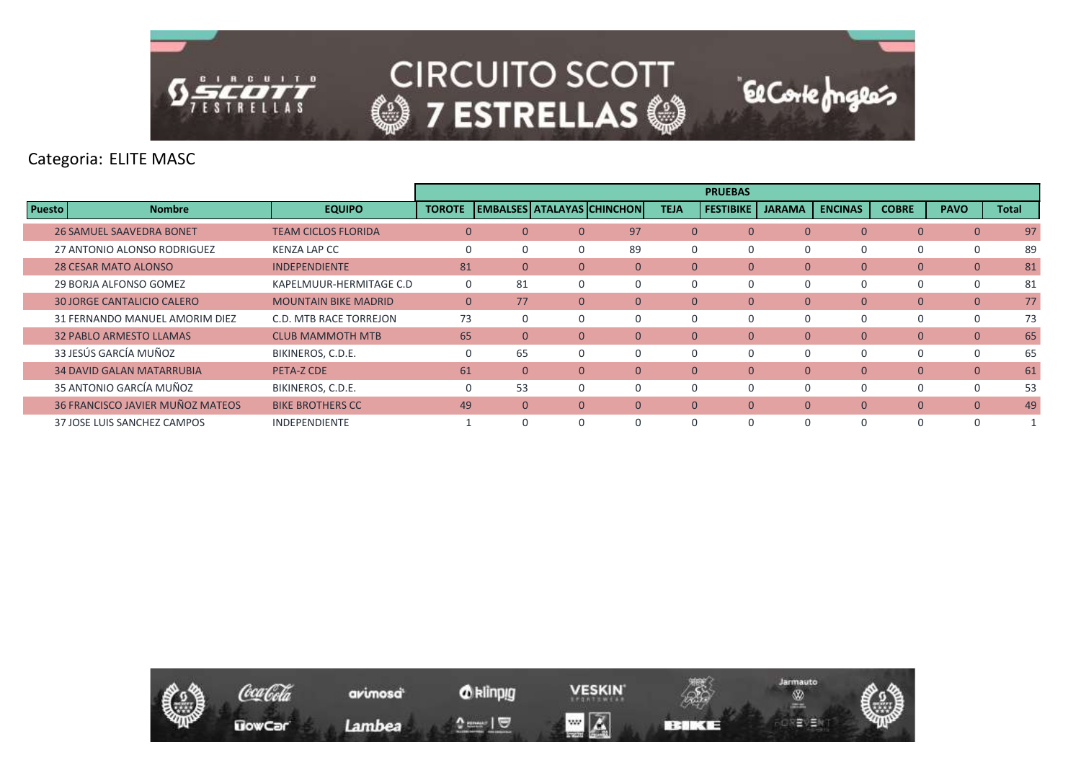

Categoria: ELITE MASC

|        |                                   |                             |               |                                   |                |              |                | <b>PRUEBAS</b>   |               |                |                |                |              |
|--------|-----------------------------------|-----------------------------|---------------|-----------------------------------|----------------|--------------|----------------|------------------|---------------|----------------|----------------|----------------|--------------|
| Puesto | <b>Nombre</b>                     | <b>EQUIPO</b>               | <b>TOROTE</b> | <b>EMBALSES ATALAYAS CHINCHON</b> |                |              | <b>TEJA</b>    | <b>FESTIBIKE</b> | <b>JARAMA</b> | <b>ENCINAS</b> | <b>COBRE</b>   | <b>PAVO</b>    | <b>Total</b> |
|        | <b>26 SAMUEL SAAVEDRA BONET</b>   | <b>TEAM CICLOS FLORIDA</b>  | $\mathbf{0}$  | $\Omega$                          |                | 97           | $\mathbf{0}$   | $\Omega$         | $\mathbf{0}$  | $\overline{0}$ | $\mathbf{0}$   | $\overline{0}$ | 97           |
|        | 27 ANTONIO ALONSO RODRIGUEZ       | <b>KENZA LAP CC</b>         | $\mathbf 0$   | $\Omega$                          | O              | 89           | 0              | 0                | $\Omega$      |                | 0              | 0              | 89           |
|        | <b>28 CESAR MATO ALONSO</b>       | <b>INDEPENDIENTE</b>        | 81            | $\overline{0}$                    | $\Omega$       | $\mathbf{0}$ | $\mathbf{0}$   | $\mathbf{0}$     | $\mathbf{0}$  | $\overline{0}$ | $\mathbf{0}$   | $\mathbf{0}$   | 81           |
|        | 29 BORJA ALFONSO GOMEZ            | KAPELMUUR-HERMITAGE C.D     | $\mathbf 0$   | 81                                | 0              | $\Omega$     | $\Omega$       | 0                | $\Omega$      |                | 0              | 0              | 81           |
|        | <b>30 JORGE CANTALICIO CALERO</b> | <b>MOUNTAIN BIKE MADRID</b> | $\mathbf{0}$  | 77                                | $\overline{0}$ | $\mathbf{0}$ | $\overline{0}$ | $\mathbf{0}$     | $\mathbf{0}$  | $\overline{0}$ | $\overline{0}$ | $\overline{0}$ | 77           |
|        | 31 FERNANDO MANUEL AMORIM DIEZ    | C.D. MTB RACE TORREJON      | 73            |                                   | O              | $\Omega$     | $\Omega$       | 0                | $\Omega$      | $\Omega$       | 0              | 0              | 73           |
|        | 32 PABLO ARMESTO LLAMAS           | <b>CLUB MAMMOTH MTB</b>     | 65            | $\Omega$                          | $\Omega$       | $\Omega$     | $\Omega$       | $\Omega$         | $\Omega$      | $\Omega$       | $\Omega$       | $\Omega$       | 65           |
|        | 33 JESÚS GARCÍA MUÑOZ             | BIKINEROS, C.D.E.           | $\mathbf 0$   | 65                                | 0              | $\Omega$     |                | $\Omega$         | $\Omega$      |                | $\Omega$       | $\Omega$       | 65           |
|        | <b>34 DAVID GALAN MATARRUBIA</b>  | PETA-Z CDE                  | 61            | $\mathbf{0}$                      | $\Omega$       | $\Omega$     | $\overline{0}$ | $\mathbf{0}$     | $\Omega$      | $\overline{0}$ | $\mathbf{0}$   | $\mathbf{0}$   | 61           |
|        | 35 ANTONIO GARCÍA MUÑOZ           | BIKINEROS, C.D.E.           | $\mathbf 0$   | 53                                | <sup>0</sup>   | $\Omega$     | 0              | 0                | $\Omega$      |                | $\Omega$       | 0              | 53           |
|        | 36 FRANCISCO JAVIER MUÑOZ MATEOS  | <b>BIKE BROTHERS CC</b>     | 49            | $\Omega$                          | $\Omega$       | $\Omega$     | $\overline{0}$ | $\mathbf{0}$     | $\mathbf{0}$  | $\Omega$       | $\Omega$       | $\overline{0}$ | 49           |
|        | 37 JOSE LUIS SANCHEZ CAMPOS       | <b>INDEPENDIENTE</b>        |               |                                   | <sup>0</sup>   | $\Omega$     |                | $\Omega$         | $\Omega$      |                | $\Omega$       |                |              |

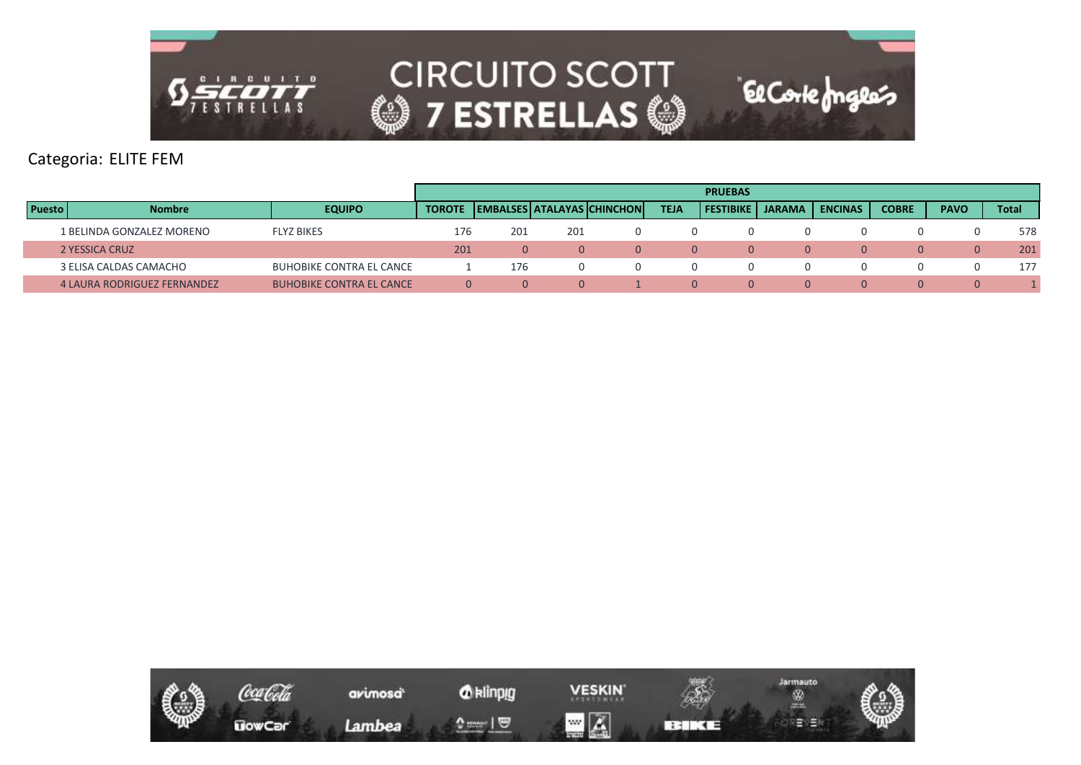

# Categoria: ELITE FEM

|               |                                    |                                 |               |     |     |                                |             | <b>PRUEBAS</b>   |               |                |              |             |              |
|---------------|------------------------------------|---------------------------------|---------------|-----|-----|--------------------------------|-------------|------------------|---------------|----------------|--------------|-------------|--------------|
| <b>Puesto</b> | <b>Nombre</b>                      | <b>EQUIPO</b>                   | <b>TOROTE</b> |     |     | EMBALSES   ATALAYAS   CHINCHON | <b>TEJA</b> | <b>FESTIBIKE</b> | <b>JARAMA</b> | <b>ENCINAS</b> | <b>COBRE</b> | <b>PAVO</b> | <b>Total</b> |
|               | 1 BELINDA GONZALEZ MORENO          | <b>FLYZ BIKES</b>               | 176           | 201 | 201 |                                |             |                  |               |                |              |             | 578          |
|               | 2 YESSICA CRUZ                     |                                 | 201           |     |     | $\bigcup$                      | $\Omega$    |                  |               | $\Omega$       |              |             | 201          |
|               | 3 ELISA CALDAS CAMACHO             | <b>BUHOBIKE CONTRA EL CANCE</b> |               | 176 |     |                                |             |                  |               |                |              |             | 177          |
|               | <b>4 LAURA RODRIGUEZ FERNANDEZ</b> | <b>BUHOBIKE CONTRA EL CANCE</b> | ∩             |     | 0   |                                | $\Omega$    |                  |               | $\Omega$       | 0.           |             |              |

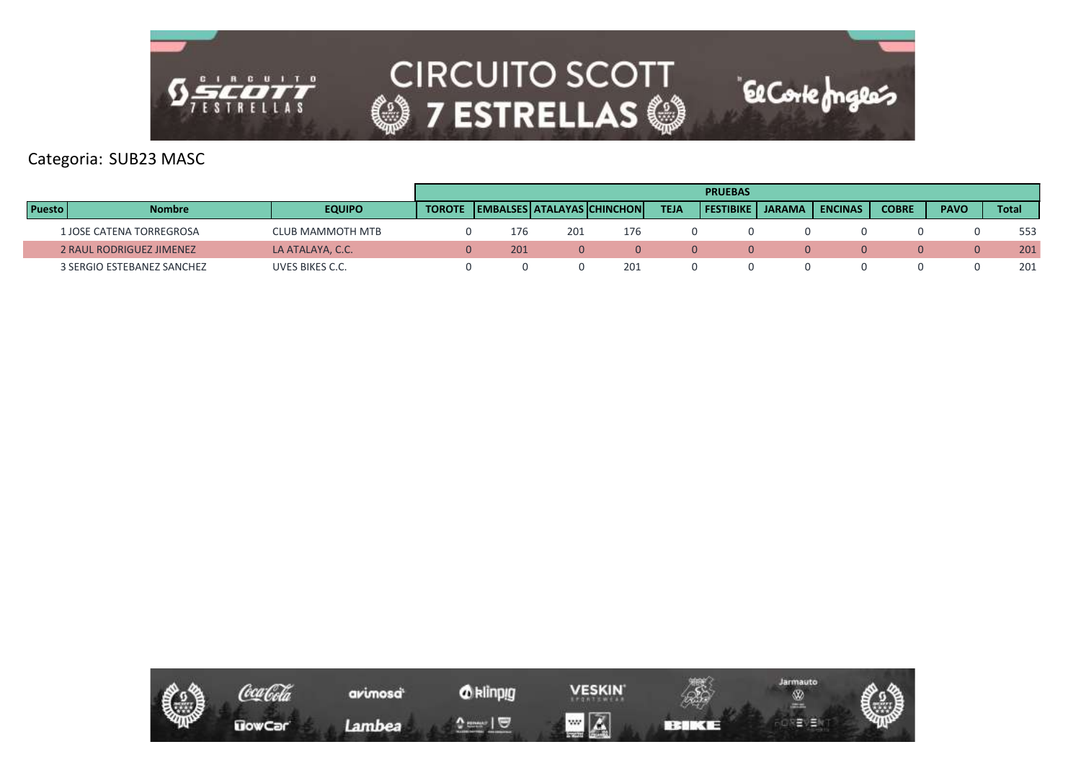

Categoria: SUB23 MASC

|               |                            |                  |               |     |     |                            |             | <b>PRUEBAS</b>   |               |                  |              |             |              |
|---------------|----------------------------|------------------|---------------|-----|-----|----------------------------|-------------|------------------|---------------|------------------|--------------|-------------|--------------|
| <b>Puesto</b> | <b>Nombre</b>              | <b>EQUIPO</b>    | <b>TOROTE</b> |     |     | EMBALSES ATALAYAS CHINCHON | <b>TEJA</b> | <b>FESTIBIKE</b> | <b>JARAMA</b> | <b>I ENCINAS</b> | <b>COBRE</b> | <b>PAVO</b> | <b>Total</b> |
|               | 1 JOSE CATENA TORREGROSA   | CLUB MAMMOTH MTB |               | 176 | 201 | 176                        |             |                  |               |                  |              |             | 553          |
|               | 2 RAUL RODRIGUEZ JIMENEZ   | LA ATALAYA, C.C. |               | 201 |     |                            |             |                  |               |                  |              |             | 201          |
|               | 3 SERGIO ESTEBANEZ SANCHEZ | UVES BIKES C.C.  |               |     |     | 201                        |             |                  |               |                  |              |             | 201          |

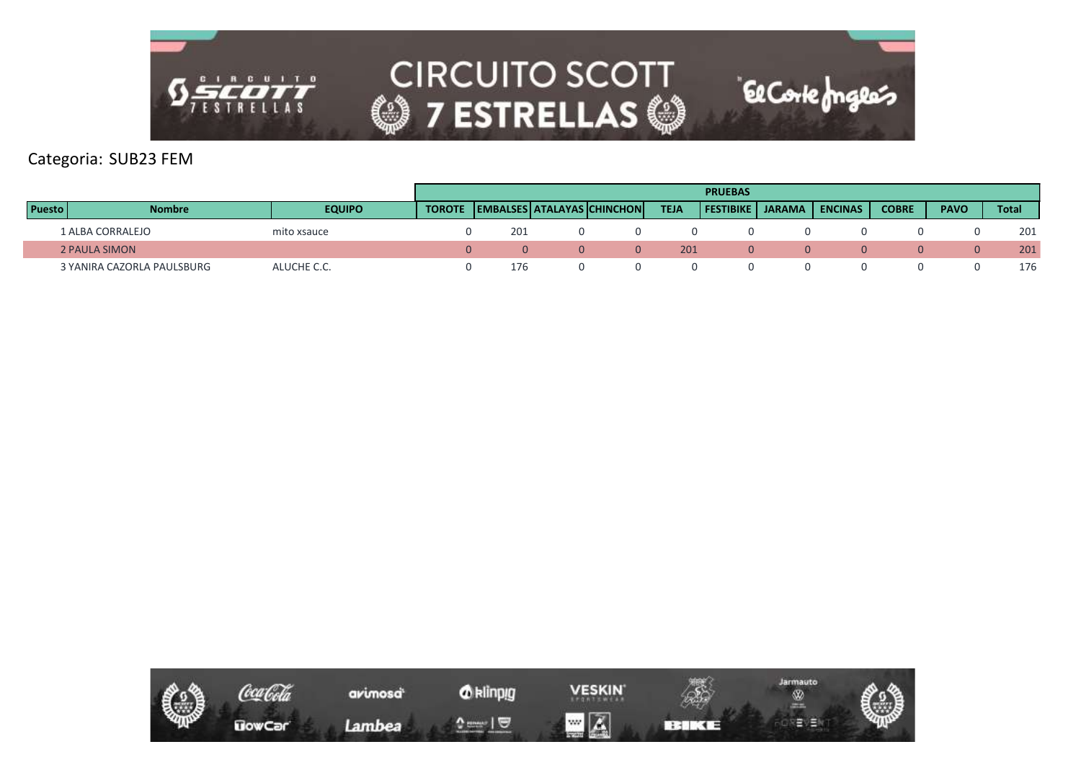

# Categoria: SUB23 FEM

|               |                            |               |               |     |                                   |             | <b>PRUEBAS</b> |                    |                |              |             |              |
|---------------|----------------------------|---------------|---------------|-----|-----------------------------------|-------------|----------------|--------------------|----------------|--------------|-------------|--------------|
| <b>Puesto</b> | <b>Nombre</b>              | <b>EQUIPO</b> | <b>TOROTE</b> |     | <b>EMBALSES ATALAYAS CHINCHON</b> | <b>TEJA</b> |                | FESTIBIKE   JARAMA | <b>ENCINAS</b> | <b>COBRE</b> | <b>PAVO</b> | <b>Total</b> |
|               | 1 ALBA CORRALEJO           | mito xsauce   |               | 201 |                                   |             |                |                    |                |              |             | 201          |
|               | <b>2 PAULA SIMON</b>       |               |               |     |                                   | 201         |                |                    |                |              |             | 201          |
|               | 3 YANIRA CAZORLA PAULSBURG | ALUCHE C.C.   |               | 176 |                                   |             |                |                    |                |              |             | 176          |

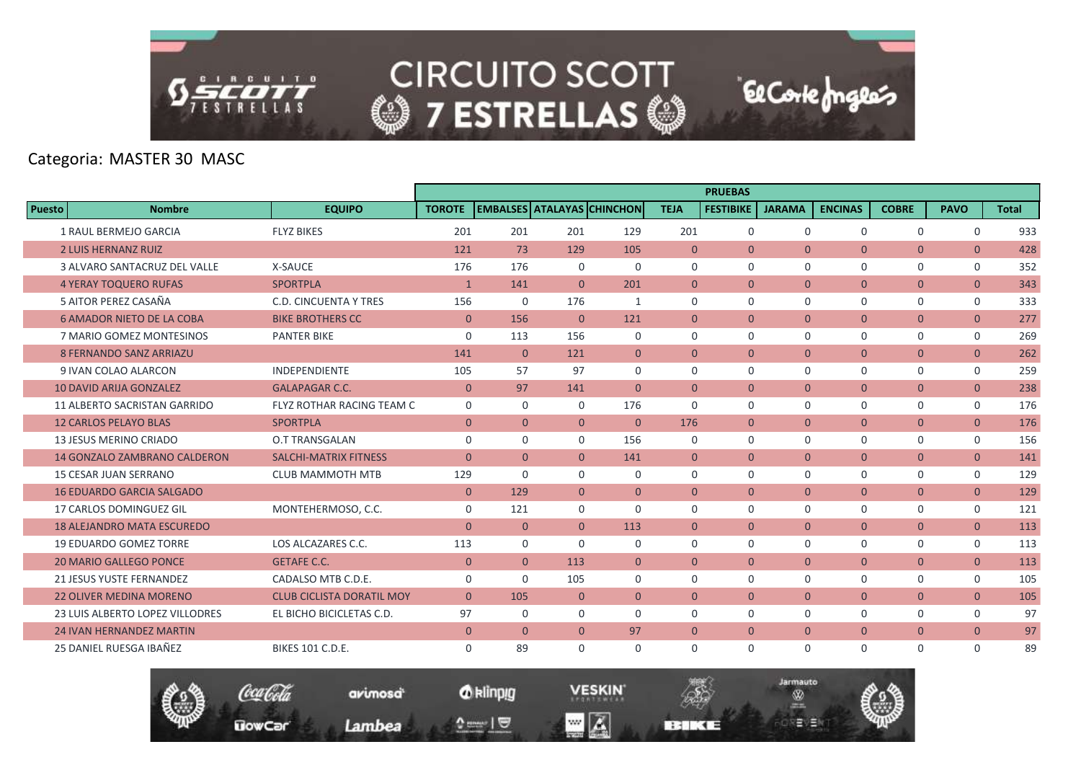

Categoria: MASTER 30 MASC

|               |                                        |                                  |                |                                   |                |                |                | <b>PRUEBAS</b>   |                |                |                |                |              |
|---------------|----------------------------------------|----------------------------------|----------------|-----------------------------------|----------------|----------------|----------------|------------------|----------------|----------------|----------------|----------------|--------------|
| <b>Puesto</b> | <b>Nombre</b>                          | <b>EQUIPO</b>                    | <b>TOROTE</b>  | <b>EMBALSES ATALAYAS CHINCHON</b> |                |                | <b>TEJA</b>    | <b>FESTIBIKE</b> | <b>JARAMA</b>  | <b>ENCINAS</b> | <b>COBRE</b>   | <b>PAVO</b>    | <b>Total</b> |
|               | 1 RAUL BERMEJO GARCIA                  | <b>FLYZ BIKES</b>                | 201            | 201                               | 201            | 129            | 201            | $\mathbf 0$      | $\mathbf 0$    | $\Omega$       | $\mathbf 0$    | $\mathbf 0$    | 933          |
|               | <b>2 LUIS HERNANZ RUIZ</b>             |                                  | 121            | 73                                | 129            | 105            | $\mathbf{0}$   | $\mathbf{0}$     | $\overline{0}$ | $\overline{0}$ | $\mathbf{0}$   | $\mathbf{0}$   | 428          |
|               | 3 ALVARO SANTACRUZ DEL VALLE           | X-SAUCE                          | 176            | 176                               | 0              | 0              | $\mathbf 0$    | $\mathbf 0$      | $\Omega$       | $\Omega$       | 0              | $\mathbf{0}$   | 352          |
|               | <b>4 YERAY TOQUERO RUFAS</b>           | <b>SPORTPLA</b>                  | $\mathbf{1}$   | 141                               | $\Omega$       | 201            | $\Omega$       | $\Omega$         | $\overline{0}$ | $\overline{0}$ | $\overline{0}$ | $\overline{0}$ | 343          |
|               | 5 AITOR PEREZ CASAÑA                   | <b>C.D. CINCUENTA Y TRES</b>     | 156            | $\mathbf 0$                       | 176            | 1              | $\Omega$       | $\Omega$         | $\mathbf 0$    | $\Omega$       | $\mathbf 0$    | $\mathbf 0$    | 333          |
|               | <b>6 AMADOR NIETO DE LA COBA</b>       | <b>BIKE BROTHERS CC</b>          | $\mathbf{0}$   | 156                               | $\overline{0}$ | 121            | $\mathbf{0}$   | $\mathbf{0}$     | $\overline{0}$ | $\overline{0}$ | $\overline{0}$ | $\overline{0}$ | 277          |
|               | 7 MARIO GOMEZ MONTESINOS               | <b>PANTER BIKE</b>               | $\mathbf 0$    | 113                               | 156            | $\mathbf 0$    | $\mathbf 0$    | $\mathbf 0$      | $\mathbf 0$    | $\mathbf 0$    | 0              | $\mathsf{O}$   | 269          |
|               | 8 FERNANDO SANZ ARRIAZU                |                                  | 141            | $\overline{0}$                    | 121            | $\overline{0}$ | $\Omega$       | $\Omega$         | $\overline{0}$ | $\overline{0}$ | $\overline{0}$ | $\overline{0}$ | 262          |
|               | 9 IVAN COLAO ALARCON                   | <b>INDEPENDIENTE</b>             | 105            | 57                                | 97             | $\Omega$       | $\Omega$       | $\Omega$         | $\mathbf 0$    | $\Omega$       | $\mathbf 0$    | $\mathbf 0$    | 259          |
|               | <b>10 DAVID ARIJA GONZALEZ</b>         | <b>GALAPAGAR C.C.</b>            | $\mathbf{0}$   | 97                                | 141            | $\overline{0}$ | $\Omega$       | $\Omega$         | $\overline{0}$ | $\overline{0}$ | $\overline{0}$ | $\overline{0}$ | 238          |
|               | 11 ALBERTO SACRISTAN GARRIDO           | FLYZ ROTHAR RACING TEAM C        | $\mathbf 0$    | $\mathbf 0$                       | $\Omega$       | 176            | $\Omega$       | 0                | $\mathbf 0$    | $\Omega$       | 0              | $\mathbf 0$    | 176          |
|               | <b>12 CARLOS PELAYO BLAS</b>           | <b>SPORTPLA</b>                  | $\overline{0}$ | $\overline{0}$                    | $\overline{0}$ | $\overline{0}$ | 176            | $\overline{0}$   | $\overline{0}$ | $\overline{0}$ | $\overline{0}$ | $\overline{0}$ | 176          |
|               | <b>13 JESUS MERINO CRIADO</b>          | <b>O.T TRANSGALAN</b>            | $\mathbf 0$    | $\Omega$                          | $\Omega$       | 156            | $\mathbf 0$    | $\mathbf 0$      | $\mathbf 0$    | $\Omega$       | 0              | $\mathsf{O}$   | 156          |
|               | <b>14 GONZALO ZAMBRANO CALDERON</b>    | <b>SALCHI-MATRIX FITNESS</b>     | $\overline{0}$ | $\overline{0}$                    | $\Omega$       | 141            | $\overline{0}$ | $\overline{0}$   | $\overline{0}$ | $\overline{0}$ | $\mathbf{0}$   | $\overline{0}$ | 141          |
|               | <b>15 CESAR JUAN SERRANO</b>           | <b>CLUB MAMMOTH MTB</b>          | 129            | $\Omega$                          | 0              | 0              | $\mathbf 0$    | 0                | $\mathbf 0$    | $\mathbf 0$    | 0              | $\mathsf{O}$   | 129          |
|               | <b>16 EDUARDO GARCIA SALGADO</b>       |                                  | $\Omega$       | 129                               | $\Omega$       | $\Omega$       | $\Omega$       | $\Omega$         | $\Omega$       | $\Omega$       | $\mathbf{0}$   | $\overline{0}$ | 129          |
|               | 17 CARLOS DOMINGUEZ GIL                | MONTEHERMOSO, C.C.               | $\mathbf 0$    | 121                               | $\Omega$       | $\mathbf 0$    | $\Omega$       | $\mathbf 0$      | $\mathbf 0$    | $\mathbf 0$    | $\mathbf 0$    | $\mathbf 0$    | 121          |
|               | <b>18 ALEJANDRO MATA ESCUREDO</b>      |                                  | $\overline{0}$ | $\overline{0}$                    | $\overline{0}$ | 113            | $\overline{0}$ | $\overline{0}$   | $\overline{0}$ | $\overline{0}$ | $\mathbf{0}$   | $\overline{0}$ | 113          |
|               | <b>19 EDUARDO GOMEZ TORRE</b>          | LOS ALCAZARES C.C.               | 113            | 0                                 | $\Omega$       | $\mathbf 0$    | $\mathbf 0$    | $\mathbf 0$      | $\mathbf 0$    | $\mathbf 0$    | 0              | $\mathsf{O}$   | 113          |
|               | <b>20 MARIO GALLEGO PONCE</b>          | <b>GETAFE C.C.</b>               | $\mathbf{0}$   | $\Omega$                          | 113            | $\Omega$       | $\Omega$       | $\Omega$         | $\Omega$       | $\Omega$       | $\mathbf{0}$   | $\overline{0}$ | 113          |
|               | 21 JESUS YUSTE FERNANDEZ               | CADALSO MTB C.D.E.               | $\Omega$       | $\Omega$                          | 105            | $\Omega$       | $\Omega$       | $\Omega$         | $\Omega$       | $\Omega$       | $\mathbf 0$    | $\mathbf 0$    | 105          |
|               | <b>22 OLIVER MEDINA MORENO</b>         | <b>CLUB CICLISTA DORATIL MOY</b> | $\overline{0}$ | 105                               | $\mathbf{0}$   | $\overline{0}$ | $\mathbf{0}$   | $\overline{0}$   | $\overline{0}$ | $\overline{0}$ | $\overline{0}$ | $\overline{0}$ | 105          |
|               | <b>23 LUIS ALBERTO LOPEZ VILLODRES</b> | EL BICHO BICICLETAS C.D.         | 97             | 0                                 | 0              | $\mathbf 0$    | $\mathbf 0$    | 0                | $\mathbf 0$    | $\mathbf 0$    | 0              | $\mathsf{O}$   | 97           |
|               | <b>24 IVAN HERNANDEZ MARTIN</b>        |                                  | $\mathbf{0}$   | $\overline{0}$                    | $\overline{0}$ | 97             | $\overline{0}$ | $\Omega$         | $\overline{0}$ | $\overline{0}$ | $\overline{0}$ | $\overline{0}$ | 97           |
|               | 25 DANIEL RUESGA IBAÑEZ                | <b>BIKES 101 C.D.E.</b>          | $\Omega$       | 89                                | $\Omega$       | $\Omega$       | $\Omega$       | $\Omega$         | $\Omega$       | $\Omega$       | $\mathbf 0$    | $\Omega$       | 89           |





**BERKEE**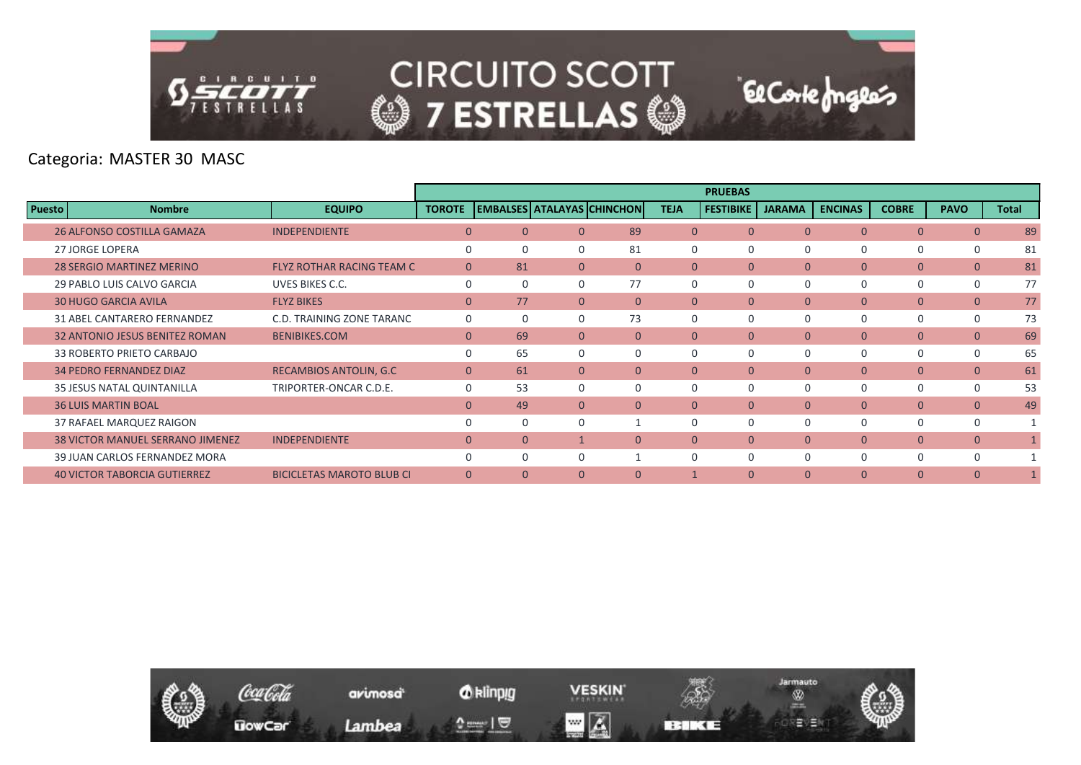

Categoria: MASTER 30 MASC

|               |                                         |                                  |               |          |              |                            |                | <b>PRUEBAS</b>   |               |                |                |                |              |
|---------------|-----------------------------------------|----------------------------------|---------------|----------|--------------|----------------------------|----------------|------------------|---------------|----------------|----------------|----------------|--------------|
| <b>Puesto</b> | <b>Nombre</b>                           | <b>EQUIPO</b>                    | <b>TOROTE</b> |          |              | EMBALSES ATALAYAS CHINCHON | <b>TEJA</b>    | <b>FESTIBIKE</b> | <b>JARAMA</b> | <b>ENCINAS</b> | <b>COBRE</b>   | <b>PAVO</b>    | <b>Total</b> |
|               | 26 ALFONSO COSTILLA GAMAZA              | <b>INDEPENDIENTE</b>             | $\Omega$      | $\Omega$ | $\Omega$     | 89                         | $\overline{0}$ | $\Omega$         | $\Omega$      | $\Omega$       | $\mathbf{0}$   | $\overline{0}$ | 89           |
|               | 27 JORGE LOPERA                         |                                  | $\Omega$      |          | $\Omega$     | 81                         | $\Omega$       | 0                | 0             |                | 0              | $\mathbf 0$    | 81           |
|               | <b>28 SERGIO MARTINEZ MERINO</b>        | <b>FLYZ ROTHAR RACING TEAM C</b> | $\mathbf{0}$  | 81       | $\mathbf{0}$ | $\mathbf{0}$               | $\overline{0}$ | $\mathbf{0}$     | $\mathbf{0}$  | $\overline{0}$ | $\overline{0}$ | $\mathbf{0}$   | 81           |
|               | 29 PABLO LUIS CALVO GARCIA              | UVES BIKES C.C.                  | $\Omega$      |          | $\Omega$     | 77                         | $\Omega$       | $\Omega$         | $\Omega$      | $\Omega$       | 0              | $\mathbf 0$    | 77           |
|               | <b>30 HUGO GARCIA AVILA</b>             | <b>FLYZ BIKES</b>                | $\Omega$      | 77       | $\Omega$     | $\Omega$                   | $\Omega$       | $\Omega$         | $\mathbf{0}$  | $\Omega$       | $\mathbf{0}$   | $\mathbf{0}$   | 77           |
|               | 31 ABEL CANTARERO FERNANDEZ             | C.D. TRAINING ZONE TARANC        | $\mathbf 0$   |          | $\Omega$     | 73                         | $\Omega$       | $\Omega$         | $\Omega$      |                | 0              | $\mathbf 0$    | 73           |
|               | <b>32 ANTONIO JESUS BENITEZ ROMAN</b>   | <b>BENIBIKES.COM</b>             | $\mathbf{0}$  | 69       | $\Omega$     | $\Omega$                   | $\Omega$       | $\Omega$         | $\mathbf{0}$  | $\overline{0}$ | $\mathbf{0}$   | $\mathbf{0}$   | 69           |
|               | 33 ROBERTO PRIETO CARBAJO               |                                  | $\Omega$      | 65       | $\Omega$     | $\Omega$                   | $\Omega$       | $\Omega$         | $\Omega$      | $\Omega$       | 0              | $\mathbf 0$    | 65           |
|               | <b>34 PEDRO FERNANDEZ DIAZ</b>          | <b>RECAMBIOS ANTOLIN, G.C.</b>   | $\mathbf{0}$  | 61       | $\mathbf{0}$ | $\mathbf{0}$               | $\mathbf{0}$   | $\mathbf{0}$     | $\mathbf{0}$  | $\overline{0}$ | $\mathbf{0}$   | $\mathbf{0}$   | 61           |
|               | 35 JESUS NATAL QUINTANILLA              | TRIPORTER-ONCAR C.D.E.           | $\Omega$      | 53       | $\Omega$     | $\Omega$                   | $\Omega$       | $\Omega$         | $\Omega$      | $\Omega$       | 0              | $\mathbf 0$    | 53           |
|               | <b>36 LUIS MARTIN BOAL</b>              |                                  | $\Omega$      | 49       | $\Omega$     | $\Omega$                   | $\overline{0}$ | $\mathbf{0}$     | $\mathbf{0}$  | $\overline{0}$ | $\overline{0}$ | $\overline{0}$ | 49           |
|               | 37 RAFAEL MARQUEZ RAIGON                |                                  |               |          | $\Omega$     |                            |                | 0                | $\Omega$      |                | 0              | $\mathbf 0$    |              |
|               | <b>38 VICTOR MANUEL SERRANO JIMENEZ</b> | <b>INDEPENDIENTE</b>             | $\mathbf{0}$  | $\Omega$ |              | $\Omega$                   | $\overline{0}$ | $\mathbf{0}$     | $\mathbf{0}$  | $\overline{0}$ | $\mathbf{0}$   | $\mathbf{0}$   |              |
|               | 39 JUAN CARLOS FERNANDEZ MORA           |                                  | $\Omega$      |          | $\Omega$     |                            | $\Omega$       | $\Omega$         | $\Omega$      | $\Omega$       | 0              | $\Omega$       |              |
|               | <b>40 VICTOR TABORCIA GUTIERREZ</b>     | <b>BICICLETAS MAROTO BLUB CI</b> | $\Omega$      | $\Omega$ | $\Omega$     | $\Omega$                   |                | $\Omega$         | $\Omega$      | $\Omega$       | $\Omega$       | $\Omega$       |              |

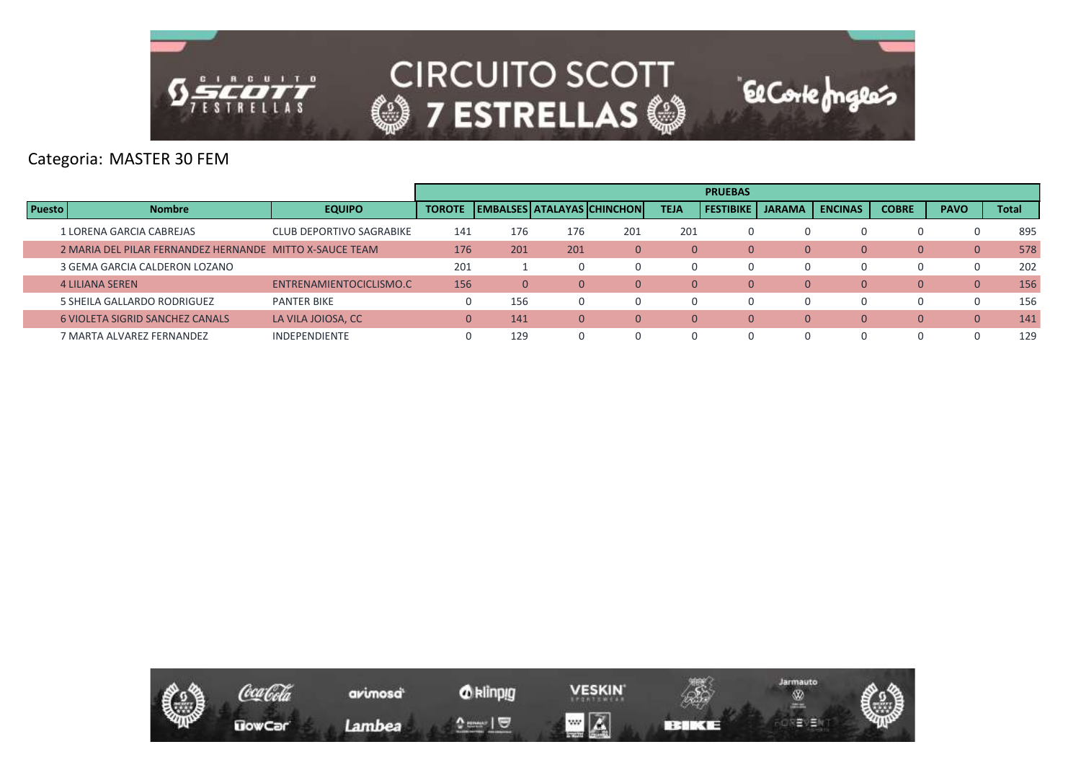

#### Categoria: MASTER 30 FEM

|               |                                                         |                          |                |          |     |                                     |             | <b>PRUEBAS</b>   |               |                |              |                |              |
|---------------|---------------------------------------------------------|--------------------------|----------------|----------|-----|-------------------------------------|-------------|------------------|---------------|----------------|--------------|----------------|--------------|
| <b>Puesto</b> | <b>Nombre</b>                                           | <b>EQUIPO</b>            | <b>TOROTE</b>  |          |     | <b>EMBALSES   ATALAYAS CHINCHON</b> | <b>TEJA</b> | <b>FESTIBIKE</b> | <b>JARAMA</b> | <b>ENCINAS</b> | <b>COBRE</b> | <b>PAVO</b>    | <b>Total</b> |
|               | 1 LORENA GARCIA CABREJAS                                | CLUB DEPORTIVO SAGRABIKE | 141            | 176      | 176 | 201                                 | 201         |                  | O             |                |              |                | 895          |
|               | 2 MARIA DEL PILAR FERNANDEZ HERNANDE MITTO X-SAUCE TEAM |                          | 176            | 201      | 201 | $\overline{0}$                      | $\Omega$    | $\Omega$         |               | $\Omega$       | 0            | $\overline{0}$ | 578          |
|               | 3 GEMA GARCIA CALDERON LOZANO                           |                          | 201            |          |     |                                     |             |                  | $\Omega$      | 0              | O.           | $\Omega$       | 202          |
|               | <b>4 LILIANA SEREN</b>                                  | ENTRENAMIENTOCICLISMO.C  | 156            | $\Omega$ |     | $\overline{0}$                      | $\Omega$    | $\Omega$         |               | $\Omega$       | 0            | $\overline{0}$ | 156          |
|               | 5 SHEILA GALLARDO RODRIGUEZ                             | <b>PANTER BIKE</b>       | $\overline{0}$ | 156      |     |                                     |             |                  | $\Omega$      |                | O.           | $\Omega$       | 156          |
|               | <b>6 VIOLETA SIGRID SANCHEZ CANALS</b>                  | LA VILA JOIOSA, CC       | $\overline{0}$ | 141      | 0   | $\Omega$                            | $\Omega$    | $\Omega$         |               | $\Omega$       | 0            | $\Omega$       | 141          |
|               | 7 MARTA ALVAREZ FERNANDEZ                               | <b>INDEPENDIENTE</b>     | $\Omega$       | 129      |     |                                     |             |                  | $\Omega$      |                |              |                | 129          |

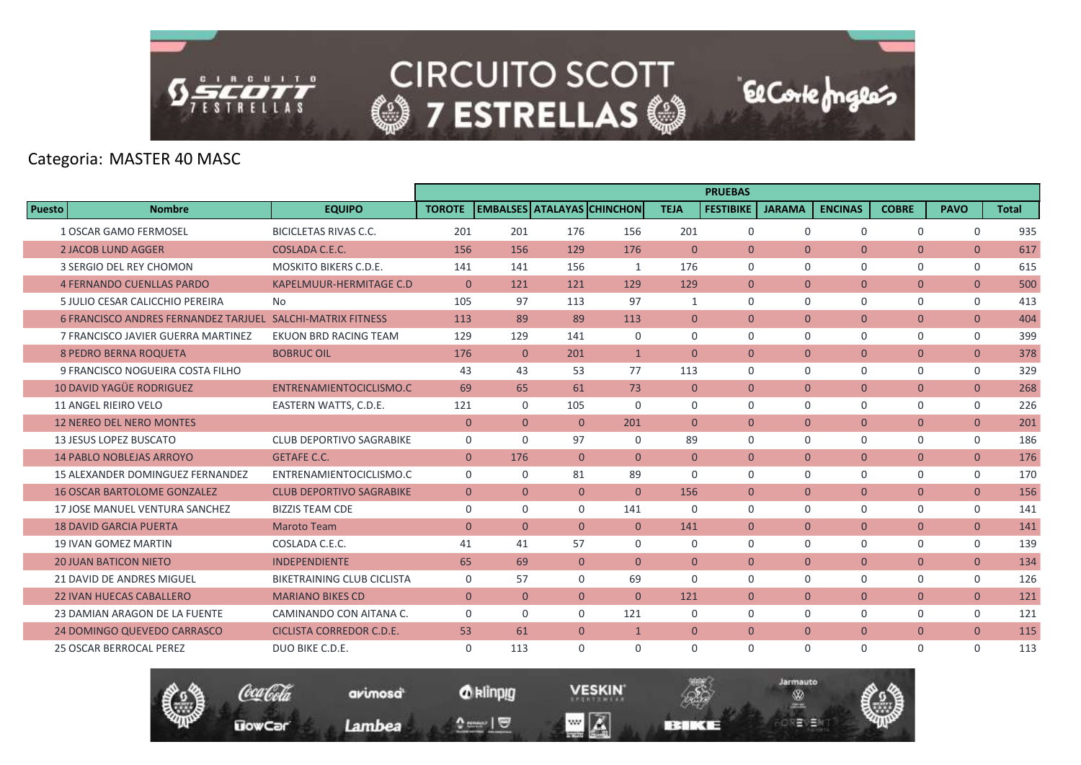

# Categoria: MASTER 40 MASC

|                                                            |                                   |                |                |                |                                   |                | <b>PRUEBAS</b>   |                |                |                |                |              |
|------------------------------------------------------------|-----------------------------------|----------------|----------------|----------------|-----------------------------------|----------------|------------------|----------------|----------------|----------------|----------------|--------------|
| Puesto<br><b>Nombre</b>                                    | <b>EQUIPO</b>                     | <b>TOROTE</b>  |                |                | <b>EMBALSES ATALAYAS CHINCHON</b> | <b>TEJA</b>    | <b>FESTIBIKE</b> | <b>JARAMA</b>  | <b>ENCINAS</b> | <b>COBRE</b>   | <b>PAVO</b>    | <b>Total</b> |
| <b>1 OSCAR GAMO FERMOSEL</b>                               | <b>BICICLETAS RIVAS C.C.</b>      | 201            | 201            | 176            | 156                               | 201            | $\mathbf 0$      | $\mathbf 0$    | $\Omega$       | $\mathbf 0$    | $\mathbf 0$    | 935          |
| <b>2 JACOB LUND AGGER</b>                                  | COSLADA C.E.C.                    | 156            | 156            | 129            | 176                               | $\overline{0}$ | $\Omega$         | $\mathbf{0}$   | $\overline{0}$ | $\overline{0}$ | $\overline{0}$ | 617          |
| 3 SERGIO DEL REY CHOMON                                    | <b>MOSKITO BIKERS C.D.E.</b>      | 141            | 141            | 156            | 1                                 | 176            | $\Omega$         | $\Omega$       | $\Omega$       | 0              | $\mathbf{0}$   | 615          |
| <b>4 FERNANDO CUENLLAS PARDO</b>                           | <b>KAPELMUUR-HERMITAGE C.D</b>    | $\overline{0}$ | 121            | 121            | 129                               | 129            | $\overline{0}$   | $\overline{0}$ | $\overline{0}$ | $\overline{0}$ | $\overline{0}$ | 500          |
| 5 JULIO CESAR CALICCHIO PEREIRA                            | No                                | 105            | 97             | 113            | 97                                | 1              | $\Omega$         | $\Omega$       | $\Omega$       | $\mathbf 0$    | $\mathbf 0$    | 413          |
| 6 FRANCISCO ANDRES FERNANDEZ TARJUEL SALCHI-MATRIX FITNESS |                                   | 113            | 89             | 89             | 113                               | $\Omega$       | $\Omega$         | $\mathbf{0}$   | $\overline{0}$ | $\overline{0}$ | $\overline{0}$ | 404          |
| 7 FRANCISCO JAVIER GUERRA MARTINEZ                         | <b>EKUON BRD RACING TEAM</b>      | 129            | 129            | 141            | 0                                 | $\mathbf 0$    | $\mathbf 0$      | $\mathbf 0$    | $\Omega$       | 0              | $\mathbf 0$    | 399          |
| <b>8 PEDRO BERNA ROQUETA</b>                               | <b>BOBRUC OIL</b>                 | 176            | $\overline{0}$ | 201            | $\mathbf{1}$                      | $\overline{0}$ | $\mathbf{0}$     | $\overline{0}$ | $\overline{0}$ | $\overline{0}$ | $\overline{0}$ | 378          |
| 9 FRANCISCO NOGUEIRA COSTA FILHO                           |                                   | 43             | 43             | 53             | 77                                | 113            | $\Omega$         | $\mathbf 0$    | $\Omega$       | 0              | $\mathbf 0$    | 329          |
| <b>10 DAVID YAGÜE RODRIGUEZ</b>                            | ENTRENAMIENTOCICLISMO.C           | 69             | 65             | 61             | 73                                | $\overline{0}$ | $\Omega$         | $\mathbf{0}$   | $\overline{0}$ | $\mathbf{0}$   | $\overline{0}$ | 268          |
| 11 ANGEL RIEIRO VELO                                       | EASTERN WATTS, C.D.E.             | 121            | $\Omega$       | 105            | $\Omega$                          | $\mathbf 0$    | $\mathbf 0$      | $\mathbf 0$    | $\Omega$       | $\mathbf 0$    | $\mathbf 0$    | 226          |
| <b>12 NEREO DEL NERO MONTES</b>                            |                                   | $\mathbf{0}$   | $\overline{0}$ | $\Omega$       | 201                               | $\Omega$       | $\Omega$         | $\overline{0}$ | $\overline{0}$ | $\overline{0}$ | $\overline{0}$ | 201          |
| <b>13 JESUS LOPEZ BUSCATO</b>                              | CLUB DEPORTIVO SAGRABIKE          | $\mathbf 0$    | $\Omega$       | 97             | $\Omega$                          | 89             | $\Omega$         | $\Omega$       | $\Omega$       | $\mathbf 0$    | $\mathbf 0$    | 186          |
| <b>14 PABLO NOBLEJAS ARROYO</b>                            | <b>GETAFE C.C.</b>                | $\mathbf{0}$   | 176            | $\Omega$       | $\Omega$                          | $\Omega$       | $\overline{0}$   | $\mathbf{0}$   | $\overline{0}$ | $\mathbf{0}$   | $\overline{0}$ | 176          |
| 15 ALEXANDER DOMINGUEZ FERNANDEZ                           | ENTRENAMIENTOCICLISMO.C           | $\mathbf 0$    | 0              | 81             | 89                                | $\mathbf 0$    | $\mathbf 0$      | $\mathbf 0$    | 0              | $\mathbf 0$    | $\mathbf 0$    | 170          |
| <b>16 OSCAR BARTOLOME GONZALEZ</b>                         | <b>CLUB DEPORTIVO SAGRABIKE</b>   | $\mathbf{0}$   | $\Omega$       | $\Omega$       | $\Omega$                          | 156            | $\Omega$         | $\Omega$       | $\Omega$       | $\overline{0}$ | $\overline{0}$ | 156          |
| 17 JOSE MANUEL VENTURA SANCHEZ                             | <b>BIZZIS TEAM CDE</b>            | 0              | $\Omega$       | $\Omega$       | 141                               | $\Omega$       | $\Omega$         | $\mathbf 0$    | $\Omega$       | 0              | 0              | 141          |
| <b>18 DAVID GARCIA PUERTA</b>                              | <b>Maroto Team</b>                | $\mathbf{0}$   | $\Omega$       | $\Omega$       | $\overline{0}$                    | 141            | $\overline{0}$   | $\mathbf{0}$   | $\overline{0}$ | $\mathbf{0}$   | $\overline{0}$ | 141          |
| <b>19 IVAN GOMEZ MARTIN</b>                                | COSLADA C.E.C.                    | 41             | 41             | 57             | $\mathbf 0$                       | $\mathbf 0$    | $\mathbf 0$      | $\mathbf 0$    | 0              | $\mathbf 0$    | $\mathbf 0$    | 139          |
| <b>20 JUAN BATICON NIETO</b>                               | <b>INDEPENDIENTE</b>              | 65             | 69             | $\Omega$       | $\Omega$                          | $\mathbf{0}$   | $\Omega$         | $\mathbf{0}$   | $\overline{0}$ | $\overline{0}$ | $\overline{0}$ | 134          |
| 21 DAVID DE ANDRES MIGUEL                                  | <b>BIKETRAINING CLUB CICLISTA</b> | 0              | 57             | $\Omega$       | 69                                | $\Omega$       | $\Omega$         | $\Omega$       | $\Omega$       | 0              | $\mathbf{0}$   | 126          |
| <b>22 IVAN HUECAS CABALLERO</b>                            | <b>MARIANO BIKES CD</b>           | $\mathbf{0}$   | $\Omega$       | $\overline{0}$ | $\Omega$                          | 121            | $\mathbf{0}$     | $\mathbf{0}$   | $\overline{0}$ | $\mathbf{0}$   | $\overline{0}$ | 121          |
| 23 DAMIAN ARAGON DE LA FUENTE                              | CAMINANDO CON AITANA C.           | $\mathbf 0$    | $\mathbf 0$    | $\mathbf 0$    | 121                               | $\mathbf 0$    | $\mathbf 0$      | $\mathbf 0$    | 0              | 0              | 0              | 121          |
| 24 DOMINGO QUEVEDO CARRASCO                                | <b>CICLISTA CORREDOR C.D.E.</b>   | 53             | 61             | $\overline{0}$ | $\mathbf{1}$                      | $\mathbf{0}$   | $\mathbf{0}$     | $\mathbf{0}$   | $\overline{0}$ | $\overline{0}$ | $\overline{0}$ | 115          |
| <b>25 OSCAR BERROCAL PEREZ</b>                             | DUO BIKE C.D.E.                   | $\Omega$       | 113            | $\Omega$       | $\Omega$                          | $\Omega$       | $\Omega$         | $\mathbf 0$    | $\Omega$       | $\mathbf 0$    | $\Omega$       | 113          |

Jarmauto

®

**BERKE** 

역달방울장

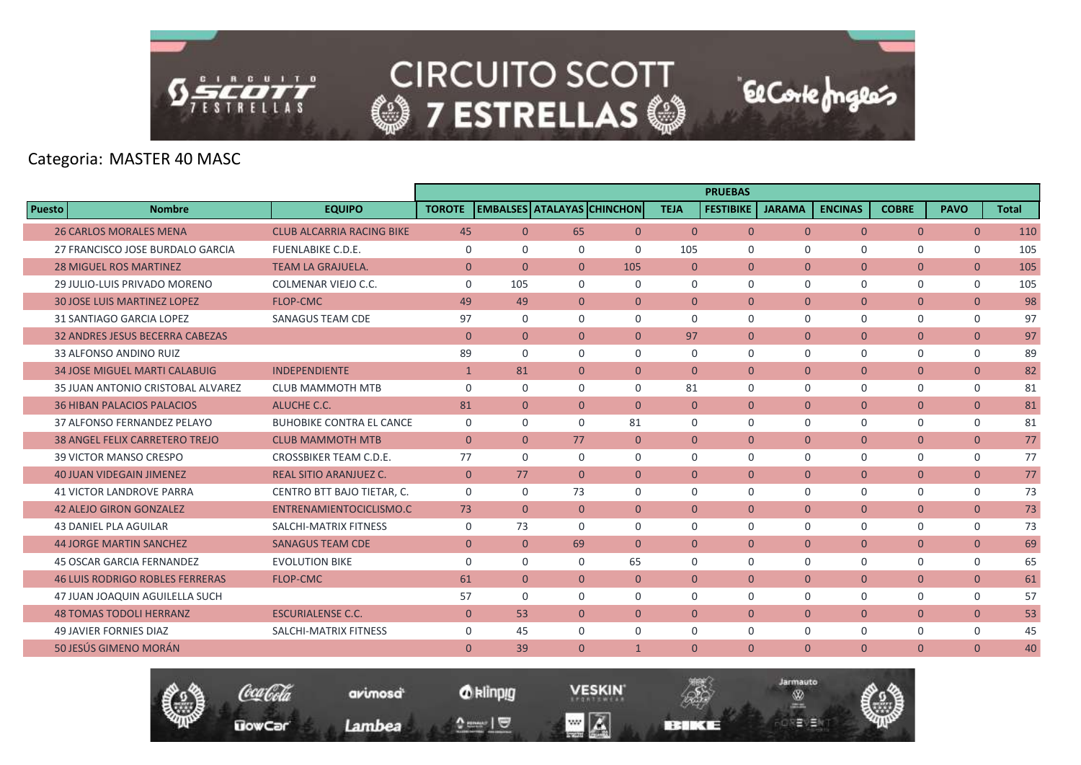

Categoria: MASTER 40 MASC

|                                        |                                  |                |                |                |                                   |                | <b>PRUEBAS</b>   |                |                |                |                |              |
|----------------------------------------|----------------------------------|----------------|----------------|----------------|-----------------------------------|----------------|------------------|----------------|----------------|----------------|----------------|--------------|
| <b>Puesto</b><br><b>Nombre</b>         | <b>EQUIPO</b>                    | <b>TOROTE</b>  |                |                | <b>EMBALSES ATALAYAS CHINCHON</b> | <b>TEJA</b>    | <b>FESTIBIKE</b> | <b>JARAMA</b>  | <b>ENCINAS</b> | <b>COBRE</b>   | <b>PAVO</b>    | <b>Total</b> |
| <b>26 CARLOS MORALES MENA</b>          | <b>CLUB ALCARRIA RACING BIKE</b> | 45             | $\Omega$       | 65             | $\overline{0}$                    | $\Omega$       | $\Omega$         | $\Omega$       | $\Omega$       | $\overline{0}$ | $\overline{0}$ | 110          |
| 27 FRANCISCO JOSE BURDALO GARCIA       | <b>FUENLABIKE C.D.E.</b>         | $\Omega$       | $\Omega$       | $\Omega$       | $\Omega$                          | 105            | $\Omega$         | $\Omega$       | $\Omega$       | 0              | $\Omega$       | 105          |
| <b>28 MIGUEL ROS MARTINEZ</b>          | <b>TEAM LA GRAJUELA.</b>         | $\mathbf{0}$   | $\Omega$       | $\Omega$       | 105                               | $\overline{0}$ | $\mathbf{0}$     | $\overline{0}$ | $\overline{0}$ | $\mathbf{0}$   | $\overline{0}$ | 105          |
| 29 JULIO-LUIS PRIVADO MORENO           | COLMENAR VIEJO C.C.              | $\mathbf 0$    | 105            | $\Omega$       | $\mathbf 0$                       | $\Omega$       | $\mathbf 0$      | $\mathbf 0$    | $\Omega$       | 0              | $\mathbf 0$    | 105          |
| <b>30 JOSE LUIS MARTINEZ LOPEZ</b>     | <b>FLOP-CMC</b>                  | 49             | 49             | $\overline{0}$ | $\mathbf{0}$                      | $\Omega$       | $\Omega$         | $\mathbf{0}$   | $\overline{0}$ | $\mathbf{0}$   | $\overline{0}$ | 98           |
| 31 SANTIAGO GARCIA LOPEZ               | <b>SANAGUS TEAM CDE</b>          | 97             | $\Omega$       | $\Omega$       | $\Omega$                          | $\Omega$       | $\Omega$         | $\Omega$       | $\Omega$       | $\mathbf 0$    | $\mathbf 0$    | 97           |
| <b>32 ANDRES JESUS BECERRA CABEZAS</b> |                                  | $\mathbf{0}$   | $\mathbf{0}$   | $\Omega$       | $\mathbf{0}$                      | 97             | $\mathbf{0}$     | $\overline{0}$ | $\overline{0}$ | $\mathbf{0}$   | $\overline{0}$ | 97           |
| 33 ALFONSO ANDINO RUIZ                 |                                  | 89             | $\Omega$       | 0              | $\mathbf 0$                       | $\Omega$       | $\mathbf 0$      | $\mathbf 0$    | $\mathbf 0$    | $\mathbf 0$    | $\mathbf 0$    | 89           |
| <b>34 JOSE MIGUEL MARTI CALABUIG</b>   | <b>INDEPENDIENTE</b>             | $\mathbf{1}$   | 81             | $\Omega$       | $\overline{0}$                    | $\Omega$       | $\Omega$         | $\overline{0}$ | $\overline{0}$ | $\mathbf{0}$   | $\overline{0}$ | 82           |
| 35 JUAN ANTONIO CRISTOBAL ALVAREZ      | <b>CLUB MAMMOTH MTB</b>          | $\mathbf 0$    | $\Omega$       | 0              | $\mathbf 0$                       | 81             | $\mathbf 0$      | $\mathbf 0$    | $\Omega$       | $\mathbf 0$    | $\mathbf 0$    | 81           |
| <b>36 HIBAN PALACIOS PALACIOS</b>      | ALUCHE C.C.                      | 81             | $\overline{0}$ | $\overline{0}$ | $\overline{0}$                    | $\overline{0}$ | $\mathbf{0}$     | $\overline{0}$ | $\overline{0}$ | $\overline{0}$ | $\overline{0}$ | 81           |
| 37 ALFONSO FERNANDEZ PELAYO            | <b>BUHOBIKE CONTRA EL CANCE</b>  | $\mathbf 0$    | $\Omega$       | $\Omega$       | 81                                | $\Omega$       | $\Omega$         | $\mathbf 0$    | $\Omega$       | $\mathbf 0$    | $\mathbf 0$    | 81           |
| <b>38 ANGEL FELIX CARRETERO TREJO</b>  | <b>CLUB MAMMOTH MTB</b>          | $\overline{0}$ | $\overline{0}$ | 77             | $\overline{0}$                    | $\overline{0}$ | $\mathbf{0}$     | $\overline{0}$ | $\overline{0}$ | $\overline{0}$ | $\overline{0}$ | 77           |
| 39 VICTOR MANSO CRESPO                 | CROSSBIKER TEAM C.D.E.           | 77             | $\Omega$       | $\Omega$       | $\Omega$                          | $\Omega$       | $\Omega$         | $\Omega$       | $\Omega$       | 0              | $\mathbf 0$    | 77           |
| <b>40 JUAN VIDEGAIN JIMENEZ</b>        | <b>REAL SITIO ARANJUEZ C.</b>    | $\mathbf{0}$   | 77             | $\overline{0}$ | $\overline{0}$                    | $\mathbf{0}$   | $\overline{0}$   | $\overline{0}$ | $\overline{0}$ | $\overline{0}$ | $\overline{0}$ | 77           |
| <b>41 VICTOR LANDROVE PARRA</b>        | CENTRO BTT BAJO TIETAR, C.       | $\Omega$       | $\Omega$       | 73             | $\Omega$                          | $\Omega$       | $\Omega$         | $\Omega$       | $\Omega$       | $\mathbf 0$    | $\mathbf 0$    | 73           |
| <b>42 ALEJO GIRON GONZALEZ</b>         | ENTRENAMIENTOCICLISMO.C          | 73             | $\Omega$       | $\Omega$       | $\Omega$                          | $\Omega$       | $\Omega$         | $\overline{0}$ | $\overline{0}$ | $\mathbf{0}$   | $\overline{0}$ | 73           |
| <b>43 DANIEL PLA AGUILAR</b>           | SALCHI-MATRIX FITNESS            | $\mathbf 0$    | 73             | 0              | $\mathbf 0$                       | $\mathbf 0$    | $\mathbf 0$      | $\mathbf 0$    | $\mathbf 0$    | 0              | $\mathbf 0$    | 73           |
| <b>44 JORGE MARTIN SANCHEZ</b>         | <b>SANAGUS TEAM CDE</b>          | $\mathbf{0}$   | $\Omega$       | 69             | $\Omega$                          | $\Omega$       | $\Omega$         | $\Omega$       | $\Omega$       | $\mathbf{0}$   | $\mathbf{0}$   | 69           |
| <b>45 OSCAR GARCIA FERNANDEZ</b>       | <b>EVOLUTION BIKE</b>            | $\mathbf 0$    | $\Omega$       | $\Omega$       | 65                                | $\Omega$       | $\mathbf 0$      | $\mathbf 0$    | $\mathbf 0$    | $\mathbf 0$    | $\mathbf 0$    | 65           |
| <b>46 LUIS RODRIGO ROBLES FERRERAS</b> | <b>FLOP-CMC</b>                  | 61             | $\overline{0}$ | $\overline{0}$ | $\overline{0}$                    | $\overline{0}$ | $\overline{0}$   | $\overline{0}$ | $\overline{0}$ | $\overline{0}$ | $\mathbf{0}$   | 61           |
| 47 JUAN JOAQUIN AGUILELLA SUCH         |                                  | 57             | $\Omega$       | $\Omega$       | $\mathbf 0$                       | $\Omega$       | $\Omega$         | $\mathbf 0$    | $\Omega$       | 0              | $\mathbf 0$    | 57           |
| <b>48 TOMAS TODOLI HERRANZ</b>         | <b>ESCURIALENSE C.C.</b>         | $\mathbf{0}$   | 53             | $\Omega$       | $\overline{0}$                    | $\Omega$       | $\Omega$         | $\overline{0}$ | $\overline{0}$ | $\mathbf{0}$   | $\mathbf{0}$   | 53           |
| <b>49 JAVIER FORNIES DIAZ</b>          | SALCHI-MATRIX FITNESS            | $\Omega$       | 45             | $\Omega$       | $\Omega$                          | $\Omega$       | $\Omega$         | $\Omega$       | $\Omega$       | 0              | $\mathbf 0$    | 45           |
| 50 JESÚS GIMENO MORÁN                  |                                  | $\mathbf{0}$   | 39             | $\Omega$       | $\mathbf{1}$                      | $\mathbf{0}$   | $\mathbf{0}$     | $\overline{0}$ | $\overline{0}$ | $\mathbf{0}$   | $\mathbf{0}$   | 40           |



*O* klinpig

 $\begin{array}{c} \texttt{m} = \texttt{m} \\ \texttt{m} = \texttt{m} \end{array}$ 

avimosa

Lambea

**VESKIN**  $\blacksquare$   $\blacksquare$ 

**BERKE** 

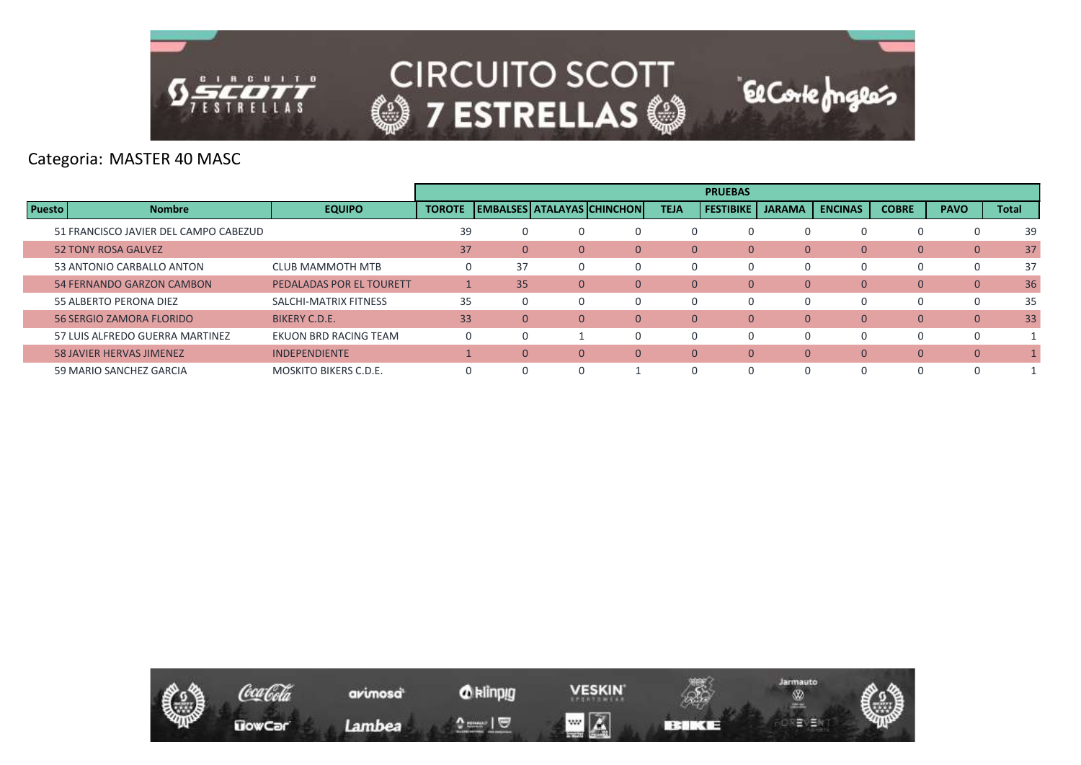

Categoria: MASTER 40 MASC

|               |                                       |                              |               |              |              |                            |                | <b>PRUEBAS</b>   |               |                |              |                |              |
|---------------|---------------------------------------|------------------------------|---------------|--------------|--------------|----------------------------|----------------|------------------|---------------|----------------|--------------|----------------|--------------|
| <b>Puesto</b> | <b>Nombre</b>                         | <b>EQUIPO</b>                | <b>TOROTE</b> |              |              | EMBALSES ATALAYAS CHINCHON | <b>TEJA</b>    | <b>FESTIBIKE</b> | <b>JARAMA</b> | <b>ENCINAS</b> | <b>COBRE</b> | <b>PAVO</b>    | <b>Total</b> |
|               | 51 FRANCISCO JAVIER DEL CAMPO CABEZUD |                              | 39            |              |              | 0                          |                |                  |               |                |              |                | 39           |
|               | <b>52 TONY ROSA GALVEZ</b>            |                              | 37            | $\mathbf{0}$ | $\Omega$     | $\mathbf{0}$               | $\overline{0}$ | $\Omega$         | $\mathbf{0}$  | 0              | $\mathbf{0}$ | $\mathbf{0}$   | 37           |
|               | 53 ANTONIO CARBALLO ANTON             | <b>CLUB MAMMOTH MTB</b>      | 0             | 37           |              | $\Omega$                   | 0              | O                |               | 0              | <sup>0</sup> | 0              | 37           |
|               | 54 FERNANDO GARZON CAMBON             | PEDALADAS POR EL TOURETT     |               | 35           | $\mathbf{0}$ | $\mathbf{0}$               | 0              | $\Omega$         | $\mathbf{0}$  | 0              | $\mathbf{0}$ | $\mathbf{0}$   | 36           |
|               | 55 ALBERTO PERONA DIEZ                | SALCHI-MATRIX FITNESS        | 35            |              |              | 0                          | 0              |                  |               | 0              |              | 0              | 35           |
|               | 56 SERGIO ZAMORA FLORIDO              | BIKERY C.D.E.                | 33            | 0            | $\Omega$     | $\Omega$                   | $\mathbf{0}$   | $\Omega$         | $\Omega$      | $\overline{0}$ | $\mathbf{0}$ | $\mathbf{0}$   | 33           |
|               | 57 LUIS ALFREDO GUERRA MARTINEZ       | EKUON BRD RACING TEAM        | 0             |              |              | 0                          | 0              | $\Omega$         |               | 0              | $\Omega$     | 0              |              |
|               | <b>58 JAVIER HERVAS JIMENEZ</b>       | <b>INDEPENDIENTE</b>         |               | 0            | $\Omega$     | $\Omega$                   | $\overline{0}$ | $\Omega$         | $\Omega$      | 0              | $\mathbf{0}$ | $\overline{0}$ |              |
|               | 59 MARIO SANCHEZ GARCIA               | <b>MOSKITO BIKERS C.D.E.</b> |               |              |              |                            |                |                  |               |                |              |                |              |

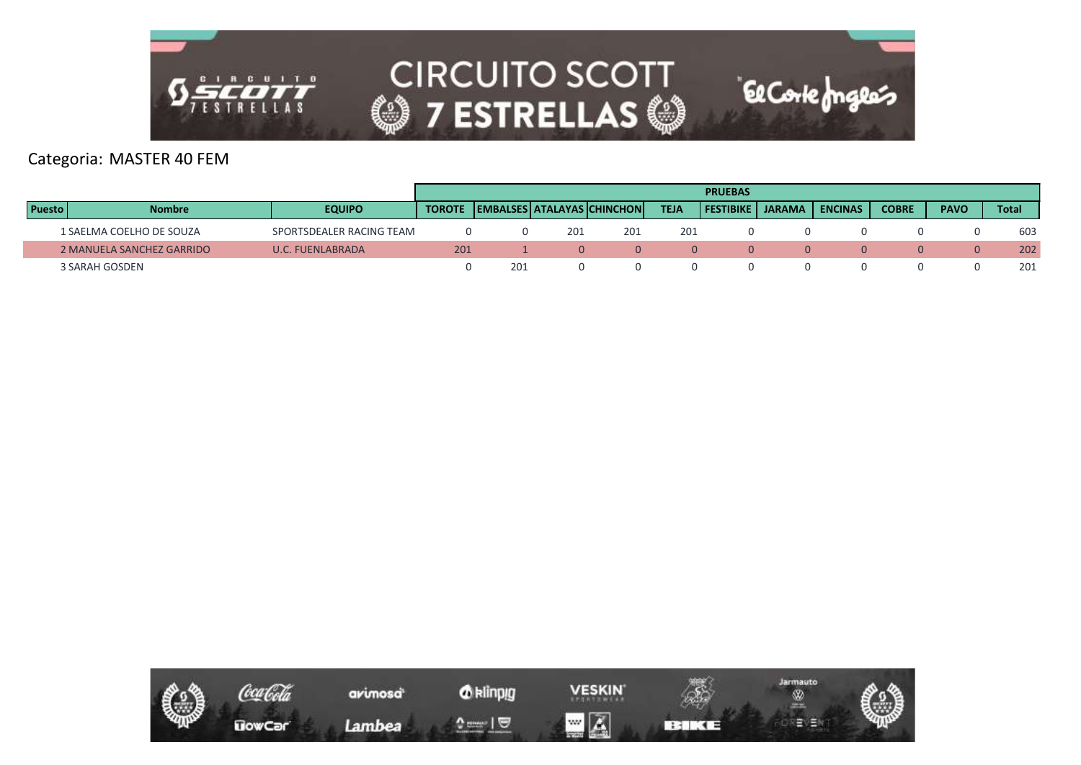

#### Categoria: MASTER 40 FEM

|               |                           |                          |     |     |     |                                                |             | <b>PRUEBAS</b>   |        |                |              |             |              |
|---------------|---------------------------|--------------------------|-----|-----|-----|------------------------------------------------|-------------|------------------|--------|----------------|--------------|-------------|--------------|
| <b>Puesto</b> | <b>Nombre</b>             | <b>EQUIPO</b>            |     |     |     | <b>TOROTE</b>   EMBALSES   ATALAYAS   CHINCHON | <b>TEJA</b> | <b>FESTIBIKE</b> | JARAMA | <b>ENCINAS</b> | <b>COBRE</b> | <b>PAVO</b> | <b>Total</b> |
|               | 1 SAELMA COELHO DE SOUZA  | SPORTSDEALER RACING TEAM |     |     | 201 | 201                                            | 201         |                  |        |                |              |             | 603          |
|               | 2 MANUELA SANCHEZ GARRIDO | <b>U.C. FUENLABRADA</b>  | 201 |     |     |                                                | $\Omega$    |                  |        |                |              |             | 202          |
|               | 3 SARAH GOSDEN            |                          |     | 201 |     |                                                |             |                  |        |                |              |             | 201          |

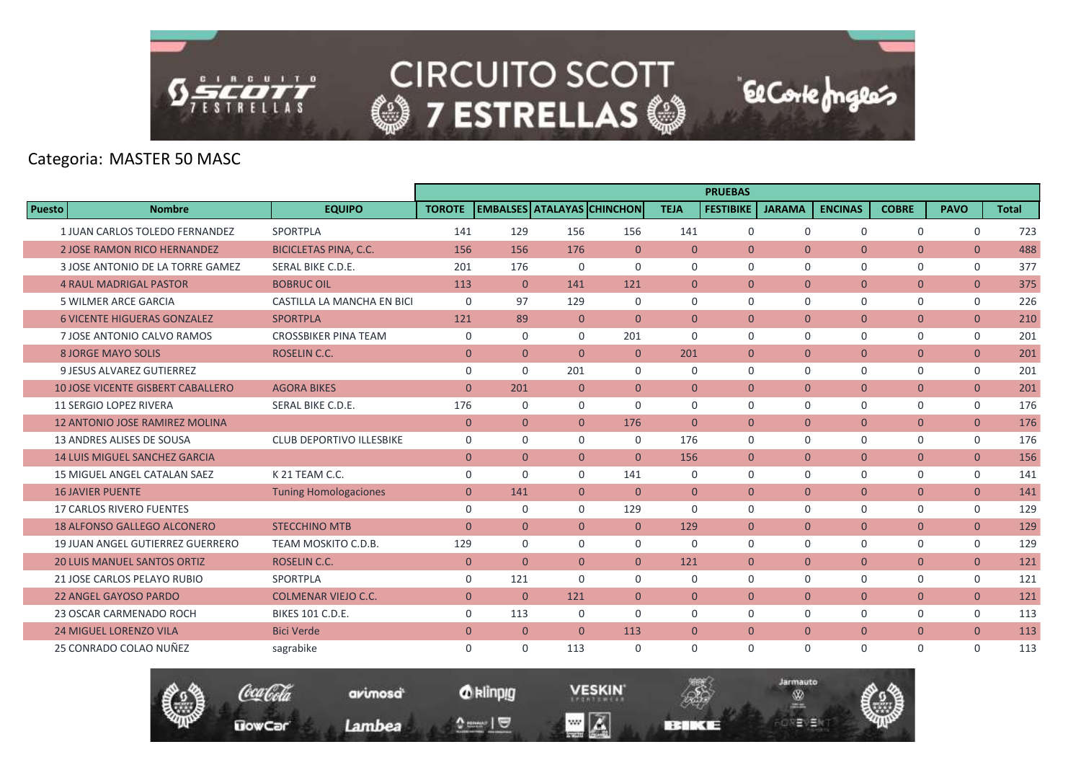

Categoria: MASTER 50 MASC

|               |                                          |                                 |                |                |                |                                |                | <b>PRUEBAS</b>   |                |                |                |                |              |
|---------------|------------------------------------------|---------------------------------|----------------|----------------|----------------|--------------------------------|----------------|------------------|----------------|----------------|----------------|----------------|--------------|
| <b>Puesto</b> | <b>Nombre</b>                            | <b>EQUIPO</b>                   | <b>TOROTE</b>  |                |                | EMBALSES   ATALAYAS   CHINCHON | <b>TEJA</b>    | <b>FESTIBIKE</b> | <b>JARAMA</b>  | <b>ENCINAS</b> | <b>COBRE</b>   | <b>PAVO</b>    | <b>Total</b> |
|               | 1 JUAN CARLOS TOLEDO FERNANDEZ           | SPORTPLA                        | 141            | 129            | 156            | 156                            | 141            | $\mathbf 0$      | $\mathbf 0$    | $\mathbf 0$    | $\mathbf 0$    | $\mathbf 0$    | 723          |
|               | <b>2 JOSE RAMON RICO HERNANDEZ</b>       | <b>BICICLETAS PINA, C.C.</b>    | 156            | 156            | 176            | $\overline{0}$                 | $\overline{0}$ | $\mathbf{0}$     | $\mathbf{0}$   | $\overline{0}$ | $\overline{0}$ | $\overline{0}$ | 488          |
|               | 3 JOSE ANTONIO DE LA TORRE GAMEZ         | SERAL BIKE C.D.E.               | 201            | 176            | $\Omega$       | $\Omega$                       | $\Omega$       | $\Omega$         | $\Omega$       | $\Omega$       | $\mathbf 0$    | 0              | 377          |
|               | <b>4 RAUL MADRIGAL PASTOR</b>            | <b>BOBRUC OIL</b>               | 113            | $\mathbf{0}$   | 141            | 121                            | $\mathbf{0}$   | $\mathbf{0}$     | $\mathbf{0}$   | $\overline{0}$ | $\mathbf{0}$   | $\overline{0}$ | 375          |
|               | 5 WILMER ARCE GARCIA                     | CASTILLA LA MANCHA EN BICI      | $\Omega$       | 97             | 129            | $\Omega$                       | $\Omega$       | $\Omega$         | $\Omega$       | $\Omega$       | $\Omega$       | $\mathbf 0$    | 226          |
|               | <b>6 VICENTE HIGUERAS GONZALEZ</b>       | <b>SPORTPLA</b>                 | 121            | 89             | $\overline{0}$ | $\Omega$                       | $\Omega$       | $\Omega$         | $\mathbf{0}$   | $\overline{0}$ | $\overline{0}$ | $\overline{0}$ | 210          |
|               | 7 JOSE ANTONIO CALVO RAMOS               | <b>CROSSBIKER PINA TEAM</b>     | 0              | $\mathbf 0$    | 0              | 201                            | $\mathbf 0$    | $\mathbf 0$      | $\mathbf 0$    | $\mathbf 0$    | $\mathbf 0$    | 0              | 201          |
|               | 8 JORGE MAYO SOLIS                       | <b>ROSELIN C.C.</b>             | $\overline{0}$ | $\overline{0}$ | $\overline{0}$ | $\overline{0}$                 | 201            | $\mathbf{0}$     | $\mathbf{0}$   | $\overline{0}$ | $\mathbf{0}$   | $\overline{0}$ | 201          |
|               | 9 JESUS ALVAREZ GUTIERREZ                |                                 | $\mathbf 0$    | $\Omega$       | 201            | $\Omega$                       | $\Omega$       | $\Omega$         | $\Omega$       | $\Omega$       | $\mathbf 0$    | 0              | 201          |
|               | <b>10 JOSE VICENTE GISBERT CABALLERO</b> | <b>AGORA BIKES</b>              | $\mathbf{0}$   | 201            | $\overline{0}$ | $\overline{0}$                 | $\Omega$       | $\Omega$         | $\mathbf{0}$   | $\overline{0}$ | $\overline{0}$ | $\overline{0}$ | 201          |
|               | <b>11 SERGIO LOPEZ RIVERA</b>            | SERAL BIKE C.D.E.               | 176            | $\mathbf 0$    | 0              | $\mathbf 0$                    | $\mathbf 0$    | $\mathbf 0$      | $\mathbf 0$    | $\mathbf 0$    | $\mathbf 0$    | 0              | 176          |
|               | <b>12 ANTONIO JOSE RAMIREZ MOLINA</b>    |                                 | $\mathbf{0}$   | $\overline{0}$ | $\overline{0}$ | 176                            | $\overline{0}$ | $\mathbf{0}$     | $\mathbf{0}$   | $\overline{0}$ | $\mathbf{0}$   | $\overline{0}$ | 176          |
|               | <b>13 ANDRES ALISES DE SOUSA</b>         | <b>CLUB DEPORTIVO ILLESBIKE</b> | $\Omega$       | $\Omega$       | $\Omega$       | $\Omega$                       | 176            | $\Omega$         | $\Omega$       | $\Omega$       | 0              | 0              | 176          |
|               | <b>14 LUIS MIGUEL SANCHEZ GARCIA</b>     |                                 | $\mathbf{0}$   | $\Omega$       | $\overline{0}$ | $\Omega$                       | 156            | $\mathbf{0}$     | $\mathbf{0}$   | $\overline{0}$ | $\mathbf{0}$   | $\overline{0}$ | 156          |
|               | <b>15 MIGUEL ANGEL CATALAN SAEZ</b>      | K 21 TEAM C.C.                  | $\mathbf 0$    | $\Omega$       | 0              | 141                            | 0              | $\mathbf 0$      | $\mathbf 0$    | $\mathbf 0$    | $\mathbf 0$    | 0              | 141          |
|               | <b>16 JAVIER PUENTE</b>                  | <b>Tuning Homologaciones</b>    | $\mathbf{0}$   | 141            | $\overline{0}$ | $\mathbf{0}$                   | $\overline{0}$ | $\overline{0}$   | $\overline{0}$ | $\overline{0}$ | $\mathbf{0}$   | $\overline{0}$ | 141          |
|               | <b>17 CARLOS RIVERO FUENTES</b>          |                                 | $\mathbf 0$    | $\Omega$       | $\Omega$       | 129                            | $\Omega$       | $\Omega$         | $\Omega$       | $\mathbf 0$    | $\mathbf 0$    | 0              | 129          |
|               | <b>18 ALFONSO GALLEGO ALCONERO</b>       | <b>STECCHINO MTB</b>            | $\mathbf{0}$   | $\overline{0}$ | $\overline{0}$ | $\overline{0}$                 | 129            | $\mathbf{0}$     | $\mathbf{0}$   | $\overline{0}$ | $\overline{0}$ | $\overline{0}$ | 129          |
|               | 19 JUAN ANGEL GUTIERREZ GUERRERO         | TEAM MOSKITO C.D.B.             | 129            | $\Omega$       | $\Omega$       | $\mathbf 0$                    | $\Omega$       | $\Omega$         | $\Omega$       | $\mathbf 0$    | $\mathbf 0$    | 0              | 129          |
|               | <b>20 LUIS MANUEL SANTOS ORTIZ</b>       | <b>ROSELIN C.C.</b>             | $\mathbf{0}$   | $\Omega$       | $\overline{0}$ | $\overline{0}$                 | 121            | $\mathbf{0}$     | $\overline{0}$ | $\overline{0}$ | $\mathbf{0}$   | $\overline{0}$ | 121          |
|               | 21 JOSE CARLOS PELAYO RUBIO              | SPORTPLA                        | $\mathbf 0$    | 121            | $\Omega$       | $\Omega$                       | $\Omega$       | $\Omega$         | $\Omega$       | $\mathbf 0$    | $\mathbf 0$    | 0              | 121          |
|               | <b>22 ANGEL GAYOSO PARDO</b>             | <b>COLMENAR VIEJO C.C.</b>      | $\overline{0}$ | $\mathbf{0}$   | 121            | $\overline{0}$                 | $\overline{0}$ | $\mathbf{0}$     | $\mathbf{0}$   | $\overline{0}$ | $\mathbf{0}$   | $\overline{0}$ | 121          |
|               | 23 OSCAR CARMENADO ROCH                  | <b>BIKES 101 C.D.E.</b>         | $\mathbf 0$    | 113            | 0              | $\mathbf 0$                    | $\mathbf 0$    | $\mathbf 0$      | $\mathbf 0$    | $\mathbf 0$    | $\mathbf 0$    | 0              | 113          |
|               | <b>24 MIGUEL LORENZO VILA</b>            | <b>Bici Verde</b>               | $\mathbf{0}$   | $\overline{0}$ | $\Omega$       | 113                            | $\mathbf{0}$   | $\Omega$         | $\mathbf{0}$   | $\overline{0}$ | $\overline{0}$ | $\overline{0}$ | 113          |
|               | 25 CONRADO COLAO NUÑEZ                   | sagrabike                       | $\mathbf 0$    | $\Omega$       | 113            | $\mathbf 0$                    | $\Omega$       | $\Omega$         | $\Omega$       | $\Omega$       | $\mathbf 0$    | 0              | 113          |

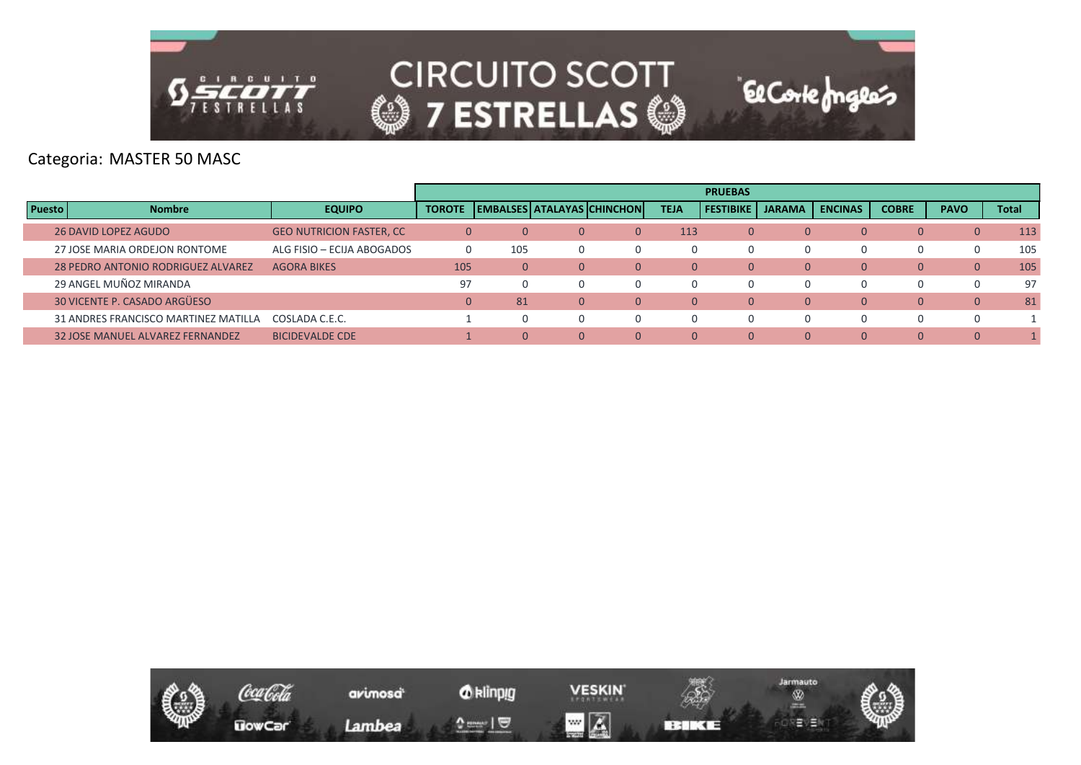

Categoria: MASTER 50 MASC

|               |                                           |                                  |                |     |          |                                     |             | <b>PRUEBAS</b>   |               |                |              |                |              |
|---------------|-------------------------------------------|----------------------------------|----------------|-----|----------|-------------------------------------|-------------|------------------|---------------|----------------|--------------|----------------|--------------|
| <b>Puesto</b> | <b>Nombre</b>                             | <b>EQUIPO</b>                    | <b>TOROTE</b>  |     |          | <b>IEMBALSES ATALAYAS CHINCHONI</b> | <b>TEJA</b> | <b>FESTIBIKE</b> | <b>JARAMA</b> | <b>ENCINAS</b> | <b>COBRE</b> | <b>PAVO</b>    | <b>Total</b> |
|               | <b>26 DAVID LOPEZ AGUDO</b>               | <b>GEO NUTRICION FASTER, CC.</b> | $\overline{0}$ |     | $\Omega$ | 0                                   | 113         | $\Omega$         | 0             |                | $\mathbf{0}$ | $\overline{0}$ | 113          |
|               | 27 JOSE MARIA ORDEJON RONTOME             | ALG FISIO - ECIJA ABOGADOS       | $\Omega$       | 105 |          |                                     | $\Omega$    | 0                |               |                | 0            |                | 105          |
|               | <b>28 PEDRO ANTONIO RODRIGUEZ ALVAREZ</b> | <b>AGORA BIKES</b>               | 105            | 0   | $\Omega$ | 0                                   | $\Omega$    | $\Omega$         | $\Omega$      |                | $\mathbf{0}$ | $\mathbf{0}$   | 105          |
|               | 29 ANGEL MUÑOZ MIRANDA                    |                                  | 97             |     |          |                                     | $\Omega$    | 0                |               |                | 0            | $\Omega$       | 97           |
|               | 30 VICENTE P. CASADO ARGÜESO              |                                  | $\mathbf{0}$   | 81  | $\Omega$ | $\Omega$                            | $\Omega$    | $\Omega$         | $\Omega$      |                | $\mathbf{0}$ | $\mathbf{0}$   | 81           |
|               | 31 ANDRES FRANCISCO MARTINEZ MATILLA      | COSLADA C.E.C.                   |                |     |          |                                     | $\Omega$    | 0                |               |                | 0            | $\Omega$       |              |
|               | <b>32 JOSE MANUEL ALVAREZ FERNANDEZ</b>   | <b>BICIDEVALDE CDE</b>           |                |     |          | $\Omega$                            |             | $\Omega$         | $\Omega$      |                | $\Omega$     | $\Omega$       |              |

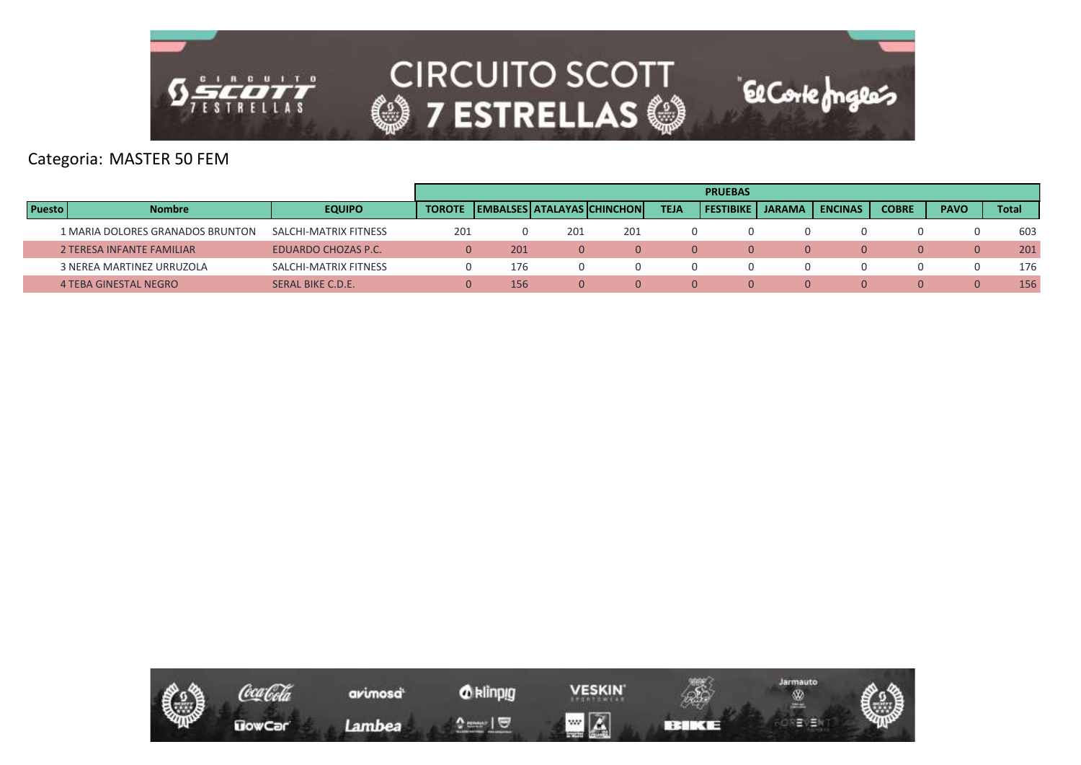

Categoria: MASTER 50 FEM

|               |                                  |                       |     |                                            |     |     |             | <b>PRUEBAS</b> |               |                |              |             |       |
|---------------|----------------------------------|-----------------------|-----|--------------------------------------------|-----|-----|-------------|----------------|---------------|----------------|--------------|-------------|-------|
| <b>Puesto</b> | <b>Nombre</b>                    | <b>EQUIPO</b>         |     | <b>TOROTE LEMBALSES ATALAYAS CHINCHONI</b> |     |     | <b>TEJA</b> | i Festibike i  | <b>JARAMA</b> | <b>ENCINAS</b> | <b>COBRE</b> | <b>PAVO</b> | Total |
|               | 1 MARIA DOLORES GRANADOS BRUNTON | SALCHI-MATRIX FITNESS | 201 |                                            | 201 | 201 |             |                |               |                |              |             | 603   |
|               | 2 TERESA INFANTE FAMILIAR        | EDUARDO CHOZAS P.C.   |     | 201                                        |     |     |             |                |               | 0              | $\Omega$     |             | 201   |
|               | 3 NEREA MARTINEZ URRUZOLA        | SALCHI-MATRIX FITNESS |     | 176                                        |     |     |             |                |               |                |              |             | 176   |
|               | 4 TEBA GINESTAL NEGRO            | SERAL BIKE C.D.E.     |     | 156                                        |     |     |             |                |               | 0              | $\Omega$     |             | 156   |

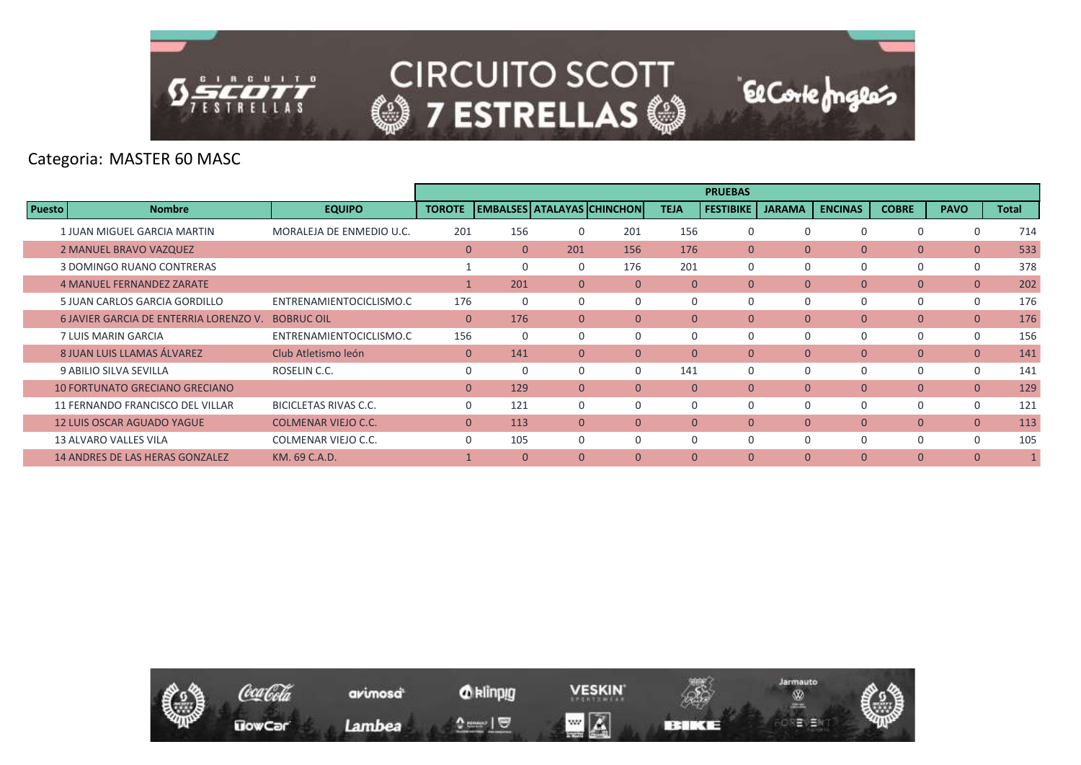

Categoria: MASTER 60 MASC

|               |                                        |                            |                |                                   |                |              |                | <b>PRUEBAS</b>   |                |                |                |                |              |
|---------------|----------------------------------------|----------------------------|----------------|-----------------------------------|----------------|--------------|----------------|------------------|----------------|----------------|----------------|----------------|--------------|
| <b>Puesto</b> | <b>Nombre</b>                          | <b>EQUIPO</b>              | <b>TOROTE</b>  | <b>EMBALSES ATALAYAS CHINCHON</b> |                |              | <b>TEJA</b>    | <b>FESTIBIKE</b> | <b>JARAMA</b>  | <b>ENCINAS</b> | <b>COBRE</b>   | <b>PAVO</b>    | <b>Total</b> |
|               | 1 JUAN MIGUEL GARCIA MARTIN            | MORALEJA DE ENMEDIO U.C.   | 201            | 156                               | O              | 201          | 156            | 0                | $\Omega$       |                | $\Omega$       | $\Omega$       | 714          |
|               | 2 MANUEL BRAVO VAZQUEZ                 |                            | $\overline{0}$ | $\overline{0}$                    | 201            | 156          | 176            | $\mathbf{0}$     | $\mathbf{0}$   | $\overline{0}$ | $\overline{0}$ | $\overline{0}$ | 533          |
|               | 3 DOMINGO RUANO CONTRERAS              |                            |                |                                   | $\Omega$       | 176          | 201            | $\Omega$         | $\Omega$       | $\Omega$       | 0              | $\mathbf 0$    | 378          |
|               | <b>4 MANUEL FERNANDEZ ZARATE</b>       |                            |                | 201                               | $\Omega$       | $\Omega$     | $\Omega$       | $\Omega$         | $\Omega$       | $\overline{0}$ | $\overline{0}$ | $\overline{0}$ | 202          |
|               | 5 JUAN CARLOS GARCIA GORDILLO          | ENTRENAMIENTOCICLISMO.C    | 176            |                                   | 0              | $\Omega$     |                | $\Omega$         | $\Omega$       |                | 0              | $\mathbf 0$    | 176          |
|               | 6 JAVIER GARCIA DE ENTERRIA LORENZO V. | <b>BOBRUC OIL</b>          | $\overline{0}$ | 176                               | $\overline{0}$ | $\Omega$     | $\overline{0}$ | $\Omega$         | $\Omega$       | $\overline{0}$ | $\overline{0}$ | $\overline{0}$ | 176          |
|               | 7 LUIS MARIN GARCIA                    | ENTRENAMIENTOCICLISMO.C    | 156            |                                   | 0              | $\Omega$     | $\Omega$       | 0                | 0              |                | 0              | $\mathbf 0$    | 156          |
|               | 8 JUAN LUIS LLAMAS ÁLVAREZ             | Club Atletismo león        | $\overline{0}$ | 141                               | $\Omega$       | $\mathbf{0}$ | $\mathbf{0}$   | $\mathbf{0}$     | $\mathbf{0}$   | $\overline{0}$ | $\overline{0}$ | $\overline{0}$ | 141          |
|               | 9 ABILIO SILVA SEVILLA                 | ROSELIN C.C.               | $\mathbf 0$    |                                   | 0              | $\Omega$     | 141            | 0                | $\mathbf 0$    |                | 0              | $\mathbf 0$    | 141          |
|               | <b>10 FORTUNATO GRECIANO GRECIANO</b>  |                            | $\Omega$       | 129                               | $\Omega$       | $\Omega$     | $\Omega$       | $\Omega$         | $\Omega$       | $\Omega$       | $\overline{0}$ | $\overline{0}$ | 129          |
|               | 11 FERNANDO FRANCISCO DEL VILLAR       | BICICLETAS RIVAS C.C.      | $\Omega$       | 121                               | $\Omega$       | $\Omega$     | $\Omega$       | $\Omega$         | $\Omega$       |                | 0              | $\mathbf 0$    | 121          |
|               | <b>12 LUIS OSCAR AGUADO YAGUE</b>      | <b>COLMENAR VIEJO C.C.</b> | $\overline{0}$ | 113                               | $\mathbf{0}$   | $\mathbf{0}$ | $\mathbf{0}$   | $\mathbf{0}$     | $\overline{0}$ | $\overline{0}$ | $\overline{0}$ | $\overline{0}$ | 113          |
|               | 13 ALVARO VALLES VILA                  | COLMENAR VIEJO C.C.        | $\Omega$       | 105                               | $\Omega$       | $\Omega$     | $\Omega$       | $\Omega$         | $\Omega$       | $\Omega$       | 0              | $\Omega$       | 105          |
|               | <b>14 ANDRES DE LAS HERAS GONZALEZ</b> | KM, 69 C.A.D.              |                | $\Omega$                          | $\Omega$       | $\Omega$     | $\mathbf{0}$   | $\Omega$         | $\mathbf{0}$   | $\Omega$       | $\overline{0}$ | $\overline{0}$ |              |

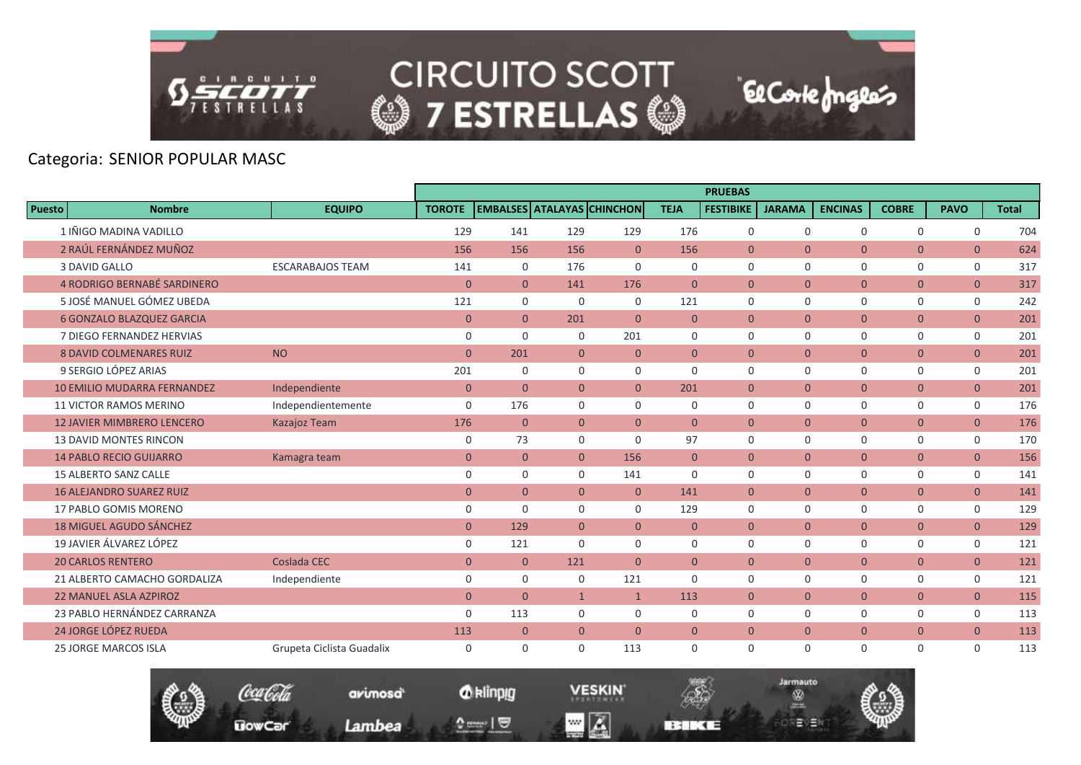

# Categoria: SENIOR POPULAR MASC

|               |                                    |                           |                |                |                |                                   |                | <b>PRUEBAS</b>   |                |                |                |                |              |
|---------------|------------------------------------|---------------------------|----------------|----------------|----------------|-----------------------------------|----------------|------------------|----------------|----------------|----------------|----------------|--------------|
| <b>Puesto</b> | <b>Nombre</b>                      | <b>EQUIPO</b>             | <b>TOROTE</b>  |                |                | <b>EMBALSES ATALAYAS CHINCHON</b> | <b>TEJA</b>    | <b>FESTIBIKE</b> | <b>JARAMA</b>  | <b>ENCINAS</b> | <b>COBRE</b>   | <b>PAVO</b>    | <b>Total</b> |
|               | 1 IÑIGO MADINA VADILLO             |                           | 129            | 141            | 129            | 129                               | 176            | $\mathbf 0$      | $\Omega$       | $\Omega$       | $\mathbf 0$    | $\mathbf 0$    | 704          |
|               | 2 RAÚL FERNÁNDEZ MUÑOZ             |                           | 156            | 156            | 156            | $\overline{0}$                    | 156            | $\overline{0}$   | $\mathbf{0}$   | $\overline{0}$ | $\overline{0}$ | $\overline{0}$ | 624          |
|               | 3 DAVID GALLO                      | <b>ESCARABAJOS TEAM</b>   | 141            | $\mathbf 0$    | 176            | $\Omega$                          | $\mathbf 0$    | $\mathbf 0$      | $\Omega$       | $\mathbf 0$    | 0              | $\mathbf 0$    | 317          |
|               | 4 RODRIGO BERNABÉ SARDINERO        |                           | $\mathbf{0}$   | $\mathbf{0}$   | 141            | 176                               | $\mathbf{0}$   | $\overline{0}$   | $\overline{0}$ | $\overline{0}$ | $\overline{0}$ | $\overline{0}$ | 317          |
|               | 5 JOSÉ MANUEL GÓMEZ UBEDA          |                           | 121            | $\mathbf 0$    | $\mathbf 0$    | $\mathbf 0$                       | 121            | $\mathbf 0$      | $\Omega$       | 0              | 0              | 0              | 242          |
|               | <b>6 GONZALO BLAZQUEZ GARCIA</b>   |                           | $\mathbf{0}$   | $\overline{0}$ | 201            | $\overline{0}$                    | $\overline{0}$ | $\overline{0}$   | $\mathbf{0}$   | $\overline{0}$ | $\overline{0}$ | $\overline{0}$ | 201          |
|               | 7 DIEGO FERNANDEZ HERVIAS          |                           | $\mathbf 0$    | $\Omega$       | $\mathbf 0$    | 201                               | 0              | $\mathbf 0$      | $\Omega$       | 0              | 0              | 0              | 201          |
|               | <b>8 DAVID COLMENARES RUIZ</b>     | <b>NO</b>                 | $\mathbf{0}$   | 201            | $\overline{0}$ | $\mathbf{0}$                      | $\overline{0}$ | $\overline{0}$   | $\overline{0}$ | $\overline{0}$ | $\overline{0}$ | $\overline{0}$ | 201          |
|               | 9 SERGIO LÓPEZ ARIAS               |                           | 201            | $\Omega$       | $\Omega$       | $\Omega$                          | $\Omega$       | $\mathbf 0$      | $\Omega$       | 0              | 0              | $\mathbf 0$    | 201          |
|               | <b>10 EMILIO MUDARRA FERNANDEZ</b> | Independiente             | $\mathbf{0}$   | $\overline{0}$ | $\overline{0}$ | $\overline{0}$                    | 201            | $\overline{0}$   | $\overline{0}$ | $\overline{0}$ | $\overline{0}$ | $\overline{0}$ | 201          |
|               | <b>11 VICTOR RAMOS MERINO</b>      | Independientemente        | $\mathbf 0$    | 176            | $\mathbf 0$    | $\mathbf 0$                       | 0              | $\mathbf 0$      | $\mathbf 0$    | 0              | 0              | 0              | 176          |
|               | <b>12 JAVIER MIMBRERO LENCERO</b>  | Kazajoz Team              | 176            | $\overline{0}$ | $\overline{0}$ | $\overline{0}$                    | $\Omega$       | $\Omega$         | $\Omega$       | $\overline{0}$ | $\overline{0}$ | $\overline{0}$ | 176          |
|               | <b>13 DAVID MONTES RINCON</b>      |                           | $\mathbf 0$    | 73             | $\mathbf 0$    | $\Omega$                          | 97             | $\mathbf 0$      | $\Omega$       | 0              | 0              | 0              | 170          |
|               | <b>14 PABLO RECIO GUIJARRO</b>     | Kamagra team              | $\mathbf{0}$   | $\mathbf{0}$   | $\mathbf{0}$   | 156                               | $\mathbf{0}$   | $\overline{0}$   | $\overline{0}$ | $\overline{0}$ | $\overline{0}$ | $\overline{0}$ | 156          |
|               | <b>15 ALBERTO SANZ CALLE</b>       |                           | $\mathbf 0$    | $\mathbf 0$    | $\mathbf 0$    | 141                               | 0              | $\mathbf 0$      | $\Omega$       | 0              | 0              | $\mathbf 0$    | 141          |
|               | <b>16 ALEJANDRO SUAREZ RUIZ</b>    |                           | $\mathbf{0}$   | $\overline{0}$ | $\overline{0}$ | $\overline{0}$                    | 141            | $\overline{0}$   | $\mathbf{0}$   | $\overline{0}$ | $\overline{0}$ | $\overline{0}$ | 141          |
|               | 17 PABLO GOMIS MORENO              |                           | $\mathbf 0$    | $\Omega$       | $\Omega$       | $\Omega$                          | 129            | $\Omega$         | $\Omega$       | 0              | $\mathbf 0$    | $\mathbf 0$    | 129          |
|               | <b>18 MIGUEL AGUDO SÁNCHEZ</b>     |                           | $\mathbf{0}$   | 129            | $\overline{0}$ | $\overline{0}$                    | $\mathbf{0}$   | $\overline{0}$   | $\mathbf{0}$   | $\overline{0}$ | $\overline{0}$ | $\overline{0}$ | 129          |
|               | 19 JAVIER ÁLVAREZ LÓPEZ            |                           | $\mathbf 0$    | 121            | $\Omega$       | $\Omega$                          | $\Omega$       | $\Omega$         | $\Omega$       | 0              | 0              | 0              | 121          |
|               | <b>20 CARLOS RENTERO</b>           | Coslada CEC               | $\overline{0}$ | $\mathbf{0}$   | 121            | $\overline{0}$                    | $\overline{0}$ | $\overline{0}$   | $\mathbf{0}$   | $\overline{0}$ | $\overline{0}$ | $\overline{0}$ | 121          |
|               | 21 ALBERTO CAMACHO GORDALIZA       | Independiente             | $\mathbf 0$    | $\mathbf 0$    | $\mathbf 0$    | 121                               | 0              | $\mathbf 0$      | $\Omega$       | 0              | 0              | 0              | 121          |
|               | <b>22 MANUEL ASLA AZPIROZ</b>      |                           | $\overline{0}$ | $\mathbf{0}$   | $\mathbf{1}$   | $\mathbf{1}$                      | 113            | $\overline{0}$   | $\overline{0}$ | $\overline{0}$ | $\overline{0}$ | $\overline{0}$ | 115          |
|               | 23 PABLO HERNÁNDEZ CARRANZA        |                           | $\mathbf 0$    | 113            | $\Omega$       | $\Omega$                          | 0              | $\mathbf 0$      | $\Omega$       | $\mathbf 0$    | $\mathsf{O}$   | 0              | 113          |
|               | <b>24 JORGE LÓPEZ RUEDA</b>        |                           | 113            | $\mathbf{0}$   | $\overline{0}$ | $\overline{0}$                    | $\overline{0}$ | $\overline{0}$   | $\mathbf{0}$   | $\overline{0}$ | $\overline{0}$ | $\overline{0}$ | 113          |
|               | <b>25 JORGE MARCOS ISLA</b>        | Grupeta Ciclista Guadalix | $\mathbf 0$    | $\mathbf 0$    | $\mathbf 0$    | 113                               | 0              | $\mathbf 0$      | $\mathbf 0$    | 0              | 0              | $\mathbf 0$    | 113          |



*O* klinpig  $\begin{array}{c} \texttt{m} = \texttt{m} \\ \texttt{m} = \texttt{m} \end{array}$ 

**VESKIN**  $\blacksquare$   $\blacksquare$ 

**BERKE** 

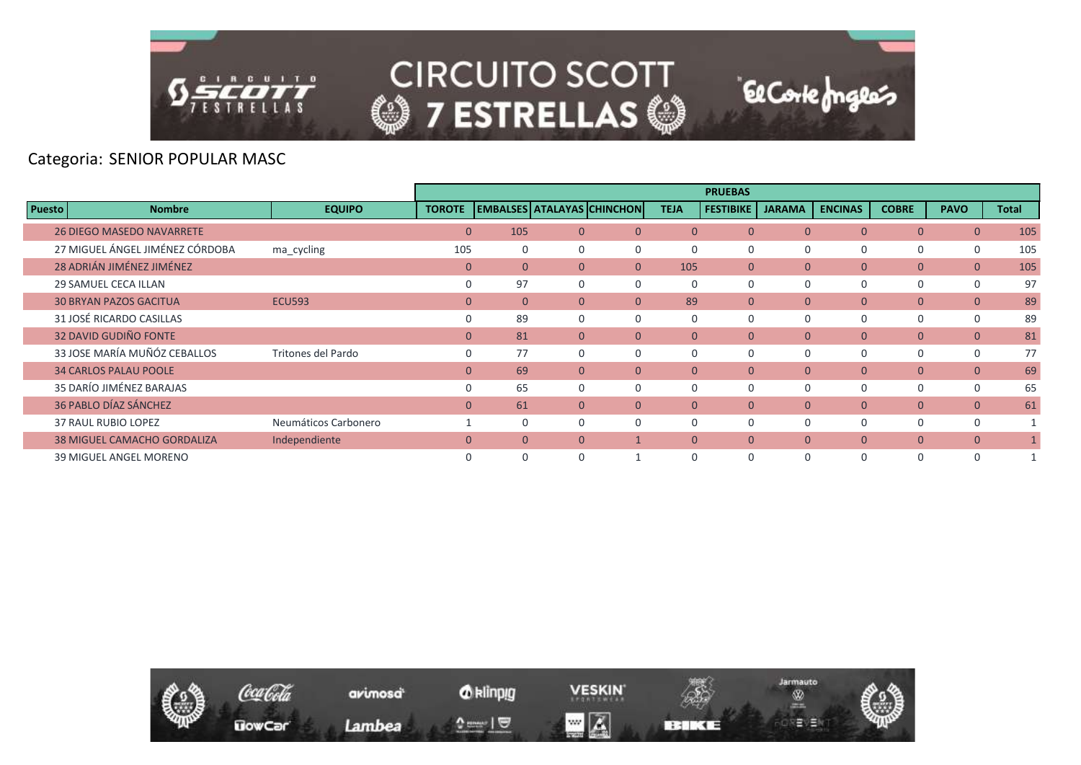

#### Categoria: SENIOR POPULAR MASC

|               |                                    |                      |                |          |                |                                   |                | <b>PRUEBAS</b>   |               |                |                |                |              |
|---------------|------------------------------------|----------------------|----------------|----------|----------------|-----------------------------------|----------------|------------------|---------------|----------------|----------------|----------------|--------------|
| <b>Puesto</b> | <b>Nombre</b>                      | <b>EQUIPO</b>        | <b>TOROTE</b>  |          |                | <b>EMBALSES ATALAYAS CHINCHON</b> | <b>TEJA</b>    | <b>FESTIBIKE</b> | <b>JARAMA</b> | <b>ENCINAS</b> | <b>COBRE</b>   | <b>PAVO</b>    | <b>Total</b> |
|               | <b>26 DIEGO MASEDO NAVARRETE</b>   |                      | $\overline{0}$ | 105      | $\overline{0}$ | $\Omega$                          | $\Omega$       | $\overline{0}$   | $\mathbf{0}$  | $\mathbf{0}$   | $\overline{0}$ | $\overline{0}$ | 105          |
|               | 27 MIGUEL ÁNGEL JIMÉNEZ CÓRDOBA    | ma_cycling           | 105            | 0        | $\Omega$       | 0                                 | $\Omega$       | 0                | $\Omega$      | $\Omega$       | 0              | $\mathbf 0$    | 105          |
|               | 28 ADRIÁN JIMÉNEZ JIMÉNEZ          |                      | $\overline{0}$ | $\Omega$ | $\Omega$       | $\Omega$                          | 105            | $\Omega$         | $\Omega$      | $\Omega$       | $\overline{0}$ | $\overline{0}$ | 105          |
|               | <b>29 SAMUEL CECA ILLAN</b>        |                      | $\Omega$       | 97       | $\Omega$       | $\Omega$                          | $\Omega$       | $\Omega$         | $\Omega$      | $\Omega$       | 0              | 0              | 97           |
|               | <b>30 BRYAN PAZOS GACITUA</b>      | <b>ECU593</b>        | $\overline{0}$ | $\Omega$ | $\Omega$       | $\Omega$                          | 89             | $\mathbf{0}$     | $\mathbf{0}$  | $\mathbf{0}$   | $\overline{0}$ | $\overline{0}$ | 89           |
|               | 31 JOSÉ RICARDO CASILLAS           |                      | $\mathbf 0$    | 89       | $\Omega$       | $\Omega$                          | 0              | $\Omega$         | 0             | 0              | 0              | $\mathbf 0$    | 89           |
|               | <b>32 DAVID GUDIÑO FONTE</b>       |                      | $\mathbf{0}$   | 81       | $\overline{0}$ | $\overline{0}$                    | $\mathbf{0}$   | $\mathbf{0}$     | $\mathbf{0}$  | $\overline{0}$ | $\overline{0}$ | $\overline{0}$ | 81           |
|               | 33 JOSE MARÍA MUÑÓZ CEBALLOS       | Tritones del Pardo   | $\Omega$       | 77       | $\Omega$       | $\Omega$                          | $\Omega$       | $\Omega$         | $\Omega$      | $\Omega$       | 0              | $\mathbf 0$    | 77           |
|               | <b>34 CARLOS PALAU POOLE</b>       |                      | $\mathbf{0}$   | 69       | $\overline{0}$ | $\overline{0}$                    | $\overline{0}$ | $\mathbf{0}$     | $\mathbf{0}$  | $\overline{0}$ | $\overline{0}$ | $\overline{0}$ | 69           |
|               | 35 DARÍO JIMÉNEZ BARAJAS           |                      | $\Omega$       | 65       | 0              | $\Omega$                          | $\Omega$       | $\Omega$         | $\Omega$      | $\Omega$       | 0              | $\mathbf 0$    | 65           |
|               | 36 PABLO DÍAZ SÁNCHEZ              |                      | $\mathbf{0}$   | 61       | $\Omega$       | $\Omega$                          | $\Omega$       | $\overline{0}$   | $\mathbf{0}$  | $\overline{0}$ | $\overline{0}$ | $\overline{0}$ | 61           |
|               | <b>37 RAUL RUBIO LOPEZ</b>         | Neumáticos Carbonero |                | $\Omega$ | O              | $\Omega$                          | $\Omega$       | 0                | $\Omega$      | 0              | 0              | 0              |              |
|               | <b>38 MIGUEL CAMACHO GORDALIZA</b> | Independiente        | $\Omega$       | $\Omega$ | $\Omega$       |                                   | $\Omega$       | $\Omega$         | $\Omega$      | $\Omega$       | $\overline{0}$ | $\overline{0}$ |              |
|               | <b>39 MIGUEL ANGEL MORENO</b>      |                      |                | $\Omega$ | $\Omega$       |                                   | $\Omega$       | $\mathbf 0$      | $\Omega$      | $\Omega$       | 0              | $\Omega$       |              |

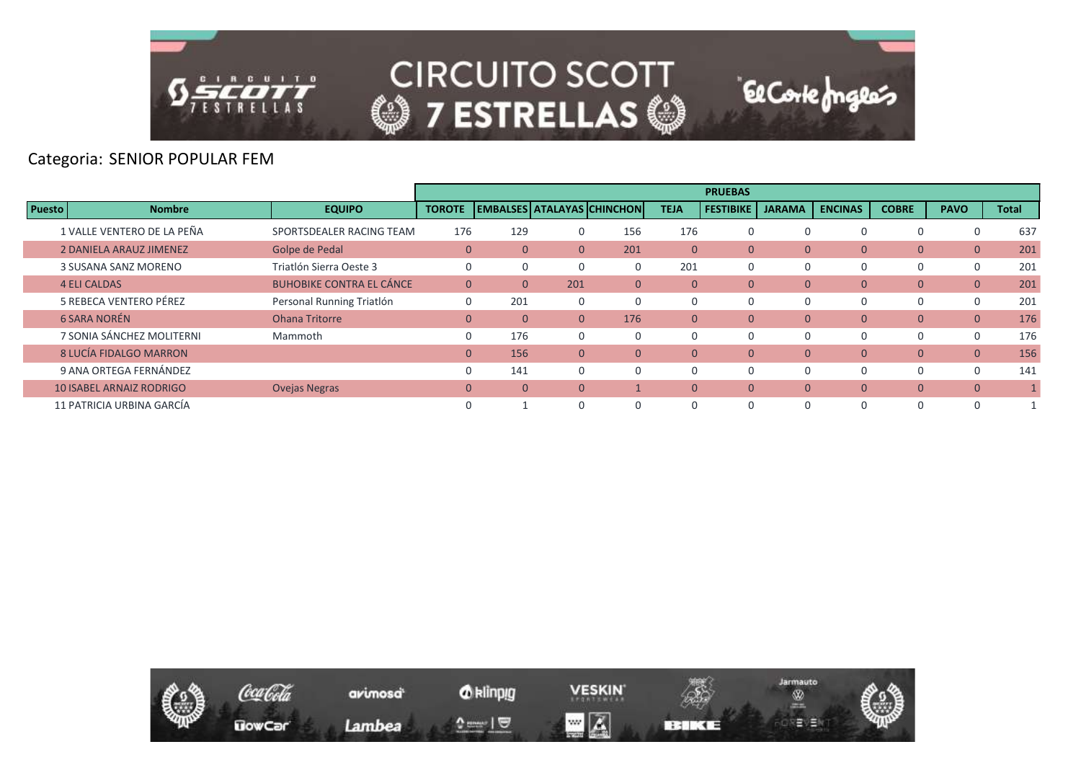

# Categoria: SENIOR POPULAR FEM

|               |                                 |                                 |                |              |                |                                   |                | <b>PRUEBAS</b>   |               |                |              |                |       |
|---------------|---------------------------------|---------------------------------|----------------|--------------|----------------|-----------------------------------|----------------|------------------|---------------|----------------|--------------|----------------|-------|
| <b>Puesto</b> | <b>Nombre</b>                   | <b>EQUIPO</b>                   | <b>TOROTE</b>  |              |                | <b>EMBALSES ATALAYAS CHINCHON</b> | <b>TEJA</b>    | <b>FESTIBIKE</b> | <b>JARAMA</b> | <b>ENCINAS</b> | <b>COBRE</b> | <b>PAVO</b>    | Total |
|               | 1 VALLE VENTERO DE LA PEÑA      | SPORTSDEALER RACING TEAM        | 176            | 129          |                | 156                               | 176            | 0                | $\Omega$      | 0              | 0            | $\Omega$       | 637   |
|               | <b>2 DANIELA ARAUZ JIMENEZ</b>  | Golpe de Pedal                  | $\mathbf{0}$   | $\Omega$     | $\Omega$       | 201                               | $\mathbf{0}$   | $\mathbf{0}$     | $\mathbf{0}$  | $\mathbf{0}$   | 0            | $\overline{0}$ | 201   |
|               | 3 SUSANA SANZ MORENO            | Triatlón Sierra Oeste 3         | 0              |              |                |                                   | 201            | 0                | $\Omega$      |                | 0            | $\Omega$       | 201   |
|               | <b>4 ELI CALDAS</b>             | <b>BUHOBIKE CONTRA EL CÁNCE</b> | $\mathbf{0}$   | $\mathbf{0}$ | 201            | $\mathbf{0}$                      | $\overline{0}$ | $\mathbf{0}$     | $\mathbf{0}$  | $\mathbf{0}$   | 0            | $\mathbf{0}$   | 201   |
|               | 5 REBECA VENTERO PÉREZ          | Personal Running Triatlón       | 0              | 201          |                | $\Omega$                          | 0              | 0                | $\Omega$      | 0              | 0            | $\Omega$       | 201   |
|               | 6 SARA NORÉN                    | <b>Ohana Tritorre</b>           | $\mathbf{0}$   | $\Omega$     | $\Omega$       | 176                               | $\Omega$       | $\mathbf{0}$     | $\Omega$      | $\mathbf{0}$   | 0            | $\overline{0}$ | 176   |
|               | 7 SONIA SÁNCHEZ MOLITERNI       | Mammoth                         | 0              | 176          | $\Omega$       | $\Omega$                          | $\Omega$       | 0                | $\Omega$      | $\Omega$       | 0            | $\Omega$       | 176   |
|               | 8 LUCÍA FIDALGO MARRON          |                                 | $\overline{0}$ | 156          | $\overline{0}$ | $\mathbf{0}$                      | $\mathbf{0}$   | $\mathbf{0}$     | $\Omega$      | $\mathbf{0}$   | 0            | $\mathbf{0}$   | 156   |
|               | 9 ANA ORTEGA FERNÁNDEZ          |                                 | $\Omega$       | 141          |                |                                   | 0              | $\Omega$         | $\Omega$      | $\Omega$       | 0            | $\Omega$       | 141   |
|               | <b>10 ISABEL ARNAIZ RODRIGO</b> | <b>Ovejas Negras</b>            | $\mathbf{0}$   | $\mathbf{0}$ | $\overline{0}$ |                                   | $\mathbf{0}$   | $\mathbf{0}$     | $\mathbf{0}$  | $\mathbf{0}$   | 0            | $\mathbf{0}$   |       |
|               | 11 PATRICIA URBINA GARCÍA       |                                 | $\Omega$       |              |                |                                   | 0              | $\Omega$         | $\Omega$      | $\Omega$       | 0            | $\Omega$       |       |

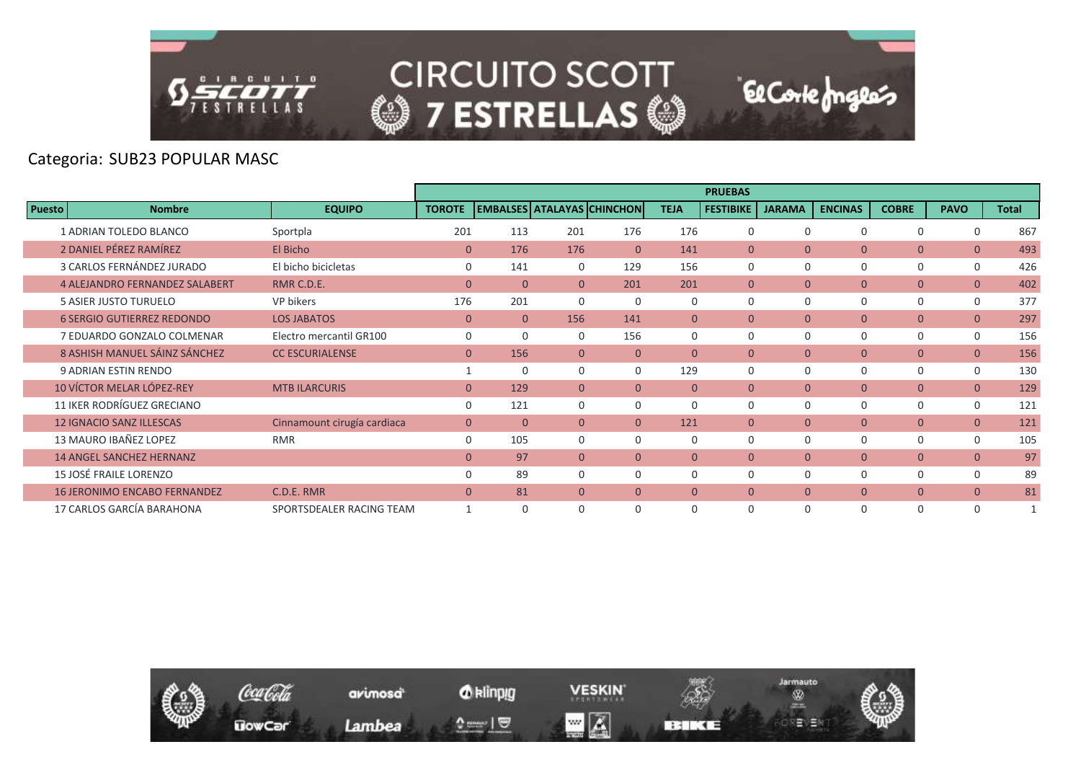

#### Categoria: SUB23 POPULAR MASC

|               |                                       |                             |               |                |                                   |              |              | <b>PRUEBAS</b>   |               |                |                |                |              |
|---------------|---------------------------------------|-----------------------------|---------------|----------------|-----------------------------------|--------------|--------------|------------------|---------------|----------------|----------------|----------------|--------------|
| <b>Puesto</b> | <b>Nombre</b>                         | <b>EQUIPO</b>               | <b>TOROTE</b> |                | <b>EMBALSES ATALAYAS CHINCHON</b> |              | <b>TEJA</b>  | <b>FESTIBIKE</b> | <b>JARAMA</b> | <b>ENCINAS</b> | <b>COBRE</b>   | <b>PAVO</b>    | <b>Total</b> |
|               | <b>1 ADRIAN TOLEDO BLANCO</b>         | Sportpla                    | 201           | 113            | 201                               | 176          | 176          | $\mathbf 0$      | $\Omega$      | 0              | 0              | $\Omega$       | 867          |
|               | 2 DANIEL PÉREZ RAMÍREZ                | El Bicho                    | $\Omega$      | 176            | 176                               | $\Omega$     | 141          | $\Omega$         | $\Omega$      | $\mathbf{0}$   | $\overline{0}$ | $\overline{0}$ | 493          |
|               | 3 CARLOS FERNÁNDEZ JURADO             | El bicho bicicletas         | 0             | 141            | 0                                 | 129          | 156          | 0                | $\Omega$      | 0              | 0              | $\mathbf 0$    | 426          |
|               | <b>4 ALEJANDRO FERNANDEZ SALABERT</b> | RMR C.D.E.                  | $\mathbf{0}$  | $\overline{0}$ | $\overline{0}$                    | 201          | 201          | $\overline{0}$   | $\mathbf{0}$  | $\mathbf{0}$   | $\overline{0}$ | $\overline{0}$ | 402          |
|               | 5 ASIER JUSTO TURUELO                 | VP bikers                   | 176           | 201            | $\Omega$                          | $\Omega$     | $\Omega$     | $\Omega$         | $\Omega$      | $\Omega$       | 0              | $\mathbf 0$    | 377          |
|               | <b>6 SERGIO GUTIERREZ REDONDO</b>     | <b>LOS JABATOS</b>          | $\mathbf{0}$  | $\overline{0}$ | 156                               | 141          | $\Omega$     | $\overline{0}$   | $\mathbf{0}$  | $\mathbf{0}$   | $\overline{0}$ | $\overline{0}$ | 297          |
|               | 7 EDUARDO GONZALO COLMENAR            | Electro mercantil GR100     | $\mathbf 0$   | $\Omega$       | $\Omega$                          | 156          | $\Omega$     | $\mathbf 0$      | $\Omega$      | $\Omega$       | 0              | $\mathbf 0$    | 156          |
|               | 8 ASHISH MANUEL SÁINZ SÁNCHEZ         | <b>CC ESCURIALENSE</b>      | $\mathbf{0}$  | 156            | $\Omega$                          | $\Omega$     | $\Omega$     | $\Omega$         | $\Omega$      | $\mathbf{0}$   | $\overline{0}$ | $\overline{0}$ | 156          |
|               | 9 ADRIAN ESTIN RENDO                  |                             | $\mathbf{1}$  | $\Omega$       | $\Omega$                          | $\Omega$     | 129          | $\mathbf 0$      | $\Omega$      | 0              | 0              | $\mathbf 0$    | 130          |
|               | 10 VÍCTOR MELAR LÓPEZ-REY             | <b>MTB ILARCURIS</b>        | $\mathbf{0}$  | 129            | $\Omega$                          | $\Omega$     | $\theta$     | $\overline{0}$   | $\mathbf{0}$  | $\overline{0}$ | $\overline{0}$ | $\overline{0}$ | 129          |
|               | 11 IKER RODRÍGUEZ GRECIANO            |                             | 0             | 121            | $\Omega$                          | $\Omega$     | 0            | 0                | $\Omega$      | 0              | 0              | $\mathbf 0$    | 121          |
|               | <b>12 IGNACIO SANZ ILLESCAS</b>       | Cinnamount cirugía cardiaca | $\mathbf{0}$  | $\mathbf{0}$   | $\overline{0}$                    | $\mathbf{0}$ | 121          | $\overline{0}$   | $\mathbf{0}$  | $\mathbf{0}$   | $\overline{0}$ | $\overline{0}$ | 121          |
|               | 13 MAURO IBAÑEZ LOPEZ                 | <b>RMR</b>                  | 0             | 105            | 0                                 | 0            | 0            | 0                | $\Omega$      | 0              | 0              | $\mathbf 0$    | 105          |
|               | <b>14 ANGEL SANCHEZ HERNANZ</b>       |                             | $\mathbf{0}$  | 97             | $\overline{0}$                    | $\Omega$     | $\mathbf{0}$ | $\overline{0}$   | $\mathbf{0}$  | $\overline{0}$ | $\overline{0}$ | $\overline{0}$ | 97           |
|               | 15 JOSÉ FRAILE LORENZO                |                             | 0             | 89             | $\Omega$                          | $\Omega$     | 0            | 0                | $\Omega$      | 0              | 0              | $\mathbf 0$    | 89           |
|               | <b>16 JERONIMO ENCABO FERNANDEZ</b>   | C.D.E. RMR                  | $\mathbf{0}$  | 81             | $\Omega$                          | $\mathbf{0}$ | $\Omega$     | $\overline{0}$   | $\mathbf{0}$  | $\overline{0}$ | $\overline{0}$ | $\overline{0}$ | 81           |
|               | 17 CARLOS GARCÍA BARAHONA             | SPORTSDEALER RACING TEAM    | $\mathbf{1}$  | $\Omega$       | $\Omega$                          | $\Omega$     | 0            | $\Omega$         | $\Omega$      | $\Omega$       | 0              | $\Omega$       | $\mathbf{1}$ |

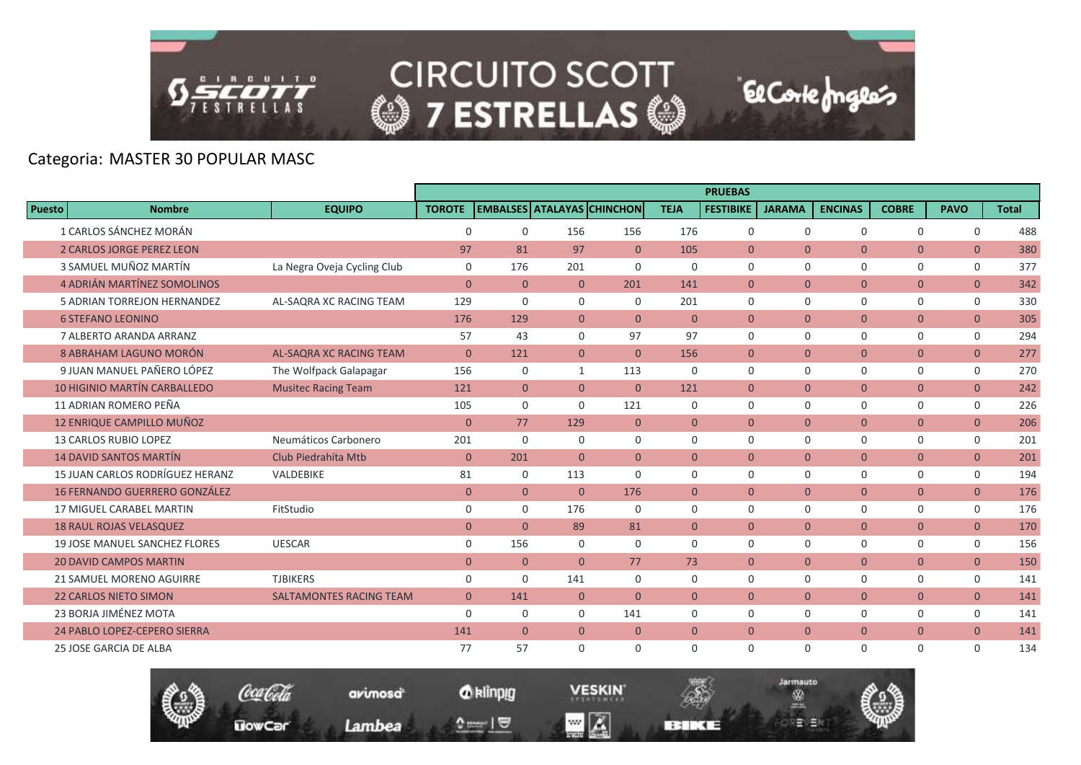

**UowCar** 

**CIRCUITO SCOTT @7 ESTRELLAS @** 

**El Corte fongles** 

Jarmauto

Ŵ

モリヨ

# Categoria: MASTER 30 POPULAR MASC

|               |                                      |                                |                |                |                |                                   |                | <b>PRUEBAS</b>   |               |                |                |                |              |
|---------------|--------------------------------------|--------------------------------|----------------|----------------|----------------|-----------------------------------|----------------|------------------|---------------|----------------|----------------|----------------|--------------|
| <b>Puesto</b> | <b>Nombre</b>                        | <b>EQUIPO</b>                  | <b>TOROTE</b>  |                |                | <b>EMBALSES ATALAYAS CHINCHON</b> | <b>TEJA</b>    | <b>FESTIBIKE</b> | <b>JARAMA</b> | <b>ENCINAS</b> | <b>COBRE</b>   | <b>PAVO</b>    | <b>Total</b> |
|               | 1 CARLOS SÁNCHEZ MORÁN               |                                | $\mathbf 0$    | $\mathbf 0$    | 156            | 156                               | 176            | $\mathbf 0$      | $\mathbf 0$   | $\mathbf 0$    | $\mathbf 0$    | $\mathbf 0$    | 488          |
|               | <b>2 CARLOS JORGE PEREZ LEON</b>     |                                | 97             | 81             | 97             | $\Omega$                          | 105            | $\overline{0}$   | $\Omega$      | $\mathbf{0}$   | $\overline{0}$ | $\overline{0}$ | 380          |
|               | 3 SAMUEL MUÑOZ MARTÍN                | La Negra Oveja Cycling Club    | $\mathbf 0$    | 176            | 201            | $\Omega$                          | $\Omega$       | $\Omega$         | $\mathbf 0$   | $\mathbf 0$    | $\mathbf 0$    | $\mathbf 0$    | 377          |
|               | 4 ADRIÁN MARTÍNEZ SOMOLINOS          |                                | $\mathbf{0}$   | $\mathbf{0}$   | $\mathbf{0}$   | 201                               | 141            | $\overline{0}$   | $\mathbf{0}$  | $\mathbf{0}$   | $\overline{0}$ | $\overline{0}$ | 342          |
|               | 5 ADRIAN TORREJON HERNANDEZ          | AL-SAQRA XC RACING TEAM        | 129            | $\mathbf 0$    | $\mathbf 0$    | $\mathbf 0$                       | 201            | $\mathbf 0$      | $\mathbf 0$   | $\mathbf 0$    | $\mathsf{O}$   | 0              | 330          |
|               | <b>6 STEFANO LEONINO</b>             |                                | 176            | 129            | $\overline{0}$ | $\Omega$                          | $\Omega$       | $\Omega$         | $\Omega$      | $\overline{0}$ | $\overline{0}$ | $\overline{0}$ | 305          |
|               | 7 ALBERTO ARANDA ARRANZ              |                                | 57             | 43             | $\Omega$       | 97                                | 97             | $\mathbf 0$      | $\mathbf 0$   | $\mathbf 0$    | $\mathbf 0$    | $\mathbf 0$    | 294          |
|               | 8 ABRAHAM LAGUNO MORÓN               | AL-SAQRA XC RACING TEAM        | $\mathbf{0}$   | 121            | $\overline{0}$ | $\Omega$                          | 156            | $\mathbf{0}$     | $\mathbf{0}$  | $\mathbf{0}$   | $\overline{0}$ | $\mathbf{0}$   | 277          |
|               | 9 JUAN MANUEL PAÑERO LÓPEZ           | The Wolfpack Galapagar         | 156            | $\mathbf 0$    | $\mathbf{1}$   | 113                               | $\mathbf 0$    | $\Omega$         | $\mathbf 0$   | $\mathbf 0$    | $\mathsf{O}$   | $\mathbf 0$    | 270          |
|               | <b>10 HIGINIO MARTÍN CARBALLEDO</b>  | <b>Musitec Racing Team</b>     | 121            | $\overline{0}$ | $\overline{0}$ | $\overline{0}$                    | 121            | $\overline{0}$   | $\Omega$      | $\overline{0}$ | $\overline{0}$ | $\overline{0}$ | 242          |
|               | 11 ADRIAN ROMERO PEÑA                |                                | 105            | $\mathsf{O}$   | $\Omega$       | 121                               | $\mathbf 0$    | $\mathbf 0$      | $\mathbf 0$   | $\mathbf 0$    | $\mathbf 0$    | $\mathbf 0$    | 226          |
|               | 12 ENRIQUE CAMPILLO MUÑOZ            |                                | $\mathbf{0}$   | 77             | 129            | $\overline{0}$                    | $\overline{0}$ | $\overline{0}$   | $\mathbf{0}$  | $\overline{0}$ | $\overline{0}$ | $\overline{0}$ | 206          |
|               | <b>13 CARLOS RUBIO LOPEZ</b>         | Neumáticos Carbonero           | 201            | $\Omega$       | $\Omega$       | $\Omega$                          | $\Omega$       | $\Omega$         | $\Omega$      | $\Omega$       | $\mathbf 0$    | $\mathbf 0$    | 201          |
|               | <b>14 DAVID SANTOS MARTÍN</b>        | Club Piedrahíta Mtb            | $\overline{0}$ | 201            | $\Omega$       | $\Omega$                          | $\Omega$       | $\Omega$         | $\Omega$      | $\mathbf{0}$   | $\overline{0}$ | $\overline{0}$ | 201          |
|               | 15 JUAN CARLOS RODRÍGUEZ HERANZ      | VALDEBIKE                      | 81             | $\mathbf 0$    | 113            | $\mathbf 0$                       | $\mathbf 0$    | $\mathbf 0$      | $\mathbf 0$   | $\mathbf 0$    | $\mathbf 0$    | 0              | 194          |
|               | <b>16 FERNANDO GUERRERO GONZÁLEZ</b> |                                | $\overline{0}$ | $\overline{0}$ | $\Omega$       | 176                               | $\overline{0}$ | $\mathbf{0}$     | $\mathbf{0}$  | $\overline{0}$ | $\overline{0}$ | $\overline{0}$ | 176          |
|               | <b>17 MIGUEL CARABEL MARTIN</b>      | FitStudio                      | $\mathbf 0$    | $\mathbf 0$    | 176            | $\Omega$                          | $\Omega$       | $\Omega$         | $\Omega$      | $\mathbf 0$    | $\mathbf 0$    | $\mathbf 0$    | 176          |
|               | <b>18 RAUL ROJAS VELASQUEZ</b>       |                                | $\overline{0}$ | $\overline{0}$ | 89             | 81                                | $\overline{0}$ | $\overline{0}$   | $\mathbf{0}$  | $\mathbf{0}$   | $\overline{0}$ | $\overline{0}$ | 170          |
|               | <b>19 JOSE MANUEL SANCHEZ FLORES</b> | <b>UESCAR</b>                  | 0              | 156            | $\mathbf 0$    | $\mathbf 0$                       | $\Omega$       | $\Omega$         | $\mathbf 0$   | $\mathbf 0$    | $\mathbf 0$    | 0              | 156          |
|               | <b>20 DAVID CAMPOS MARTIN</b>        |                                | $\overline{0}$ | $\overline{0}$ | $\Omega$       | 77                                | 73             | $\overline{0}$   | $\mathbf{0}$  | $\overline{0}$ | $\overline{0}$ | $\overline{0}$ | 150          |
|               | 21 SAMUEL MORENO AGUIRRE             | <b>TJBIKERS</b>                | $\mathbf 0$    | $\mathbf 0$    | 141            | $\Omega$                          | $\Omega$       | $\Omega$         | $\Omega$      | $\Omega$       | $\mathbf 0$    | $\mathbf 0$    | 141          |
|               | <b>22 CARLOS NIETO SIMON</b>         | <b>SALTAMONTES RACING TEAM</b> | $\overline{0}$ | 141            | $\overline{0}$ | $\overline{0}$                    | $\overline{0}$ | $\mathbf{0}$     | $\mathbf{0}$  | $\mathbf{0}$   | $\overline{0}$ | $\overline{0}$ | 141          |
|               | 23 BORJA JIMÉNEZ MOTA                |                                | $\Omega$       | $\mathbf 0$    | $\Omega$       | 141                               | $\Omega$       | $\Omega$         | $\Omega$      | $\mathbf 0$    | $\mathbf 0$    | $\mathbf 0$    | 141          |
|               | 24 PABLO LOPEZ-CEPERO SIERRA         |                                | 141            | $\overline{0}$ | $\overline{0}$ | $\overline{0}$                    | $\overline{0}$ | $\mathbf{0}$     | $\mathbf{0}$  | $\overline{0}$ | $\overline{0}$ | $\overline{0}$ | 141          |
|               | <b>25 JOSE GARCIA DE ALBA</b>        |                                | 77             | 57             | $\Omega$       | $\Omega$                          | $\Omega$       | $\Omega$         | $\Omega$      | $\Omega$       | $\Omega$       | $\Omega$       | 134          |

*O* klinpig

 $\begin{array}{c} \texttt{m} = \texttt{m} \\ \texttt{m} = \texttt{m} \end{array}$ 

avimosa

Lambea

**VESKIN** 

**BERKEE** 

 $\blacksquare$   $\blacksquare$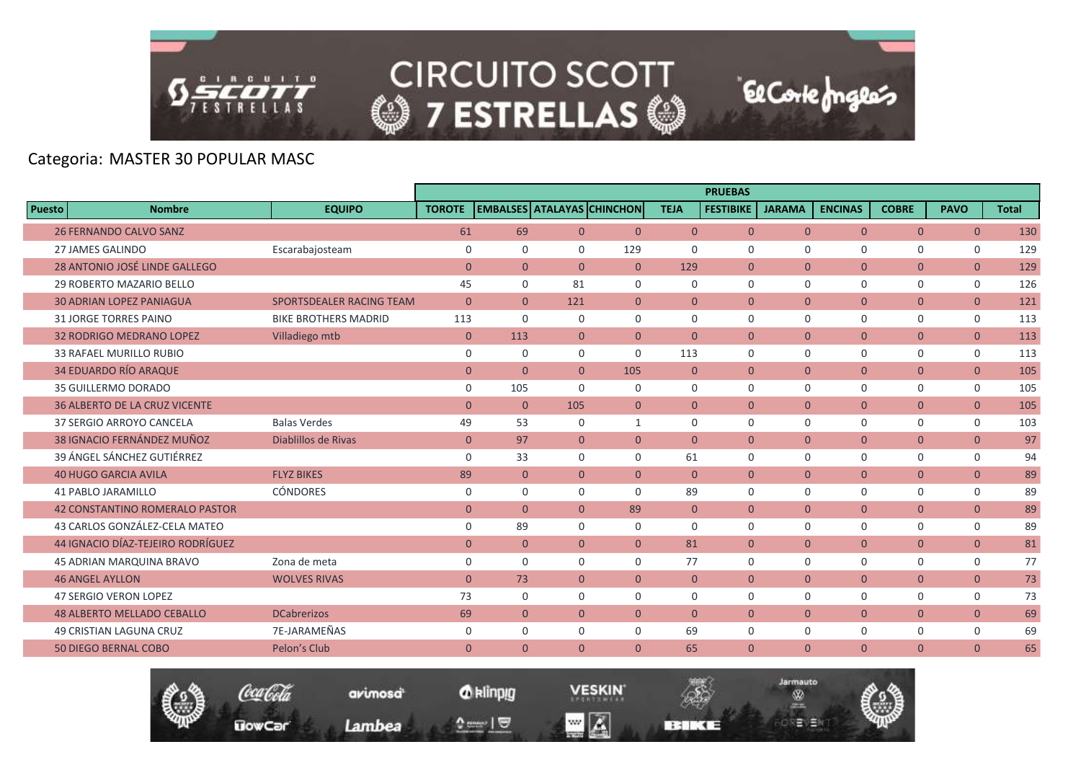

|                                       |                             |                |                |                |                                   |                | <b>PRUEBAS</b>   |               |                |                |                |              |
|---------------------------------------|-----------------------------|----------------|----------------|----------------|-----------------------------------|----------------|------------------|---------------|----------------|----------------|----------------|--------------|
| <b>Puesto</b><br><b>Nombre</b>        | <b>EQUIPO</b>               | <b>TOROTE</b>  |                |                | <b>EMBALSES ATALAYAS CHINCHON</b> | <b>TEJA</b>    | <b>FESTIBIKE</b> | <b>JARAMA</b> | <b>ENCINAS</b> | <b>COBRE</b>   | <b>PAVO</b>    | <b>Total</b> |
| <b>26 FERNANDO CALVO SANZ</b>         |                             | 61             | 69             | $\overline{0}$ | $\overline{0}$                    | $\overline{0}$ | $\mathbf{0}$     | $\mathbf{0}$  | $\overline{0}$ | $\mathbf{0}$   | $\mathbf{0}$   | 130          |
| <b>27 JAMES GALINDO</b>               | Escarabajosteam             | $\Omega$       | $\Omega$       | $\Omega$       | 129                               | $\Omega$       | $\Omega$         | $\Omega$      | $\Omega$       | $\Omega$       | $\Omega$       | 129          |
| 28 ANTONIO JOSÉ LINDE GALLEGO         |                             | $\mathbf{0}$   | $\overline{0}$ | $\overline{0}$ | $\mathbf{0}$                      | 129            | $\overline{0}$   | $\mathbf{0}$  | $\mathbf{0}$   | $\overline{0}$ | $\overline{0}$ | 129          |
| 29 ROBERTO MAZARIO BELLO              |                             | 45             | $\mathbf 0$    | 81             | $\mathbf 0$                       | $\mathbf 0$    | $\mathbf 0$      | $\mathbf 0$   | $\mathbf 0$    | $\mathbf 0$    | 0              | 126          |
| <b>30 ADRIAN LOPEZ PANIAGUA</b>       | SPORTSDEALER RACING TEAM    | $\mathbf{0}$   | $\overline{0}$ | 121            | $\overline{0}$                    | $\Omega$       | $\Omega$         | $\Omega$      | $\theta$       | $\overline{0}$ | $\overline{0}$ | 121          |
| <b>31 JORGE TORRES PAINO</b>          | <b>BIKE BROTHERS MADRID</b> | 113            | $\Omega$       | $\Omega$       | $\Omega$                          | $\Omega$       | $\mathbf 0$      | $\mathbf 0$   | $\mathbf 0$    | 0              | 0              | 113          |
| <b>32 RODRIGO MEDRANO LOPEZ</b>       | Villadiego mtb              | $\mathbf{0}$   | 113            | $\overline{0}$ | $\overline{0}$                    | $\mathbf{0}$   | $\overline{0}$   | $\mathbf{0}$  | $\mathbf{0}$   | $\overline{0}$ | $\overline{0}$ | 113          |
| <b>33 RAFAEL MURILLO RUBIO</b>        |                             | $\mathbf 0$    | $\mathbf 0$    | $\mathbf 0$    | $\Omega$                          | 113            | $\Omega$         | $\mathbf 0$   | $\mathbf 0$    | $\mathbf 0$    | 0              | 113          |
| <b>34 EDUARDO RÍO ARAQUE</b>          |                             | $\mathbf{0}$   | $\Omega$       | $\Omega$       | 105                               | $\Omega$       | $\overline{0}$   | $\Omega$      | $\overline{0}$ | $\overline{0}$ | $\overline{0}$ | 105          |
| 35 GUILLERMO DORADO                   |                             | $\mathbf 0$    | 105            | $\Omega$       | $\Omega$                          | $\mathbf 0$    | $\Omega$         | $\mathbf 0$   | $\Omega$       | $\mathbf 0$    | 0              | 105          |
| <b>36 ALBERTO DE LA CRUZ VICENTE</b>  |                             | $\overline{0}$ | $\overline{0}$ | 105            | $\overline{0}$                    | $\overline{0}$ | $\overline{0}$   | $\mathbf{0}$  | $\overline{0}$ | $\overline{0}$ | $\overline{0}$ | 105          |
| 37 SERGIO ARROYO CANCELA              | <b>Balas Verdes</b>         | 49             | 53             | $\Omega$       | $\mathbf{1}$                      | $\Omega$       | $\Omega$         | $\Omega$      | $\Omega$       | $\mathbf 0$    | $\mathbf 0$    | 103          |
| 38 IGNACIO FERNÁNDEZ MUÑOZ            | Diablillos de Rivas         | $\mathbf{0}$   | 97             | $\overline{0}$ | $\overline{0}$                    | $\overline{0}$ | $\overline{0}$   | $\mathbf{0}$  | $\mathbf{0}$   | $\overline{0}$ | $\overline{0}$ | 97           |
| 39 ÁNGEL SÁNCHEZ GUTIÉRREZ            |                             | $\mathbf 0$    | 33             | $\mathbf 0$    | $\mathbf 0$                       | 61             | $\mathbf 0$      | $\mathbf 0$   | $\mathbf 0$    | $\mathbf 0$    | 0              | 94           |
| <b>40 HUGO GARCIA AVILA</b>           | <b>FLYZ BIKES</b>           | 89             | $\Omega$       | $\Omega$       | $\Omega$                          | $\Omega$       | $\Omega$         | $\Omega$      | $\theta$       | $\overline{0}$ | $\overline{0}$ | 89           |
| <b>41 PABLO JARAMILLO</b>             | CÓNDORES                    | $\mathbf 0$    | $\Omega$       | $\Omega$       | $\Omega$                          | 89             | $\Omega$         | $\Omega$      | $\Omega$       | $\Omega$       | $\mathbf 0$    | 89           |
| <b>42 CONSTANTINO ROMERALO PASTOR</b> |                             | $\overline{0}$ | $\overline{0}$ | $\overline{0}$ | 89                                | $\overline{0}$ | $\overline{0}$   | $\mathbf{0}$  | $\mathbf{0}$   | $\overline{0}$ | $\overline{0}$ | 89           |
| 43 CARLOS GONZÁLEZ-CELA MATEO         |                             | $\mathbf 0$    | 89             | $\Omega$       | $\Omega$                          | $\Omega$       | $\Omega$         | $\Omega$      | $\mathbf 0$    | $\mathbf 0$    | 0              | 89           |
| 44 IGNACIO DÍAZ-TEJEIRO RODRÍGUEZ     |                             | $\overline{0}$ | $\overline{0}$ | $\overline{0}$ | $\overline{0}$                    | 81             | $\overline{0}$   | $\mathbf{0}$  | $\overline{0}$ | $\overline{0}$ | $\overline{0}$ | 81           |
| <b>45 ADRIAN MARQUINA BRAVO</b>       | Zona de meta                | 0              | $\mathbf 0$    | $\Omega$       | $\Omega$                          | 77             | $\mathbf 0$      | $\mathbf 0$   | $\mathbf 0$    | $\mathbf 0$    | 0              | 77           |
| <b>46 ANGEL AYLLON</b>                | <b>WOLVES RIVAS</b>         | $\overline{0}$ | 73             | $\overline{0}$ | $\overline{0}$                    | $\overline{0}$ | $\overline{0}$   | $\mathbf{0}$  | $\overline{0}$ | $\overline{0}$ | $\overline{0}$ | 73           |
| <b>47 SERGIO VERON LOPEZ</b>          |                             | 73             | $\Omega$       | $\Omega$       | $\Omega$                          | $\Omega$       | $\Omega$         | $\Omega$      | $\Omega$       | $\Omega$       | 0              | 73           |
| <b>48 ALBERTO MELLADO CEBALLO</b>     | <b>DCabrerizos</b>          | 69             | $\overline{0}$ | $\Omega$       | $\overline{0}$                    | $\mathbf{0}$   | $\overline{0}$   | $\mathbf{0}$  | $\mathbf{0}$   | $\overline{0}$ | $\mathbf{0}$   | 69           |
| <b>49 CRISTIAN LAGUNA CRUZ</b>        | 7E-JARAMEÑAS                | $\mathbf 0$    | $\mathbf 0$    | $\mathbf 0$    | $\mathbf 0$                       | 69             | $\mathbf 0$      | $\mathbf 0$   | $\mathbf 0$    | $\mathbf 0$    | 0              | 69           |
| <b>50 DIEGO BERNAL COBO</b>           | Pelon's Club                | $\Omega$       | $\Omega$       | $\Omega$       | $\Omega$                          | 65             | $\Omega$         | $\Omega$      | $\theta$       | $\overline{0}$ | $\overline{0}$ | 65           |

Coca Cola **UowCar** 

*O* klinpig

 $\begin{array}{c} \texttt{0} & \texttt{0} \\ \texttt{0} & \texttt{0} \end{array}$ 

avimosa

Lambea

**VESKIN**  $\blacksquare$   $\blacksquare$ 

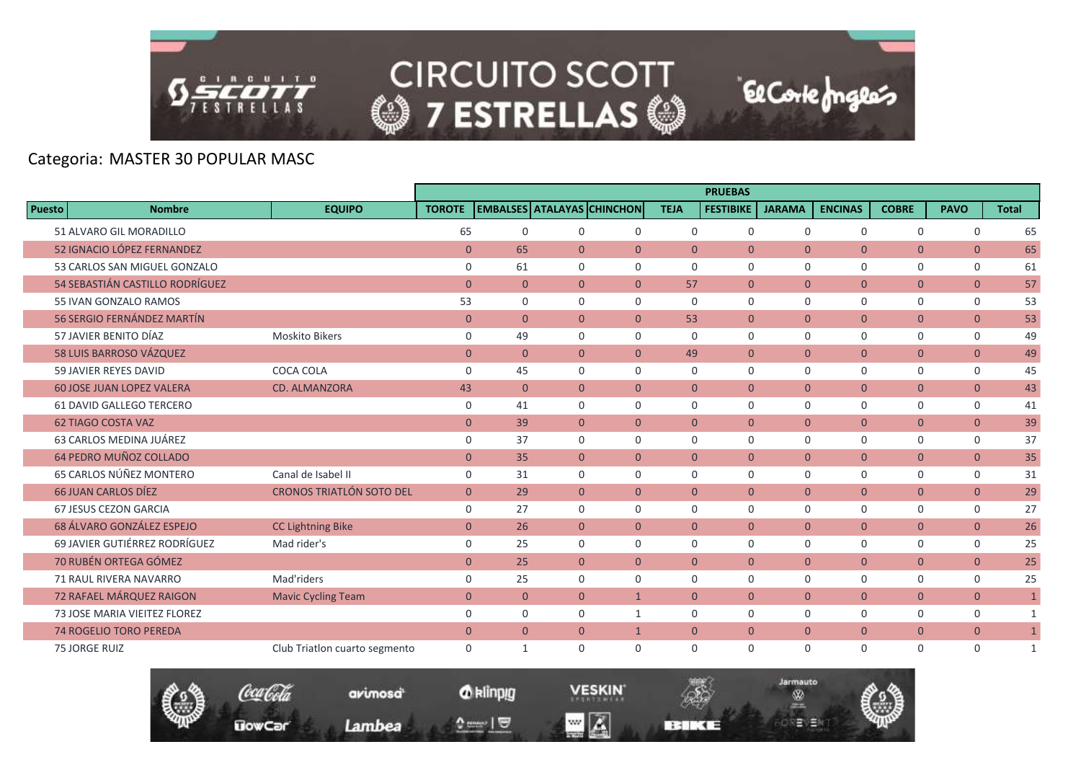

|               |                                   |                                 |                |                |                |                                   |                | <b>PRUEBAS</b>   |                |                |                |                |              |
|---------------|-----------------------------------|---------------------------------|----------------|----------------|----------------|-----------------------------------|----------------|------------------|----------------|----------------|----------------|----------------|--------------|
| <b>Puesto</b> | <b>Nombre</b>                     | <b>EQUIPO</b>                   | <b>TOROTE</b>  |                |                | <b>EMBALSES ATALAYAS CHINCHON</b> | <b>TEJA</b>    | <b>FESTIBIKE</b> | <b>JARAMA</b>  | <b>ENCINAS</b> | <b>COBRE</b>   | <b>PAVO</b>    | <b>Total</b> |
|               | 51 ALVARO GIL MORADILLO           |                                 | 65             | $\Omega$       | 0              | $\mathbf 0$                       | $\mathbf 0$    | 0                | $\mathbf 0$    | $\mathbf 0$    | $\mathbf 0$    | $\mathbf 0$    | 65           |
|               | 52 IGNACIO LÓPEZ FERNANDEZ        |                                 | $\mathbf{0}$   | 65             | $\Omega$       | $\overline{0}$                    | $\Omega$       | $\Omega$         | $\Omega$       | $\overline{0}$ | $\overline{0}$ | $\overline{0}$ | 65           |
|               | 53 CARLOS SAN MIGUEL GONZALO      |                                 | $\mathbf 0$    | 61             | $\Omega$       | $\Omega$                          | $\Omega$       | $\Omega$         | $\Omega$       | $\Omega$       | $\mathbf 0$    | $\mathbf 0$    | 61           |
|               | 54 SEBASTIÁN CASTILLO RODRÍGUEZ   |                                 | $\mathbf{0}$   | $\mathbf{0}$   | $\overline{0}$ | $\overline{0}$                    | 57             | $\mathbf{0}$     | $\overline{0}$ | $\overline{0}$ | $\mathbf{0}$   | $\overline{0}$ | 57           |
|               | 55 IVAN GONZALO RAMOS             |                                 | 53             | $\Omega$       | $\Omega$       | $\mathbf 0$                       | $\Omega$       | $\Omega$         | $\mathbf 0$    | $\Omega$       | $\mathbf 0$    | 0              | 53           |
|               | <b>56 SERGIO FERNÁNDEZ MARTÍN</b> |                                 | $\overline{0}$ | $\Omega$       | $\Omega$       | $\Omega$                          | 53             | $\Omega$         | $\overline{0}$ | $\overline{0}$ | $\overline{0}$ | $\overline{0}$ | 53           |
|               | 57 JAVIER BENITO DÍAZ             | <b>Moskito Bikers</b>           | $\mathbf 0$    | 49             | $\Omega$       | $\mathbf 0$                       | $\Omega$       | $\mathbf 0$      | $\mathbf 0$    | $\mathbf 0$    | $\mathbf 0$    | $\mathbf 0$    | 49           |
|               | 58 LUIS BARROSO VÁZQUEZ           |                                 | $\mathbf{0}$   | $\overline{0}$ | $\overline{0}$ | $\overline{0}$                    | 49             | $\overline{0}$   | $\mathbf{0}$   | $\overline{0}$ | $\mathbf{0}$   | $\mathbf{0}$   | 49           |
|               | 59 JAVIER REYES DAVID             | COCA COLA                       | $\mathbf 0$    | 45             | $\Omega$       | $\Omega$                          | $\Omega$       | $\mathbf 0$      | $\mathbf 0$    | $\mathbf 0$    | 0              | $\mathbf 0$    | 45           |
|               | <b>60 JOSE JUAN LOPEZ VALERA</b>  | <b>CD. ALMANZORA</b>            | 43             | $\mathbf{0}$   | $\overline{0}$ | $\overline{0}$                    | $\overline{0}$ | $\overline{0}$   | $\overline{0}$ | $\overline{0}$ | $\overline{0}$ | $\overline{0}$ | 43           |
|               | 61 DAVID GALLEGO TERCERO          |                                 | $\mathbf 0$    | 41             | 0              | $\mathbf 0$                       | $\Omega$       | $\Omega$         | $\mathbf 0$    | $\mathbf 0$    | 0              | 0              | 41           |
|               | <b>62 TIAGO COSTA VAZ</b>         |                                 | $\mathbf{0}$   | 39             | $\Omega$       | $\Omega$                          | $\Omega$       | $\Omega$         | $\Omega$       | $\overline{0}$ | $\overline{0}$ | $\overline{0}$ | 39           |
|               | 63 CARLOS MEDINA JUÁREZ           |                                 | $\mathbf 0$    | 37             | $\Omega$       | $\mathbf 0$                       | $\Omega$       | $\mathbf 0$      | $\mathbf 0$    | $\mathbf 0$    | 0              | $\mathbf 0$    | 37           |
|               | 64 PEDRO MUÑOZ COLLADO            |                                 | $\mathbf{0}$   | 35             | $\overline{0}$ | $\overline{0}$                    | $\overline{0}$ | $\mathbf{0}$     | $\overline{0}$ | $\overline{0}$ | $\mathbf{0}$   | $\mathbf{0}$   | 35           |
|               | 65 CARLOS NÚÑEZ MONTERO           | Canal de Isabel II              | $\mathbf 0$    | 31             | $\mathbf 0$    | $\mathbf 0$                       | $\mathbf 0$    | 0                | $\mathbf 0$    | $\mathbf 0$    | $\mathbf 0$    | $\mathbf 0$    | 31           |
|               | <b>66 JUAN CARLOS DÍEZ</b>        | <b>CRONOS TRIATLÓN SOTO DEL</b> | $\overline{0}$ | 29             | $\overline{0}$ | $\overline{0}$                    | $\Omega$       | $\Omega$         | $\overline{0}$ | $\overline{0}$ | $\overline{0}$ | $\mathbf{0}$   | 29           |
|               | 67 JESUS CEZON GARCIA             |                                 | $\Omega$       | 27             | $\Omega$       | $\Omega$                          | $\Omega$       | $\Omega$         | $\mathbf 0$    | $\mathbf 0$    | $\mathbf 0$    | $\mathbf 0$    | 27           |
|               | 68 ÁLVARO GONZÁLEZ ESPEJO         | <b>CC Lightning Bike</b>        | $\mathbf{0}$   | 26             | $\overline{0}$ | $\overline{0}$                    | $\overline{0}$ | $\overline{0}$   | $\overline{0}$ | $\overline{0}$ | $\mathbf{0}$   | $\mathbf{0}$   | 26           |
|               | 69 JAVIER GUTIÉRREZ RODRÍGUEZ     | Mad rider's                     | $\mathbf 0$    | 25             | $\Omega$       | $\Omega$                          | $\Omega$       | $\Omega$         | $\mathbf 0$    | $\Omega$       | $\mathbf 0$    | $\mathbf 0$    | 25           |
|               | 70 RUBÉN ORTEGA GÓMEZ             |                                 | $\mathbf{0}$   | 25             | $\overline{0}$ | $\overline{0}$                    | $\overline{0}$ | $\mathbf{0}$     | $\overline{0}$ | $\overline{0}$ | $\overline{0}$ | $\overline{0}$ | 25           |
|               | 71 RAUL RIVERA NAVARRO            | Mad'riders                      | $\mathbf 0$    | 25             | $\Omega$       | $\mathbf 0$                       | $\Omega$       | $\Omega$         | $\mathbf 0$    | $\mathbf 0$    | 0              | $\mathbf 0$    | 25           |
|               | 72 RAFAEL MÁRQUEZ RAIGON          | <b>Mavic Cycling Team</b>       | $\overline{0}$ | $\Omega$       | $\Omega$       | $\mathbf{1}$                      | $\Omega$       | $\Omega$         | $\Omega$       | $\overline{0}$ | $\overline{0}$ | $\overline{0}$ | $\mathbf{1}$ |
|               | 73 JOSE MARIA VIEITEZ FLOREZ      |                                 | $\Omega$       | $\Omega$       | $\Omega$       | 1                                 | $\Omega$       | $\Omega$         | $\mathbf 0$    | $\mathbf 0$    | 0              | $\mathbf 0$    | 1            |
|               | <b>74 ROGELIO TORO PEREDA</b>     |                                 | $\overline{0}$ | $\overline{0}$ | $\overline{0}$ | $\mathbf{1}$                      | $\mathbf{0}$   | $\mathbf{0}$     | $\overline{0}$ | $\overline{0}$ | $\mathbf{0}$   | $\overline{0}$ | $\mathbf{1}$ |
|               | <b>75 JORGE RUIZ</b>              | Club Triatlon cuarto segmento   | $\mathbf 0$    | $\mathbf{1}$   | 0              | $\mathbf 0$                       | $\Omega$       | $\Omega$         | $\mathbf 0$    | $\Omega$       | $\mathbf 0$    | $\mathbf 0$    | 1            |



*O* klinpig

 $\begin{array}{c} \texttt{m} = \texttt{m} \\ \texttt{m} = \texttt{m} \end{array}$ 

avimosa

Lambea

**VESKIN**  $\blacksquare$   $\blacksquare$ 



El Corte fongles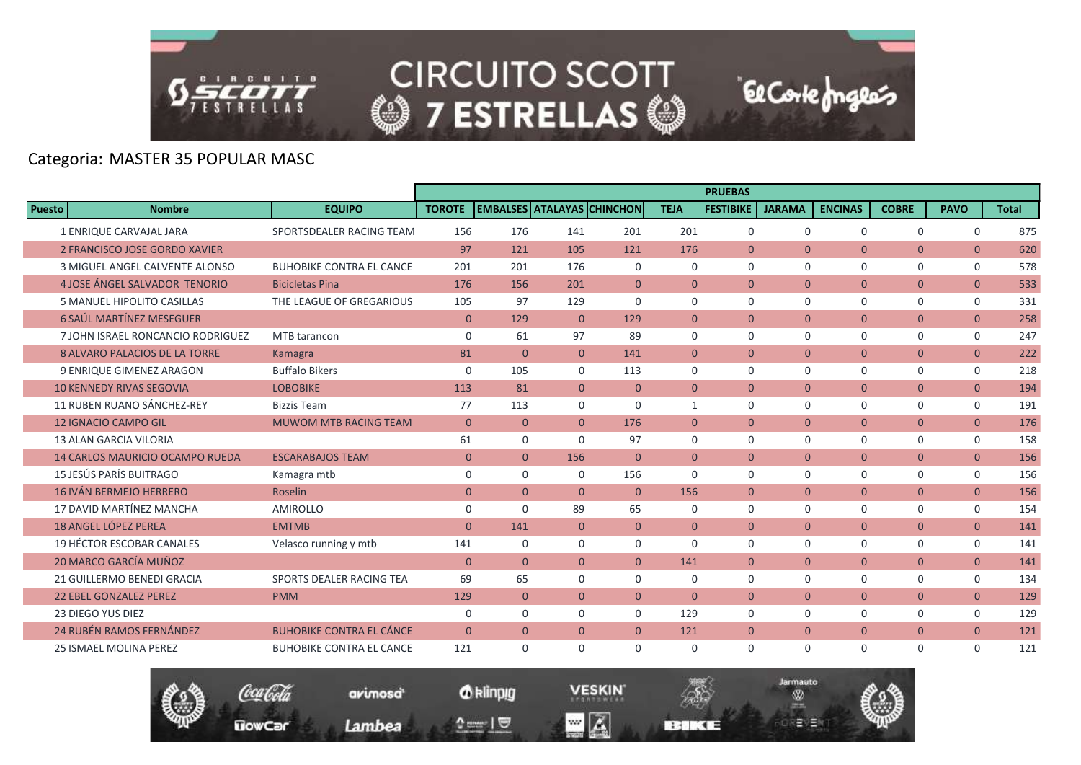

**UowCar** 

**CIRCUITO SCOTT @7 ESTRELLAS @** 

**El Corte fongles** 

# Categoria: MASTER 35 POPULAR MASC

|               |                                        |                                 |                |                |                |                                   |                | <b>PRUEBAS</b>   |               |                |                |                |              |
|---------------|----------------------------------------|---------------------------------|----------------|----------------|----------------|-----------------------------------|----------------|------------------|---------------|----------------|----------------|----------------|--------------|
| <b>Puesto</b> | <b>Nombre</b>                          | <b>EQUIPO</b>                   | <b>TOROTE</b>  |                |                | <b>EMBALSES ATALAYAS CHINCHON</b> | <b>TEJA</b>    | <b>FESTIBIKE</b> | <b>JARAMA</b> | <b>ENCINAS</b> | <b>COBRE</b>   | <b>PAVO</b>    | <b>Total</b> |
|               | 1 ENRIQUE CARVAJAL JARA                | SPORTSDEALER RACING TEAM        | 156            | 176            | 141            | 201                               | 201            | $\mathsf{O}$     | $\mathbf 0$   | 0              | 0              | $\mathsf{O}$   | 875          |
|               | 2 FRANCISCO JOSE GORDO XAVIER          |                                 | 97             | 121            | 105            | 121                               | 176            | $\Omega$         | $\Omega$      | $\Omega$       | $\overline{0}$ | $\overline{0}$ | 620          |
|               | 3 MIGUEL ANGEL CALVENTE ALONSO         | <b>BUHOBIKE CONTRA EL CANCE</b> | 201            | 201            | 176            | $\Omega$                          | $\Omega$       | $\Omega$         | $\Omega$      | $\Omega$       | $\mathbf 0$    | $\mathbf 0$    | 578          |
|               | 4 JOSE ÁNGEL SALVADOR TENORIO          | <b>Bicicletas Pina</b>          | 176            | 156            | 201            | $\overline{0}$                    | $\mathbf{0}$   | $\mathbf{0}$     | $\mathbf{0}$  | $\overline{0}$ | $\mathbf{0}$   | $\overline{0}$ | 533          |
|               | 5 MANUEL HIPOLITO CASILLAS             | THE LEAGUE OF GREGARIOUS        | 105            | 97             | 129            | $\Omega$                          | $\mathbf 0$    | $\Omega$         | $\mathbf 0$   | 0              | $\mathbf 0$    | $\mathsf{O}$   | 331          |
|               | <b>6 SAÚL MARTÍNEZ MESEGUER</b>        |                                 | $\mathbf{0}$   | 129            | $\overline{0}$ | 129                               | $\mathbf{0}$   | $\mathbf{0}$     | $\mathbf{0}$  | $\overline{0}$ | $\overline{0}$ | $\overline{0}$ | 258          |
|               | 7 JOHN ISRAEL RONCANCIO RODRIGUEZ      | MTB tarancon                    | $\mathbf 0$    | 61             | 97             | 89                                | $\Omega$       | $\Omega$         | $\mathbf 0$   | $\Omega$       | $\mathbf 0$    | 0              | 247          |
|               | <b>8 ALVARO PALACIOS DE LA TORRE</b>   | Kamagra                         | 81             | $\overline{0}$ | $\overline{0}$ | 141                               | $\mathbf{0}$   | $\mathbf{0}$     | $\mathbf{0}$  | $\overline{0}$ | $\overline{0}$ | $\overline{0}$ | 222          |
|               | <b>9 ENRIQUE GIMENEZ ARAGON</b>        | <b>Buffalo Bikers</b>           | $\mathbf 0$    | 105            | $\Omega$       | 113                               | $\Omega$       | $\Omega$         | $\Omega$      | 0              | $\mathbf 0$    | 0              | 218          |
|               | <b>10 KENNEDY RIVAS SEGOVIA</b>        | <b>LOBOBIKE</b>                 | 113            | 81             | $\overline{0}$ | $\overline{0}$                    | $\mathbf{0}$   | $\mathbf{0}$     | $\mathbf{0}$  | $\overline{0}$ | $\overline{0}$ | $\overline{0}$ | 194          |
|               | 11 RUBEN RUANO SÁNCHEZ-REY             | <b>Bizzis Team</b>              | 77             | 113            | $\Omega$       | $\Omega$                          | $\mathbf{1}$   | $\Omega$         | $\Omega$      | $\Omega$       | $\mathbf 0$    | 0              | 191          |
|               | <b>12 IGNACIO CAMPO GIL</b>            | <b>MUWOM MTB RACING TEAM</b>    | $\mathbf{0}$   | $\overline{0}$ | $\overline{0}$ | 176                               | $\overline{0}$ | $\mathbf{0}$     | $\mathbf{0}$  | $\overline{0}$ | $\mathbf{0}$   | $\overline{0}$ | 176          |
|               | <b>13 ALAN GARCIA VILORIA</b>          |                                 | 61             | $\mathbf 0$    | $\Omega$       | 97                                | $\Omega$       | $\Omega$         | $\Omega$      | $\Omega$       | $\mathbf 0$    | $\mathbf 0$    | 158          |
|               | <b>14 CARLOS MAURICIO OCAMPO RUEDA</b> | <b>ESCARABAJOS TEAM</b>         | $\overline{0}$ | $\overline{0}$ | 156            | $\Omega$                          | $\Omega$       | $\Omega$         | $\mathbf{0}$  | $\overline{0}$ | $\mathbf{0}$   | $\overline{0}$ | 156          |
|               | 15 JESÚS PARÍS BUITRAGO                | Kamagra mtb                     | $\mathbf 0$    | $\mathbf 0$    | $\mathbf 0$    | 156                               | $\mathbf 0$    | $\mathbf 0$      | $\mathbf 0$   | 0              | 0              | $\mathsf{O}$   | 156          |
|               | <b>16 IVÁN BERMEJO HERRERO</b>         | <b>Roselin</b>                  | $\Omega$       | $\Omega$       | $\Omega$       | $\Omega$                          | 156            | $\Omega$         | $\Omega$      | $\overline{0}$ | $\overline{0}$ | $\overline{0}$ | 156          |
|               | 17 DAVID MARTÍNEZ MANCHA               | <b>AMIROLLO</b>                 | 0              | $\Omega$       | 89             | 65                                | $\Omega$       | $\mathbf 0$      | $\mathbf 0$   | 0              | 0              | $\mathbf 0$    | 154          |
|               | <b>18 ANGEL LÓPEZ PEREA</b>            | <b>EMTMB</b>                    | $\mathbf{0}$   | 141            | $\overline{0}$ | $\overline{0}$                    | $\mathbf{0}$   | $\mathbf{0}$     | $\mathbf{0}$  | $\overline{0}$ | $\mathbf{0}$   | $\overline{0}$ | 141          |
|               | 19 HÉCTOR ESCOBAR CANALES              | Velasco running y mtb           | 141            | $\mathbf 0$    | $\mathbf 0$    | $\mathbf 0$                       | $\Omega$       | $\Omega$         | $\mathbf 0$   | 0              | 0              | 0              | 141          |
|               | 20 MARCO GARCÍA MUÑOZ                  |                                 | $\mathbf{0}$   | $\overline{0}$ | $\overline{0}$ | $\Omega$                          | 141            | $\mathbf{0}$     | $\mathbf{0}$  | $\overline{0}$ | $\overline{0}$ | $\overline{0}$ | 141          |
|               | 21 GUILLERMO BENEDI GRACIA             | SPORTS DEALER RACING TEA        | 69             | 65             | $\Omega$       | $\Omega$                          | 0              | 0                | $\mathbf 0$   | $\Omega$       | $\mathbf 0$    | 0              | 134          |
|               | <b>22 EBEL GONZALEZ PEREZ</b>          | <b>PMM</b>                      | 129            | $\overline{0}$ | $\overline{0}$ | $\overline{0}$                    | $\mathbf{0}$   | $\mathbf{0}$     | $\mathbf{0}$  | $\overline{0}$ | $\mathbf{0}$   | $\overline{0}$ | 129          |
|               | 23 DIEGO YUS DIEZ                      |                                 | $\mathbf 0$    | $\Omega$       | $\Omega$       | $\Omega$                          | 129            | $\Omega$         | $\Omega$      | 0              | $\mathbf 0$    | 0              | 129          |
|               | <b>24 RUBÉN RAMOS FERNÁNDEZ</b>        | <b>BUHOBIKE CONTRA EL CÁNCE</b> | $\mathbf{0}$   | $\overline{0}$ | $\overline{0}$ | $\overline{0}$                    | 121            | $\mathbf{0}$     | $\mathbf{0}$  | $\overline{0}$ | $\overline{0}$ | $\overline{0}$ | 121          |
|               | <b>25 ISMAEL MOLINA PEREZ</b>          | <b>BUHOBIKE CONTRA EL CANCE</b> | 121            | $\Omega$       | $\Omega$       | $\Omega$                          | $\mathbf 0$    | $\mathbf 0$      | $\mathbf 0$   | 0              | $\mathbf 0$    | $\mathbf 0$    | 121          |

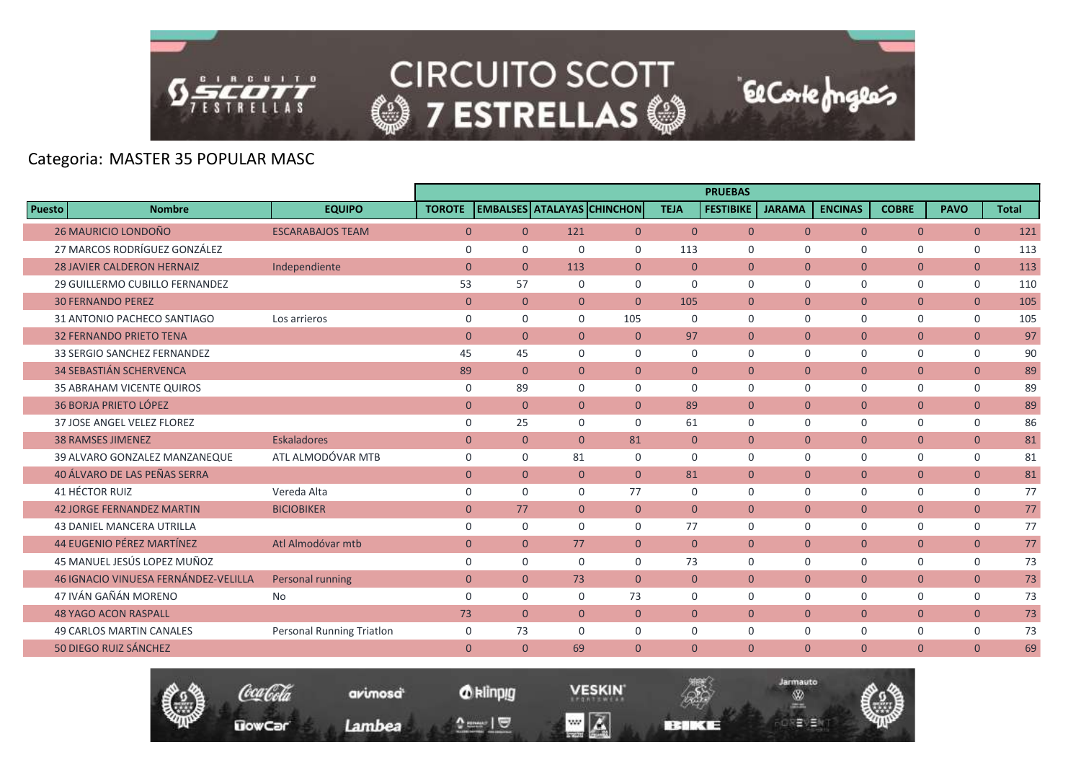

**UowCar** 

**CIRCUITO SCOTT @7 ESTRELLAS @** 

El Corte Inglés

Jarmauto

Ŵ

モリヨ

# Categoria: MASTER 35 POPULAR MASC

|                                             |                           | <b>PRUEBAS</b><br><b>EMBALSES ATALAYAS CHINCHON</b> |                |                |                |                |                  |                |                |                |                |              |  |
|---------------------------------------------|---------------------------|-----------------------------------------------------|----------------|----------------|----------------|----------------|------------------|----------------|----------------|----------------|----------------|--------------|--|
| <b>Puesto</b><br><b>Nombre</b>              | <b>EQUIPO</b>             | <b>TOROTE</b>                                       |                |                |                | <b>TEJA</b>    | <b>FESTIBIKE</b> | <b>JARAMA</b>  | <b>ENCINAS</b> | <b>COBRE</b>   | <b>PAVO</b>    | <b>Total</b> |  |
| 26 MAURICIO LONDOÑO                         | <b>ESCARABAJOS TEAM</b>   | $\mathbf{0}$                                        | $\overline{0}$ | 121            | $\overline{0}$ | $\overline{0}$ | $\overline{0}$   | $\Omega$       | $\overline{0}$ | $\overline{0}$ | $\overline{0}$ | 121          |  |
| 27 MARCOS RODRÍGUEZ GONZÁLEZ                |                           | $\mathbf 0$                                         | $\mathbf 0$    | $\Omega$       | $\Omega$       | 113            | $\Omega$         | $\Omega$       | $\Omega$       | $\mathbf 0$    | $\mathbf 0$    | 113          |  |
| <b>28 JAVIER CALDERON HERNAIZ</b>           | Independiente             | $\overline{0}$                                      | $\mathbf{0}$   | 113            | $\overline{0}$ | $\mathbf{0}$   | $\overline{0}$   | $\mathbf{0}$   | $\overline{0}$ | $\overline{0}$ | $\mathbf{0}$   | 113          |  |
| 29 GUILLERMO CUBILLO FERNANDEZ              |                           | 53                                                  | 57             | $\mathbf 0$    | $\mathbf 0$    | $\mathbf 0$    | $\mathbf 0$      | $\mathbf 0$    | $\mathbf 0$    | $\mathbf 0$    | 0              | 110          |  |
| <b>30 FERNANDO PEREZ</b>                    |                           | $\overline{0}$                                      | $\mathbf{0}$   | $\overline{0}$ | $\Omega$       | 105            | $\Omega$         | $\Omega$       | $\Omega$       | $\overline{0}$ | $\overline{0}$ | 105          |  |
| 31 ANTONIO PACHECO SANTIAGO                 | Los arrieros              | $\mathbf 0$                                         | $\mathbf 0$    | $\Omega$       | 105            | 0              | $\Omega$         | $\mathbf 0$    | $\mathbf 0$    | $\mathbf 0$    | $\mathbf 0$    | 105          |  |
| <b>32 FERNANDO PRIETO TENA</b>              |                           | $\overline{0}$                                      | $\mathbf{0}$   | $\overline{0}$ | $\mathbf{0}$   | 97             | $\overline{0}$   | $\mathbf{0}$   | $\overline{0}$ | $\overline{0}$ | $\overline{0}$ | 97           |  |
| 33 SERGIO SANCHEZ FERNANDEZ                 |                           | 45                                                  | 45             | $\Omega$       | $\Omega$       | $\mathbf 0$    | $\Omega$         | $\Omega$       | $\mathbf 0$    | $\mathbf 0$    | $\mathbf 0$    | 90           |  |
| <b>34 SEBASTIÁN SCHERVENCA</b>              |                           | 89                                                  | $\overline{0}$ | $\overline{0}$ | $\overline{0}$ | $\overline{0}$ | $\overline{0}$   | $\overline{0}$ | $\overline{0}$ | $\overline{0}$ | $\overline{0}$ | 89           |  |
| <b>35 ABRAHAM VICENTE QUIROS</b>            |                           | 0                                                   | 89             | $\Omega$       | $\Omega$       | $\mathbf 0$    | $\Omega$         | $\Omega$       | $\mathbf 0$    | $\Omega$       | $\mathbf 0$    | 89           |  |
| <b>36 BORJA PRIETO LÓPEZ</b>                |                           | $\mathbf{0}$                                        | $\mathbf{0}$   | $\overline{0}$ | $\overline{0}$ | 89             | $\mathbf{0}$     | $\overline{0}$ | $\overline{0}$ | $\overline{0}$ | $\overline{0}$ | 89           |  |
| 37 JOSE ANGEL VELEZ FLOREZ                  |                           | $\mathbf 0$                                         | 25             | 0              | $\Omega$       | 61             | $\Omega$         | $\Omega$       | $\mathbf 0$    | $\mathbf 0$    | $\mathbf 0$    | 86           |  |
| <b>38 RAMSES JIMENEZ</b>                    | <b>Eskaladores</b>        | $\overline{0}$                                      | $\mathbf{0}$   | $\Omega$       | 81             | $\overline{0}$ | $\Omega$         | $\overline{0}$ | $\overline{0}$ | $\overline{0}$ | $\mathbf{0}$   | 81           |  |
| 39 ALVARO GONZALEZ MANZANEQUE               | ATL ALMODÓVAR MTB         | $\mathbf 0$                                         | $\mathbf 0$    | 81             | $\mathbf 0$    | $\mathbf 0$    | $\mathbf 0$      | $\mathbf 0$    | $\mathbf 0$    | $\mathbf 0$    | $\mathsf{O}$   | 81           |  |
| 40 ÁLVARO DE LAS PEÑAS SERRA                |                           | $\overline{0}$                                      | $\overline{0}$ | $\overline{0}$ | $\Omega$       | 81             | $\overline{0}$   | $\overline{0}$ | $\overline{0}$ | $\overline{0}$ | $\overline{0}$ | 81           |  |
| 41 HÉCTOR RUIZ                              | Vereda Alta               | $\mathbf 0$                                         | $\Omega$       | $\Omega$       | 77             | $\Omega$       | $\Omega$         | $\Omega$       | $\Omega$       | $\Omega$       | $\mathbf 0$    | 77           |  |
| <b>42 JORGE FERNANDEZ MARTIN</b>            | <b>BICIOBIKER</b>         | $\mathbf{0}$                                        | 77             | $\overline{0}$ | $\overline{0}$ | $\overline{0}$ | $\overline{0}$   | $\overline{0}$ | $\overline{0}$ | $\overline{0}$ | $\mathbf{0}$   | 77           |  |
| <b>43 DANIEL MANCERA UTRILLA</b>            |                           | $\mathbf 0$                                         | $\mathbf 0$    | $\mathbf 0$    | $\mathbf 0$    | 77             | $\mathbf 0$      | $\mathbf 0$    | $\mathbf 0$    | $\mathbf 0$    | $\mathbf 0$    | 77           |  |
| <b>44 EUGENIO PÉREZ MARTÍNEZ</b>            | Atl Almodóvar mtb         | $\overline{0}$                                      | $\overline{0}$ | 77             | $\Omega$       | $\Omega$       | $\Omega$         | $\Omega$       | $\Omega$       | $\overline{0}$ | $\mathbf{0}$   | 77           |  |
| 45 MANUEL JESÚS LOPEZ MUÑOZ                 |                           | $\mathbf 0$                                         | $\mathbf 0$    | $\Omega$       | $\Omega$       | 73             | $\Omega$         | $\mathbf 0$    | $\mathbf 0$    | $\mathbf 0$    | $\mathsf{O}$   | 73           |  |
| <b>46 IGNACIO VINUESA FERNÁNDEZ-VELILLA</b> | Personal running          | $\mathbf{0}$                                        | $\overline{0}$ | 73             | $\overline{0}$ | $\overline{0}$ | $\overline{0}$   | $\mathbf{0}$   | $\overline{0}$ | $\overline{0}$ | $\overline{0}$ | 73           |  |
| 47 IVÁN GAÑÁN MORENO                        | No                        | $\Omega$                                            | $\Omega$       | $\Omega$       | 73             | $\Omega$       | $\Omega$         | $\Omega$       | $\Omega$       | $\Omega$       | $\mathbf 0$    | 73           |  |
| <b>48 YAGO ACON RASPALL</b>                 |                           | 73                                                  | $\overline{0}$ | $\overline{0}$ | $\overline{0}$ | $\overline{0}$ | $\Omega$         | $\overline{0}$ | $\overline{0}$ | $\overline{0}$ | $\overline{0}$ | 73           |  |
| <b>49 CARLOS MARTIN CANALES</b>             | Personal Running Triatlon | $\mathbf 0$                                         | 73             | $\mathbf 0$    | $\mathbf 0$    | $\mathbf 0$    | $\mathbf 0$      | $\mathbf 0$    | $\mathbf 0$    | $\mathbf 0$    | $\mathbf 0$    | 73           |  |
| 50 DIEGO RUIZ SÁNCHEZ                       |                           | $\Omega$                                            | $\overline{0}$ | 69             | $\Omega$       | $\Omega$       | $\Omega$         | $\Omega$       | $\Omega$       | $\Omega$       | $\overline{0}$ | 69           |  |

*O* klinpig

 $\begin{array}{c} \texttt{0} & \texttt{0} \\ \texttt{0} & \texttt{0} \end{array}$ 

avimosa

Lambea

**VESKIN** 

**REMEDIATE** 

 $\blacksquare$   $\blacksquare$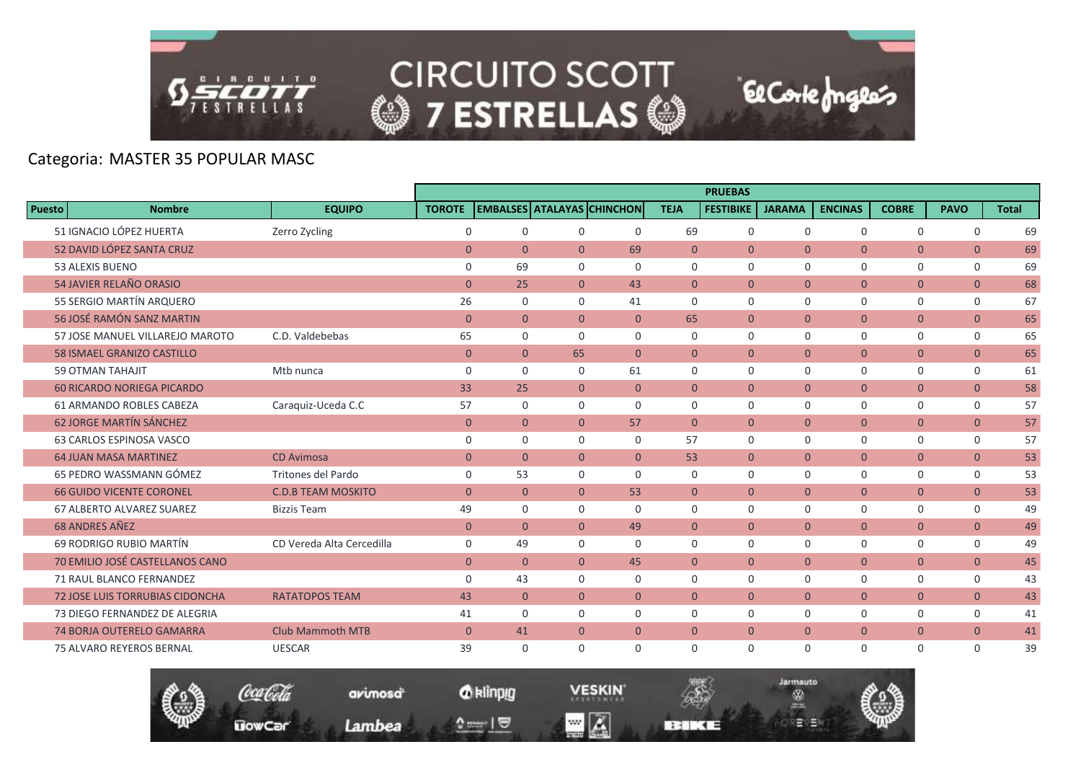

**UowCar** 

# **CIRCUITO SCOTT @7 ESTRELLAS @**

El Corte Inglés

# Categoria: MASTER 35 POPULAR MASC

|               |                                        |                           |                     |                |                |                                   |                | <b>PRUEBAS</b>   |                |                |                |                |              |
|---------------|----------------------------------------|---------------------------|---------------------|----------------|----------------|-----------------------------------|----------------|------------------|----------------|----------------|----------------|----------------|--------------|
| <b>Puesto</b> | <b>Nombre</b>                          | <b>EQUIPO</b>             | <b>TOROTE</b>       |                |                | <b>EMBALSES ATALAYAS CHINCHON</b> | <b>TEJA</b>    | <b>FESTIBIKE</b> | <b>JARAMA</b>  | <b>ENCINAS</b> | <b>COBRE</b>   | <b>PAVO</b>    | <b>Total</b> |
|               | 51 IGNACIO LÓPEZ HUERTA                | Zerro Zycling             | $\mathsf{O}\xspace$ | $\mathbf 0$    | $\mathbf 0$    | 0                                 | 69             | $\mathbf 0$      | $\mathbf 0$    | $\mathbf 0$    | 0              | $\mathbf 0$    | 69           |
|               | 52 DAVID LÓPEZ SANTA CRUZ              |                           | $\overline{0}$      | $\Omega$       | $\overline{0}$ | 69                                | $\Omega$       | $\Omega$         | $\Omega$       | $\Omega$       | $\overline{0}$ | $\mathbf{0}$   | 69           |
|               | 53 ALEXIS BUENO                        |                           | $\mathbf 0$         | 69             | $\Omega$       | $\Omega$                          | $\Omega$       | $\Omega$         | $\Omega$       | $\Omega$       | $\mathbf 0$    | $\mathbf 0$    | 69           |
|               | 54 JAVIER RELAÑO ORASIO                |                           | $\mathbf{0}$        | 25             | $\overline{0}$ | 43                                | $\overline{0}$ | $\overline{0}$   | $\mathbf{0}$   | $\mathbf{0}$   | $\overline{0}$ | $\overline{0}$ | 68           |
|               | 55 SERGIO MARTÍN ARQUERO               |                           | 26                  | $\mathbf 0$    | $\Omega$       | 41                                | $\Omega$       | $\Omega$         | $\Omega$       | 0              | $\mathbf 0$    | 0              | 67           |
|               | 56 JOSÉ RAMÓN SANZ MARTIN              |                           | $\mathbf{0}$        | $\overline{0}$ | $\overline{0}$ | $\overline{0}$                    | 65             | $\overline{0}$   | $\mathbf{0}$   | $\overline{0}$ | $\overline{0}$ | $\overline{0}$ | 65           |
|               | 57 JOSE MANUEL VILLAREJO MAROTO        | C.D. Valdebebas           | 65                  | $\mathbf 0$    | $\Omega$       | $\Omega$                          | $\mathbf 0$    | $\mathbf 0$      | $\Omega$       | 0              | $\mathbf 0$    | 0              | 65           |
|               | <b>58 ISMAEL GRANIZO CASTILLO</b>      |                           | $\mathbf{0}$        | $\overline{0}$ | 65             | $\overline{0}$                    | $\overline{0}$ | $\overline{0}$   | $\mathbf{0}$   | $\overline{0}$ | $\overline{0}$ | $\overline{0}$ | 65           |
|               | <b>59 OTMAN TAHAJIT</b>                | Mtb nunca                 | $\mathbf 0$         | $\Omega$       | $\Omega$       | 61                                | $\Omega$       | $\Omega$         | $\Omega$       | $\Omega$       | 0              | $\mathbf 0$    | 61           |
|               | <b>60 RICARDO NORIEGA PICARDO</b>      |                           | 33                  | 25             | $\overline{0}$ | $\overline{0}$                    | $\overline{0}$ | $\overline{0}$   | $\mathbf{0}$   | $\overline{0}$ | $\overline{0}$ | $\overline{0}$ | 58           |
|               | <b>61 ARMANDO ROBLES CABEZA</b>        | Caraguiz-Uceda C.C        | 57                  | $\Omega$       | $\Omega$       | $\Omega$                          | $\Omega$       | $\Omega$         | $\Omega$       | $\Omega$       | $\mathbf 0$    | $\mathbf 0$    | 57           |
|               | <b>62 JORGE MARTÍN SÁNCHEZ</b>         |                           | $\mathbf{0}$        | $\overline{0}$ | $\overline{0}$ | 57                                | $\Omega$       | $\overline{0}$   | $\mathbf{0}$   | $\overline{0}$ | $\overline{0}$ | $\overline{0}$ | 57           |
|               | 63 CARLOS ESPINOSA VASCO               |                           | 0                   | $\mathbf 0$    | $\Omega$       | $\Omega$                          | 57             | $\mathbf 0$      | $\Omega$       | 0              | $\mathbf 0$    | $\mathbf 0$    | 57           |
|               | <b>64 JUAN MASA MARTINEZ</b>           | <b>CD Avimosa</b>         | $\mathbf{0}$        | $\overline{0}$ | $\overline{0}$ | $\overline{0}$                    | 53             | $\overline{0}$   | $\overline{0}$ | $\overline{0}$ | $\overline{0}$ | $\overline{0}$ | 53           |
|               | 65 PEDRO WASSMANN GÓMEZ                | Tritones del Pardo        | $\mathbf 0$         | 53             | $\mathbf 0$    | 0                                 | $\mathbf 0$    | $\mathbf 0$      | $\mathbf 0$    | 0              | 0              | $\mathsf{O}$   | 53           |
|               | <b>66 GUIDO VICENTE CORONEL</b>        | <b>C.D.B TEAM MOSKITO</b> | $\Omega$            | $\Omega$       | $\Omega$       | 53                                | $\Omega$       | $\Omega$         | $\Omega$       | $\Omega$       | $\overline{0}$ | $\overline{0}$ | 53           |
|               | 67 ALBERTO ALVAREZ SUAREZ              | <b>Bizzis Team</b>        | 49                  | $\Omega$       | $\Omega$       | $\Omega$                          | $\Omega$       | $\Omega$         | $\Omega$       | 0              | 0              | 0              | 49           |
|               | <b>68 ANDRES AÑEZ</b>                  |                           | $\mathbf{0}$        | $\overline{0}$ | $\overline{0}$ | 49                                | $\overline{0}$ | $\overline{0}$   | $\overline{0}$ | $\overline{0}$ | $\overline{0}$ | $\overline{0}$ | 49           |
|               | 69 RODRIGO RUBIO MARTÍN                | CD Vereda Alta Cercedilla | $\mathbf 0$         | 49             | $\mathbf 0$    | 0                                 | $\mathbf 0$    | $\Omega$         | $\Omega$       | 0              | $\mathbf 0$    | 0              | 49           |
|               | 70 EMILIO JOSÉ CASTELLANOS CANO        |                           | $\overline{0}$      | $\overline{0}$ | $\overline{0}$ | 45                                | $\mathbf{0}$   | $\overline{0}$   | $\mathbf{0}$   | $\overline{0}$ | $\overline{0}$ | $\overline{0}$ | 45           |
|               | 71 RAUL BLANCO FERNANDEZ               |                           | 0                   | 43             | $\Omega$       | $\Omega$                          | 0              | $\mathbf 0$      | $\Omega$       | 0              | 0              | 0              | 43           |
|               | <b>72 JOSE LUIS TORRUBIAS CIDONCHA</b> | <b>RATATOPOS TEAM</b>     | 43                  | $\overline{0}$ | $\overline{0}$ | $\overline{0}$                    | $\mathbf{0}$   | $\overline{0}$   | $\mathbf{0}$   | $\overline{0}$ | $\overline{0}$ | $\overline{0}$ | 43           |
|               | 73 DIEGO FERNANDEZ DE ALEGRIA          |                           | 41                  | $\Omega$       | $\Omega$       | $\Omega$                          | $\Omega$       | $\Omega$         | $\Omega$       | 0              | 0              | 0              | 41           |
|               | <b>74 BORJA OUTERELO GAMARRA</b>       | <b>Club Mammoth MTB</b>   | $\mathbf{0}$        | 41             | $\overline{0}$ | $\overline{0}$                    | $\mathbf{0}$   | $\overline{0}$   | $\overline{0}$ | $\overline{0}$ | $\overline{0}$ | $\overline{0}$ | 41           |
|               | <b>75 ALVARO REYEROS BERNAL</b>        | <b>UESCAR</b>             | 39                  | $\mathbf 0$    | $\Omega$       | 0                                 | $\mathbf 0$    | $\mathbf 0$      | $\Omega$       | $\mathbf 0$    | $\mathbf 0$    | $\mathbf 0$    | 39           |

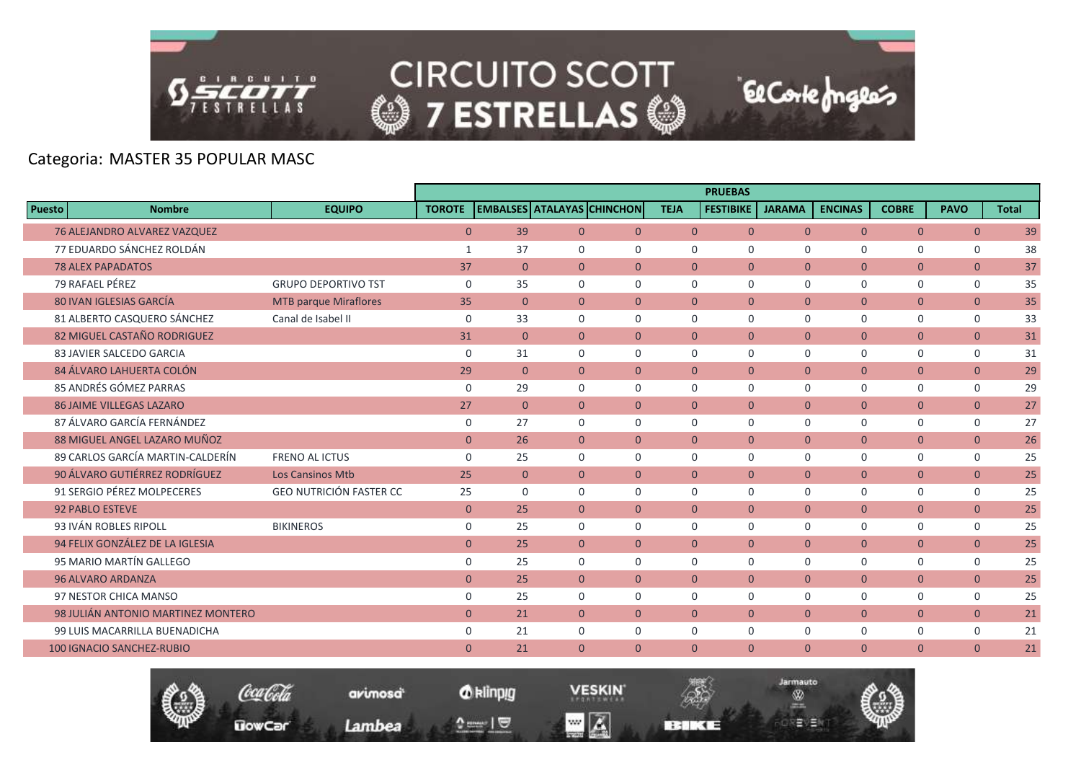

**UowCar** 

**CIRCUITO SCOTT @7 ESTRELLAS @** 

El Corte Inglés

Jarmauto

Ŵ

モリヨ

# Categoria: MASTER 35 POPULAR MASC

|                                    |                                |               |                |                |                                   |                | <b>PRUEBAS</b>   |                |                |                |                |              |
|------------------------------------|--------------------------------|---------------|----------------|----------------|-----------------------------------|----------------|------------------|----------------|----------------|----------------|----------------|--------------|
| Puesto<br><b>Nombre</b>            | <b>EQUIPO</b>                  | <b>TOROTE</b> |                |                | <b>EMBALSES ATALAYAS CHINCHON</b> | <b>TEJA</b>    | <b>FESTIBIKE</b> | <b>JARAMA</b>  | <b>ENCINAS</b> | <b>COBRE</b>   | <b>PAVO</b>    | <b>Total</b> |
| 76 ALEJANDRO ALVAREZ VAZQUEZ       |                                | $\mathbf{0}$  | 39             | $\overline{0}$ | $\overline{0}$                    | $\overline{0}$ | $\overline{0}$   | $\overline{0}$ | $\overline{0}$ | $\overline{0}$ | $\overline{0}$ | 39           |
| 77 EDUARDO SÁNCHEZ ROLDÁN          |                                | 1             | 37             | $\Omega$       | $\Omega$                          | $\Omega$       | $\Omega$         | $\Omega$       | $\Omega$       | $\mathbf 0$    | $\mathbf 0$    | 38           |
| <b>78 ALEX PAPADATOS</b>           |                                | 37            | $\overline{0}$ | $\overline{0}$ | $\overline{0}$                    | $\overline{0}$ | $\overline{0}$   | $\mathbf{0}$   | $\overline{0}$ | $\overline{0}$ | $\overline{0}$ | 37           |
| 79 RAFAEL PÉREZ                    | <b>GRUPO DEPORTIVO TST</b>     | $\mathbf 0$   | 35             | $\mathbf 0$    | $\mathbf 0$                       | $\mathbf 0$    | $\mathbf 0$      | $\Omega$       | $\mathbf 0$    | 0              | 0              | 35           |
| 80 IVAN IGLESIAS GARCÍA            | <b>MTB parque Miraflores</b>   | 35            | $\overline{0}$ | $\overline{0}$ | $\overline{0}$                    | $\Omega$       | $\Omega$         | $\Omega$       | $\overline{0}$ | $\overline{0}$ | $\overline{0}$ | 35           |
| 81 ALBERTO CASQUERO SÁNCHEZ        | Canal de Isabel II             | $\mathbf 0$   | 33             | $\Omega$       | $\Omega$                          | $\Omega$       | $\Omega$         | $\Omega$       | $\Omega$       | $\mathbf 0$    | $\mathbf 0$    | 33           |
| 82 MIGUEL CASTAÑO RODRIGUEZ        |                                | 31            | $\overline{0}$ | $\overline{0}$ | $\overline{0}$                    | $\overline{0}$ | $\overline{0}$   | $\mathbf{0}$   | $\mathbf{0}$   | $\overline{0}$ | $\overline{0}$ | 31           |
| 83 JAVIER SALCEDO GARCIA           |                                | $\mathbf 0$   | 31             | $\mathbf 0$    | $\mathbf 0$                       | $\mathbf 0$    | $\mathbf 0$      | $\mathbf 0$    | $\mathbf 0$    | $\mathbf 0$    | 0              | 31           |
| 84 ÁLVARO LAHUERTA COLÓN           |                                | 29            | $\Omega$       | $\Omega$       | $\Omega$                          | $\Omega$       | $\Omega$         | $\Omega$       | $\Omega$       | $\overline{0}$ | $\overline{0}$ | 29           |
| 85 ANDRÉS GÓMEZ PARRAS             |                                | $\mathbf 0$   | 29             | $\Omega$       | $\Omega$                          | $\mathbf 0$    | $\mathbf 0$      | $\Omega$       | $\mathbf 0$    | $\mathbf 0$    | $\mathbf 0$    | 29           |
| <b>86 JAIME VILLEGAS LAZARO</b>    |                                | 27            | $\overline{0}$ | $\overline{0}$ | $\overline{0}$                    | $\overline{0}$ | $\overline{0}$   | $\overline{0}$ | $\overline{0}$ | $\overline{0}$ | $\overline{0}$ | 27           |
| 87 ÁLVARO GARCÍA FERNÁNDEZ         |                                | 0             | 27             | $\Omega$       | $\Omega$                          | $\Omega$       | $\Omega$         | $\Omega$       | 0              | $\mathbf 0$    | $\mathbf 0$    | 27           |
| 88 MIGUEL ANGEL LAZARO MUÑOZ       |                                | $\mathbf{0}$  | 26             | $\overline{0}$ | $\overline{0}$                    | $\overline{0}$ | $\overline{0}$   | $\mathbf{0}$   | $\overline{0}$ | $\overline{0}$ | $\overline{0}$ | 26           |
| 89 CARLOS GARCÍA MARTIN-CALDERÍN   | <b>FRENO AL ICTUS</b>          | $\mathbf 0$   | 25             | $\mathbf 0$    | $\mathbf 0$                       | $\mathbf 0$    | $\mathbf 0$      | $\mathbf 0$    | $\mathbf 0$    | 0              | $\mathbf 0$    | 25           |
| 90 ÁLVARO GUTIÉRREZ RODRÍGUEZ      | <b>Los Cansinos Mtb</b>        | 25            | $\overline{0}$ | $\overline{0}$ | $\overline{0}$                    | $\Omega$       | $\Omega$         | $\Omega$       | $\overline{0}$ | $\overline{0}$ | $\mathbf{0}$   | 25           |
| 91 SERGIO PÉREZ MOLPECERES         | <b>GEO NUTRICIÓN FASTER CC</b> | 25            | $\Omega$       | $\Omega$       | $\Omega$                          | $\Omega$       | $\Omega$         | $\Omega$       | $\Omega$       | $\mathbf 0$    | $\mathbf 0$    | 25           |
| <b>92 PABLO ESTEVE</b>             |                                | $\mathbf{0}$  | 25             | $\overline{0}$ | $\overline{0}$                    | $\overline{0}$ | $\overline{0}$   | $\overline{0}$ | $\mathbf{0}$   | $\overline{0}$ | $\overline{0}$ | 25           |
| 93 IVÁN ROBLES RIPOLL              | <b>BIKINEROS</b>               | 0             | 25             | $\mathbf 0$    | $\mathbf 0$                       | 0              | $\mathbf 0$      | $\Omega$       | $\mathbf 0$    | 0              | 0              | 25           |
| 94 FELIX GONZÁLEZ DE LA IGLESIA    |                                | $\mathbf{0}$  | 25             | $\overline{0}$ | $\Omega$                          | $\Omega$       | $\Omega$         | $\Omega$       | $\Omega$       | $\overline{0}$ | $\overline{0}$ | 25           |
| 95 MARIO MARTÍN GALLEGO            |                                | 0             | 25             | $\mathbf 0$    | $\Omega$                          | $\mathbf 0$    | $\mathbf 0$      | $\mathbf 0$    | 0              | $\mathsf{O}$   | $\mathbf 0$    | 25           |
| <b>96 ALVARO ARDANZA</b>           |                                | $\mathbf{0}$  | 25             | $\overline{0}$ | $\overline{0}$                    | $\overline{0}$ | $\overline{0}$   | $\mathbf{0}$   | $\overline{0}$ | $\overline{0}$ | $\overline{0}$ | 25           |
| 97 NESTOR CHICA MANSO              |                                | 0             | 25             | $\mathbf 0$    | $\mathbf 0$                       | $\Omega$       | $\Omega$         | $\Omega$       | 0              | $\mathbf 0$    | $\mathbf 0$    | 25           |
| 98 JULIÁN ANTONIO MARTINEZ MONTERO |                                | $\mathbf{0}$  | 21             | $\overline{0}$ | $\overline{0}$                    | $\mathbf{0}$   | $\overline{0}$   | $\mathbf{0}$   | $\overline{0}$ | $\overline{0}$ | $\overline{0}$ | 21           |
| 99 LUIS MACARRILLA BUENADICHA      |                                | 0             | 21             | $\Omega$       | $\Omega$                          | $\mathbf 0$    | $\mathbf 0$      | $\mathbf 0$    | $\mathbf 0$    | $\mathbf 0$    | $\mathbf 0$    | 21           |
| <b>100 IGNACIO SANCHEZ-RUBIO</b>   |                                | $\mathbf{0}$  | 21             | $\overline{0}$ | $\mathbf{0}$                      | $\Omega$       | $\mathbf{0}$     | $\Omega$       | $\mathbf{0}$   | $\overline{0}$ | $\mathbf{0}$   | 21           |

*O* klinpig

 $\begin{array}{c} \texttt{0} & \texttt{0} \\ \texttt{0} & \texttt{0} \end{array}$ 

avimosa

Lambea

**VESKIN** 

**BERKEE** 

 $\blacksquare$   $\blacksquare$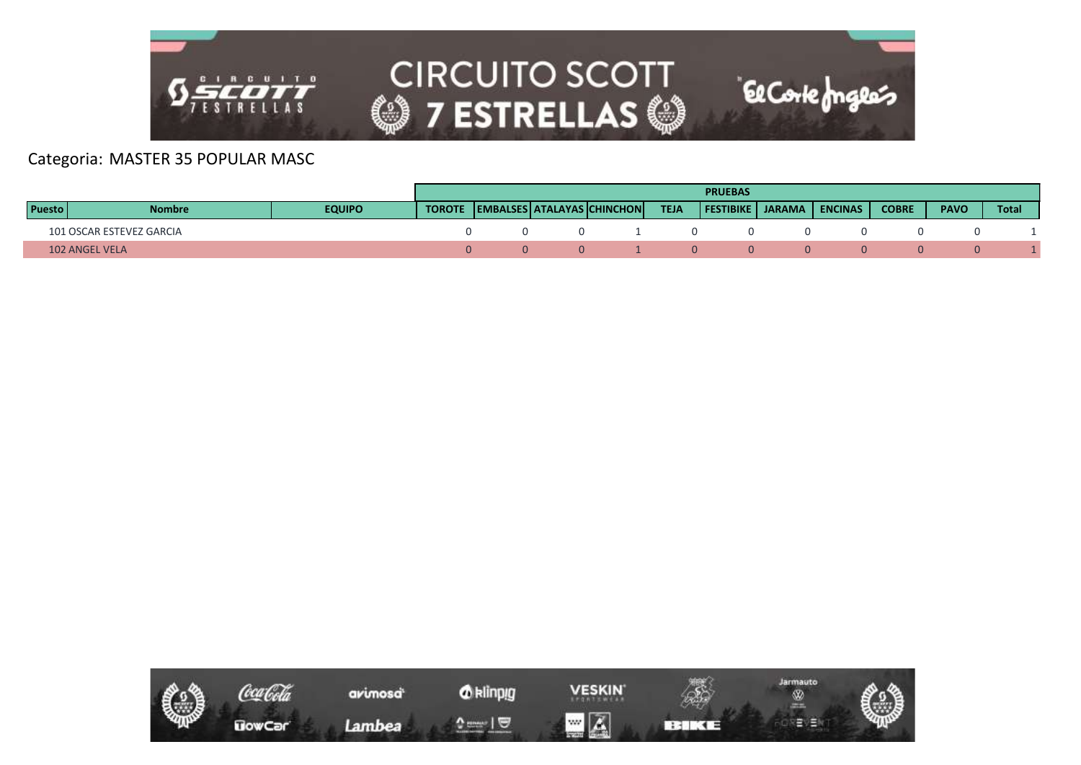

|               |                          |               |               |  |                            |             | <b>PRUEBAS</b>     |                |              |             |       |
|---------------|--------------------------|---------------|---------------|--|----------------------------|-------------|--------------------|----------------|--------------|-------------|-------|
| <b>Puesto</b> | <b>Nombre</b>            | <b>EQUIPO</b> | <b>TOROTE</b> |  | EMBALSES ATALAYAS CHINCHON | <b>TEJA</b> | FESTIBIKE   JARAMA | <b>ENCINAS</b> | <b>COBRE</b> | <b>PAVO</b> | Total |
|               | 101 OSCAR ESTEVEZ GARCIA |               |               |  |                            |             |                    |                |              |             |       |
|               | <b>102 ANGEL VELA</b>    |               |               |  |                            |             |                    |                |              | $\Omega$    |       |

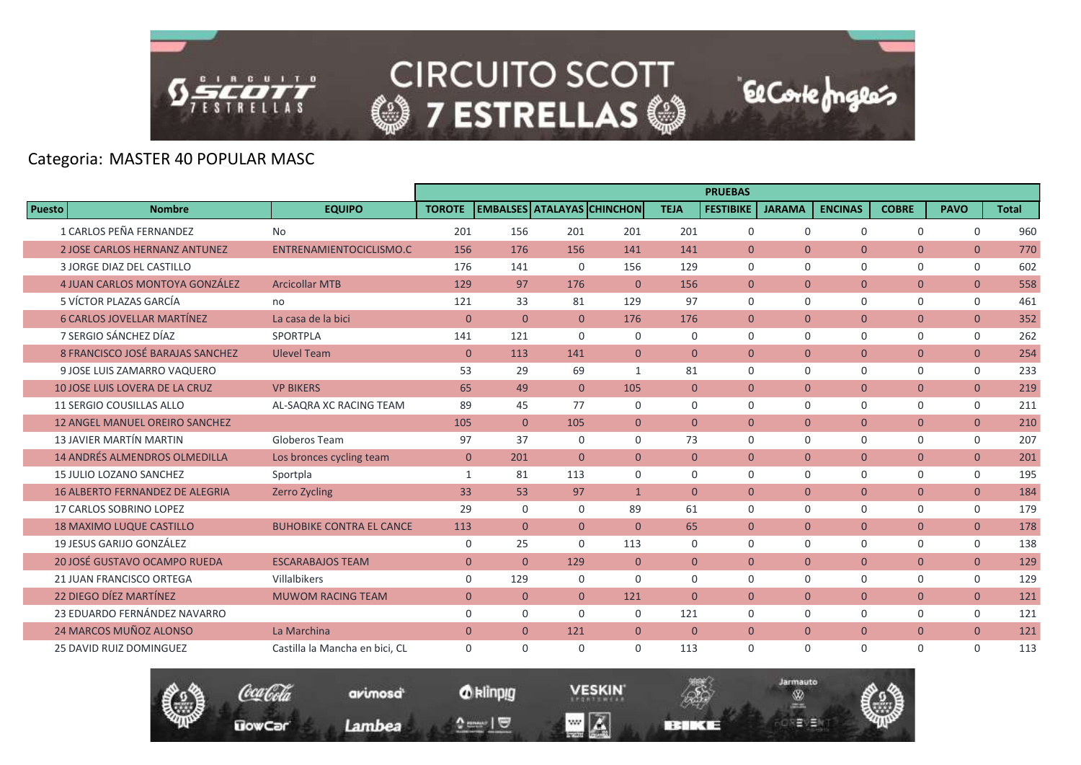

**CIRCUITO SCOTT @7 ESTRELLAS @** 

# Categoria: MASTER 40 POPULAR MASC

|               |                                        |                                 |                |                |                                   |                |                | <b>PRUEBAS</b>   |                |                |                |                |              |
|---------------|----------------------------------------|---------------------------------|----------------|----------------|-----------------------------------|----------------|----------------|------------------|----------------|----------------|----------------|----------------|--------------|
| <b>Puesto</b> | <b>Nombre</b>                          | <b>EQUIPO</b>                   | <b>TOROTE</b>  |                | <b>EMBALSES ATALAYAS CHINCHON</b> |                | <b>TEJA</b>    | <b>FESTIBIKE</b> | <b>JARAMA</b>  | <b>ENCINAS</b> | <b>COBRE</b>   | <b>PAVO</b>    | <b>Total</b> |
|               | 1 CARLOS PEÑA FERNANDEZ                | <b>No</b>                       | 201            | 156            | 201                               | 201            | 201            | $\mathbf 0$      | $\Omega$       | $\Omega$       | $\Omega$       | $\mathbf 0$    | 960          |
|               | <b>2 JOSE CARLOS HERNANZ ANTUNEZ</b>   | ENTRENAMIENTOCICLISMO.C         | 156            | 176            | 156                               | 141            | 141            | $\overline{0}$   | $\Omega$       | $\Omega$       | $\overline{0}$ | $\overline{0}$ | 770          |
|               | 3 JORGE DIAZ DEL CASTILLO              |                                 | 176            | 141            | $\Omega$                          | 156            | 129            | $\Omega$         | $\Omega$       | $\Omega$       | 0              | $\mathbf 0$    | 602          |
|               | 4 JUAN CARLOS MONTOYA GONZÁLEZ         | <b>Arcicollar MTB</b>           | 129            | 97             | 176                               | $\Omega$       | 156            | $\overline{0}$   | $\mathbf{0}$   | $\overline{0}$ | $\overline{0}$ | $\overline{0}$ | 558          |
|               | 5 VÍCTOR PLAZAS GARCÍA                 | no                              | 121            | 33             | 81                                | 129            | 97             | $\Omega$         | $\Omega$       | $\Omega$       | 0              | $\mathbf 0$    | 461          |
|               | <b>6 CARLOS JOVELLAR MARTÍNEZ</b>      | La casa de la bici              | $\overline{0}$ | $\Omega$       | $\Omega$                          | 176            | 176            | $\Omega$         | $\Omega$       | $\Omega$       | $\overline{0}$ | $\overline{0}$ | 352          |
|               | 7 SERGIO SÁNCHEZ DÍAZ                  | SPORTPLA                        | 141            | 121            | $\Omega$                          | $\Omega$       | $\Omega$       | $\mathbf 0$      | $\mathbf 0$    | $\mathbf 0$    | 0              | 0              | 262          |
|               | 8 FRANCISCO JOSÉ BARAJAS SANCHEZ       | <b>Ulevel Team</b>              | $\mathbf 0$    | 113            | 141                               | $\overline{0}$ | $\theta$       | $\overline{0}$   | $\overline{0}$ | $\overline{0}$ | $\overline{0}$ | $\overline{0}$ | 254          |
|               | 9 JOSE LUIS ZAMARRO VAQUERO            |                                 | 53             | 29             | 69                                | $\mathbf{1}$   | 81             | $\Omega$         | $\Omega$       | $\Omega$       | $\mathbf 0$    | $\mathbf 0$    | 233          |
|               | <b>10 JOSE LUIS LOVERA DE LA CRUZ</b>  | <b>VP BIKERS</b>                | 65             | 49             | $\Omega$                          | 105            | $\mathbf{0}$   | $\overline{0}$   | $\mathbf{0}$   | $\overline{0}$ | $\overline{0}$ | $\overline{0}$ | 219          |
|               | 11 SERGIO COUSILLAS ALLO               | AL-SAQRA XC RACING TEAM         | 89             | 45             | 77                                | $\mathbf 0$    | $\mathbf 0$    | $\mathbf 0$      | $\mathbf 0$    | 0              | 0              | $\mathsf{O}$   | 211          |
|               | <b>12 ANGEL MANUEL OREIRO SANCHEZ</b>  |                                 | 105            | $\Omega$       | 105                               | $\Omega$       | $\theta$       | $\Omega$         | $\Omega$       | $\Omega$       | $\overline{0}$ | $\overline{0}$ | 210          |
|               | <b>13 JAVIER MARTÍN MARTIN</b>         | Globeros Team                   | 97             | 37             | $\Omega$                          | $\Omega$       | 73             | $\Omega$         | $\Omega$       | $\Omega$       | $\mathbf 0$    | $\mathbf 0$    | 207          |
|               | <b>14 ANDRÉS ALMENDROS OLMEDILLA</b>   | Los bronces cycling team        | $\overline{0}$ | 201            | $\overline{0}$                    | $\overline{0}$ | $\mathbf{0}$   | $\overline{0}$   | $\mathbf{0}$   | $\overline{0}$ | $\overline{0}$ | $\overline{0}$ | 201          |
|               | 15 JULIO LOZANO SANCHEZ                | Sportpla                        | $\mathbf{1}$   | 81             | 113                               | $\Omega$       | $\Omega$       | $\Omega$         | $\Omega$       | $\Omega$       | 0              | $\mathbf 0$    | 195          |
|               | <b>16 ALBERTO FERNANDEZ DE ALEGRIA</b> | <b>Zerro Zycling</b>            | 33             | 53             | 97                                | $\mathbf{1}$   | $\theta$       | $\Omega$         | $\Omega$       | $\Omega$       | $\overline{0}$ | $\overline{0}$ | 184          |
|               | 17 CARLOS SOBRINO LOPEZ                |                                 | 29             | $\mathbf 0$    | $\Omega$                          | 89             | 61             | $\mathbf 0$      | $\mathbf 0$    | $\mathbf 0$    | 0              | 0              | 179          |
|               | <b>18 MAXIMO LUQUE CASTILLO</b>        | <b>BUHOBIKE CONTRA EL CANCE</b> | 113            | $\overline{0}$ | $\overline{0}$                    | $\Omega$       | 65             | $\overline{0}$   | $\overline{0}$ | $\overline{0}$ | $\overline{0}$ | $\overline{0}$ | 178          |
|               | 19 JESUS GARIJO GONZÁLEZ               |                                 | $\mathbf 0$    | 25             | $\Omega$                          | 113            | $\Omega$       | $\Omega$         | $\Omega$       | $\Omega$       | $\Omega$       | $\mathbf 0$    | 138          |
|               | 20 JOSÉ GUSTAVO OCAMPO RUEDA           | <b>ESCARABAJOS TEAM</b>         | $\overline{0}$ | $\overline{0}$ | 129                               | $\overline{0}$ | $\overline{0}$ | $\overline{0}$   | $\overline{0}$ | $\overline{0}$ | $\overline{0}$ | $\overline{0}$ | 129          |
|               | <b>21 JUAN FRANCISCO ORTEGA</b>        | Villalbikers                    | $\mathbf 0$    | 129            | $\Omega$                          | $\Omega$       | $\Omega$       | $\Omega$         | $\Omega$       | $\Omega$       | 0              | $\mathbf 0$    | 129          |
|               | 22 DIEGO DÍEZ MARTÍNEZ                 | <b>MUWOM RACING TEAM</b>        | $\mathbf{0}$   | $\overline{0}$ | $\Omega$                          | 121            | $\Omega$       | $\Omega$         | $\Omega$       | $\Omega$       | $\overline{0}$ | $\overline{0}$ | 121          |
|               | 23 EDUARDO FERNÁNDEZ NAVARRO           |                                 | $\mathbf 0$    | $\mathbf 0$    | $\Omega$                          | $\Omega$       | 121            | $\Omega$         | $\Omega$       | 0              | 0              | $\mathbf 0$    | 121          |
|               | 24 MARCOS MUÑOZ ALONSO                 | La Marchina                     | $\overline{0}$ | $\overline{0}$ | 121                               | $\mathbf{0}$   | $\mathbf{0}$   | $\overline{0}$   | $\mathbf{0}$   | $\overline{0}$ | $\overline{0}$ | $\overline{0}$ | 121          |
|               | <b>25 DAVID RUIZ DOMINGUEZ</b>         | Castilla la Mancha en bici, CL  | 0              | $\Omega$       | $\Omega$                          | $\Omega$       | 113            | $\Omega$         | $\Omega$       | $\Omega$       | $\Omega$       | $\mathbf 0$    | 113          |



*O* klinpig

 $\begin{array}{c} \texttt{m} = \texttt{m} \\ \texttt{m} = \texttt{m} \end{array}$ 

avimosa

Lambea

**VESKIN**  $\blacksquare$   $\blacksquare$ 

**BERKEE** 



**El Corte fongles**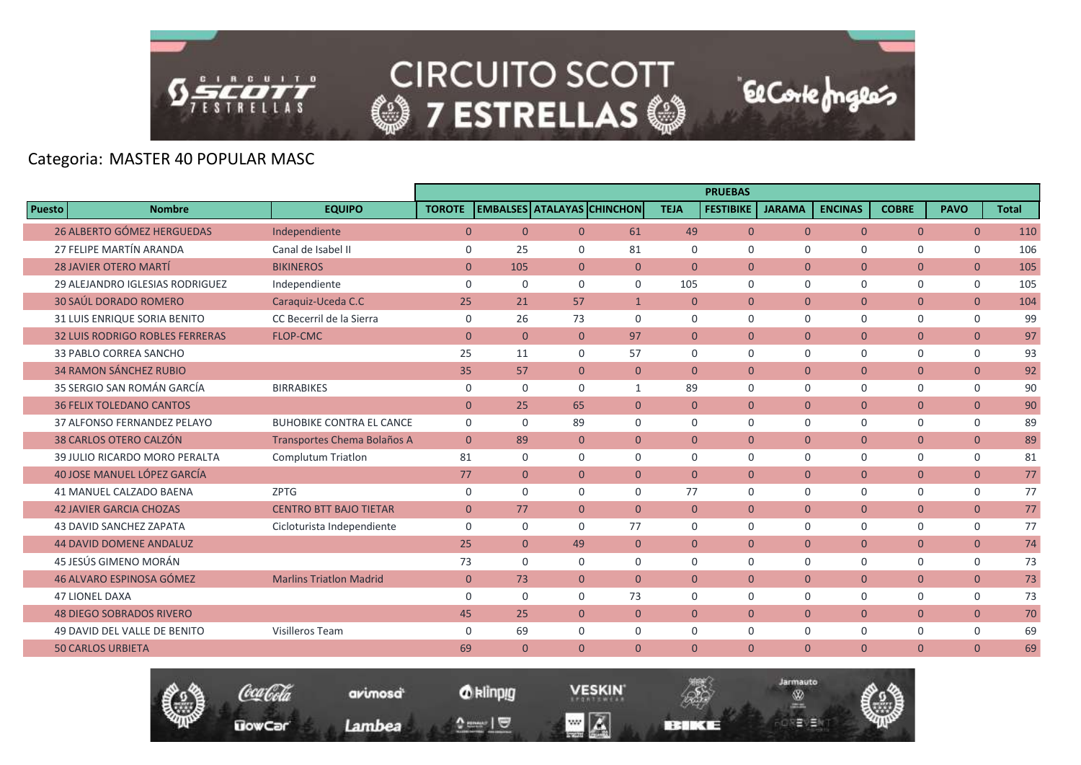

**CIRCUITO SCOTT @7 ESTRELLAS @** 

# Categoria: MASTER 40 POPULAR MASC

|                                        |                                    |                |                |                |                                   |                | <b>PRUEBAS</b>   |                |                |                |                |              |
|----------------------------------------|------------------------------------|----------------|----------------|----------------|-----------------------------------|----------------|------------------|----------------|----------------|----------------|----------------|--------------|
| <b>Nombre</b><br><b>Puesto</b>         | <b>EQUIPO</b>                      | <b>TOROTE</b>  |                |                | <b>EMBALSES ATALAYAS CHINCHON</b> | <b>TEJA</b>    | <b>FESTIBIKE</b> | <b>JARAMA</b>  | <b>ENCINAS</b> | <b>COBRE</b>   | <b>PAVO</b>    | <b>Total</b> |
| <b>26 ALBERTO GÓMEZ HERGUEDAS</b>      | Independiente                      | $\overline{0}$ | $\mathbf{0}$   | $\Omega$       | 61                                | 49             | $\overline{0}$   | $\overline{0}$ | $\overline{0}$ | $\overline{0}$ | $\overline{0}$ | 110          |
| 27 FELIPE MARTÍN ARANDA                | Canal de Isabel II                 | $\mathbf 0$    | 25             | $\Omega$       | 81                                | $\Omega$       | $\Omega$         | $\Omega$       | $\Omega$       | $\Omega$       | $\mathbf 0$    | 106          |
| <b>28 JAVIER OTERO MARTÍ</b>           | <b>BIKINEROS</b>                   | $\overline{0}$ | 105            | $\overline{0}$ | $\overline{0}$                    | $\overline{0}$ | $\Omega$         | $\Omega$       | $\overline{0}$ | $\overline{0}$ | $\mathbf{0}$   | 105          |
| 29 ALEJANDRO IGLESIAS RODRIGUEZ        | Independiente                      | $\mathbf 0$    | $\mathbf 0$    | $\Omega$       | $\Omega$                          | 105            | $\mathbf 0$      | $\Omega$       | $\mathbf 0$    | $\mathbf 0$    | 0              | 105          |
| <b>30 SAÚL DORADO ROMERO</b>           | Caraquiz-Uceda C.C                 | 25             | 21             | 57             | $\mathbf{1}$                      | $\theta$       | $\Omega$         | $\Omega$       | $\Omega$       | $\overline{0}$ | $\Omega$       | 104          |
| 31 LUIS ENRIQUE SORIA BENITO           | CC Becerril de la Sierra           | $\mathbf 0$    | 26             | 73             | $\Omega$                          | $\mathbf 0$    | $\Omega$         | $\Omega$       | $\mathbf 0$    | $\mathbf 0$    | 0              | 99           |
| <b>32 LUIS RODRIGO ROBLES FERRERAS</b> | <b>FLOP-CMC</b>                    | $\overline{0}$ | $\mathbf{0}$   | $\overline{0}$ | 97                                | $\overline{0}$ | $\overline{0}$   | $\overline{0}$ | $\overline{0}$ | $\overline{0}$ | $\overline{0}$ | 97           |
| 33 PABLO CORREA SANCHO                 |                                    | 25             | 11             | $\Omega$       | 57                                | $\Omega$       | $\Omega$         | $\Omega$       | $\Omega$       | $\Omega$       | 0              | 93           |
| <b>34 RAMON SÁNCHEZ RUBIO</b>          |                                    | 35             | 57             | $\overline{0}$ | $\overline{0}$                    | $\overline{0}$ | $\overline{0}$   | $\Omega$       | $\overline{0}$ | $\overline{0}$ | $\overline{0}$ | 92           |
| 35 SERGIO SAN ROMÁN GARCÍA             | <b>BIRRABIKES</b>                  | $\mathbf 0$    | $\mathbf 0$    | $\mathbf 0$    | $\mathbf{1}$                      | 89             | $\mathbf 0$      | $\mathbf 0$    | $\mathbf 0$    | $\mathbf 0$    | $\mathbf 0$    | 90           |
| <b>36 FELIX TOLEDANO CANTOS</b>        |                                    | $\mathbf{0}$   | 25             | 65             | $\overline{0}$                    | $\overline{0}$ | $\overline{0}$   | $\mathbf{0}$   | $\mathbf{0}$   | $\overline{0}$ | $\overline{0}$ | 90           |
| 37 ALFONSO FERNANDEZ PELAYO            | <b>BUHOBIKE CONTRA EL CANCE</b>    | $\mathbf 0$    | $\Omega$       | 89             | $\Omega$                          | $\Omega$       | $\Omega$         | $\Omega$       | $\Omega$       | $\mathbf 0$    | $\mathbf 0$    | 89           |
| 38 CARLOS OTERO CALZÓN                 | <b>Transportes Chema Bolaños A</b> | $\mathbf{0}$   | 89             | $\overline{0}$ | $\overline{0}$                    | $\overline{0}$ | $\overline{0}$   | $\overline{0}$ | $\mathbf{0}$   | $\overline{0}$ | $\overline{0}$ | 89           |
| 39 JULIO RICARDO MORO PERALTA          | <b>Complutum Triatlon</b>          | 81             | $\Omega$       | $\Omega$       | $\Omega$                          | $\Omega$       | $\Omega$         | $\Omega$       | $\Omega$       | $\mathbf 0$    | $\mathbf 0$    | 81           |
| 40 JOSE MANUEL LÓPEZ GARCÍA            |                                    | 77             | $\overline{0}$ | $\overline{0}$ | $\Omega$                          | $\overline{0}$ | $\Omega$         | $\Omega$       | $\overline{0}$ | $\overline{0}$ | $\overline{0}$ | 77           |
| <b>41 MANUEL CALZADO BAENA</b>         | <b>ZPTG</b>                        | $\mathbf 0$    | $\Omega$       | $\Omega$       | $\Omega$                          | 77             | $\Omega$         | $\Omega$       | $\Omega$       | $\Omega$       | 0              | 77           |
| <b>42 JAVIER GARCIA CHOZAS</b>         | <b>CENTRO BTT BAJO TIETAR</b>      | $\overline{0}$ | 77             | $\overline{0}$ | $\overline{0}$                    | $\overline{0}$ | $\overline{0}$   | $\overline{0}$ | $\overline{0}$ | $\overline{0}$ | $\overline{0}$ | 77           |
| <b>43 DAVID SANCHEZ ZAPATA</b>         | Cicloturista Independiente         | $\mathbf 0$    | $\mathbf 0$    | $\Omega$       | 77                                | $\mathbf 0$    | $\Omega$         | $\mathbf 0$    | $\mathbf 0$    | $\mathbf 0$    | 0              | 77           |
| <b>44 DAVID DOMENE ANDALUZ</b>         |                                    | 25             | $\overline{0}$ | 49             | $\Omega$                          | $\Omega$       | $\Omega$         | $\Omega$       | $\Omega$       | $\overline{0}$ | $\overline{0}$ | 74           |
| 45 JESÚS GIMENO MORÁN                  |                                    | 73             | $\mathbf 0$    | $\Omega$       | $\Omega$                          | $\Omega$       | $\Omega$         | $\mathbf 0$    | $\mathbf 0$    | $\mathbf 0$    | 0              | 73           |
| 46 ALVARO ESPINOSA GÓMEZ               | <b>Marlins Triatlon Madrid</b>     | $\overline{0}$ | 73             | $\overline{0}$ | $\overline{0}$                    | $\overline{0}$ | $\overline{0}$   | $\mathbf{0}$   | $\overline{0}$ | $\overline{0}$ | $\overline{0}$ | 73           |
| <b>47 LIONEL DAXA</b>                  |                                    | $\Omega$       | $\Omega$       | $\Omega$       | 73                                | $\Omega$       | $\Omega$         | $\Omega$       | $\Omega$       | $\mathbf 0$    | $\mathbf 0$    | 73           |
| <b>48 DIEGO SOBRADOS RIVERO</b>        |                                    | 45             | 25             | $\overline{0}$ | $\overline{0}$                    | $\overline{0}$ | $\overline{0}$   | $\overline{0}$ | $\mathbf{0}$   | $\overline{0}$ | $\overline{0}$ | 70           |
| 49 DAVID DEL VALLE DE BENITO           | Visilleros Team                    | $\mathbf 0$    | 69             | 0              | 0                                 | $\mathbf 0$    | $\mathbf 0$      | $\mathbf 0$    | $\mathbf 0$    | $\mathbf 0$    | $\mathbf 0$    | 69           |
| <b>50 CARLOS URBIETA</b>               |                                    | 69             | $\overline{0}$ | $\Omega$       | $\Omega$                          | $\Omega$       | $\Omega$         | $\Omega$       | $\Omega$       | $\Omega$       | $\overline{0}$ | 69           |



*O* klinpig

 $\begin{array}{c} \texttt{0} & \texttt{0} \\ \texttt{0} & \texttt{0} \end{array}$ 

avimosa

Lambea

**VESKIN**  $\blacksquare$   $\blacksquare$ 



**El Corte fongles**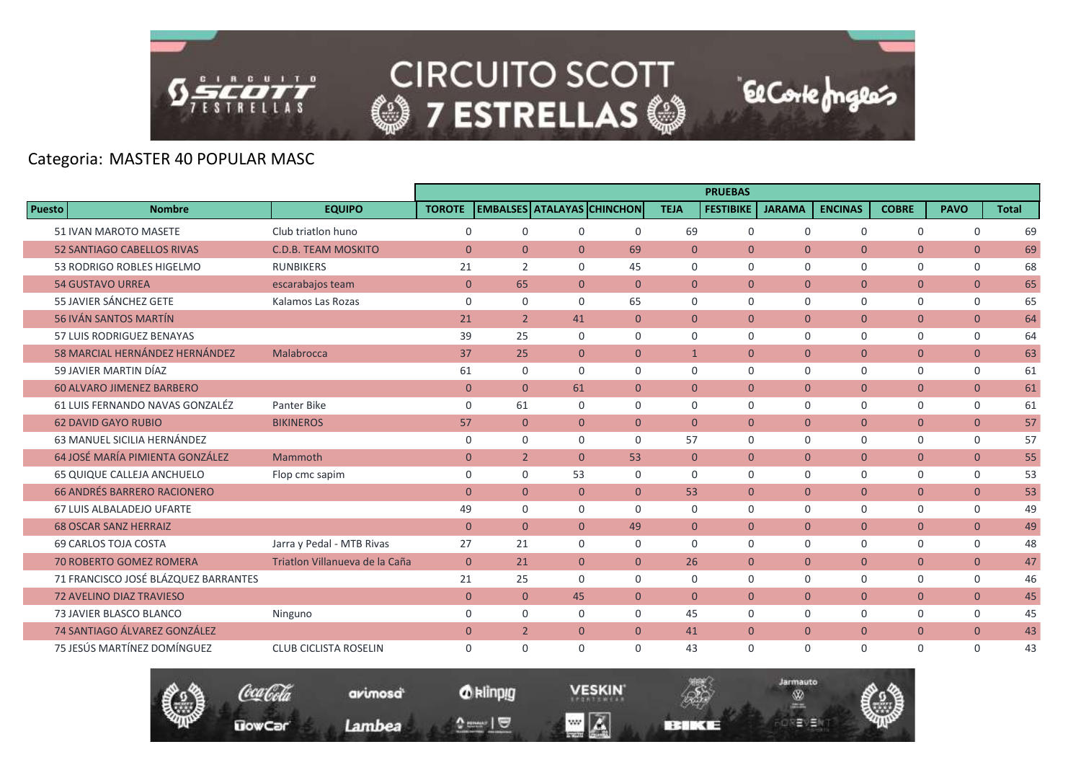

**CIRCUITO SCOTT** © 7 ESTRELLAS ©

El Corte Inglés

# Categoria: MASTER 40 POPULAR MASC

|                                    |                                      |                                |                |                |                |                                   |                | <b>PRUEBAS</b>   |               |                |                |                |              |
|------------------------------------|--------------------------------------|--------------------------------|----------------|----------------|----------------|-----------------------------------|----------------|------------------|---------------|----------------|----------------|----------------|--------------|
| <b>Puesto</b>                      | <b>Nombre</b>                        | <b>EQUIPO</b>                  | <b>TOROTE</b>  |                |                | <b>EMBALSES ATALAYAS CHINCHON</b> | <b>TEJA</b>    | <b>FESTIBIKE</b> | <b>JARAMA</b> | <b>ENCINAS</b> | <b>COBRE</b>   | <b>PAVO</b>    | <b>Total</b> |
| 51 IVAN MAROTO MASETE              |                                      | Club triation huno             | $\mathbf 0$    | $\mathbf 0$    | $\mathbf 0$    | $\mathbf 0$                       | 69             | $\mathbf 0$      | $\mathbf 0$   | $\mathbf 0$    | $\mathsf{O}$   | $\mathbf 0$    | 69           |
| <b>52 SANTIAGO CABELLOS RIVAS</b>  |                                      | <b>C.D.B. TEAM MOSKITO</b>     | $\Omega$       | $\mathbf{0}$   | $\Omega$       | 69                                | $\Omega$       | $\Omega$         | $\Omega$      | $\Omega$       | $\overline{0}$ | $\overline{0}$ | 69           |
| 53 RODRIGO ROBLES HIGELMO          |                                      | <b>RUNBIKERS</b>               | 21             | 2              | $\Omega$       | 45                                | $\Omega$       | $\Omega$         | $\Omega$      | $\Omega$       | $\mathbf 0$    | $\mathbf 0$    | 68           |
| <b>54 GUSTAVO URREA</b>            |                                      | escarabajos team               | $\overline{0}$ | 65             | $\overline{0}$ | $\mathbf{0}$                      | $\overline{0}$ | $\overline{0}$   | $\mathbf{0}$  | $\overline{0}$ | $\overline{0}$ | $\overline{0}$ | 65           |
| 55 JAVIER SÁNCHEZ GETE             |                                      | Kalamos Las Rozas              | $\mathbf 0$    | $\mathbf 0$    | $\mathbf 0$    | 65                                | $\mathbf 0$    | $\Omega$         | $\Omega$      | $\mathbf 0$    | $\mathbf 0$    | 0              | 65           |
| <b>56 IVÁN SANTOS MARTÍN</b>       |                                      |                                | 21             | $\overline{2}$ | 41             | $\mathbf{0}$                      | $\overline{0}$ | $\overline{0}$   | $\mathbf{0}$  | $\overline{0}$ | $\overline{0}$ | $\overline{0}$ | 64           |
| 57 LUIS RODRIGUEZ BENAYAS          |                                      |                                | 39             | 25             | $\Omega$       | $\Omega$                          | $\Omega$       | $\mathbf 0$      | $\mathbf 0$   | 0              | 0              | 0              | 64           |
|                                    | 58 MARCIAL HERNÁNDEZ HERNÁNDEZ       | Malabrocca                     | 37             | 25             | $\overline{0}$ | $\overline{0}$                    | $\mathbf{1}$   | $\mathbf{0}$     | $\mathbf{0}$  | $\overline{0}$ | $\overline{0}$ | $\overline{0}$ | 63           |
| 59 JAVIER MARTIN DÍAZ              |                                      |                                | 61             | $\mathbf 0$    | $\Omega$       | $\Omega$                          | $\Omega$       | $\Omega$         | $\Omega$      | 0              | 0              | 0              | 61           |
| <b>60 ALVARO JIMENEZ BARBERO</b>   |                                      |                                | $\overline{0}$ | $\overline{0}$ | 61             | $\overline{0}$                    | $\overline{0}$ | $\overline{0}$   | $\mathbf{0}$  | $\overline{0}$ | $\overline{0}$ | $\overline{0}$ | 61           |
|                                    | 61 LUIS FERNANDO NAVAS GONZALÉZ      | Panter Bike                    | $\mathbf 0$    | 61             | $\Omega$       | $\Omega$                          | $\Omega$       | $\Omega$         | $\Omega$      | $\Omega$       | 0              | $\mathbf 0$    | 61           |
| <b>62 DAVID GAYO RUBIO</b>         |                                      | <b>BIKINEROS</b>               | 57             | $\mathbf{0}$   | $\overline{0}$ | $\overline{0}$                    | $\overline{0}$ | $\overline{0}$   | $\mathbf{0}$  | $\mathbf{0}$   | $\overline{0}$ | $\mathbf{0}$   | 57           |
| 63 MANUEL SICILIA HERNÁNDEZ        |                                      |                                | $\mathbf 0$    | $\mathbf 0$    | $\Omega$       | $\Omega$                          | 57             | $\Omega$         | $\Omega$      | $\Omega$       | 0              | $\mathbf 0$    | 57           |
| 64 JOSÉ MARÍA PIMIENTA GONZÁLEZ    |                                      | Mammoth                        | $\mathbf{0}$   | $\overline{2}$ | $\Omega$       | 53                                | $\Omega$       | $\Omega$         | $\Omega$      | $\overline{0}$ | $\overline{0}$ | $\overline{0}$ | 55           |
| 65 QUIQUE CALLEJA ANCHUELO         |                                      | Flop cmc sapim                 | $\mathbf 0$    | $\mathbf 0$    | 53             | $\mathbf 0$                       | $\mathbf 0$    | $\mathbf 0$      | $\mathbf 0$   | 0              | 0              | $\mathsf{O}$   | 53           |
| <b>66 ANDRÉS BARRERO RACIONERO</b> |                                      |                                | $\Omega$       | $\Omega$       | $\Omega$       | $\Omega$                          | 53             | $\Omega$         | $\Omega$      | $\Omega$       | $\Omega$       | $\overline{0}$ | 53           |
| <b>67 LUIS ALBALADEJO UFARTE</b>   |                                      |                                | 49             | $\mathbf 0$    | $\mathbf 0$    | $\Omega$                          | $\Omega$       | $\Omega$         | $\mathbf 0$   | 0              | $\mathsf{O}$   | $\mathsf{O}$   | 49           |
| <b>68 OSCAR SANZ HERRAIZ</b>       |                                      |                                | $\overline{0}$ | $\mathbf{0}$   | $\overline{0}$ | 49                                | $\overline{0}$ | $\overline{0}$   | $\mathbf{0}$  | $\overline{0}$ | $\overline{0}$ | $\overline{0}$ | 49           |
| <b>69 CARLOS TOJA COSTA</b>        |                                      | Jarra y Pedal - MTB Rivas      | 27             | 21             | $\mathbf 0$    | $\mathbf 0$                       | $\Omega$       | $\mathbf 0$      | $\Omega$      | 0              | $\mathbf 0$    | $\mathsf{O}$   | 48           |
| <b>70 ROBERTO GOMEZ ROMERA</b>     |                                      | Triatlon Villanueva de la Caña | $\overline{0}$ | 21             | $\overline{0}$ | $\Omega$                          | 26             | $\overline{0}$   | $\mathbf{0}$  | $\overline{0}$ | $\overline{0}$ | $\overline{0}$ | 47           |
|                                    | 71 FRANCISCO JOSÉ BLÁZQUEZ BARRANTES |                                | 21             | 25             | $\Omega$       | $\Omega$                          | $\Omega$       | $\mathbf 0$      | $\mathbf 0$   | $\mathbf 0$    | $\mathbf 0$    | $\mathsf{O}$   | 46           |
| <b>72 AVELINO DIAZ TRAVIESO</b>    |                                      |                                | $\mathbf{0}$   | $\mathbf{0}$   | 45             | $\overline{0}$                    | $\overline{0}$ | $\mathbf{0}$     | $\mathbf{0}$  | $\mathbf{0}$   | $\overline{0}$ | $\overline{0}$ | 45           |
| 73 JAVIER BLASCO BLANCO            |                                      | Ninguno                        | $\mathbf 0$    | $\mathbf 0$    | $\Omega$       | $\Omega$                          | 45             | $\Omega$         | $\Omega$      | 0              | $\mathbf 0$    | $\mathsf{O}$   | 45           |
| 74 SANTIAGO ÁLVAREZ GONZÁLEZ       |                                      |                                | $\mathbf{0}$   | $\overline{2}$ | $\overline{0}$ | $\overline{0}$                    | 41             | $\overline{0}$   | $\mathbf{0}$  | $\mathbf{0}$   | $\overline{0}$ | $\overline{0}$ | 43           |
| 75 JESÚS MARTÍNEZ DOMÍNGUEZ        |                                      | <b>CLUB CICLISTA ROSELIN</b>   | $\mathbf 0$    | $\mathbf 0$    | $\Omega$       | $\Omega$                          | 43             | $\mathbf 0$      | $\mathbf 0$   | $\mathbf 0$    | 0              | $\mathbf 0$    | 43           |

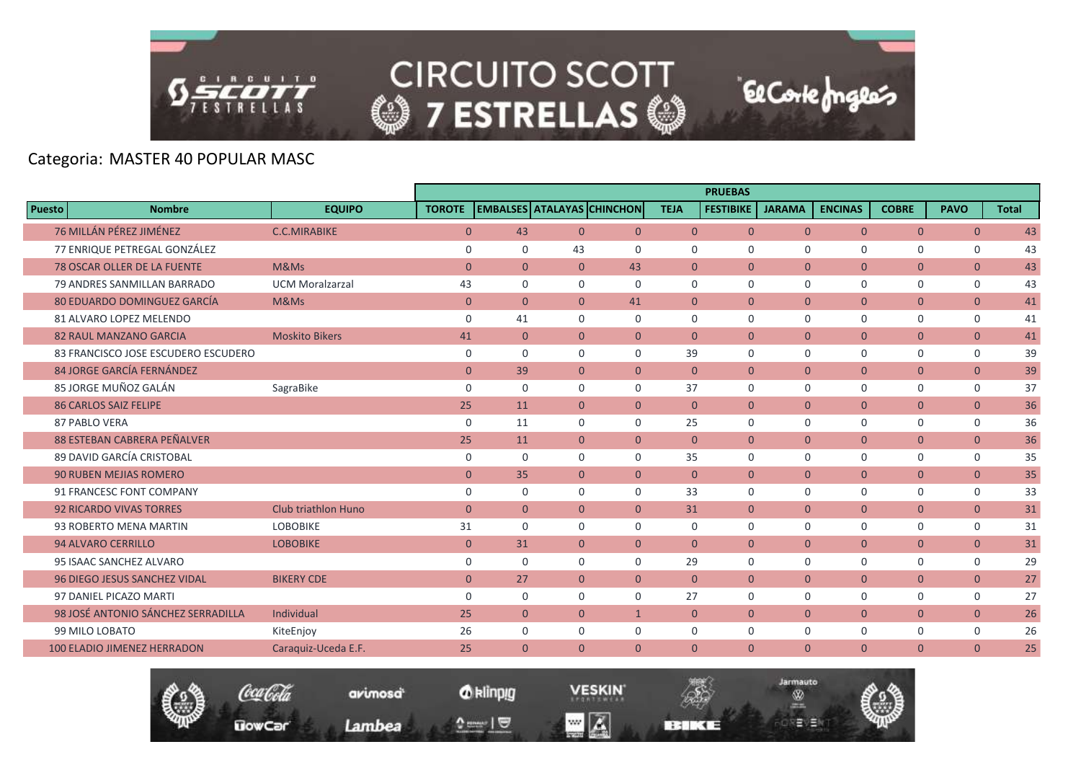

|               |                                     |                            |                |                |                |                                   |                | <b>PRUEBAS</b>   |                |                |                |                |              |
|---------------|-------------------------------------|----------------------------|----------------|----------------|----------------|-----------------------------------|----------------|------------------|----------------|----------------|----------------|----------------|--------------|
| <b>Puesto</b> | <b>Nombre</b>                       | <b>EQUIPO</b>              | <b>TOROTE</b>  |                |                | <b>EMBALSES ATALAYAS CHINCHON</b> | <b>TEJA</b>    | <b>FESTIBIKE</b> | <b>JARAMA</b>  | <b>ENCINAS</b> | <b>COBRE</b>   | <b>PAVO</b>    | <b>Total</b> |
|               | 76 MILLÁN PÉREZ JIMÉNEZ             | <b>C.C.MIRABIKE</b>        | $\overline{0}$ | 43             | $\overline{0}$ | $\mathbf{0}$                      | $\overline{0}$ | $\overline{0}$   | $\mathbf{0}$   | $\overline{0}$ | $\overline{0}$ | $\mathbf{0}$   | 43           |
|               | 77 ENRIQUE PETREGAL GONZÁLEZ        |                            | $\Omega$       | $\mathbf 0$    | 43             | $\Omega$                          | $\mathbf 0$    | $\Omega$         | $\Omega$       | $\mathbf 0$    | $\Omega$       | $\mathbf 0$    | 43           |
|               | <b>78 OSCAR OLLER DE LA FUENTE</b>  | M&Ms                       | $\overline{0}$ | $\overline{0}$ | $\Omega$       | 43                                | $\overline{0}$ | $\Omega$         | $\Omega$       | $\overline{0}$ | $\overline{0}$ | $\overline{0}$ | 43           |
|               | 79 ANDRES SANMILLAN BARRADO         | <b>UCM Moralzarzal</b>     | 43             | $\mathbf 0$    | $\Omega$       | $\Omega$                          | $\mathbf 0$    | $\mathbf 0$      | $\mathbf 0$    | $\mathbf 0$    | $\mathbf 0$    | $\mathbf 0$    | 43           |
|               | <b>80 EDUARDO DOMINGUEZ GARCÍA</b>  | M&Ms                       | $\mathbf{0}$   | $\overline{0}$ | $\overline{0}$ | 41                                | $\overline{0}$ | $\Omega$         | $\Omega$       | $\overline{0}$ | $\overline{0}$ | $\mathbf{0}$   | 41           |
|               | 81 ALVARO LOPEZ MELENDO             |                            | $\mathbf 0$    | 41             | $\Omega$       | $\Omega$                          | $\mathbf 0$    | $\mathbf 0$      | $\mathbf 0$    | $\mathbf 0$    | $\mathbf 0$    | $\mathbf 0$    | 41           |
|               | <b>82 RAUL MANZANO GARCIA</b>       | <b>Moskito Bikers</b>      | 41             | $\overline{0}$ | $\overline{0}$ | $\overline{0}$                    | $\overline{0}$ | $\overline{0}$   | $\overline{0}$ | $\overline{0}$ | $\overline{0}$ | $\mathbf{0}$   | 41           |
|               | 83 FRANCISCO JOSE ESCUDERO ESCUDERO |                            | $\mathbf 0$    | $\mathbf 0$    | $\mathbf 0$    | $\mathbf 0$                       | 39             | $\mathbf 0$      | $\mathbf 0$    | $\mathbf 0$    | $\mathbf 0$    | $\mathbf 0$    | 39           |
|               | 84 JORGE GARCÍA FERNÁNDEZ           |                            | $\overline{0}$ | 39             | $\Omega$       | $\Omega$                          | $\Omega$       | $\Omega$         | $\Omega$       | $\overline{0}$ | $\overline{0}$ | $\mathbf{0}$   | 39           |
|               | 85 JORGE MUÑOZ GALÁN                | SagraBike                  | $\mathbf 0$    | $\mathbf 0$    | $\Omega$       | $\Omega$                          | 37             | $\Omega$         | $\mathbf 0$    | $\mathbf 0$    | $\Omega$       | 0              | 37           |
|               | <b>86 CARLOS SAIZ FELIPE</b>        |                            | 25             | 11             | $\overline{0}$ | $\Omega$                          | $\overline{0}$ | $\overline{0}$   | $\overline{0}$ | $\overline{0}$ | $\overline{0}$ | $\mathbf{0}$   | 36           |
|               | 87 PABLO VERA                       |                            | $\mathbf 0$    | 11             | $\mathbf 0$    | $\mathbf 0$                       | 25             | $\mathbf 0$      | $\mathbf 0$    | $\mathbf 0$    | $\mathbf 0$    | 0              | 36           |
|               | 88 ESTEBAN CABRERA PEÑALVER         |                            | 25             | 11             | $\overline{0}$ | $\mathbf{0}$                      | $\overline{0}$ | $\overline{0}$   | $\mathbf{0}$   | $\overline{0}$ | $\overline{0}$ | $\overline{0}$ | 36           |
|               | 89 DAVID GARCÍA CRISTOBAL           |                            | $\mathbf 0$    | $\mathbf 0$    | $\Omega$       | $\Omega$                          | 35             | $\Omega$         | $\mathbf 0$    | $\mathbf 0$    | $\mathbf 0$    | 0              | 35           |
|               | <b>90 RUBEN MEJIAS ROMERO</b>       |                            | $\mathbf{0}$   | 35             | $\overline{0}$ | $\mathbf{0}$                      | $\overline{0}$ | $\overline{0}$   | $\mathbf 0$    | $\overline{0}$ | $\overline{0}$ | $\overline{0}$ | 35           |
|               | 91 FRANCESC FONT COMPANY            |                            | $\mathbf 0$    | $\mathbf 0$    | $\Omega$       | $\Omega$                          | 33             | $\Omega$         | $\Omega$       | $\mathbf 0$    | $\mathbf 0$    | $\mathbf 0$    | 33           |
|               | <b>92 RICARDO VIVAS TORRES</b>      | <b>Club triathlon Huno</b> | $\overline{0}$ | $\overline{0}$ | $\overline{0}$ | $\Omega$                          | 31             | $\Omega$         | $\mathbf{0}$   | $\overline{0}$ | $\overline{0}$ | $\overline{0}$ | 31           |
|               | 93 ROBERTO MENA MARTIN              | <b>LOBOBIKE</b>            | 31             | $\mathbf 0$    | 0              | 0                                 | $\mathbf 0$    | $\mathbf 0$      | $\mathbf 0$    | $\mathbf 0$    | $\mathbf 0$    | $\mathbf 0$    | 31           |
|               | <b>94 ALVARO CERRILLO</b>           | <b>LOBOBIKE</b>            | $\mathbf{0}$   | 31             | $\overline{0}$ | $\overline{0}$                    | $\Omega$       | $\mathbf{0}$     | $\mathbf{0}$   | $\mathbf{0}$   | $\overline{0}$ | $\mathbf{0}$   | 31           |
|               | 95 ISAAC SANCHEZ ALVARO             |                            | $\mathbf 0$    | $\mathbf 0$    | $\Omega$       | $\Omega$                          | 29             | $\mathbf 0$      | $\mathbf 0$    | $\mathbf 0$    | $\mathbf 0$    | $\mathbf 0$    | 29           |
|               | <b>96 DIEGO JESUS SANCHEZ VIDAL</b> | <b>BIKERY CDE</b>          | $\mathbf{0}$   | 27             | $\overline{0}$ | $\mathbf{0}$                      | $\overline{0}$ | $\overline{0}$   | $\overline{0}$ | $\overline{0}$ | $\overline{0}$ | $\mathbf{0}$   | 27           |
|               | 97 DANIEL PICAZO MARTI              |                            | $\mathbf 0$    | $\mathbf 0$    | $\mathbf 0$    | $\mathbf 0$                       | 27             | $\mathbf 0$      | $\mathbf 0$    | $\mathbf 0$    | $\mathbf 0$    | 0              | 27           |
|               | 98 JOSÉ ANTONIO SÁNCHEZ SERRADILLA  | Individual                 | 25             | $\overline{0}$ | $\Omega$       | $\mathbf{1}$                      | $\Omega$       | $\Omega$         | $\Omega$       | $\overline{0}$ | $\overline{0}$ | $\mathbf{0}$   | 26           |
|               | 99 MILO LOBATO                      | KiteEnjoy                  | 26             | $\mathbf 0$    | $\Omega$       | $\mathbf 0$                       | $\mathbf 0$    | $\mathbf 0$      | $\mathbf 0$    | $\mathbf 0$    | $\mathbf 0$    | 0              | 26           |
|               | <b>100 ELADIO JIMENEZ HERRADON</b>  | Caraguiz-Uceda E.F.        | 25             | $\overline{0}$ | $\overline{0}$ | $\mathbf{0}$                      | $\mathbf{0}$   | $\mathbf{0}$     | $\mathbf{0}$   | $\overline{0}$ | $\overline{0}$ | $\mathbf{0}$   | 25           |



*O* klinpig

 $\begin{array}{c} \texttt{0} & \texttt{0} \\ \texttt{0} & \texttt{0} \end{array}$ 

avimosa

Lambea

**VESKIN**  $\blacksquare$   $\blacksquare$ 



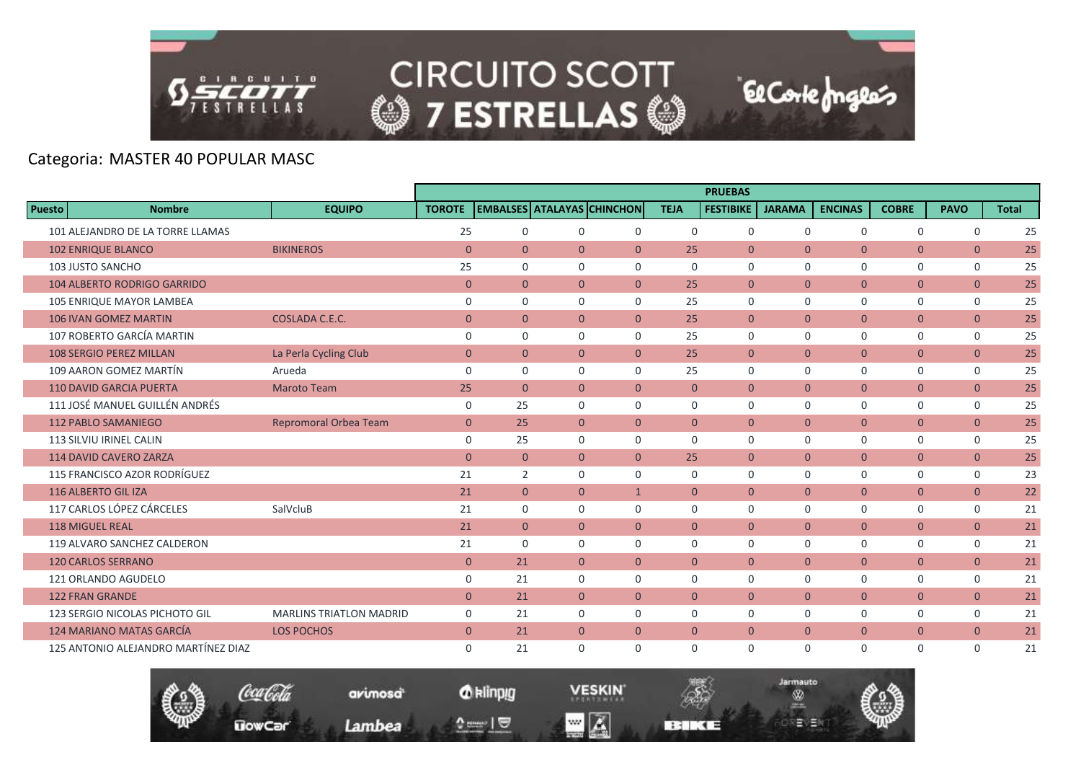

|               |                                     |                                |                |                |                |                                   |                | <b>PRUEBAS</b>   |                |                |                |                |              |
|---------------|-------------------------------------|--------------------------------|----------------|----------------|----------------|-----------------------------------|----------------|------------------|----------------|----------------|----------------|----------------|--------------|
| <b>Puesto</b> | <b>Nombre</b>                       | <b>EQUIPO</b>                  | <b>TOROTE</b>  |                |                | <b>EMBALSES ATALAYAS CHINCHON</b> | <b>TEJA</b>    | <b>FESTIBIKE</b> | <b>JARAMA</b>  | <b>ENCINAS</b> | <b>COBRE</b>   | <b>PAVO</b>    | <b>Total</b> |
|               | 101 ALEJANDRO DE LA TORRE LLAMAS    |                                | 25             | $\mathbf 0$    | $\mathbf 0$    | $\mathbf 0$                       | $\mathbf 0$    | $\mathbf 0$      | $\mathbf 0$    | $\mathbf 0$    | $\mathbf 0$    | $\mathbf 0$    | 25           |
|               | <b>102 ENRIQUE BLANCO</b>           | <b>BIKINEROS</b>               | $\overline{0}$ | $\overline{0}$ | $\overline{0}$ | $\overline{0}$                    | 25             | $\overline{0}$   | $\mathbf{0}$   | $\overline{0}$ | $\overline{0}$ | $\overline{0}$ | 25           |
|               | 103 JUSTO SANCHO                    |                                | 25             | $\Omega$       | $\Omega$       | $\Omega$                          | $\Omega$       | $\Omega$         | $\Omega$       | $\Omega$       | $\mathbf 0$    | $\mathbf 0$    | 25           |
|               | <b>104 ALBERTO RODRIGO GARRIDO</b>  |                                | $\overline{0}$ | $\overline{0}$ | $\overline{0}$ | $\overline{0}$                    | 25             | $\overline{0}$   | $\overline{0}$ | $\overline{0}$ | $\overline{0}$ | $\overline{0}$ | 25           |
|               | <b>105 ENRIQUE MAYOR LAMBEA</b>     |                                | $\mathbf 0$    | $\Omega$       | $\Omega$       | $\Omega$                          | 25             | $\Omega$         | $\Omega$       | $\Omega$       | $\mathbf 0$    | $\mathbf 0$    | 25           |
|               | <b>106 IVAN GOMEZ MARTIN</b>        | COSLADA C.E.C.                 | $\mathbf{0}$   | $\Omega$       | $\Omega$       | $\Omega$                          | 25             | $\overline{0}$   | $\Omega$       | $\overline{0}$ | $\overline{0}$ | $\overline{0}$ | 25           |
|               | 107 ROBERTO GARCÍA MARTIN           |                                | $\mathbf 0$    | $\mathbf 0$    | $\Omega$       | $\Omega$                          | 25             | $\mathbf 0$      | $\mathbf 0$    | $\mathbf 0$    | $\mathsf{O}$   | 0              | 25           |
|               | <b>108 SERGIO PEREZ MILLAN</b>      | La Perla Cycling Club          | $\mathbf{0}$   | $\overline{0}$ | $\overline{0}$ | $\overline{0}$                    | 25             | $\overline{0}$   | $\mathbf{0}$   | $\overline{0}$ | $\overline{0}$ | $\overline{0}$ | 25           |
|               | 109 AARON GOMEZ MARTÍN              | Arueda                         | $\mathbf 0$    | 0              | $\Omega$       | $\Omega$                          | 25             | $\mathbf 0$      | $\mathbf 0$    | 0              | $\mathsf{O}$   | 0              | 25           |
|               | <b>110 DAVID GARCIA PUERTA</b>      | <b>Maroto Team</b>             | 25             | $\overline{0}$ | $\overline{0}$ | $\mathbf{0}$                      | $\mathbf{0}$   | $\overline{0}$   | $\overline{0}$ | $\overline{0}$ | $\overline{0}$ | $\overline{0}$ | 25           |
|               | 111 JOSÉ MANUEL GUILLÉN ANDRÉS      |                                | $\mathbf 0$    | 25             | $\mathbf 0$    | $\mathbf 0$                       | 0              | $\mathbf 0$      | $\mathbf 0$    | $\mathbf 0$    | $\mathbf 0$    | $\mathbf 0$    | 25           |
|               | <b>112 PABLO SAMANIEGO</b>          | <b>Repromoral Orbea Team</b>   | $\mathbf{0}$   | 25             | $\overline{0}$ | $\overline{0}$                    | $\overline{0}$ | $\overline{0}$   | $\overline{0}$ | $\overline{0}$ | $\overline{0}$ | $\mathbf{0}$   | 25           |
|               | 113 SILVIU IRINEL CALIN             |                                | $\mathbf 0$    | 25             | $\Omega$       | $\Omega$                          | $\Omega$       | $\Omega$         | $\Omega$       | $\Omega$       | $\mathbf 0$    | $\mathbf 0$    | 25           |
|               | <b>114 DAVID CAVERO ZARZA</b>       |                                | $\mathbf{0}$   | $\mathbf{0}$   | $\overline{0}$ | $\overline{0}$                    | 25             | $\overline{0}$   | $\overline{0}$ | $\overline{0}$ | $\overline{0}$ | $\overline{0}$ | 25           |
|               | 115 FRANCISCO AZOR RODRÍGUEZ        |                                | 21             | 2              | $\mathbf 0$    | $\mathbf 0$                       | 0              | $\mathbf 0$      | $\mathbf 0$    | 0              | 0              | 0              | 23           |
|               | 116 ALBERTO GIL IZA                 |                                | 21             | $\overline{0}$ | $\overline{0}$ | $\mathbf{1}$                      | $\overline{0}$ | $\overline{0}$   | $\overline{0}$ | $\overline{0}$ | $\overline{0}$ | $\overline{0}$ | 22           |
|               | 117 CARLOS LÓPEZ CÁRCELES           | SalVcluB                       | 21             | $\Omega$       | $\Omega$       | $\Omega$                          | $\Omega$       | $\mathbf 0$      | $\Omega$       | 0              | 0              | $\mathbf 0$    | 21           |
|               | <b>118 MIGUEL REAL</b>              |                                | 21             | $\mathbf{0}$   | $\overline{0}$ | $\overline{0}$                    | $\overline{0}$ | $\overline{0}$   | $\overline{0}$ | $\overline{0}$ | $\overline{0}$ | $\overline{0}$ | 21           |
|               | 119 ALVARO SANCHEZ CALDERON         |                                | 21             | $\mathbf 0$    | $\mathbf 0$    | $\mathbf 0$                       | 0              | $\mathbf 0$      | $\mathbf 0$    | 0              | $\mathsf{O}$   | 0              | 21           |
|               | <b>120 CARLOS SERRANO</b>           |                                | $\overline{0}$ | 21             | $\Omega$       | $\Omega$                          | $\Omega$       | $\Omega$         | $\Omega$       | $\overline{0}$ | $\overline{0}$ | $\overline{0}$ | 21           |
|               | 121 ORLANDO AGUDELO                 |                                | $\mathbf 0$    | 21             | $\mathbf 0$    | $\mathbf 0$                       | 0              | $\mathbf 0$      | $\mathbf 0$    | 0              | $\mathbf 0$    | $\mathbf 0$    | 21           |
|               | <b>122 FRAN GRANDE</b>              |                                | $\mathbf{0}$   | 21             | $\overline{0}$ | $\overline{0}$                    | $\overline{0}$ | $\overline{0}$   | $\overline{0}$ | $\mathbf{0}$   | $\overline{0}$ | $\overline{0}$ | 21           |
|               | 123 SERGIO NICOLAS PICHOTO GIL      | <b>MARLINS TRIATLON MADRID</b> | $\mathbf 0$    | 21             | $\mathbf 0$    | $\mathbf 0$                       | $\Omega$       | $\Omega$         | $\Omega$       | 0              | $\mathbf 0$    | $\mathbf 0$    | 21           |
|               | <b>124 MARIANO MATAS GARCÍA</b>     | <b>LOS POCHOS</b>              | $\mathbf{0}$   | 21             | $\overline{0}$ | $\mathbf{0}$                      | $\mathbf{0}$   | $\overline{0}$   | $\overline{0}$ | $\overline{0}$ | $\overline{0}$ | $\overline{0}$ | 21           |
|               | 125 ANTONIO ALEJANDRO MARTÍNEZ DIAZ |                                | $\Omega$       | 21             | $\Omega$       | $\Omega$                          | 0              | $\mathbf 0$      | $\Omega$       | 0              | 0              | $\Omega$       | 21           |

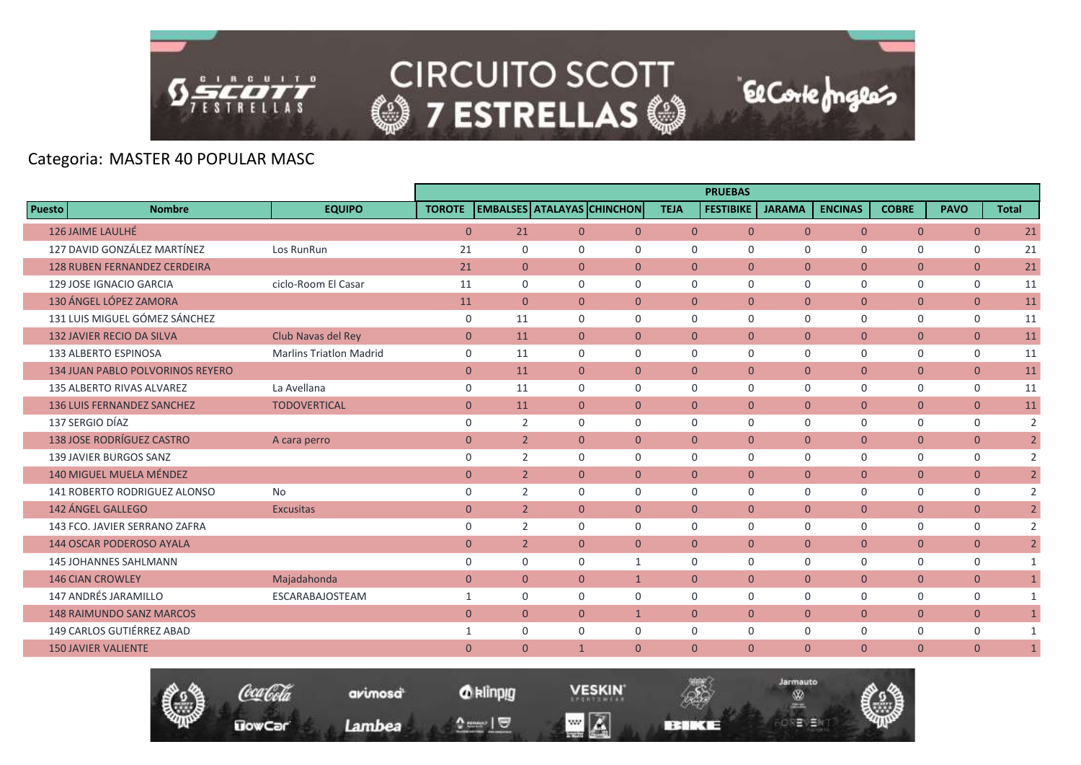

Coca Cola

**UowCar** 

avimosa

Lambea

|               |                                         |                                |               |                |                |                                   |                | <b>PRUEBAS</b>   |                |                |                |                |                |
|---------------|-----------------------------------------|--------------------------------|---------------|----------------|----------------|-----------------------------------|----------------|------------------|----------------|----------------|----------------|----------------|----------------|
| <b>Puesto</b> | <b>Nombre</b>                           | <b>EQUIPO</b>                  | <b>TOROTE</b> |                |                | <b>EMBALSES ATALAYAS CHINCHON</b> | <b>TEJA</b>    | <b>FESTIBIKE</b> | <b>JARAMA</b>  | <b>ENCINAS</b> | <b>COBRE</b>   | <b>PAVO</b>    | <b>Total</b>   |
|               | 126 JAIME LAULHÉ                        |                                | $\mathbf{0}$  | 21             | $\overline{0}$ | $\overline{0}$                    | $\overline{0}$ | $\overline{0}$   | $\overline{0}$ | $\overline{0}$ | $\overline{0}$ | $\overline{0}$ | 21             |
|               | 127 DAVID GONZÁLEZ MARTÍNEZ             | Los RunRun                     | 21            | $\Omega$       | $\Omega$       | $\Omega$                          | $\Omega$       | $\Omega$         | $\Omega$       | $\Omega$       | $\mathbf 0$    | $\mathbf 0$    | 21             |
|               | <b>128 RUBEN FERNANDEZ CERDEIRA</b>     |                                | 21            | $\overline{0}$ | $\overline{0}$ | $\overline{0}$                    | $\overline{0}$ | $\overline{0}$   | $\mathbf{0}$   | $\overline{0}$ | $\overline{0}$ | $\overline{0}$ | 21             |
|               | 129 JOSE IGNACIO GARCIA                 | ciclo-Room El Casar            | 11            | $\mathbf 0$    | $\mathbf 0$    | $\mathbf 0$                       | $\mathbf 0$    | $\mathbf 0$      | $\mathbf 0$    | 0              | $\mathbf 0$    | $\mathbf 0$    | 11             |
|               | 130 ÁNGEL LÓPEZ ZAMORA                  |                                | 11            | $\overline{0}$ | $\overline{0}$ | $\mathbf{0}$                      | $\Omega$       | $\mathbf{0}$     | $\Omega$       | $\mathbf{0}$   | $\overline{0}$ | $\overline{0}$ | 11             |
|               | 131 LUIS MIGUEL GÓMEZ SÁNCHEZ           |                                | 0             | 11             | $\Omega$       | $\Omega$                          | 0              | $\mathbf 0$      | $\mathbf 0$    | 0              | $\mathsf{O}$   | $\mathsf{O}$   | 11             |
|               | <b>132 JAVIER RECIO DA SILVA</b>        | Club Navas del Rey             | $\mathbf{0}$  | 11             | $\overline{0}$ | $\overline{0}$                    | $\overline{0}$ | $\overline{0}$   | $\mathbf{0}$   | $\overline{0}$ | $\overline{0}$ | $\overline{0}$ | 11             |
|               | 133 ALBERTO ESPINOSA                    | <b>Marlins Triatlon Madrid</b> | $\mathbf 0$   | 11             | $\Omega$       | $\Omega$                          | $\Omega$       | $\Omega$         | $\Omega$       | 0              | $\mathbf{0}$   | $\mathbf 0$    | 11             |
|               | <b>134 JUAN PABLO POLVORINOS REYERO</b> |                                | $\mathbf{0}$  | 11             | $\overline{0}$ | $\overline{0}$                    | $\Omega$       | $\overline{0}$   | $\overline{0}$ | $\mathbf{0}$   | $\overline{0}$ | $\overline{0}$ | 11             |
|               | 135 ALBERTO RIVAS ALVAREZ               | La Avellana                    | 0             | 11             | $\mathbf 0$    | 0                                 | $\mathbf 0$    | $\mathbf 0$      | 0              | $\mathbf 0$    | $\mathbf 0$    | $\mathbf 0$    | 11             |
|               | <b>136 LUIS FERNANDEZ SANCHEZ</b>       | <b>TODOVERTICAL</b>            | $\mathbf{0}$  | 11             | $\overline{0}$ | $\overline{0}$                    | $\Omega$       | $\overline{0}$   | $\Omega$       | $\overline{0}$ | $\overline{0}$ | $\overline{0}$ | 11             |
|               | 137 SERGIO DÍAZ                         |                                | $\mathbf 0$   | 2              | $\Omega$       | $\Omega$                          | $\Omega$       | $\Omega$         | $\Omega$       | $\mathbf 0$    | $\mathsf{O}$   | $\mathbf 0$    | $\overline{2}$ |
|               | <b>138 JOSE RODRÍGUEZ CASTRO</b>        | A cara perro                   | $\mathbf{0}$  | $\overline{2}$ | $\overline{0}$ | $\overline{0}$                    | $\overline{0}$ | $\overline{0}$   | $\mathbf{0}$   | $\overline{0}$ | $\overline{0}$ | $\overline{0}$ | $2^{\circ}$    |
|               | <b>139 JAVIER BURGOS SANZ</b>           |                                | 0             | 2              | $\Omega$       | $\mathbf 0$                       | 0              | $\mathbf 0$      | $\Omega$       | 0              | 0              | 0              | $\overline{2}$ |
|               | <b>140 MIGUEL MUELA MÉNDEZ</b>          |                                | $\mathbf{0}$  | $\overline{2}$ | $\overline{0}$ | $\Omega$                          | $\Omega$       | $\Omega$         | $\Omega$       | $\overline{0}$ | $\overline{0}$ | $\overline{0}$ | 2 <sup>1</sup> |
|               | 141 ROBERTO RODRIGUEZ ALONSO            | <b>No</b>                      | $\mathbf 0$   | 2              | $\mathbf 0$    | $\mathbf 0$                       | 0              | $\mathbf 0$      | $\mathbf 0$    | 0              | $\mathbf 0$    | $\mathbf 0$    | $\overline{2}$ |
|               | 142 ÁNGEL GALLEGO                       | <b>Excusitas</b>               | $\mathbf{0}$  | $\overline{2}$ | $\overline{0}$ | $\Omega$                          | $\overline{0}$ | $\overline{0}$   | $\mathbf{0}$   | $\overline{0}$ | $\overline{0}$ | $\overline{0}$ | $2^{\circ}$    |
|               | 143 FCO. JAVIER SERRANO ZAFRA           |                                | $\mathbf 0$   | $\overline{2}$ | $\mathbf 0$    | $\mathbf 0$                       | $\mathbf 0$    | $\mathbf 0$      | $\mathbf 0$    | $\mathbf 0$    | $\mathsf{O}$   | $\mathbf 0$    | $\overline{2}$ |
|               | <b>144 OSCAR PODEROSO AYALA</b>         |                                | $\mathbf{0}$  | $\overline{2}$ | $\overline{0}$ | $\overline{0}$                    | $\mathbf{0}$   | $\overline{0}$   | $\mathbf{0}$   | $\overline{0}$ | $\overline{0}$ | $\overline{0}$ | 2 <sup>1</sup> |
|               | <b>145 JOHANNES SAHLMANN</b>            |                                | $\mathbf 0$   | $\Omega$       | $\Omega$       | $\mathbf{1}$                      | $\Omega$       | $\Omega$         | $\mathbf 0$    | 0              | 0              | $\mathbf 0$    | 1              |
|               | <b>146 CIAN CROWLEY</b>                 | Majadahonda                    | $\mathbf{0}$  | $\mathbf{0}$   | $\overline{0}$ | $\mathbf{1}$                      | $\overline{0}$ | $\overline{0}$   | $\overline{0}$ | $\mathbf{0}$   | $\overline{0}$ | $\overline{0}$ | $\mathbf{1}$   |
|               | 147 ANDRÉS JARAMILLO                    | <b>ESCARABAJOSTEAM</b>         | 1             | $\mathbf 0$    | $\Omega$       | $\Omega$                          | $\Omega$       | $\Omega$         | $\Omega$       | 0              | $\mathbf 0$    | $\mathbf 0$    | 1              |
|               | <b>148 RAIMUNDO SANZ MARCOS</b>         |                                | $\mathbf{0}$  | $\overline{0}$ | $\overline{0}$ | $\mathbf{1}$                      | $\Omega$       | $\overline{0}$   | $\mathbf{0}$   | $\overline{0}$ | $\overline{0}$ | $\overline{0}$ | $\mathbf{1}$   |
|               | 149 CARLOS GUTIÉRREZ ABAD               |                                | 1             | $\mathbf 0$    | $\mathbf 0$    | $\mathbf 0$                       | 0              | 0                | $\mathbf 0$    | $\mathbf 0$    | $\mathsf{O}$   | $\mathbf 0$    | $\mathbf{1}$   |
|               | <b>150 JAVIER VALIENTE</b>              |                                | $\Omega$      | $\mathbf{0}$   | $\mathbf{1}$   | $\overline{0}$                    | $\mathbf{0}$   | $\Omega$         | $\Omega$       | $\overline{0}$ | $\overline{0}$ | $\overline{0}$ | $\mathbf{1}$   |
|               |                                         |                                |               |                |                |                                   |                |                  |                |                |                |                |                |

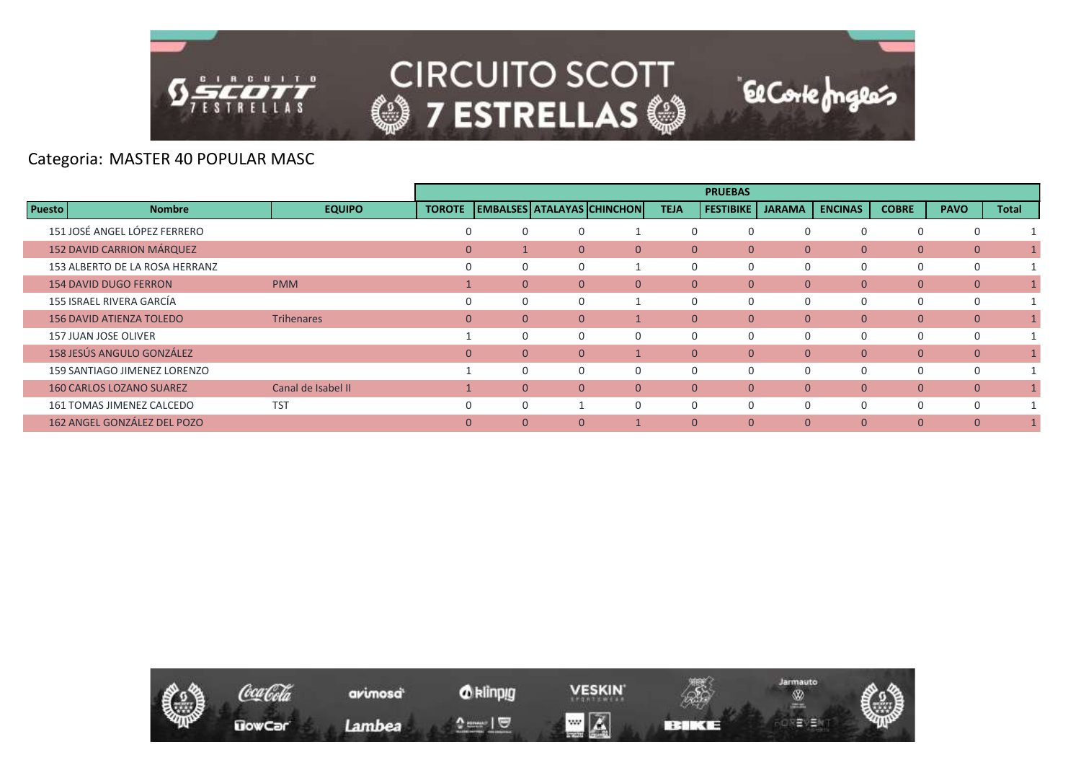

|               |                                 |                    |                |                |                |                            |                | <b>PRUEBAS</b>   |                |                |                |                |              |
|---------------|---------------------------------|--------------------|----------------|----------------|----------------|----------------------------|----------------|------------------|----------------|----------------|----------------|----------------|--------------|
| <b>Puesto</b> | <b>Nombre</b>                   | <b>EQUIPO</b>      | <b>TOROTE</b>  |                |                | EMBALSES ATALAYAS CHINCHON | <b>TEJA</b>    | <b>FESTIBIKE</b> | <b>JARAMA</b>  | <b>ENCINAS</b> | <b>COBRE</b>   | <b>PAVO</b>    | <b>Total</b> |
|               | 151 JOSÉ ANGEL LÓPEZ FERRERO    |                    | $\Omega$       |                | 0              |                            |                | $\Omega$         | $\Omega$       |                | 0              | $\Omega$       |              |
|               | 152 DAVID CARRION MÁRQUEZ       |                    | $\Omega$       |                | $\Omega$       | $\Omega$                   | $\mathbf{0}$   | $\Omega$         | $\Omega$       | $\Omega$       | $\overline{0}$ | $\mathbf{0}$   |              |
|               | 153 ALBERTO DE LA ROSA HERRANZ  |                    | $\Omega$       |                | 0              |                            | $\Omega$       | 0                | $\Omega$       |                | 0              | $\Omega$       |              |
|               | <b>154 DAVID DUGO FERRON</b>    | <b>PMM</b>         |                | $\Omega$       | $\Omega$       | $\Omega$                   | $\mathbf{0}$   | $\mathbf{0}$     | $\overline{0}$ | $\overline{0}$ | $\overline{0}$ | $\mathbf{0}$   |              |
|               | 155 ISRAEL RIVERA GARCÍA        |                    |                |                | 0              |                            | 0              | 0                | $\mathbf 0$    |                | 0              | 0              |              |
|               | <b>156 DAVID ATIENZA TOLEDO</b> | Trihenares         | $\overline{0}$ | $\Omega$       | $\Omega$       |                            | $\overline{0}$ | $\mathbf{0}$     | $\mathbf{0}$   | $\overline{0}$ | $\overline{0}$ | $\overline{0}$ |              |
|               | <b>157 JUAN JOSE OLIVER</b>     |                    |                |                | 0              | $\Omega$                   | $\Omega$       | $\Omega$         | $\Omega$       | $\Omega$       | 0              | 0              |              |
|               | 158 JESÚS ANGULO GONZÁLEZ       |                    | $\mathbf{0}$   | $\overline{0}$ | $\overline{0}$ |                            | $\mathbf{0}$   | $\mathbf{0}$     | $\mathbf{0}$   | $\mathbf{0}$   | $\mathbf{0}$   | $\mathbf{0}$   |              |
|               | 159 SANTIAGO JIMENEZ LORENZO    |                    |                |                | 0              | $\Omega$                   | $\Omega$       | 0                | $\Omega$       | $\Omega$       | 0              | 0              |              |
|               | <b>160 CARLOS LOZANO SUAREZ</b> | Canal de Isabel II |                | $\Omega$       | $\Omega$       | $\Omega$                   | $\mathbf{0}$   | $\mathbf{0}$     | $\overline{0}$ | $\overline{0}$ | $\overline{0}$ | $\mathbf{0}$   |              |
|               | 161 TOMAS JIMENEZ CALCEDO       | <b>TST</b>         | $\Omega$       |                |                | $\Omega$                   | $\Omega$       | $\Omega$         | $\Omega$       | $\Omega$       | 0              | $\Omega$       |              |
|               | 162 ANGEL GONZÁLEZ DEL POZO     |                    | $\Omega$       | $\Omega$       | $\Omega$       |                            | $\Omega$       | $\Omega$         | $\Omega$       | $\Omega$       | $\Omega$       | $\Omega$       |              |

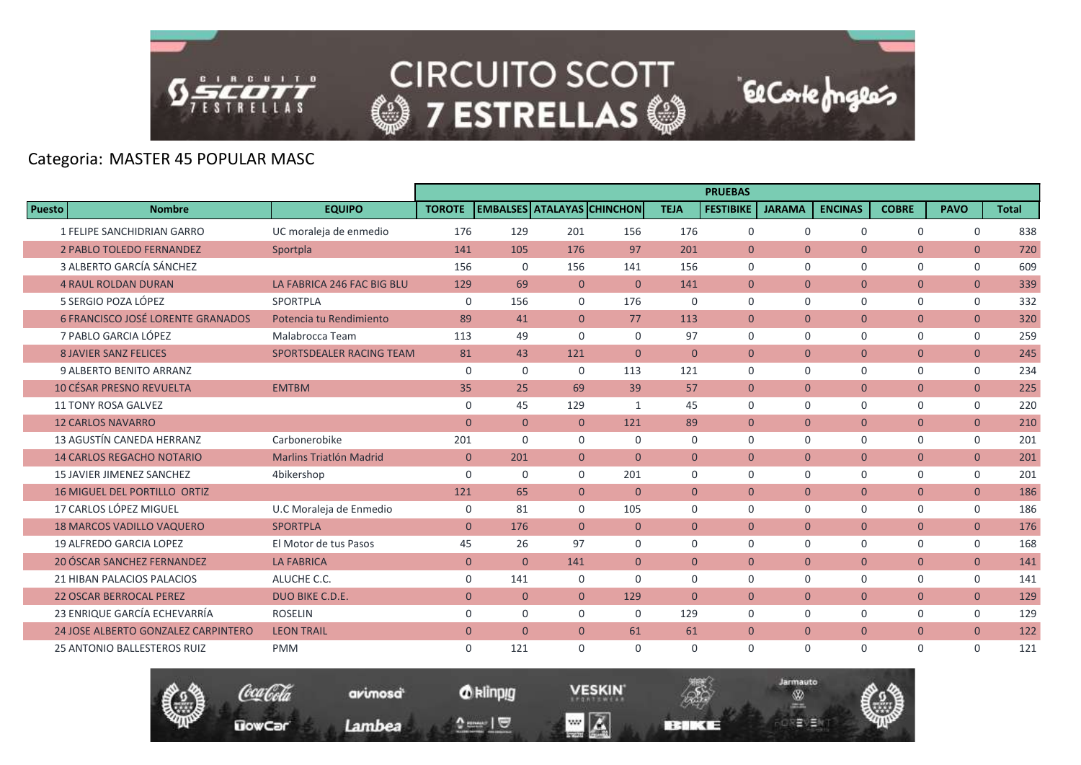

**CIRCUITO SCOTT** © 7 ESTRELLAS ©

El Corte Inglés

# Categoria: MASTER 45 POPULAR MASC

|                                          |                                |                |                |                                   |                |                | <b>PRUEBAS</b>   |                |                |                |                |              |
|------------------------------------------|--------------------------------|----------------|----------------|-----------------------------------|----------------|----------------|------------------|----------------|----------------|----------------|----------------|--------------|
| <b>Puesto</b><br><b>Nombre</b>           | <b>EQUIPO</b>                  | <b>TOROTE</b>  |                | <b>EMBALSES ATALAYAS CHINCHON</b> |                | <b>TEJA</b>    | <b>FESTIBIKE</b> | <b>JARAMA</b>  | <b>ENCINAS</b> | <b>COBRE</b>   | <b>PAVO</b>    | <b>Total</b> |
| 1 FELIPE SANCHIDRIAN GARRO               | UC moraleja de enmedio         | 176            | 129            | 201                               | 156            | 176            | $\mathbf 0$      | $\mathbf 0$    | 0              | 0              | $\mathbf 0$    | 838          |
| <b>2 PABLO TOLEDO FERNANDEZ</b>          | Sportpla                       | 141            | 105            | 176                               | 97             | 201            | $\Omega$         | $\Omega$       | $\Omega$       | $\overline{0}$ | $\overline{0}$ | 720          |
| 3 ALBERTO GARCÍA SÁNCHEZ                 |                                | 156            | 0              | 156                               | 141            | 156            | $\Omega$         | $\Omega$       | $\Omega$       | 0              | $\mathbf 0$    | 609          |
| <b>4 RAUL ROLDAN DURAN</b>               | LA FABRICA 246 FAC BIG BLU     | 129            | 69             | $\overline{0}$                    | $\mathbf{0}$   | 141            | $\mathbf{0}$     | $\mathbf{0}$   | $\overline{0}$ | $\overline{0}$ | $\overline{0}$ | 339          |
| 5 SERGIO POZA LÓPEZ                      | SPORTPLA                       | $\mathbf 0$    | 156            | $\Omega$                          | 176            | $\Omega$       | $\Omega$         | $\Omega$       | $\Omega$       | 0              | 0              | 332          |
| <b>6 FRANCISCO JOSÉ LORENTE GRANADOS</b> | Potencia tu Rendimiento        | 89             | 41             | $\Omega$                          | 77             | 113            | $\mathbf{0}$     | $\mathbf{0}$   | $\overline{0}$ | $\overline{0}$ | $\overline{0}$ | 320          |
| 7 PABLO GARCIA LÓPEZ                     | Malabrocca Team                | 113            | 49             | $\Omega$                          | $\Omega$       | 97             | $\mathbf 0$      | $\mathbf 0$    | 0              | 0              | $\mathbf 0$    | 259          |
| <b>8 JAVIER SANZ FELICES</b>             | SPORTSDEALER RACING TEAM       | 81             | 43             | 121                               | $\overline{0}$ | $\mathbf{0}$   | $\mathbf{0}$     | $\mathbf{0}$   | $\overline{0}$ | $\overline{0}$ | $\overline{0}$ | 245          |
| 9 ALBERTO BENITO ARRANZ                  |                                | $\mathbf 0$    | $\mathbf 0$    | $\Omega$                          | 113            | 121            | $\Omega$         | $\Omega$       | 0              | 0              | 0              | 234          |
| <b>10 CÉSAR PRESNO REVUELTA</b>          | <b>EMTBM</b>                   | 35             | 25             | 69                                | 39             | 57             | $\mathbf{0}$     | $\mathbf{0}$   | $\overline{0}$ | $\overline{0}$ | $\overline{0}$ | 225          |
| <b>11 TONY ROSA GALVEZ</b>               |                                | $\mathbf 0$    | 45             | 129                               | $\mathbf{1}$   | 45             | $\mathbf 0$      | $\mathbf 0$    | $\mathbf 0$    | 0              | $\mathsf{O}$   | 220          |
| <b>12 CARLOS NAVARRO</b>                 |                                | $\overline{0}$ | $\overline{0}$ | $\overline{0}$                    | 121            | 89             | $\overline{0}$   | $\overline{0}$ | $\overline{0}$ | $\overline{0}$ | $\overline{0}$ | 210          |
| 13 AGUSTÍN CANEDA HERRANZ                | Carbonerobike                  | 201            | $\Omega$       | $\Omega$                          | $\Omega$       | $\Omega$       | $\Omega$         | $\Omega$       | $\Omega$       | 0              | $\mathbf 0$    | 201          |
| <b>14 CARLOS REGACHO NOTARIO</b>         | <b>Marlins Triatlón Madrid</b> | $\overline{0}$ | 201            | $\overline{0}$                    | $\mathbf{0}$   | $\overline{0}$ | $\mathbf{0}$     | $\mathbf{0}$   | $\overline{0}$ | $\overline{0}$ | $\overline{0}$ | 201          |
| <b>15 JAVIER JIMENEZ SANCHEZ</b>         | 4bikershop                     | 0              | $\mathbf 0$    | $\Omega$                          | 201            | 0              | $\mathbf 0$      | $\mathbf 0$    | 0              | 0              | $\mathsf{O}$   | 201          |
| <b>16 MIGUEL DEL PORTILLO ORTIZ</b>      |                                | 121            | 65             | $\overline{0}$                    | $\mathbf{0}$   | $\Omega$       | $\Omega$         | $\Omega$       | $\overline{0}$ | $\overline{0}$ | $\overline{0}$ | 186          |
| 17 CARLOS LÓPEZ MIGUEL                   | U.C Moraleja de Enmedio        | 0              | 81             | $\Omega$                          | 105            | $\Omega$       | $\Omega$         | $\Omega$       | 0              | 0              | $\mathbf 0$    | 186          |
| <b>18 MARCOS VADILLO VAQUERO</b>         | <b>SPORTPLA</b>                | $\mathbf{0}$   | 176            | $\overline{0}$                    | $\mathbf{0}$   | $\overline{0}$ | $\mathbf{0}$     | $\mathbf{0}$   | $\mathbf{0}$   | $\overline{0}$ | $\mathbf{0}$   | 176          |
| 19 ALFREDO GARCIA LOPEZ                  | El Motor de tus Pasos          | 45             | 26             | 97                                | $\mathbf 0$    | $\Omega$       | $\Omega$         | $\mathbf 0$    | 0              | 0              | $\mathbf 0$    | 168          |
| <b>20 ÓSCAR SANCHEZ FERNANDEZ</b>        | <b>LA FABRICA</b>              | $\mathbf{0}$   | $\overline{0}$ | 141                               | $\overline{0}$ | $\overline{0}$ | $\mathbf{0}$     | $\mathbf{0}$   | $\overline{0}$ | $\overline{0}$ | $\overline{0}$ | 141          |
| 21 HIBAN PALACIOS PALACIOS               | ALUCHE C.C.                    | $\mathbf 0$    | 141            | $\Omega$                          | $\Omega$       | $\Omega$       | $\mathbf 0$      | $\mathbf 0$    | $\Omega$       | 0              | 0              | 141          |
| <b>22 OSCAR BERROCAL PEREZ</b>           | DUO BIKE C.D.E.                | $\mathbf{0}$   | $\overline{0}$ | $\overline{0}$                    | 129            | $\mathbf{0}$   | $\mathbf{0}$     | $\mathbf{0}$   | $\overline{0}$ | $\overline{0}$ | $\overline{0}$ | 129          |
| 23 ENRIQUE GARCÍA ECHEVARRÍA             | <b>ROSELIN</b>                 | $\mathbf 0$    | $\mathbf 0$    | $\Omega$                          | $\mathbf 0$    | 129            | $\mathbf 0$      | $\mathbf 0$    | 0              | 0              | $\mathbf 0$    | 129          |
| 24 JOSE ALBERTO GONZALEZ CARPINTERO      | <b>LEON TRAIL</b>              | $\mathbf{0}$   | $\overline{0}$ | $\overline{0}$                    | 61             | 61             | $\mathbf{0}$     | $\mathbf{0}$   | $\overline{0}$ | $\overline{0}$ | $\overline{0}$ | 122          |
| <b>25 ANTONIO BALLESTEROS RUIZ</b>       | <b>PMM</b>                     | $\mathbf 0$    | 121            | $\Omega$                          | $\Omega$       | $\mathbf 0$    | $\mathbf 0$      | $\mathbf 0$    | 0              | 0              | $\mathbf 0$    | 121          |

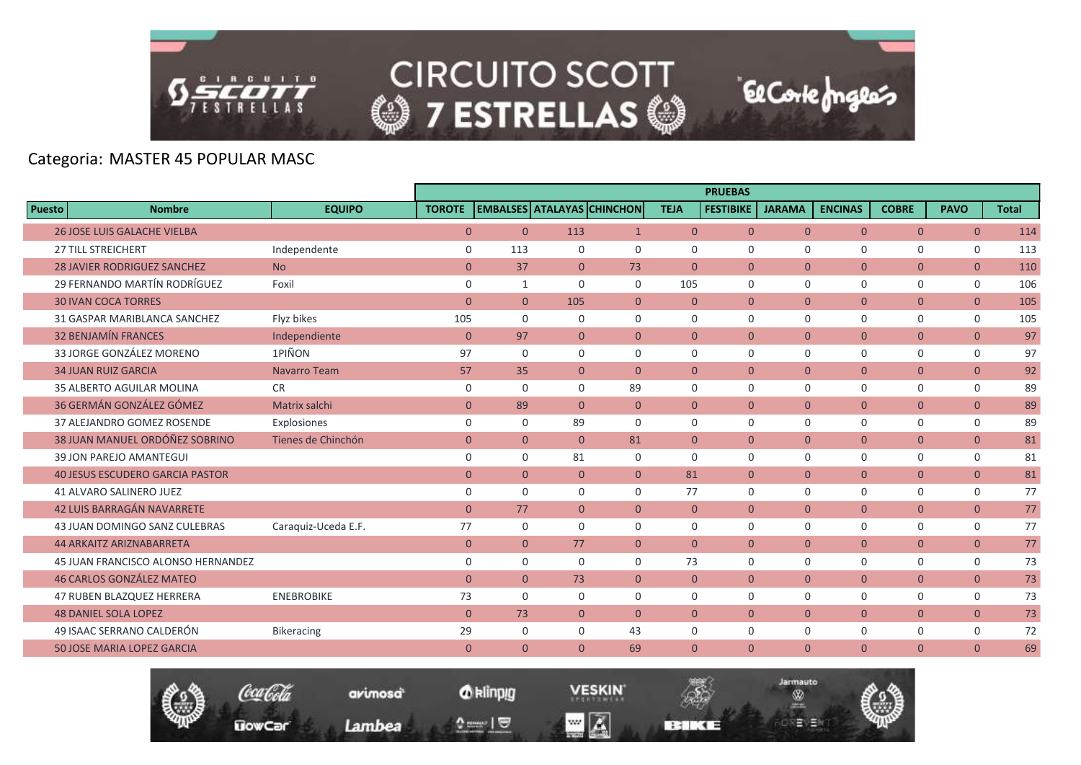

Coca Cola

**UowCar** 

**CIRCUITO SCOTT @7 ESTRELLAS @** 

# Categoria: MASTER 45 POPULAR MASC

|        |                                        |                     |                |                |                                   |                |                | <b>PRUEBAS</b>   |               |                |                |                |              |
|--------|----------------------------------------|---------------------|----------------|----------------|-----------------------------------|----------------|----------------|------------------|---------------|----------------|----------------|----------------|--------------|
| Puesto | <b>Nombre</b>                          | <b>EQUIPO</b>       | <b>TOROTE</b>  |                | <b>EMBALSES ATALAYAS CHINCHON</b> |                | <b>TEJA</b>    | <b>FESTIBIKE</b> | <b>JARAMA</b> | <b>ENCINAS</b> | <b>COBRE</b>   | <b>PAVO</b>    | <b>Total</b> |
|        | <b>26 JOSE LUIS GALACHE VIELBA</b>     |                     | $\overline{0}$ | $\overline{0}$ | 113                               | $\mathbf{1}$   | $\overline{0}$ | $\overline{0}$   | $\Omega$      | $\Omega$       | $\overline{0}$ | $\overline{0}$ | 114          |
|        | <b>27 TILL STREICHERT</b>              | Independente        | $\mathbf 0$    | 113            | $\Omega$                          | $\Omega$       | $\Omega$       | $\Omega$         | $\Omega$      | $\Omega$       | $\mathbf 0$    | $\mathbf 0$    | 113          |
|        | <b>28 JAVIER RODRIGUEZ SANCHEZ</b>     | <b>No</b>           | $\mathbf{0}$   | 37             | $\overline{0}$                    | 73             | $\mathbf{0}$   | $\overline{0}$   | $\mathbf{0}$  | $\mathbf{0}$   | $\overline{0}$ | $\overline{0}$ | 110          |
|        | 29 FERNANDO MARTÍN RODRÍGUEZ           | Foxil               | $\mathbf 0$    | $\mathbf{1}$   | $\mathbf 0$                       | $\mathbf 0$    | 105            | $\mathbf 0$      | $\mathbf 0$   | $\mathbf 0$    | $\mathsf{O}$   | 0              | 106          |
|        | <b>30 IVAN COCA TORRES</b>             |                     | $\mathbf{0}$   | $\mathbf{0}$   | 105                               | $\overline{0}$ | $\mathbf{0}$   | $\overline{0}$   | $\mathbf{0}$  | $\mathbf{0}$   | $\overline{0}$ | $\overline{0}$ | 105          |
|        | 31 GASPAR MARIBLANCA SANCHEZ           | Flyz bikes          | 105            | $\Omega$       | $\Omega$                          | $\Omega$       | $\Omega$       | $\Omega$         | $\Omega$      | $\Omega$       | $\mathbf 0$    | $\mathbf 0$    | 105          |
|        | <b>32 BENJAMÍN FRANCES</b>             | Independiente       | $\mathbf{0}$   | 97             | $\overline{0}$                    | $\mathbf{0}$   | $\mathbf{0}$   | $\overline{0}$   | $\mathbf{0}$  | $\mathbf{0}$   | $\overline{0}$ | $\overline{0}$ | 97           |
|        | 33 JORGE GONZÁLEZ MORENO               | 1PIÑON              | 97             | $\mathbf 0$    | $\Omega$                          | $\Omega$       | $\Omega$       | $\Omega$         | $\Omega$      | $\Omega$       | $\mathbf 0$    | $\mathbf 0$    | 97           |
|        | <b>34 JUAN RUIZ GARCIA</b>             | <b>Navarro Team</b> | 57             | 35             | $\overline{0}$                    | $\mathbf{0}$   | $\mathbf{0}$   | $\overline{0}$   | $\mathbf{0}$  | $\overline{0}$ | $\overline{0}$ | $\overline{0}$ | 92           |
|        | <b>35 ALBERTO AGUILAR MOLINA</b>       | <b>CR</b>           | $\mathbf 0$    | $\mathbf 0$    | $\Omega$                          | 89             | $\Omega$       | $\Omega$         | $\Omega$      | $\Omega$       | $\mathbf 0$    | $\mathbf 0$    | 89           |
|        | 36 GERMÁN GONZÁLEZ GÓMEZ               | Matrix salchi       | $\mathbf{0}$   | 89             | $\overline{0}$                    | $\mathbf{0}$   | $\mathbf{0}$   | $\mathbf{0}$     | $\mathbf{0}$  | $\mathbf{0}$   | $\overline{0}$ | $\mathbf{0}$   | 89           |
|        | 37 ALEJANDRO GOMEZ ROSENDE             | Explosiones         | $\mathbf 0$    | $\mathbf 0$    | 89                                | $\Omega$       | $\Omega$       | $\Omega$         | $\mathbf 0$   | $\mathbf 0$    | $\mathbf 0$    | $\mathbf 0$    | 89           |
|        | 38 JUAN MANUEL ORDÓÑEZ SOBRINO         | Tienes de Chinchón  | $\mathbf{0}$   | $\mathbf{0}$   | $\overline{0}$                    | 81             | $\mathbf{0}$   | $\overline{0}$   | $\mathbf{0}$  | $\overline{0}$ | $\overline{0}$ | $\overline{0}$ | 81           |
|        | 39 JON PAREJO AMANTEGUI                |                     | $\mathbf 0$    | $\mathbf 0$    | 81                                | $\mathbf 0$    | $\mathbf 0$    | $\mathbf 0$      | $\mathbf 0$   | $\mathbf 0$    | $\mathsf{O}$   | $\mathbf 0$    | 81           |
|        | <b>40 JESUS ESCUDERO GARCIA PASTOR</b> |                     | $\overline{0}$ | $\overline{0}$ | $\Omega$                          | $\Omega$       | 81             | $\Omega$         | $\Omega$      | $\overline{0}$ | $\overline{0}$ | $\overline{0}$ | 81           |
|        | <b>41 ALVARO SALINERO JUEZ</b>         |                     | $\mathbf 0$    | $\mathbf 0$    | $\Omega$                          | $\mathbf 0$    | 77             | $\Omega$         | $\Omega$      | $\mathbf 0$    | $\mathbf 0$    | 0              | 77           |
|        | 42 LUIS BARRAGÁN NAVARRETE             |                     | $\mathbf{0}$   | 77             | $\overline{0}$                    | $\mathbf{0}$   | $\mathbf{0}$   | $\overline{0}$   | $\mathbf{0}$  | $\mathbf{0}$   | $\overline{0}$ | $\overline{0}$ | 77           |
|        | 43 JUAN DOMINGO SANZ CULEBRAS          | Caraquiz-Uceda E.F. | 77             | $\mathbf 0$    | $\Omega$                          | $\mathbf 0$    | $\mathbf 0$    | $\mathbf 0$      | $\mathbf 0$   | $\mathbf 0$    | 0              | 0              | 77           |
|        | <b>44 ARKAITZ ARIZNABARRETA</b>        |                     | $\mathbf{0}$   | $\overline{0}$ | 77                                | $\mathbf{0}$   | $\theta$       | $\Omega$         | $\Omega$      | $\overline{0}$ | $\overline{0}$ | $\overline{0}$ | 77           |
|        | 45 JUAN FRANCISCO ALONSO HERNANDEZ     |                     | 0              | $\mathbf 0$    | $\Omega$                          | $\Omega$       | 73             | $\Omega$         | $\mathbf 0$   | $\mathbf 0$    | $\mathbf 0$    | $\mathbf 0$    | 73           |
|        | <b>46 CARLOS GONZÁLEZ MATEO</b>        |                     | $\mathbf{0}$   | $\overline{0}$ | 73                                | $\mathbf{0}$   | $\mathbf{0}$   | $\overline{0}$   | $\mathbf{0}$  | $\mathbf{0}$   | $\overline{0}$ | $\overline{0}$ | 73           |
|        | <b>47 RUBEN BLAZQUEZ HERRERA</b>       | <b>ENEBROBIKE</b>   | 73             | $\Omega$       | $\Omega$                          | $\Omega$       | $\Omega$       | $\Omega$         | $\Omega$      | $\Omega$       | $\mathbf 0$    | $\mathbf 0$    | 73           |
|        | <b>48 DANIEL SOLA LOPEZ</b>            |                     | $\mathbf{0}$   | 73             | $\overline{0}$                    | $\mathbf{0}$   | $\mathbf{0}$   | $\mathbf{0}$     | $\mathbf{0}$  | $\overline{0}$ | $\overline{0}$ | $\overline{0}$ | 73           |
|        | 49 ISAAC SERRANO CALDERÓN              | <b>Bikeracing</b>   | 29             | $\mathbf 0$    | $\mathbf 0$                       | 43             | $\mathbf 0$    | $\mathbf 0$      | $\mathbf 0$   | $\mathbf 0$    | $\mathbf 0$    | $\mathbf 0$    | 72           |
|        | <b>50 JOSE MARIA LOPEZ GARCIA</b>      |                     | $\overline{0}$ | $\overline{0}$ | $\Omega$                          | 69             | $\Omega$       | $\Omega$         | $\Omega$      | $\mathbf{0}$   | $\overline{0}$ | $\mathbf{0}$   | 69           |
|        |                                        |                     |                |                |                                   |                |                |                  |               |                |                |                |              |



**VESKIN**  $\blacksquare$   $\blacksquare$ 

**REMEDIATE** 



El Corte Inglés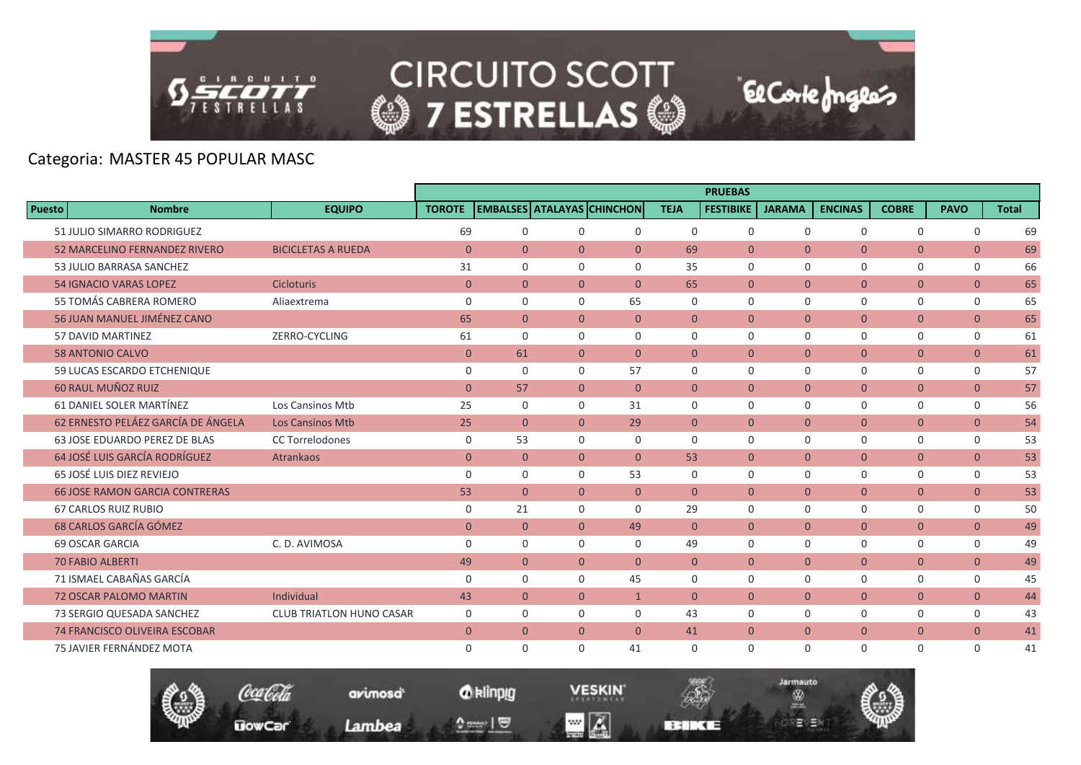

### Categoria: MASTER 45 POPULAR MASC

|               |                                       |                                 |               |                |                |                                   |                | <b>PRUEBAS</b>   |                |                |                |                |              |
|---------------|---------------------------------------|---------------------------------|---------------|----------------|----------------|-----------------------------------|----------------|------------------|----------------|----------------|----------------|----------------|--------------|
| <b>Puesto</b> | <b>Nombre</b>                         | <b>EQUIPO</b>                   | <b>TOROTE</b> |                |                | <b>EMBALSES ATALAYAS CHINCHON</b> | <b>TEJA</b>    | <b>FESTIBIKE</b> | <b>JARAMA</b>  | <b>ENCINAS</b> | <b>COBRE</b>   | <b>PAVO</b>    | <b>Total</b> |
|               | 51 JULIO SIMARRO RODRIGUEZ            |                                 | 69            | $\mathbf 0$    | $\mathbf 0$    | $\mathbf 0$                       | 0              | $\mathbf 0$      | $\mathbf 0$    | $\mathbf 0$    | $\mathbf 0$    | $\mathbf 0$    | 69           |
|               | 52 MARCELINO FERNANDEZ RIVERO         | <b>BICICLETAS A RUEDA</b>       | $\mathbf{0}$  | $\overline{0}$ | $\overline{0}$ | $\overline{0}$                    | 69             | $\overline{0}$   | $\Omega$       | $\mathbf{0}$   | $\overline{0}$ | $\mathbf{0}$   | 69           |
|               | 53 JULIO BARRASA SANCHEZ              |                                 | 31            | $\Omega$       | $\Omega$       | $\Omega$                          | 35             | $\mathbf 0$      | $\Omega$       | $\mathbf 0$    | $\mathbf 0$    | 0              | 66           |
|               | <b>54 IGNACIO VARAS LOPEZ</b>         | <b>Cicloturis</b>               | $\mathbf{0}$  | $\overline{0}$ | $\overline{0}$ | $\mathbf{0}$                      | 65             | $\overline{0}$   | $\overline{0}$ | $\mathbf{0}$   | $\overline{0}$ | $\overline{0}$ | 65           |
|               | 55 TOMÁS CABRERA ROMERO               | Aliaextrema                     | $\mathbf 0$   | $\mathbf 0$    | $\mathbf 0$    | 65                                | 0              | $\mathbf 0$      | $\mathbf 0$    | $\mathbf 0$    | $\mathbf 0$    | $\mathsf{O}$   | 65           |
|               | 56 JUAN MANUEL JIMÉNEZ CANO           |                                 | 65            | $\overline{0}$ | $\Omega$       | $\Omega$                          | $\Omega$       | $\Omega$         | $\Omega$       | $\mathbf{0}$   | $\overline{0}$ | $\overline{0}$ | 65           |
|               | 57 DAVID MARTINEZ                     | ZERRO-CYCLING                   | 61            | $\mathbf 0$    | $\mathbf 0$    | 0                                 | 0              | $\mathbf 0$      | $\Omega$       | $\mathbf 0$    | $\mathbf 0$    | $\mathbf 0$    | 61           |
|               | <b>58 ANTONIO CALVO</b>               |                                 | $\mathbf{0}$  | 61             | $\overline{0}$ | $\mathbf{0}$                      | $\mathbf{0}$   | $\overline{0}$   | $\overline{0}$ | $\mathbf{0}$   | $\overline{0}$ | $\mathbf{0}$   | 61           |
|               | 59 LUCAS ESCARDO ETCHENIQUE           |                                 | $\mathbf 0$   | $\mathbf 0$    | $\Omega$       | 57                                | 0              | $\mathbf 0$      | $\Omega$       | $\mathbf 0$    | $\mathsf{O}$   | $\mathsf{O}$   | 57           |
|               | 60 RAUL MUÑOZ RUIZ                    |                                 | $\mathbf{0}$  | 57             | $\overline{0}$ | $\mathbf{0}$                      | $\overline{0}$ | $\overline{0}$   | $\mathbf{0}$   | $\mathbf{0}$   | $\overline{0}$ | $\overline{0}$ | 57           |
|               | 61 DANIEL SOLER MARTÍNEZ              | Los Cansinos Mtb                | 25            | $\mathbf 0$    | $\Omega$       | 31                                | 0              | $\mathbf 0$      | $\Omega$       | $\mathbf 0$    | $\mathbf 0$    | 0              | 56           |
|               | 62 ERNESTO PELÁEZ GARCÍA DE ÁNGELA    | <b>Los Cansinos Mtb</b>         | 25            | $\overline{0}$ | $\overline{0}$ | 29                                | $\overline{0}$ | $\overline{0}$   | $\overline{0}$ | $\mathbf{0}$   | $\overline{0}$ | $\overline{0}$ | 54           |
|               | 63 JOSE EDUARDO PEREZ DE BLAS         | <b>CC Torrelodones</b>          | 0             | 53             | $\Omega$       | $\Omega$                          | $\Omega$       | $\Omega$         | $\Omega$       | $\Omega$       | $\mathbf 0$    | $\mathbf 0$    | 53           |
|               | 64 JOSÉ LUIS GARCÍA RODRÍGUEZ         | <b>Atrankaos</b>                | $\mathbf{0}$  | $\overline{0}$ | $\mathbf{0}$   | $\Omega$                          | 53             | $\Omega$         | $\mathbf{0}$   | $\mathbf{0}$   | $\overline{0}$ | $\overline{0}$ | 53           |
|               | 65 JOSÉ LUIS DIEZ REVIEJO             |                                 | $\mathbf 0$   | $\mathbf 0$    | $\mathbf 0$    | 53                                | $\mathbf 0$    | $\mathbf 0$      | $\mathbf 0$    | $\mathbf 0$    | $\mathbf 0$    | 0              | 53           |
|               | <b>66 JOSE RAMON GARCIA CONTRERAS</b> |                                 | 53            | $\overline{0}$ | $\overline{0}$ | $\mathbf{0}$                      | $\mathbf{0}$   | $\overline{0}$   | $\mathbf{0}$   | $\mathbf{0}$   | $\overline{0}$ | $\overline{0}$ | 53           |
|               | <b>67 CARLOS RUIZ RUBIO</b>           |                                 | 0             | 21             | $\Omega$       | $\Omega$                          | 29             | $\Omega$         | $\Omega$       | $\mathbf 0$    | $\mathbf 0$    | $\mathbf 0$    | 50           |
|               | <b>68 CARLOS GARCÍA GÓMEZ</b>         |                                 | $\mathbf{0}$  | $\overline{0}$ | $\overline{0}$ | 49                                | $\overline{0}$ | $\overline{0}$   | $\overline{0}$ | $\mathbf{0}$   | $\overline{0}$ | $\overline{0}$ | 49           |
|               | 69 OSCAR GARCIA                       | C. D. AVIMOSA                   | $\mathbf 0$   | $\mathbf 0$    | $\Omega$       | $\Omega$                          | 49             | $\mathbf 0$      | $\Omega$       | $\mathbf 0$    | $\mathbf 0$    | 0              | 49           |
|               | <b>70 FABIO ALBERTI</b>               |                                 | 49            | $\overline{0}$ | $\overline{0}$ | $\mathbf{0}$                      | $\overline{0}$ | $\overline{0}$   | $\mathbf{0}$   | $\mathbf{0}$   | $\overline{0}$ | $\overline{0}$ | 49           |
|               | 71 ISMAEL CABAÑAS GARCÍA              |                                 | 0             | $\Omega$       | $\Omega$       | 45                                | $\Omega$       | $\Omega$         | $\Omega$       | $\Omega$       | $\mathbf{0}$   | $\mathbf 0$    | 45           |
|               | 72 OSCAR PALOMO MARTIN                | Individual                      | 43            | $\overline{0}$ | $\overline{0}$ | $\mathbf{1}$                      | $\mathbf{0}$   | $\overline{0}$   | $\overline{0}$ | $\mathbf{0}$   | $\overline{0}$ | $\overline{0}$ | 44           |
|               | 73 SERGIO QUESADA SANCHEZ             | <b>CLUB TRIATLON HUNO CASAR</b> | $\mathbf 0$   | $\mathbf 0$    | $\Omega$       | $\Omega$                          | 43             | $\Omega$         | $\Omega$       | $\mathbf 0$    | $\mathbf 0$    | $\mathsf{O}$   | 43           |
|               | 74 FRANCISCO OLIVEIRA ESCOBAR         |                                 | $\mathbf{0}$  | $\overline{0}$ | $\overline{0}$ | $\mathbf{0}$                      | 41             | $\mathbf{0}$     | $\mathbf{0}$   | $\mathbf{0}$   | $\overline{0}$ | $\overline{0}$ | 41           |
|               | 75 JAVIER FERNÁNDEZ MOTA              |                                 | $\Omega$      | $\Omega$       | $\Omega$       | 41                                | $\Omega$       | $\Omega$         | $\Omega$       | $\Omega$       | $\Omega$       | $\Omega$       | 41           |

El Corte Inglés

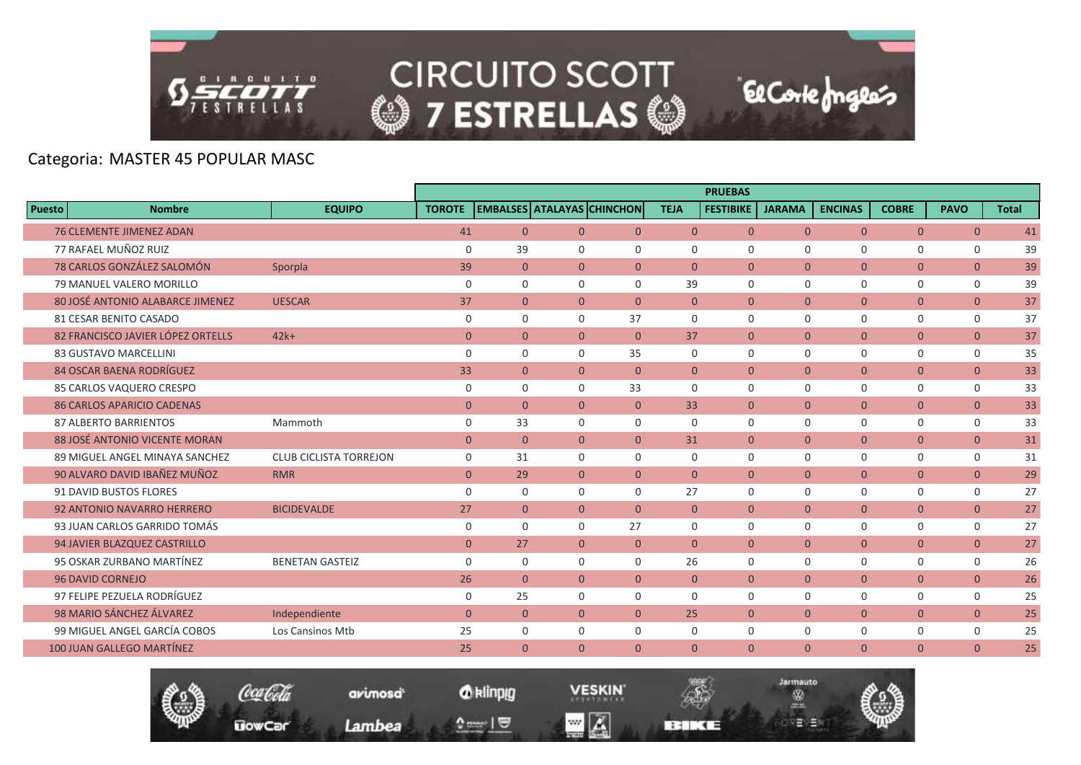

Coca Cola

**UowCar** 

**CIRCUITO SCOTT @7 ESTRELLAS @** 

El Corte Inglés

Jarmauto

Ŵ

モリヨ

# Categoria: MASTER 45 POPULAR MASC

|                                   |                               |               |                |                |                                   |                | <b>PRUEBAS</b>   |                |                |                |                |              |
|-----------------------------------|-------------------------------|---------------|----------------|----------------|-----------------------------------|----------------|------------------|----------------|----------------|----------------|----------------|--------------|
| Puesto<br><b>Nombre</b>           | <b>EQUIPO</b>                 | <b>TOROTE</b> |                |                | <b>EMBALSES ATALAYAS CHINCHON</b> | <b>TEJA</b>    | <b>FESTIBIKE</b> | <b>JARAMA</b>  | <b>ENCINAS</b> | <b>COBRE</b>   | <b>PAVO</b>    | <b>Total</b> |
| <b>76 CLEMENTE JIMENEZ ADAN</b>   |                               | 41            | $\overline{0}$ | $\overline{0}$ | $\overline{0}$                    | $\overline{0}$ | $\overline{0}$   | $\overline{0}$ | $\overline{0}$ | $\overline{0}$ | $\overline{0}$ | 41           |
| 77 RAFAEL MUÑOZ RUIZ              |                               | $\Omega$      | 39             | $\Omega$       | $\Omega$                          | $\Omega$       | $\Omega$         | $\Omega$       | $\Omega$       | $\Omega$       | $\Omega$       | 39           |
| 78 CARLOS GONZÁLEZ SALOMÓN        | Sporpla                       | 39            | $\overline{0}$ | $\overline{0}$ | $\Omega$                          | $\Omega$       | $\Omega$         | $\Omega$       | $\overline{0}$ | $\overline{0}$ | $\overline{0}$ | 39           |
| 79 MANUEL VALERO MORILLO          |                               | $\mathbf 0$   | $\mathbf 0$    | $\mathbf 0$    | $\mathbf 0$                       | 39             | $\mathbf 0$      | $\mathbf 0$    | $\mathbf 0$    | $\mathbf 0$    | $\mathbf 0$    | 39           |
| 80 JOSÉ ANTONIO ALABARCE JIMENEZ  | <b>UESCAR</b>                 | 37            | $\overline{0}$ | $\overline{0}$ | $\mathbf{0}$                      | $\mathbf{0}$   | $\Omega$         | $\mathbf{0}$   | $\overline{0}$ | $\overline{0}$ | $\overline{0}$ | 37           |
| 81 CESAR BENITO CASADO            |                               | $\mathbf 0$   | $\Omega$       | $\Omega$       | 37                                | $\Omega$       | $\Omega$         | $\Omega$       | 0              | $\mathbf 0$    | $\mathbf 0$    | 37           |
| 82 FRANCISCO JAVIER LÓPEZ ORTELLS | $42k+$                        | $\mathbf{0}$  | $\overline{0}$ | $\overline{0}$ | $\mathbf{0}$                      | 37             | $\overline{0}$   | $\mathbf{0}$   | $\overline{0}$ | $\overline{0}$ | $\overline{0}$ | 37           |
| <b>83 GUSTAVO MARCELLINI</b>      |                               | $\mathbf 0$   | $\mathbf 0$    | $\mathbf 0$    | 35                                | $\mathbf 0$    | $\mathbf 0$      | $\mathbf 0$    | 0              | $\mathbf 0$    | $\mathbf 0$    | 35           |
| <b>84 OSCAR BAENA RODRÍGUEZ</b>   |                               | 33            | $\Omega$       | $\Omega$       | $\Omega$                          | $\Omega$       | $\Omega$         | $\Omega$       | $\Omega$       | $\overline{0}$ | $\overline{0}$ | 33           |
| 85 CARLOS VAQUERO CRESPO          |                               | $\mathbf 0$   | $\Omega$       | $\Omega$       | 33                                | $\Omega$       | $\Omega$         | $\Omega$       | $\mathbf 0$    | $\mathbf 0$    | $\mathbf 0$    | 33           |
| <b>86 CARLOS APARICIO CADENAS</b> |                               | $\mathbf{0}$  | $\overline{0}$ | $\overline{0}$ | $\overline{0}$                    | 33             | $\overline{0}$   | $\overline{0}$ | $\overline{0}$ | $\overline{0}$ | $\overline{0}$ | 33           |
| <b>87 ALBERTO BARRIENTOS</b>      | Mammoth                       | $\mathbf 0$   | 33             | $\Omega$       | $\Omega$                          | $\Omega$       | $\Omega$         | $\Omega$       | $\mathbf 0$    | $\mathbf 0$    | $\mathbf 0$    | 33           |
| 88 JOSÉ ANTONIO VICENTE MORAN     |                               | $\mathbf{0}$  | $\overline{0}$ | $\overline{0}$ | $\Omega$                          | 31             | $\Omega$         | $\Omega$       | $\overline{0}$ | $\overline{0}$ | $\overline{0}$ | 31           |
| 89 MIGUEL ANGEL MINAYA SANCHEZ    | <b>CLUB CICLISTA TORREJON</b> | $\mathbf 0$   | 31             | $\mathbf 0$    | $\Omega$                          | $\mathbf 0$    | $\mathbf 0$      | $\Omega$       | $\mathbf 0$    | 0              | 0              | 31           |
| 90 ALVARO DAVID IBAÑEZ MUÑOZ      | <b>RMR</b>                    | $\mathbf{0}$  | 29             | $\overline{0}$ | $\overline{0}$                    | $\Omega$       | $\Omega$         | $\Omega$       | $\overline{0}$ | $\overline{0}$ | $\overline{0}$ | 29           |
| 91 DAVID BUSTOS FLORES            |                               | $\mathbf 0$   | $\mathbf 0$    | $\Omega$       | $\Omega$                          | 27             | $\mathbf 0$      | $\Omega$       | 0              | 0              | 0              | 27           |
| 92 ANTONIO NAVARRO HERRERO        | <b>BICIDEVALDE</b>            | 27            | $\overline{0}$ | $\Omega$       | $\Omega$                          | $\overline{0}$ | $\overline{0}$   | $\Omega$       | $\overline{0}$ | $\overline{0}$ | $\overline{0}$ | 27           |
| 93 JUAN CARLOS GARRIDO TOMÁS      |                               | 0             | $\mathbf 0$    | $\Omega$       | 27                                | $\mathbf 0$    | $\mathbf 0$      | $\Omega$       | 0              | $\mathbf 0$    | 0              | 27           |
| 94 JAVIER BLAZQUEZ CASTRILLO      |                               | $\mathbf{0}$  | 27             | $\overline{0}$ | $\mathbf{0}$                      | $\Omega$       | $\overline{0}$   | $\Omega$       | $\overline{0}$ | $\overline{0}$ | $\overline{0}$ | 27           |
| 95 OSKAR ZURBANO MARTÍNEZ         | <b>BENETAN GASTEIZ</b>        | $\mathbf 0$   | $\mathbf 0$    | $\Omega$       | $\Omega$                          | 26             | $\mathbf 0$      | $\mathbf 0$    | 0              | $\mathsf{O}$   | $\mathbf 0$    | 26           |
| <b>96 DAVID CORNEJO</b>           |                               | 26            | $\overline{0}$ | $\overline{0}$ | $\overline{0}$                    | $\overline{0}$ | $\overline{0}$   | $\mathbf{0}$   | $\mathbf{0}$   | $\overline{0}$ | $\overline{0}$ | 26           |
| 97 FELIPE PEZUELA RODRÍGUEZ       |                               | $\mathbf 0$   | 25             | $\Omega$       | $\Omega$                          | $\Omega$       | $\Omega$         | $\Omega$       | $\Omega$       | $\mathbf 0$    | $\mathbf 0$    | 25           |
| 98 MARIO SÁNCHEZ ÁLVAREZ          | Independiente                 | $\mathbf{0}$  | $\overline{0}$ | $\overline{0}$ | $\Omega$                          | 25             | $\overline{0}$   | $\mathbf{0}$   | $\overline{0}$ | $\overline{0}$ | $\overline{0}$ | 25           |
| 99 MIGUEL ANGEL GARCÍA COBOS      | Los Cansinos Mtb              | 25            | $\mathbf 0$    | $\mathbf 0$    | 0                                 | 0              | 0                | 0              | $\mathbf 0$    | $\mathsf{O}$   | 0              | 25           |
| 100 JUAN GALLEGO MARTÍNEZ         |                               | 25            | $\mathbf{0}$   | $\Omega$       | $\mathbf{0}$                      | $\Omega$       | $\Omega$         | $\Omega$       | $\overline{0}$ | $\overline{0}$ | $\overline{0}$ | 25           |

*O* klinpig

 $\begin{array}{c} \texttt{0} & \texttt{0} \\ \texttt{0} & \texttt{0} \end{array}$ 

avimosa

Lambea

**VESKIN** 

**BERKEE** 

 $\blacksquare$   $\blacksquare$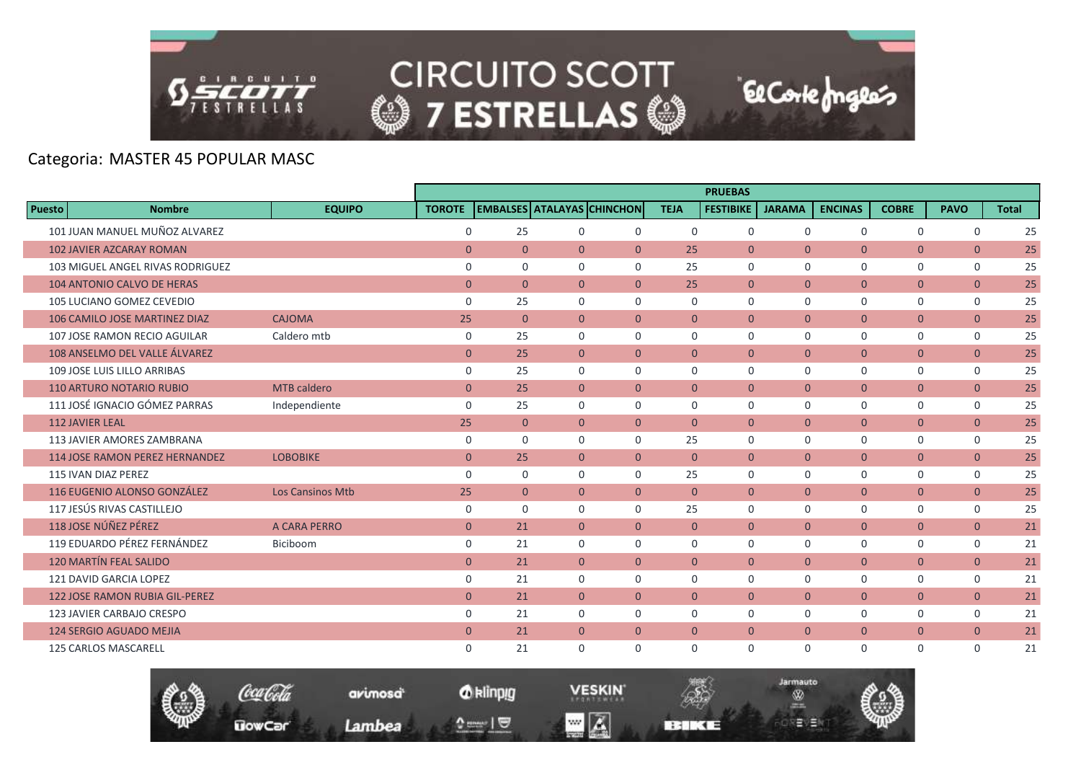

#### Categoria: MASTER 45 POPULAR MASC

|               |                                       |                         |                |                |                |                                   |                | <b>PRUEBAS</b>   |                |                |                |                |              |
|---------------|---------------------------------------|-------------------------|----------------|----------------|----------------|-----------------------------------|----------------|------------------|----------------|----------------|----------------|----------------|--------------|
| <b>Puesto</b> | <b>Nombre</b>                         | <b>EQUIPO</b>           | <b>TOROTE</b>  |                |                | <b>EMBALSES ATALAYAS CHINCHON</b> | <b>TEJA</b>    | <b>FESTIBIKE</b> | <b>JARAMA</b>  | <b>ENCINAS</b> | <b>COBRE</b>   | <b>PAVO</b>    | <b>Total</b> |
|               | 101 JUAN MANUEL MUÑOZ ALVAREZ         |                         | $\mathbf 0$    | 25             | $\mathbf 0$    | $\mathbf 0$                       | $\mathbf 0$    | $\mathbf 0$      | $\mathbf 0$    | $\mathbf 0$    | $\mathbf 0$    | $\mathbf 0$    | 25           |
|               | <b>102 JAVIER AZCARAY ROMAN</b>       |                         | $\overline{0}$ | $\overline{0}$ | $\Omega$       | $\overline{0}$                    | 25             | $\Omega$         | $\Omega$       | $\Omega$       | $\overline{0}$ | $\overline{0}$ | 25           |
|               | 103 MIGUEL ANGEL RIVAS RODRIGUEZ      |                         | $\mathbf 0$    | 0              | $\Omega$       | $\Omega$                          | 25             | $\mathbf 0$      | $\mathbf 0$    | 0              | $\mathbf 0$    | $\mathbf 0$    | 25           |
|               | <b>104 ANTONIO CALVO DE HERAS</b>     |                         | $\mathbf{0}$   | $\overline{0}$ | $\overline{0}$ | $\overline{0}$                    | 25             | $\overline{0}$   | $\overline{0}$ | $\mathbf{0}$   | $\overline{0}$ | $\overline{0}$ | 25           |
|               | 105 LUCIANO GOMEZ CEVEDIO             |                         | $\mathbf 0$    | 25             | $\mathbf 0$    | $\mathbf 0$                       | 0              | $\mathbf 0$      | $\Omega$       | $\mathbf 0$    | $\mathsf{O}$   | $\mathbf 0$    | 25           |
|               | 106 CAMILO JOSE MARTINEZ DIAZ         | <b>CAJOMA</b>           | 25             | $\overline{0}$ | $\overline{0}$ | $\overline{0}$                    | $\overline{0}$ | $\overline{0}$   | $\overline{0}$ | $\overline{0}$ | $\overline{0}$ | $\overline{0}$ | 25           |
|               | 107 JOSE RAMON RECIO AGUILAR          | Caldero mtb             | $\mathbf 0$    | 25             | $\mathbf 0$    | $\Omega$                          | 0              | $\mathbf 0$      | $\mathbf 0$    | 0              | $\mathbf 0$    | $\mathbf 0$    | 25           |
|               | 108 ANSELMO DEL VALLE ÁLVAREZ         |                         | $\mathbf{0}$   | 25             | $\overline{0}$ | $\overline{0}$                    | $\overline{0}$ | $\overline{0}$   | $\mathbf{0}$   | $\overline{0}$ | $\overline{0}$ | $\overline{0}$ | 25           |
|               | 109 JOSE LUIS LILLO ARRIBAS           |                         | $\mathbf 0$    | 25             | $\Omega$       | $\Omega$                          | $\Omega$       | $\Omega$         | $\Omega$       | $\Omega$       | $\mathbf 0$    | $\mathbf 0$    | 25           |
|               | <b>110 ARTURO NOTARIO RUBIO</b>       | <b>MTB</b> caldero      | $\mathbf{0}$   | 25             | $\overline{0}$ | $\overline{0}$                    | $\overline{0}$ | $\overline{0}$   | $\overline{0}$ | $\overline{0}$ | $\overline{0}$ | $\overline{0}$ | 25           |
|               | 111 JOSÉ IGNACIO GÓMEZ PARRAS         | Independiente           | $\Omega$       | 25             | $\Omega$       | $\Omega$                          | $\Omega$       | $\Omega$         | $\Omega$       | $\Omega$       | $\mathbf 0$    | $\mathbf 0$    | 25           |
|               | <b>112 JAVIER LEAL</b>                |                         | 25             | $\overline{0}$ | $\overline{0}$ | $\overline{0}$                    | $\mathbf{0}$   | $\overline{0}$   | $\overline{0}$ | $\overline{0}$ | $\pmb{0}$      | $\mathbf{0}$   | 25           |
|               | 113 JAVIER AMORES ZAMBRANA            |                         | 0              | $\Omega$       | $\Omega$       | $\Omega$                          | 25             | $\Omega$         | $\Omega$       | $\Omega$       | $\mathbf 0$    | $\mathbf 0$    | 25           |
|               | <b>114 JOSE RAMON PEREZ HERNANDEZ</b> | <b>LOBOBIKE</b>         | $\mathbf{0}$   | 25             | $\overline{0}$ | $\overline{0}$                    | $\overline{0}$ | $\overline{0}$   | $\overline{0}$ | $\overline{0}$ | $\overline{0}$ | $\overline{0}$ | 25           |
|               | <b>115 IVAN DIAZ PEREZ</b>            |                         | $\mathbf 0$    | $\mathbf 0$    | $\mathbf 0$    | $\Omega$                          | 25             | $\mathbf 0$      | $\Omega$       | $\mathbf 0$    | 0              | $\mathbf 0$    | 25           |
|               | 116 EUGENIO ALONSO GONZÁLEZ           | <b>Los Cansinos Mtb</b> | 25             | $\overline{0}$ | $\overline{0}$ | $\Omega$                          | $\Omega$       | $\Omega$         | $\Omega$       | $\overline{0}$ | $\overline{0}$ | $\overline{0}$ | 25           |
|               | 117 JESÚS RIVAS CASTILLEJO            |                         | $\mathbf 0$    | $\Omega$       | $\Omega$       | $\Omega$                          | 25             | $\Omega$         | $\Omega$       | 0              | 0              | $\mathbf 0$    | 25           |
|               | 118 JOSE NÚÑEZ PÉREZ                  | A CARA PERRO            | $\mathbf{0}$   | 21             | $\overline{0}$ | $\overline{0}$                    | $\overline{0}$ | $\overline{0}$   | $\overline{0}$ | $\mathbf{0}$   | $\overline{0}$ | $\overline{0}$ | 21           |
|               | 119 EDUARDO PÉREZ FERNÁNDEZ           | Biciboom                | $\mathbf 0$    | 21             | $\Omega$       | $\mathbf 0$                       | $\Omega$       | $\Omega$         | $\Omega$       | 0              | 0              | $\mathbf 0$    | 21           |
|               | <b>120 MARTÍN FEAL SALIDO</b>         |                         | $\overline{0}$ | 21             | $\overline{0}$ | $\overline{0}$                    | $\Omega$       | $\overline{0}$   | $\overline{0}$ | $\overline{0}$ | $\overline{0}$ | $\overline{0}$ | 21           |
|               | 121 DAVID GARCIA LOPEZ                |                         | $\mathbf 0$    | 21             | $\Omega$       | $\Omega$                          | $\Omega$       | $\Omega$         | $\Omega$       | 0              | $\mathbf 0$    | $\mathbf 0$    | 21           |
|               | <b>122 JOSE RAMON RUBIA GIL-PEREZ</b> |                         | $\mathbf{0}$   | 21             | $\overline{0}$ | $\overline{0}$                    | $\overline{0}$ | $\overline{0}$   | $\overline{0}$ | $\overline{0}$ | $\overline{0}$ | $\overline{0}$ | 21           |
|               | 123 JAVIER CARBAJO CRESPO             |                         | $\mathbf 0$    | 21             | $\Omega$       | $\Omega$                          | $\Omega$       | $\Omega$         | $\Omega$       | $\mathbf 0$    | $\mathbf 0$    | $\mathbf 0$    | 21           |
|               | 124 SERGIO AGUADO MEJIA               |                         | $\mathbf{0}$   | 21             | $\overline{0}$ | $\mathbf{0}$                      | $\mathbf{0}$   | $\overline{0}$   | $\mathbf{0}$   | $\overline{0}$ | $\overline{0}$ | $\overline{0}$ | 21           |
|               | <b>125 CARLOS MASCARELL</b>           |                         | $\Omega$       | 21             | $\Omega$       | $\Omega$                          | $\Omega$       | $\Omega$         | $\Omega$       | $\Omega$       | $\Omega$       | $\Omega$       | 21           |

El Corte Inglés

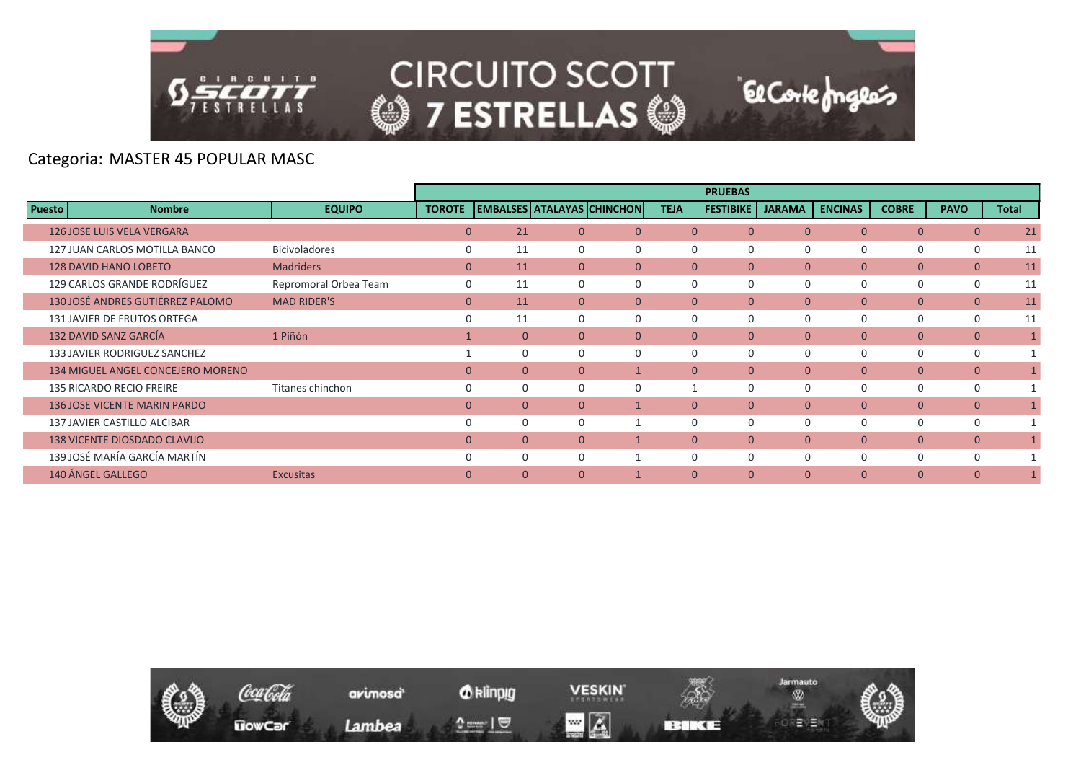

#### Categoria: MASTER 45 POPULAR MASC

|                                          |                       |               |              |                |                                   |                | <b>PRUEBAS</b>   |               |                |                |                |       |
|------------------------------------------|-----------------------|---------------|--------------|----------------|-----------------------------------|----------------|------------------|---------------|----------------|----------------|----------------|-------|
| <b>Puesto</b><br><b>Nombre</b>           | <b>EQUIPO</b>         | <b>TOROTE</b> |              |                | <b>EMBALSES ATALAYAS CHINCHON</b> | <b>TEJA</b>    | <b>FESTIBIKE</b> | <b>JARAMA</b> | <b>ENCINAS</b> | <b>COBRE</b>   | <b>PAVO</b>    | Total |
| <b>126 JOSE LUIS VELA VERGARA</b>        |                       | $\mathbf{0}$  | 21           | $\mathbf{0}$   | $\mathbf{0}$                      | $\overline{0}$ | $\overline{0}$   | $\mathbf{0}$  | $\overline{0}$ | $\overline{0}$ | $\overline{0}$ | 21    |
| 127 JUAN CARLOS MOTILLA BANCO            | <b>Bicivoladores</b>  | $\Omega$      | 11           | 0              | $\Omega$                          | 0              | 0                | $\Omega$      | 0              | 0              | 0              | 11    |
| <b>128 DAVID HANO LOBETO</b>             | <b>Madriders</b>      | $\mathbf{0}$  | 11           | $\overline{0}$ | $\Omega$                          | $\Omega$       | $\overline{0}$   | $\mathbf{0}$  | $\mathbf{0}$   | $\overline{0}$ | $\overline{0}$ | 11    |
| 129 CARLOS GRANDE RODRÍGUEZ              | Repromoral Orbea Team | $\Omega$      | 11           | $\Omega$       | $\Omega$                          | $\Omega$       | $\Omega$         | $\Omega$      | 0              | 0              | $\mathbf 0$    | 11    |
| 130 JOSÉ ANDRES GUTIÉRREZ PALOMO         | <b>MAD RIDER'S</b>    | $\mathbf{0}$  | 11           | $\Omega$       | $\Omega$                          | $\Omega$       | $\overline{0}$   | $\mathbf{0}$  | $\Omega$       | $\overline{0}$ | $\overline{0}$ | 11    |
| <b>131 JAVIER DE FRUTOS ORTEGA</b>       |                       | $\Omega$      | 11           | 0              |                                   | 0              | 0                | $\Omega$      | 0              | 0              | 0              | 11    |
| 132 DAVID SANZ GARCÍA                    | 1 Piñón               |               | $\mathbf{0}$ | $\Omega$       | $\Omega$                          | $\Omega$       | $\Omega$         | $\Omega$      | $\overline{0}$ | $\overline{0}$ | $\overline{0}$ | 1     |
| 133 JAVIER RODRIGUEZ SANCHEZ             |                       |               | $\Omega$     | $\Omega$       |                                   | $\Omega$       | $\Omega$         | $\Omega$      | $\Omega$       | 0              | $\Omega$       |       |
| <b>134 MIGUEL ANGEL CONCEJERO MORENO</b> |                       | $\Omega$      | $\mathbf{0}$ | $\overline{0}$ |                                   | $\Omega$       | $\overline{0}$   | $\mathbf{0}$  | $\overline{0}$ | $\overline{0}$ | $\overline{0}$ |       |
| 135 RICARDO RECIO FREIRE                 | Titanes chinchon      | $\Omega$      | $\Omega$     | $\Omega$       |                                   |                | $\Omega$         | $\Omega$      | $\Omega$       | 0              | $\mathbf 0$    | 1     |
| <b>136 JOSE VICENTE MARIN PARDO</b>      |                       | $\Omega$      | $\Omega$     | $\overline{0}$ |                                   | $\Omega$       | $\Omega$         | $\Omega$      | $\Omega$       | $\overline{0}$ | $\overline{0}$ |       |
| 137 JAVIER CASTILLO ALCIBAR              |                       |               | $\Omega$     | $\Omega$       |                                   | $\Omega$       | $\Omega$         | $\Omega$      | $\Omega$       | 0              | $\Omega$       |       |
| <b>138 VICENTE DIOSDADO CLAVIJO</b>      |                       | $\mathbf{0}$  | $\mathbf{0}$ | $\overline{0}$ |                                   | $\overline{0}$ | $\overline{0}$   | $\mathbf{0}$  | $\mathbf{0}$   | $\overline{0}$ | $\mathbf{0}$   |       |
| 139 JOSÉ MARÍA GARCÍA MARTÍN             |                       | $\Omega$      | $\Omega$     | $\Omega$       |                                   | $\Omega$       | $\Omega$         | $\Omega$      | $\Omega$       | 0              | $\Omega$       |       |
| 140 ÁNGEL GALLEGO                        | <b>Excusitas</b>      | $\Omega$      | $\Omega$     | $\overline{0}$ |                                   | $\Omega$       | $\Omega$         | $\Omega$      | $\overline{0}$ | $\overline{0}$ | $\mathbf{0}$   |       |

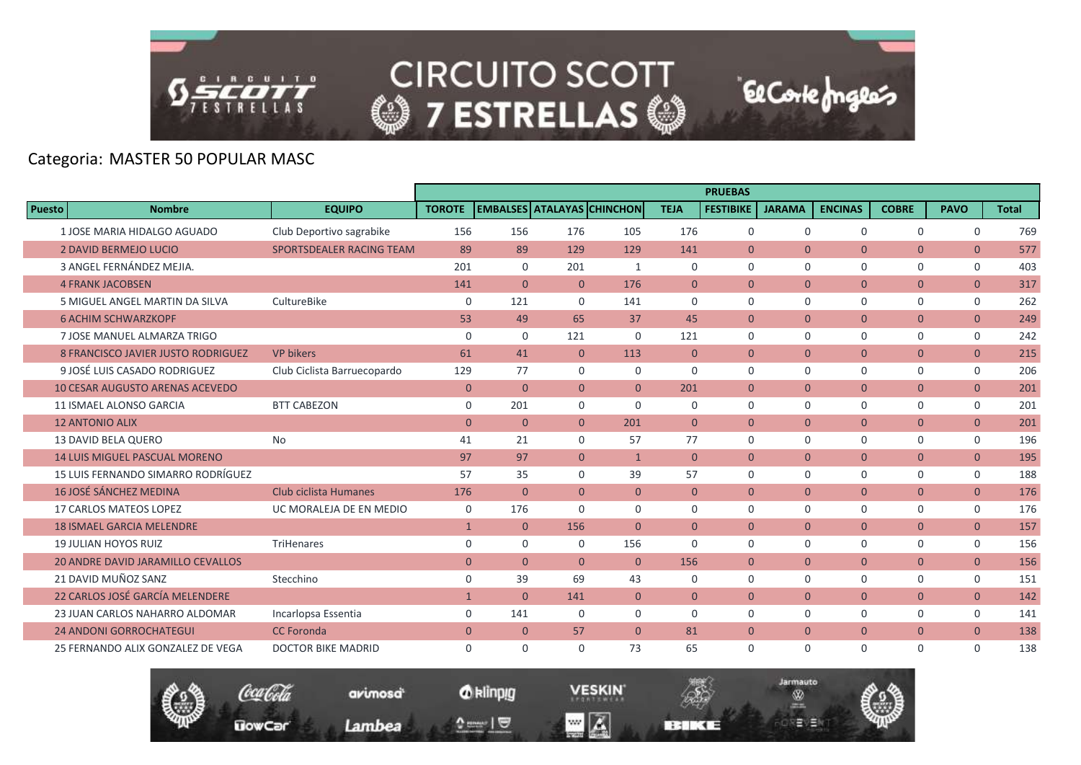

**El Corte fongles** 

# Categoria: MASTER 50 POPULAR MASC

|               |                                           |                             |                |                |                                   |                |                | <b>PRUEBAS</b>   |                |                |                |                |              |
|---------------|-------------------------------------------|-----------------------------|----------------|----------------|-----------------------------------|----------------|----------------|------------------|----------------|----------------|----------------|----------------|--------------|
| <b>Puesto</b> | <b>Nombre</b>                             | <b>EQUIPO</b>               | <b>TOROTE</b>  |                | <b>EMBALSES ATALAYAS CHINCHON</b> |                | <b>TEJA</b>    | <b>FESTIBIKE</b> | <b>JARAMA</b>  | <b>ENCINAS</b> | <b>COBRE</b>   | <b>PAVO</b>    | <b>Total</b> |
|               | 1 JOSE MARIA HIDALGO AGUADO               | Club Deportivo sagrabike    | 156            | 156            | 176                               | 105            | 176            | $\mathbf 0$      | $\mathbf 0$    | $\mathbf 0$    | $\mathbf 0$    | $\mathsf{O}$   | 769          |
|               | <b>2 DAVID BERMEJO LUCIO</b>              | SPORTSDEALER RACING TEAM    | 89             | 89             | 129                               | 129            | 141            | $\Omega$         | $\Omega$       | $\Omega$       | $\overline{0}$ | $\overline{0}$ | 577          |
|               | 3 ANGEL FERNÁNDEZ MEJIA.                  |                             | 201            | $\mathbf 0$    | 201                               | 1              | $\Omega$       | $\Omega$         | $\Omega$       | 0              | $\mathbf 0$    | $\mathsf{O}$   | 403          |
|               | <b>4 FRANK JACOBSEN</b>                   |                             | 141            | $\overline{0}$ | $\mathbf{0}$                      | 176            | $\mathbf{0}$   | $\overline{0}$   | $\mathbf{0}$   | $\mathbf{0}$   | $\overline{0}$ | $\overline{0}$ | 317          |
|               | 5 MIGUEL ANGEL MARTIN DA SILVA            | CultureBike                 | $\mathbf 0$    | 121            | $\Omega$                          | 141            | $\Omega$       | $\Omega$         | $\Omega$       | $\Omega$       | $\mathbf 0$    | 0              | 262          |
|               | <b>6 ACHIM SCHWARZKOPF</b>                |                             | 53             | 49             | 65                                | 37             | 45             | $\Omega$         | $\Omega$       | $\overline{0}$ | $\overline{0}$ | $\overline{0}$ | 249          |
|               | 7 JOSE MANUEL ALMARZA TRIGO               |                             | $\mathbf 0$    | $\mathbf 0$    | 121                               | $\mathbf 0$    | 121            | $\mathbf 0$      | $\mathbf 0$    | $\mathbf 0$    | $\mathbf 0$    | $\mathsf{O}$   | 242          |
|               | <b>8 FRANCISCO JAVIER JUSTO RODRIGUEZ</b> | <b>VP bikers</b>            | 61             | 41             | $\overline{0}$                    | 113            | $\mathbf{0}$   | $\overline{0}$   | $\mathbf{0}$   | $\overline{0}$ | $\overline{0}$ | $\overline{0}$ | 215          |
|               | 9 JOSÉ LUIS CASADO RODRIGUEZ              | Club Ciclista Barruecopardo | 129            | 77             | $\Omega$                          | $\mathbf 0$    | $\Omega$       | $\Omega$         | $\Omega$       | 0              | 0              | 0              | 206          |
|               | <b>10 CESAR AUGUSTO ARENAS ACEVEDO</b>    |                             | $\mathbf{0}$   | $\overline{0}$ | $\overline{0}$                    | $\overline{0}$ | 201            | $\overline{0}$   | $\mathbf{0}$   | $\overline{0}$ | $\overline{0}$ | $\overline{0}$ | 201          |
|               | <b>11 ISMAEL ALONSO GARCIA</b>            | <b>BTT CABEZON</b>          | $\mathbf 0$    | 201            | $\mathbf 0$                       | $\Omega$       | $\mathbf 0$    | $\mathbf 0$      | $\Omega$       | $\mathbf 0$    | $\mathbf 0$    | 0              | 201          |
|               | <b>12 ANTONIO ALIX</b>                    |                             | $\overline{0}$ | $\overline{0}$ | $\overline{0}$                    | 201            | $\overline{0}$ | $\overline{0}$   | $\overline{0}$ | $\overline{0}$ | $\overline{0}$ | $\overline{0}$ | 201          |
|               | <b>13 DAVID BELA QUERO</b>                | No                          | 41             | 21             | $\Omega$                          | 57             | 77             | $\Omega$         | $\Omega$       | $\Omega$       | $\mathbf 0$    | $\mathbf 0$    | 196          |
|               | <b>14 LUIS MIGUEL PASCUAL MORENO</b>      |                             | 97             | 97             | $\overline{0}$                    | $\mathbf{1}$   | $\mathbf{0}$   | $\overline{0}$   | $\overline{0}$ | $\overline{0}$ | $\overline{0}$ | $\overline{0}$ | 195          |
|               | 15 LUIS FERNANDO SIMARRO RODRÍGUEZ        |                             | 57             | 35             | $\Omega$                          | 39             | 57             | $\mathbf 0$      | $\mathbf 0$    | 0              | 0              | 0              | 188          |
|               | 16 JOSÉ SÁNCHEZ MEDINA                    | Club ciclista Humanes       | 176            | $\overline{0}$ | $\Omega$                          | $\Omega$       | $\theta$       | $\Omega$         | $\Omega$       | $\overline{0}$ | $\overline{0}$ | $\overline{0}$ | 176          |
|               | 17 CARLOS MATEOS LOPEZ                    | UC MORALEJA DE EN MEDIO     | 0              | 176            | $\Omega$                          | $\Omega$       | $\Omega$       | $\Omega$         | $\Omega$       | 0              | $\mathbf 0$    | $\mathbf 0$    | 176          |
|               | <b>18 ISMAEL GARCIA MELENDRE</b>          |                             | $\mathbf{1}$   | $\overline{0}$ | 156                               | $\overline{0}$ | $\mathbf{0}$   | $\overline{0}$   | $\overline{0}$ | $\mathbf{0}$   | $\overline{0}$ | $\overline{0}$ | 157          |
|               | <b>19 JULIAN HOYOS RUIZ</b>               | TriHenares                  | $\mathbf 0$    | $\mathbf 0$    | $\mathbf 0$                       | 156            | $\Omega$       | $\Omega$         | $\Omega$       | 0              | $\mathbf 0$    | $\mathsf{O}$   | 156          |
|               | <b>20 ANDRE DAVID JARAMILLO CEVALLOS</b>  |                             | $\mathbf{0}$   | $\overline{0}$ | $\overline{0}$                    | $\mathbf{0}$   | 156            | $\overline{0}$   | $\mathbf{0}$   | $\overline{0}$ | $\overline{0}$ | $\overline{0}$ | 156          |
|               | 21 DAVID MUÑOZ SANZ                       | Stecchino                   | $\mathbf 0$    | 39             | 69                                | 43             | 0              | $\mathbf 0$      | $\Omega$       | 0              | 0              | 0              | 151          |
|               | 22 CARLOS JOSÉ GARCÍA MELENDERE           |                             | $\mathbf{1}$   | $\overline{0}$ | 141                               | $\overline{0}$ | $\mathbf{0}$   | $\overline{0}$   | $\mathbf{0}$   | $\overline{0}$ | $\overline{0}$ | $\overline{0}$ | 142          |
|               | 23 JUAN CARLOS NAHARRO ALDOMAR            | Incarlopsa Essentia         | 0              | 141            | $\mathbf 0$                       | 0              | $\mathbf 0$    | $\mathbf 0$      | $\mathbf 0$    | 0              | $\mathbf 0$    | $\mathbf 0$    | 141          |
|               | <b>24 ANDONI GORROCHATEGUI</b>            | <b>CC</b> Foronda           | $\mathbf{0}$   | $\overline{0}$ | 57                                | $\overline{0}$ | 81             | $\overline{0}$   | $\overline{0}$ | $\overline{0}$ | $\overline{0}$ | $\overline{0}$ | 138          |
|               | 25 FERNANDO ALIX GONZALEZ DE VEGA         | <b>DOCTOR BIKE MADRID</b>   | $\mathbf 0$    | $\mathbf 0$    | 0                                 | 73             | 65             | $\mathbf 0$      | $\Omega$       | $\mathbf 0$    | $\mathbf 0$    | $\mathbf 0$    | 138          |

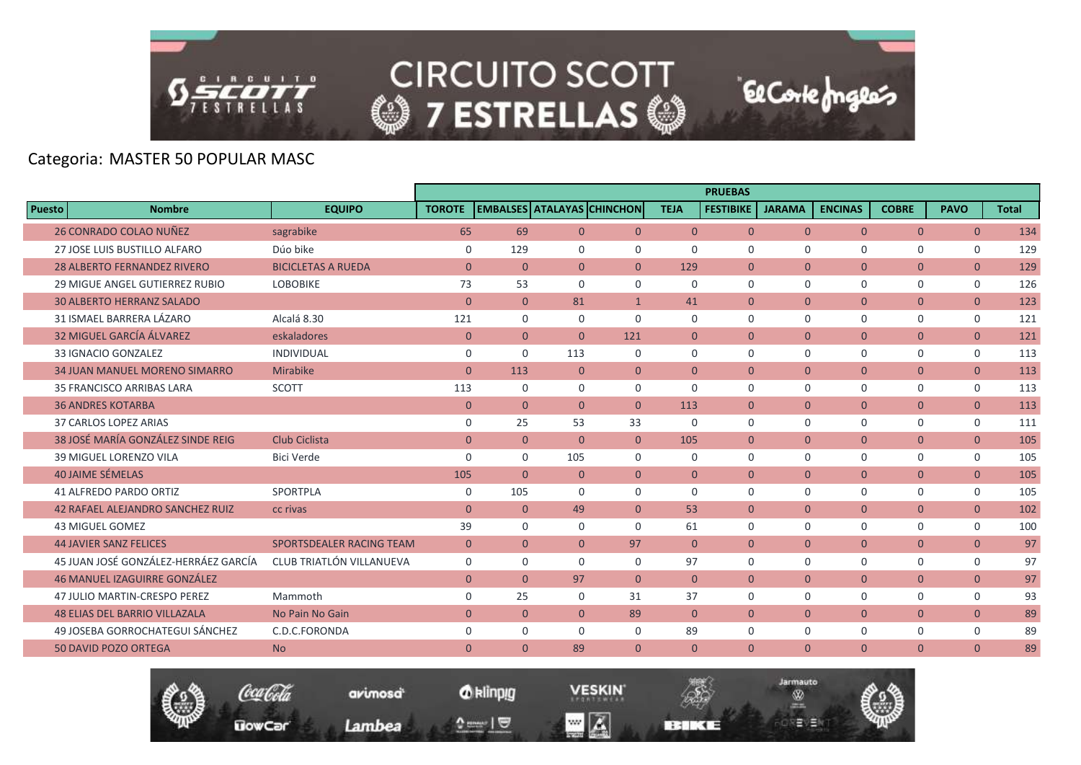

# Categoria: MASTER 50 POPULAR MASC

|        |                                         |                           |                |                |                                   |              |                | <b>PRUEBAS</b>   |               |                |                |                |              |
|--------|-----------------------------------------|---------------------------|----------------|----------------|-----------------------------------|--------------|----------------|------------------|---------------|----------------|----------------|----------------|--------------|
| Puesto | <b>Nombre</b>                           | <b>EQUIPO</b>             | <b>TOROTE</b>  |                | <b>EMBALSES ATALAYAS CHINCHON</b> |              | <b>TEJA</b>    | <b>FESTIBIKE</b> | <b>JARAMA</b> | <b>ENCINAS</b> | <b>COBRE</b>   | <b>PAVO</b>    | <b>Total</b> |
|        | <b>26 CONRADO COLAO NUÑEZ</b>           | sagrabike                 | 65             | 69             | $\overline{0}$                    | $\mathbf{0}$ | $\overline{0}$ | $\overline{0}$   | $\mathbf{0}$  | $\overline{0}$ | $\overline{0}$ | $\overline{0}$ | 134          |
|        | 27 JOSE LUIS BUSTILLO ALFARO            | Dúo bike                  | $\mathbf 0$    | 129            | $\Omega$                          | $\Omega$     | $\Omega$       | $\Omega$         | $\Omega$      | $\Omega$       | $\Omega$       | $\mathbf 0$    | 129          |
|        | <b>28 ALBERTO FERNANDEZ RIVERO</b>      | <b>BICICLETAS A RUEDA</b> | $\mathbf{0}$   | $\overline{0}$ | $\overline{0}$                    | $\Omega$     | 129            | $\overline{0}$   | $\Omega$      | $\mathbf{0}$   | $\overline{0}$ | $\overline{0}$ | 129          |
|        | <b>29 MIGUE ANGEL GUTIERREZ RUBIO</b>   | <b>LOBOBIKE</b>           | 73             | 53             | $\Omega$                          | $\mathbf 0$  | $\mathbf 0$    | $\mathbf 0$      | $\mathbf 0$   | $\mathbf 0$    | $\mathbf 0$    | $\mathbf 0$    | 126          |
|        | <b>30 ALBERTO HERRANZ SALADO</b>        |                           | $\Omega$       | $\mathbf{0}$   | 81                                | $\mathbf{1}$ | 41             | $\Omega$         | $\Omega$      | $\Omega$       | $\overline{0}$ | $\overline{0}$ | 123          |
|        | 31 ISMAEL BARRERA LÁZARO                | Alcalá 8.30               | 121            | $\mathbf 0$    | $\Omega$                          | $\Omega$     | $\Omega$       | $\Omega$         | $\Omega$      | $\mathbf 0$    | $\mathbf 0$    | $\mathbf 0$    | 121          |
|        | 32 MIGUEL GARCÍA ÁLVAREZ                | eskaladores               | $\mathbf{0}$   | $\overline{0}$ | $\mathbf{0}$                      | 121          | $\mathbf{0}$   | $\overline{0}$   | $\mathbf{0}$  | $\mathbf{0}$   | $\overline{0}$ | $\overline{0}$ | 121          |
|        | 33 IGNACIO GONZALEZ                     | <b>INDIVIDUAL</b>         | $\mathbf 0$    | $\mathbf 0$    | 113                               | $\Omega$     | $\Omega$       | $\Omega$         | $\Omega$      | $\Omega$       | $\mathbf 0$    | $\mathbf 0$    | 113          |
|        | <b>34 JUAN MANUEL MORENO SIMARRO</b>    | Mirabike                  | $\overline{0}$ | 113            | $\Omega$                          | $\mathbf{0}$ | $\theta$       | $\Omega$         | $\Omega$      | $\overline{0}$ | $\overline{0}$ | $\overline{0}$ | 113          |
|        | 35 FRANCISCO ARRIBAS LARA               | <b>SCOTT</b>              | 113            | $\mathbf 0$    | $\Omega$                          | $\mathbf 0$  | $\Omega$       | $\mathbf 0$      | $\mathbf 0$   | $\mathbf 0$    | $\mathbf 0$    | $\mathbf 0$    | 113          |
|        | <b>36 ANDRES KOTARBA</b>                |                           | $\overline{0}$ | $\overline{0}$ | $\overline{0}$                    | $\mathbf{0}$ | 113            | $\mathbf{0}$     | $\mathbf{0}$  | $\mathbf{0}$   | $\overline{0}$ | $\overline{0}$ | 113          |
|        | 37 CARLOS LOPEZ ARIAS                   |                           | 0              | 25             | 53                                | 33           | $\Omega$       | $\Omega$         | $\Omega$      | $\Omega$       | $\mathbf 0$    | $\mathbf 0$    | 111          |
|        | 38 JOSÉ MARÍA GONZÁLEZ SINDE REIG       | <b>Club Ciclista</b>      | $\mathbf{0}$   | $\overline{0}$ | $\Omega$                          | $\mathbf{0}$ | 105            | $\overline{0}$   | $\mathbf{0}$  | $\overline{0}$ | $\overline{0}$ | $\overline{0}$ | 105          |
|        | <b>39 MIGUEL LORENZO VILA</b>           | Bici Verde                | 0              | $\mathbf 0$    | 105                               | $\mathbf 0$  | $\mathbf 0$    | $\mathbf 0$      | $\mathbf 0$   | $\mathbf 0$    | $\mathbf 0$    | $\mathbf 0$    | 105          |
|        | <b>40 JAIME SÉMELAS</b>                 |                           | 105            | $\Omega$       | $\Omega$                          | $\Omega$     | $\theta$       | $\Omega$         | $\Omega$      | $\theta$       | $\overline{0}$ | $\overline{0}$ | 105          |
|        | 41 ALFREDO PARDO ORTIZ                  | SPORTPLA                  | $\mathbf 0$    | 105            | $\Omega$                          | $\Omega$     | $\Omega$       | $\Omega$         | $\Omega$      | $\Omega$       | $\mathbf 0$    | $\mathbf 0$    | 105          |
|        | <b>42 RAFAEL ALEJANDRO SANCHEZ RUIZ</b> | cc rivas                  | $\mathbf{0}$   | $\overline{0}$ | 49                                | $\mathbf{0}$ | 53             | $\overline{0}$   | $\mathbf{0}$  | $\mathbf{0}$   | $\overline{0}$ | $\mathbf{0}$   | 102          |
|        | <b>43 MIGUEL GOMEZ</b>                  |                           | 39             | $\mathbf 0$    | $\mathbf 0$                       | $\mathbf 0$  | 61             | $\mathbf 0$      | $\mathbf 0$   | $\mathbf 0$    | $\mathbf 0$    | $\mathbf 0$    | 100          |
|        | <b>44 JAVIER SANZ FELICES</b>           | SPORTSDEALER RACING TEAM  | $\mathbf{0}$   | $\overline{0}$ | $\Omega$                          | 97           | $\Omega$       | $\Omega$         | $\Omega$      | $\Omega$       | $\overline{0}$ | $\overline{0}$ | 97           |
|        | 45 JUAN JOSÉ GONZÁLEZ-HERRÁEZ GARCÍA    | CLUB TRIATLÓN VILLANUEVA  | $\mathbf 0$    | $\mathbf 0$    | $\Omega$                          | $\Omega$     | 97             | $\Omega$         | $\mathbf 0$   | $\mathbf 0$    | $\mathbf 0$    | $\mathbf 0$    | 97           |
|        | <b>46 MANUEL IZAGUIRRE GONZÁLEZ</b>     |                           | $\mathbf{0}$   | $\overline{0}$ | 97                                | $\mathbf{0}$ | $\mathbf{0}$   | $\overline{0}$   | $\mathbf{0}$  | $\mathbf{0}$   | $\overline{0}$ | $\overline{0}$ | 97           |
|        | 47 JULIO MARTIN-CRESPO PEREZ            | Mammoth                   | $\mathbf 0$    | 25             | $\Omega$                          | 31           | 37             | $\Omega$         | $\Omega$      | $\Omega$       | $\Omega$       | $\Omega$       | 93           |
|        | <b>48 ELIAS DEL BARRIO VILLAZALA</b>    | No Pain No Gain           | $\mathbf{0}$   | $\overline{0}$ | $\Omega$                          | 89           | $\theta$       | $\Omega$         | $\mathbf{0}$  | $\mathbf{0}$   | $\overline{0}$ | $\overline{0}$ | 89           |
|        | 49 JOSEBA GORROCHATEGUI SÁNCHEZ         | C.D.C.FORONDA             | $\mathbf 0$    | $\mathbf 0$    | $\mathbf 0$                       | 0            | 89             | $\mathbf 0$      | $\mathbf 0$   | $\mathbf 0$    | $\mathsf{O}$   | 0              | 89           |
|        | 50 DAVID POZO ORTEGA                    | <b>No</b>                 | $\mathbf{0}$   | $\overline{0}$ | 89                                | $\Omega$     | $\Omega$       | $\Omega$         | $\Omega$      | $\mathbf{0}$   | $\overline{0}$ | $\mathbf{0}$   | 89           |
|        |                                         |                           |                |                |                                   |              |                |                  |               |                |                |                |              |



*O* klinpig  $\begin{array}{c} \texttt{0} & \texttt{0} \\ \texttt{0} & \texttt{0} \end{array}$ 

**VESKIN**  $\blacksquare$   $\blacksquare$ 

**REMEDIATE** 



El Corte Inglés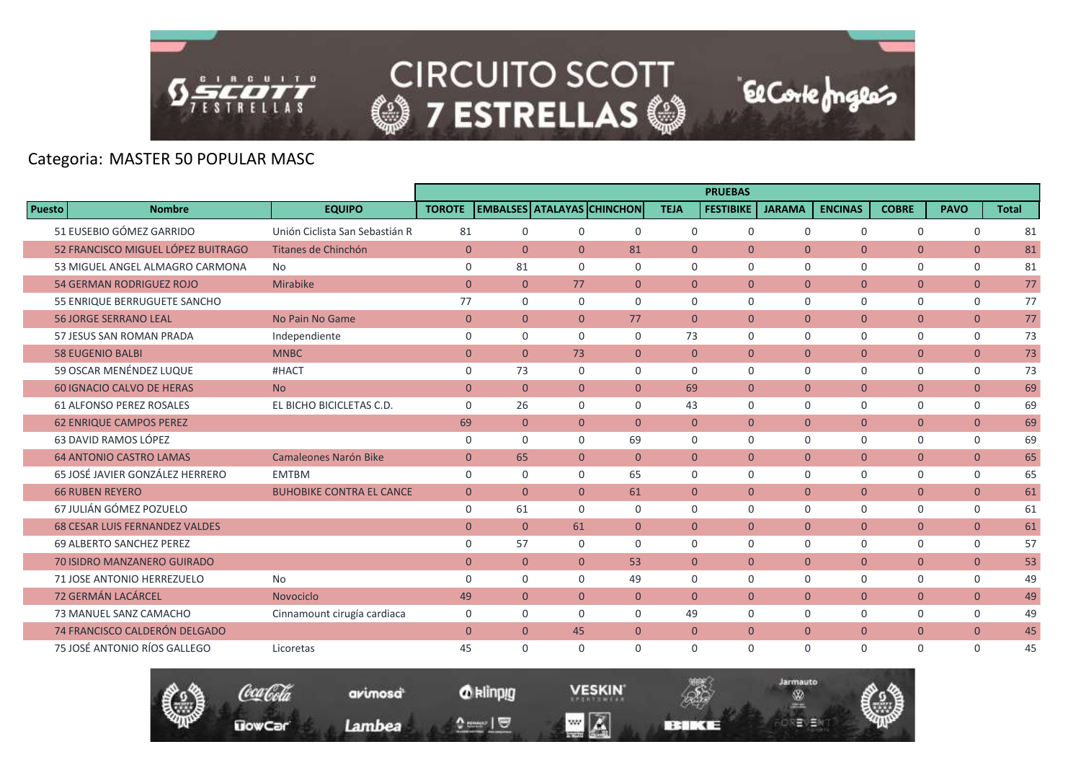

# Categoria: MASTER 50 POPULAR MASC

|               |                                       |                                 |                |                |                |                                   |                | <b>PRUEBAS</b>   |               |                |                |                |              |
|---------------|---------------------------------------|---------------------------------|----------------|----------------|----------------|-----------------------------------|----------------|------------------|---------------|----------------|----------------|----------------|--------------|
| <b>Puesto</b> | <b>Nombre</b>                         | <b>EQUIPO</b>                   | <b>TOROTE</b>  |                |                | <b>EMBALSES ATALAYAS CHINCHON</b> | <b>TEJA</b>    | <b>FESTIBIKE</b> | <b>JARAMA</b> | <b>ENCINAS</b> | <b>COBRE</b>   | <b>PAVO</b>    | <b>Total</b> |
|               | 51 EUSEBIO GÓMEZ GARRIDO              | Unión Ciclista San Sebastián R  | 81             | 0              | 0              | $\mathbf 0$                       | $\mathbf 0$    | $\mathbf 0$      | $\mathbf 0$   | $\mathbf 0$    | 0              | $\mathbf 0$    | 81           |
|               | 52 FRANCISCO MIGUEL LÓPEZ BUITRAGO    | Titanes de Chinchón             | $\overline{0}$ | $\Omega$       | $\overline{0}$ | 81                                | $\Omega$       | $\Omega$         | $\Omega$      | $\Omega$       | $\overline{0}$ | $\overline{0}$ | 81           |
|               | 53 MIGUEL ANGEL ALMAGRO CARMONA       | No.                             | $\mathbf 0$    | 81             | $\Omega$       | $\Omega$                          | $\Omega$       | $\Omega$         | $\Omega$      | 0              | 0              | 0              | 81           |
|               | <b>54 GERMAN RODRIGUEZ ROJO</b>       | Mirabike                        | $\mathbf{0}$   | $\overline{0}$ | 77             | $\overline{0}$                    | $\overline{0}$ | $\mathbf{0}$     | $\mathbf{0}$  | $\overline{0}$ | $\overline{0}$ | $\overline{0}$ | 77           |
|               | 55 ENRIQUE BERRUGUETE SANCHO          |                                 | 77             | $\mathbf 0$    | $\mathbf 0$    | $\Omega$                          | $\Omega$       | $\mathbf 0$      | $\mathbf 0$   | 0              | 0              | $\mathsf{O}$   | 77           |
|               | <b>56 JORGE SERRANO LEAL</b>          | No Pain No Game                 | $\mathbf{0}$   | $\Omega$       | $\Omega$       | 77                                | $\Omega$       | $\Omega$         | $\Omega$      | $\overline{0}$ | $\overline{0}$ | $\overline{0}$ | 77           |
|               | 57 JESUS SAN ROMAN PRADA              | Independiente                   | $\mathbf 0$    | $\mathbf 0$    | $\Omega$       | $\Omega$                          | 73             | $\Omega$         | $\Omega$      | 0              | 0              | $\mathbf 0$    | 73           |
|               | <b>58 EUGENIO BALBI</b>               | <b>MNBC</b>                     | $\mathbf{0}$   | $\overline{0}$ | 73             | $\Omega$                          | $\Omega$       | $\mathbf{0}$     | $\mathbf{0}$  | $\overline{0}$ | $\overline{0}$ | $\overline{0}$ | 73           |
|               | 59 OSCAR MENÉNDEZ LUQUE               | #HACT                           | $\mathbf 0$    | 73             | $\Omega$       | $\mathbf 0$                       | $\Omega$       | $\Omega$         | $\mathbf 0$   | 0              | 0              | 0              | 73           |
|               | <b>60 IGNACIO CALVO DE HERAS</b>      | <b>No</b>                       | $\overline{0}$ | $\overline{0}$ | $\overline{0}$ | $\overline{0}$                    | 69             | $\mathbf{0}$     | $\mathbf{0}$  | $\overline{0}$ | $\overline{0}$ | $\overline{0}$ | 69           |
|               | <b>61 ALFONSO PEREZ ROSALES</b>       | EL BICHO BICICLETAS C.D.        | $\Omega$       | 26             | $\Omega$       | $\Omega$                          | 43             | $\Omega$         | $\Omega$      | 0              | 0              | $\mathbf 0$    | 69           |
|               | <b>62 ENRIQUE CAMPOS PEREZ</b>        |                                 | 69             | $\overline{0}$ | $\overline{0}$ | $\overline{0}$                    | $\mathbf{0}$   | $\mathbf{0}$     | $\mathbf{0}$  | $\overline{0}$ | $\overline{0}$ | $\mathbf{0}$   | 69           |
|               | 63 DAVID RAMOS LÓPEZ                  |                                 | $\Omega$       | $\Omega$       | $\Omega$       | 69                                | $\Omega$       | $\Omega$         | $\Omega$      | $\Omega$       | $\Omega$       | $\mathbf 0$    | 69           |
|               | <b>64 ANTONIO CASTRO LAMAS</b>        | <b>Camaleones Narón Bike</b>    | $\mathbf{0}$   | 65             | $\overline{0}$ | $\mathbf{0}$                      | $\Omega$       | $\mathbf{0}$     | $\mathbf{0}$  | $\overline{0}$ | $\overline{0}$ | $\mathbf{0}$   | 65           |
|               | 65 JOSÉ JAVIER GONZÁLEZ HERRERO       | <b>EMTBM</b>                    | $\mathbf 0$    | $\mathbf 0$    | $\mathbf 0$    | 65                                | 0              | $\mathbf 0$      | $\mathbf 0$   | $\mathbf 0$    | 0              | $\mathbf 0$    | 65           |
|               | <b>66 RUBEN REYERO</b>                | <b>BUHOBIKE CONTRA EL CANCE</b> | $\overline{0}$ | $\Omega$       | $\Omega$       | 61                                | $\Omega$       | $\Omega$         | $\Omega$      | $\overline{0}$ | $\overline{0}$ | $\overline{0}$ | 61           |
|               | 67 JULIÁN GÓMEZ POZUELO               |                                 | $\mathbf 0$    | 61             | $\Omega$       | $\Omega$                          | $\Omega$       | $\Omega$         | $\mathbf 0$   | 0              | 0              | 0              | 61           |
|               | <b>68 CESAR LUIS FERNANDEZ VALDES</b> |                                 | $\mathbf{0}$   | $\overline{0}$ | 61             | $\overline{0}$                    | $\overline{0}$ | $\mathbf{0}$     | $\mathbf{0}$  | $\overline{0}$ | $\overline{0}$ | $\overline{0}$ | 61           |
|               | 69 ALBERTO SANCHEZ PEREZ              |                                 | $\mathbf 0$    | 57             | $\Omega$       | $\Omega$                          | $\mathbf 0$    | $\mathbf 0$      | $\mathbf 0$   | 0              | 0              | $\mathbf 0$    | 57           |
|               | <b>70 ISIDRO MANZANERO GUIRADO</b>    |                                 | $\Omega$       | $\overline{0}$ | $\Omega$       | 53                                | $\Omega$       | $\Omega$         | $\Omega$      | $\overline{0}$ | $\overline{0}$ | $\overline{0}$ | 53           |
|               | 71 JOSE ANTONIO HERREZUELO            | No                              | $\mathbf 0$    | $\Omega$       | $\Omega$       | 49                                | $\Omega$       | $\Omega$         | $\Omega$      | $\mathbf 0$    | 0              | $\mathbf 0$    | 49           |
|               | 72 GERMÁN LACÁRCEL                    | Novociclo                       | 49             | $\overline{0}$ | $\overline{0}$ | $\overline{0}$                    | $\overline{0}$ | $\mathbf{0}$     | $\mathbf{0}$  | $\overline{0}$ | $\overline{0}$ | $\overline{0}$ | 49           |
|               | 73 MANUEL SANZ CAMACHO                | Cinnamount cirugía cardiaca     | $\mathbf 0$    | $\mathbf 0$    | $\Omega$       | $\Omega$                          | 49             | $\Omega$         | $\mathbf 0$   | 0              | 0              | $\mathbf 0$    | 49           |
|               | 74 FRANCISCO CALDERÓN DELGADO         |                                 | $\mathbf{0}$   | $\overline{0}$ | 45             | $\mathbf{0}$                      | $\overline{0}$ | $\mathbf{0}$     | $\mathbf{0}$  | $\overline{0}$ | $\overline{0}$ | $\overline{0}$ | 45           |
|               | 75 JOSÉ ANTONIO RÍOS GALLEGO          | Licoretas                       | 45             | $\Omega$       | $\Omega$       | $\Omega$                          | $\Omega$       | $\Omega$         | $\Omega$      | $\Omega$       | $\Omega$       | $\mathbf 0$    | 45           |
|               |                                       |                                 |                |                |                |                                   |                |                  |               |                |                |                |              |





**BERKEE** 

**El Corte fongles**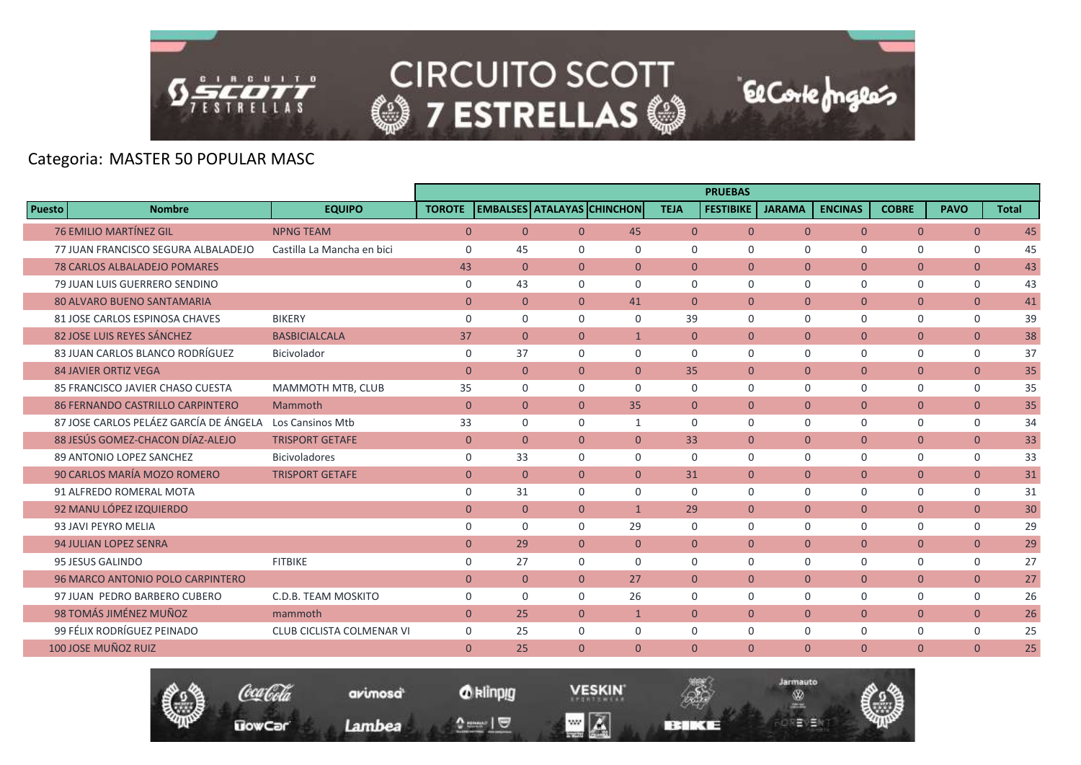

Coca Cola

**UowCar** 

**CIRCUITO SCOTT @7 ESTRELLAS @** 

El Corte Inglés

Jarmauto

Ŵ

モリヨ

# Categoria: MASTER 50 POPULAR MASC

|                                         |                                  |                |                |                                   |              |                | <b>PRUEBAS</b>   |                |                |                |                |              |
|-----------------------------------------|----------------------------------|----------------|----------------|-----------------------------------|--------------|----------------|------------------|----------------|----------------|----------------|----------------|--------------|
| Puesto<br><b>Nombre</b>                 | <b>EQUIPO</b>                    | <b>TOROTE</b>  |                | <b>EMBALSES ATALAYAS CHINCHON</b> |              | <b>TEJA</b>    | <b>FESTIBIKE</b> | <b>JARAMA</b>  | <b>ENCINAS</b> | <b>COBRE</b>   | <b>PAVO</b>    | <b>Total</b> |
| <b>76 EMILIO MARTÍNEZ GIL</b>           | <b>NPNG TEAM</b>                 | $\overline{0}$ | $\overline{0}$ | $\Omega$                          | 45           | $\overline{0}$ | $\overline{0}$   | $\Omega$       | $\Omega$       | $\overline{0}$ | $\overline{0}$ | 45           |
| 77 JUAN FRANCISCO SEGURA ALBALADEJO     | Castilla La Mancha en bici       | 0              | 45             | $\Omega$                          | $\Omega$     | $\Omega$       | $\Omega$         | $\Omega$       | $\Omega$       | $\Omega$       | 0              | 45           |
| <b>78 CARLOS ALBALADEJO POMARES</b>     |                                  | 43             | $\mathbf{0}$   | $\overline{0}$                    | $\mathbf{0}$ | $\overline{0}$ | $\Omega$         | $\mathbf{0}$   | $\overline{0}$ | $\overline{0}$ | $\mathbf{0}$   | 43           |
| 79 JUAN LUIS GUERRERO SENDINO           |                                  | 0              | 43             | $\Omega$                          | $\Omega$     | $\mathbf 0$    | $\Omega$         | $\mathbf 0$    | $\mathbf 0$    | $\mathbf 0$    | 0              | 43           |
| <b>80 ALVARO BUENO SANTAMARIA</b>       |                                  | $\Omega$       | $\mathbf{0}$   | $\Omega$                          | 41           | $\Omega$       | $\Omega$         | $\Omega$       | $\Omega$       | $\overline{0}$ | $\overline{0}$ | 41           |
| 81 JOSE CARLOS ESPINOSA CHAVES          | <b>BIKERY</b>                    | $\mathbf 0$    | $\mathbf 0$    | $\Omega$                          | $\Omega$     | 39             | $\Omega$         | $\mathbf 0$    | $\mathbf 0$    | $\mathbf 0$    | $\mathbf 0$    | 39           |
| 82 JOSE LUIS REYES SÁNCHEZ              | <b>BASBICIALCALA</b>             | 37             | $\mathbf{0}$   | $\overline{0}$                    | $\mathbf{1}$ | $\overline{0}$ | $\overline{0}$   | $\mathbf{0}$   | $\overline{0}$ | $\mathbf{0}$   | $\overline{0}$ | 38           |
| 83 JUAN CARLOS BLANCO RODRÍGUEZ         | Bicivolador                      | $\mathbf 0$    | 37             | $\Omega$                          | $\Omega$     | $\Omega$       | $\Omega$         | $\Omega$       | $\Omega$       | $\mathbf 0$    | $\mathbf 0$    | 37           |
| <b>84 JAVIER ORTIZ VEGA</b>             |                                  | $\mathbf{0}$   | $\overline{0}$ | $\overline{0}$                    | $\mathbf{0}$ | 35             | $\overline{0}$   | $\mathbf{0}$   | $\overline{0}$ | $\overline{0}$ | $\overline{0}$ | 35           |
| 85 FRANCISCO JAVIER CHASO CUESTA        | MAMMOTH MTB, CLUB                | 35             | $\mathbf 0$    | $\Omega$                          | $\Omega$     | $\Omega$       | $\Omega$         | $\Omega$       | $\Omega$       | $\Omega$       | $\mathbf 0$    | 35           |
| <b>86 FERNANDO CASTRILLO CARPINTERO</b> | Mammoth                          | $\mathbf{0}$   | $\mathbf{0}$   | $\mathbf{0}$                      | 35           | $\overline{0}$ | $\overline{0}$   | $\mathbf{0}$   | $\mathbf{0}$   | $\overline{0}$ | $\overline{0}$ | 35           |
| 87 JOSE CARLOS PELÁEZ GARCÍA DE ÁNGELA  | <b>Los Cansinos Mtb</b>          | 33             | $\mathbf 0$    | $\Omega$                          | $\mathbf{1}$ | $\Omega$       | $\Omega$         | $\Omega$       | $\Omega$       | $\mathbf 0$    | $\mathbf 0$    | 34           |
| 88 JESÚS GOMEZ-CHACON DÍAZ-ALEJO        | <b>TRISPORT GETAFE</b>           | $\mathbf{0}$   | $\mathbf{0}$   | $\overline{0}$                    | $\Omega$     | 33             | $\Omega$         | $\Omega$       | $\overline{0}$ | $\overline{0}$ | $\overline{0}$ | 33           |
| 89 ANTONIO LOPEZ SANCHEZ                | <b>Bicivoladores</b>             | $\mathbf 0$    | 33             | $\Omega$                          | $\Omega$     | $\Omega$       | $\mathbf 0$      | $\mathbf 0$    | $\mathbf 0$    | $\mathbf 0$    | 0              | 33           |
| 90 CARLOS MARÍA MOZO ROMERO             | <b>TRISPORT GETAFE</b>           | $\mathbf{0}$   | $\overline{0}$ | $\overline{0}$                    | $\Omega$     | 31             | $\overline{0}$   | $\Omega$       | $\overline{0}$ | $\overline{0}$ | $\overline{0}$ | 31           |
| 91 ALFREDO ROMERAL MOTA                 |                                  | $\mathbf 0$    | 31             | $\Omega$                          | $\Omega$     | $\Omega$       | $\Omega$         | $\Omega$       | $\Omega$       | $\Omega$       | $\mathbf 0$    | 31           |
| 92 MANU LÓPEZ IZQUIERDO                 |                                  | $\mathbf{0}$   | $\mathbf{0}$   | $\overline{0}$                    | $\mathbf{1}$ | 29             | $\overline{0}$   | $\overline{0}$ | $\overline{0}$ | $\overline{0}$ | $\mathbf{0}$   | 30           |
| 93 JAVI PEYRO MELIA                     |                                  | $\mathbf 0$    | $\mathbf 0$    | $\mathbf 0$                       | 29           | $\mathbf 0$    | $\mathbf 0$      | $\mathbf 0$    | $\mathbf 0$    | $\mathbf 0$    | 0              | 29           |
| <b>94 JULIAN LOPEZ SENRA</b>            |                                  | $\Omega$       | 29             | $\Omega$                          | $\Omega$     | $\Omega$       | $\Omega$         | $\Omega$       | $\Omega$       | $\mathbf{0}$   | $\overline{0}$ | 29           |
| 95 JESUS GALINDO                        | <b>FITBIKE</b>                   | $\mathbf 0$    | 27             | $\Omega$                          | $\Omega$     | $\Omega$       | $\Omega$         | $\mathbf 0$    | $\mathbf 0$    | $\mathbf 0$    | $\mathbf 0$    | 27           |
| 96 MARCO ANTONIO POLO CARPINTERO        |                                  | $\mathbf{0}$   | $\overline{0}$ | $\overline{0}$                    | 27           | $\overline{0}$ | $\overline{0}$   | $\overline{0}$ | $\overline{0}$ | $\overline{0}$ | $\overline{0}$ | 27           |
| 97 JUAN PEDRO BARBERO CUBERO            | C.D.B. TEAM MOSKITO              | $\Omega$       | $\Omega$       | $\Omega$                          | 26           | $\Omega$       | $\Omega$         | $\Omega$       | $\Omega$       | $\Omega$       | $\mathbf 0$    | 26           |
| 98 TOMÁS JIMÉNEZ MUÑOZ                  | mammoth                          | $\overline{0}$ | 25             | $\overline{0}$                    | $\mathbf{1}$ | $\Omega$       | $\Omega$         | $\mathbf{0}$   | $\overline{0}$ | $\overline{0}$ | $\overline{0}$ | 26           |
| 99 FÉLIX RODRÍGUEZ PEINADO              | <b>CLUB CICLISTA COLMENAR VI</b> | $\mathbf 0$    | 25             | 0                                 | 0            | 0              | $\mathbf 0$      | 0              | $\mathbf 0$    | $\mathbf 0$    | $\mathbf 0$    | 25           |
| 100 JOSE MUÑOZ RUIZ                     |                                  | $\Omega$       | 25             | $\Omega$                          | $\Omega$     | $\Omega$       | $\Omega$         | $\Omega$       | $\Omega$       | $\Omega$       | $\Omega$       | 25           |

*O* klinpig

 $\begin{array}{c} \texttt{0} & \texttt{0} \\ \texttt{0} & \texttt{0} \end{array}$ 

avimosa

Lambea

**VESKIN** 

**BERKEE** 

 $\blacksquare$   $\blacksquare$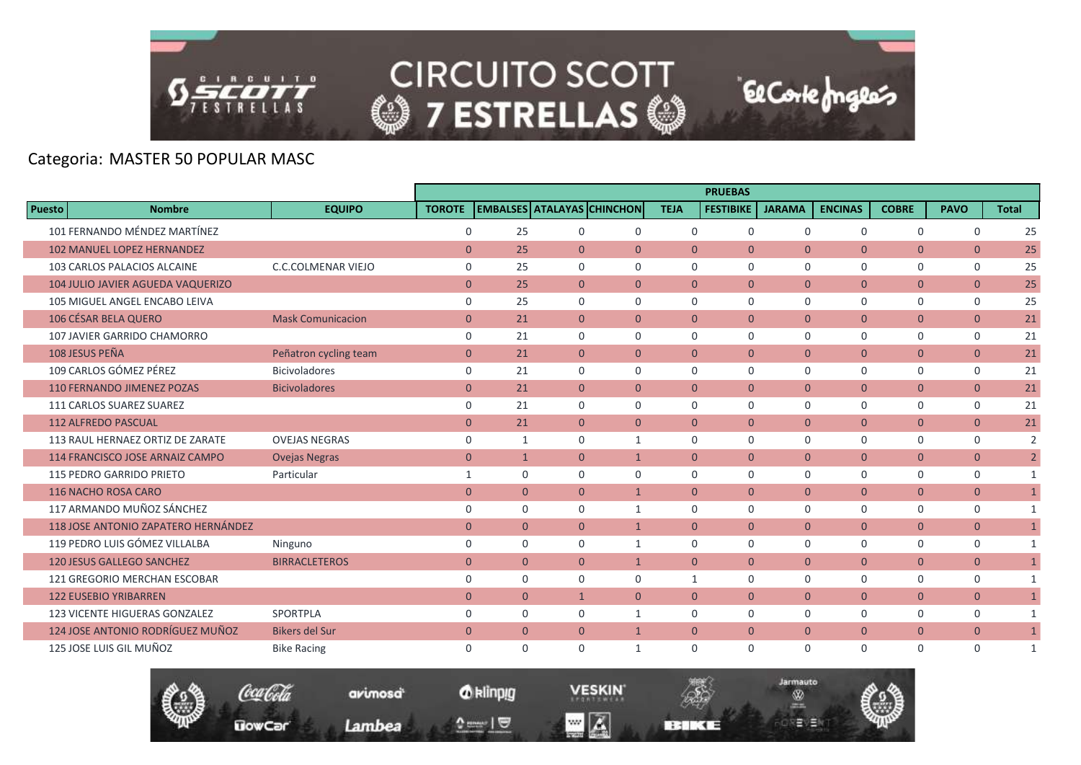

#### Categoria: MASTER 50 POPULAR MASC

|                                          |                           |                |                |                |                                   |                | <b>PRUEBAS</b>   |               |                |                |                |                |
|------------------------------------------|---------------------------|----------------|----------------|----------------|-----------------------------------|----------------|------------------|---------------|----------------|----------------|----------------|----------------|
| <b>Nombre</b><br>Puesto                  | <b>EQUIPO</b>             | <b>TOROTE</b>  |                |                | <b>EMBALSES ATALAYAS CHINCHON</b> | <b>TEJA</b>    | <b>FESTIBIKE</b> | <b>JARAMA</b> | <b>ENCINAS</b> | <b>COBRE</b>   | <b>PAVO</b>    | <b>Total</b>   |
| 101 FERNANDO MÉNDEZ MARTÍNEZ             |                           | 0              | 25             | $\mathbf 0$    | $\mathbf 0$                       | $\mathbf 0$    | $\mathbf 0$      | $\mathbf 0$   | $\mathbf 0$    | $\mathbf 0$    | $\mathbf 0$    | 25             |
| <b>102 MANUEL LOPEZ HERNANDEZ</b>        |                           | $\mathbf{0}$   | 25             | $\Omega$       | $\Omega$                          | $\Omega$       | $\Omega$         | $\Omega$      | $\Omega$       | $\overline{0}$ | $\overline{0}$ | 25             |
| 103 CARLOS PALACIOS ALCAINE              | <b>C.C.COLMENAR VIEJO</b> | $\mathbf 0$    | 25             | $\Omega$       | $\Omega$                          | $\Omega$       | $\Omega$         | $\Omega$      | 0              | 0              | $\mathbf 0$    | 25             |
| <b>104 JULIO JAVIER AGUEDA VAQUERIZO</b> |                           | $\mathbf{0}$   | 25             | $\overline{0}$ | $\Omega$                          | $\mathbf{0}$   | $\overline{0}$   | $\mathbf{0}$  | $\overline{0}$ | $\overline{0}$ | $\overline{0}$ | 25             |
| 105 MIGUEL ANGEL ENCABO LEIVA            |                           | $\mathbf 0$    | 25             | $\Omega$       | $\Omega$                          | $\Omega$       | $\Omega$         | $\Omega$      | $\Omega$       | 0              | 0              | 25             |
| 106 CÉSAR BELA QUERO                     | <b>Mask Comunicacion</b>  | $\overline{0}$ | 21             | $\Omega$       | $\Omega$                          | $\Omega$       | $\Omega$         | $\Omega$      | $\overline{0}$ | $\overline{0}$ | $\overline{0}$ | 21             |
| 107 JAVIER GARRIDO CHAMORRO              |                           | 0              | 21             | $\Omega$       | $\Omega$                          | $\mathbf 0$    | $\mathbf 0$      | $\mathbf 0$   | 0              | 0              | $\mathsf{O}$   | 21             |
| 108 JESUS PEÑA                           | Peñatron cycling team     | $\mathbf{0}$   | 21             | $\overline{0}$ | $\overline{0}$                    | $\overline{0}$ | $\overline{0}$   | $\Omega$      | $\overline{0}$ | $\overline{0}$ | $\overline{0}$ | 21             |
| 109 CARLOS GÓMEZ PÉREZ                   | <b>Bicivoladores</b>      | 0              | 21             | $\Omega$       | $\Omega$                          | $\Omega$       | $\Omega$         | $\Omega$      | 0              | 0              | 0              | 21             |
| <b>110 FERNANDO JIMENEZ POZAS</b>        | <b>Bicivoladores</b>      | $\overline{0}$ | 21             | $\overline{0}$ | $\overline{0}$                    | $\mathbf{0}$   | $\overline{0}$   | $\mathbf{0}$  | $\overline{0}$ | $\overline{0}$ | $\overline{0}$ | 21             |
| 111 CARLOS SUAREZ SUAREZ                 |                           | $\mathbf 0$    | 21             | $\Omega$       | $\Omega$                          | $\Omega$       | $\mathbf 0$      | $\Omega$      | $\mathbf 0$    | 0              | 0              | 21             |
| <b>112 ALFREDO PASCUAL</b>               |                           | $\mathbf{0}$   | 21             | $\overline{0}$ | $\overline{0}$                    | $\overline{0}$ | $\overline{0}$   | $\mathbf{0}$  | $\overline{0}$ | $\overline{0}$ | $\overline{0}$ | 21             |
| 113 RAUL HERNAEZ ORTIZ DE ZARATE         | <b>OVEJAS NEGRAS</b>      | $\mathbf 0$    | $\mathbf{1}$   | $\Omega$       | $\mathbf{1}$                      | $\Omega$       | $\Omega$         | $\Omega$      | $\Omega$       | 0              | $\mathbf 0$    | 2              |
| 114 FRANCISCO JOSE ARNAIZ CAMPO          | <b>Ovejas Negras</b>      | $\overline{0}$ | $\mathbf{1}$   | $\overline{0}$ | $\mathbf{1}$                      | $\mathbf{0}$   | $\overline{0}$   | $\mathbf{0}$  | $\overline{0}$ | $\overline{0}$ | $\overline{0}$ | $\overline{2}$ |
| 115 PEDRO GARRIDO PRIETO                 | Particular                | 1              | $\mathbf 0$    | $\mathbf 0$    | $\mathbf 0$                       | $\mathbf 0$    | $\mathbf 0$      | $\mathbf 0$   | 0              | 0              | 0              | $\mathbf{1}$   |
| 116 NACHO ROSA CARO                      |                           | $\mathbf{0}$   | $\mathbf{0}$   | $\Omega$       | $\mathbf{1}$                      | $\theta$       | $\Omega$         | $\Omega$      | $\overline{0}$ | $\overline{0}$ | $\overline{0}$ | $\mathbf{1}$   |
| 117 ARMANDO MUÑOZ SÁNCHEZ                |                           | $\mathbf 0$    | $\mathbf 0$    | $\Omega$       | $\mathbf{1}$                      | $\Omega$       | $\Omega$         | $\Omega$      | 0              | 0              | $\mathbf 0$    | $\mathbf{1}$   |
| 118 JOSE ANTONIO ZAPATERO HERNÁNDEZ      |                           | $\overline{0}$ | $\mathbf{0}$   | $\overline{0}$ | $\mathbf{1}$                      | $\mathbf{0}$   | $\overline{0}$   | $\mathbf{0}$  | $\overline{0}$ | $\overline{0}$ | $\overline{0}$ | $\mathbf{1}$   |
| 119 PEDRO LUIS GÓMEZ VILLALBA            | Ninguno                   | $\mathbf 0$    | $\mathbf 0$    | $\mathbf 0$    | $\mathbf{1}$                      | $\Omega$       | $\Omega$         | $\Omega$      | 0              | 0              | $\mathsf{O}$   | $\mathbf{1}$   |
| 120 JESUS GALLEGO SANCHEZ                | <b>BIRRACLETEROS</b>      | $\overline{0}$ | $\overline{0}$ | $\overline{0}$ | $\mathbf{1}$                      | $\mathbf{0}$   | $\overline{0}$   | $\mathbf{0}$  | $\overline{0}$ | $\overline{0}$ | $\overline{0}$ | $\mathbf{1}$   |
| 121 GREGORIO MERCHAN ESCOBAR             |                           | $\mathbf 0$    | $\mathbf 0$    | $\Omega$       | $\Omega$                          | 1              | $\mathbf 0$      | $\Omega$      | 0              | 0              | 0              | $\mathbf{1}$   |
| <b>122 EUSEBIO YRIBARREN</b>             |                           | $\mathbf{0}$   | $\mathbf{0}$   | $\mathbf{1}$   | $\overline{0}$                    | $\mathbf{0}$   | $\mathbf{0}$     | $\mathbf{0}$  | $\mathbf{0}$   | $\overline{0}$ | $\overline{0}$ | $\mathbf{1}$   |
| <b>123 VICENTE HIGUERAS GONZALEZ</b>     | SPORTPLA                  | $\mathbf 0$    | $\mathbf 0$    | $\Omega$       | $\mathbf{1}$                      | $\mathbf 0$    | $\Omega$         | $\mathbf 0$   | 0              | 0              | 0              | $\mathbf{1}$   |
| 124 JOSE ANTONIO RODRÍGUEZ MUÑOZ         | <b>Bikers del Sur</b>     | $\overline{0}$ | $\overline{0}$ | $\overline{0}$ | $\mathbf{1}$                      | $\mathbf{0}$   | $\overline{0}$   | $\mathbf{0}$  | $\overline{0}$ | $\overline{0}$ | $\overline{0}$ |                |
| 125 JOSE LUIS GIL MUÑOZ                  | <b>Bike Racing</b>        | 0              | $\mathbf 0$    | $\Omega$       | 1                                 | $\Omega$       | $\mathbf 0$      | $\Omega$      | 0              | 0              | $\mathbf 0$    | 1              |

**El Corte fongles** 

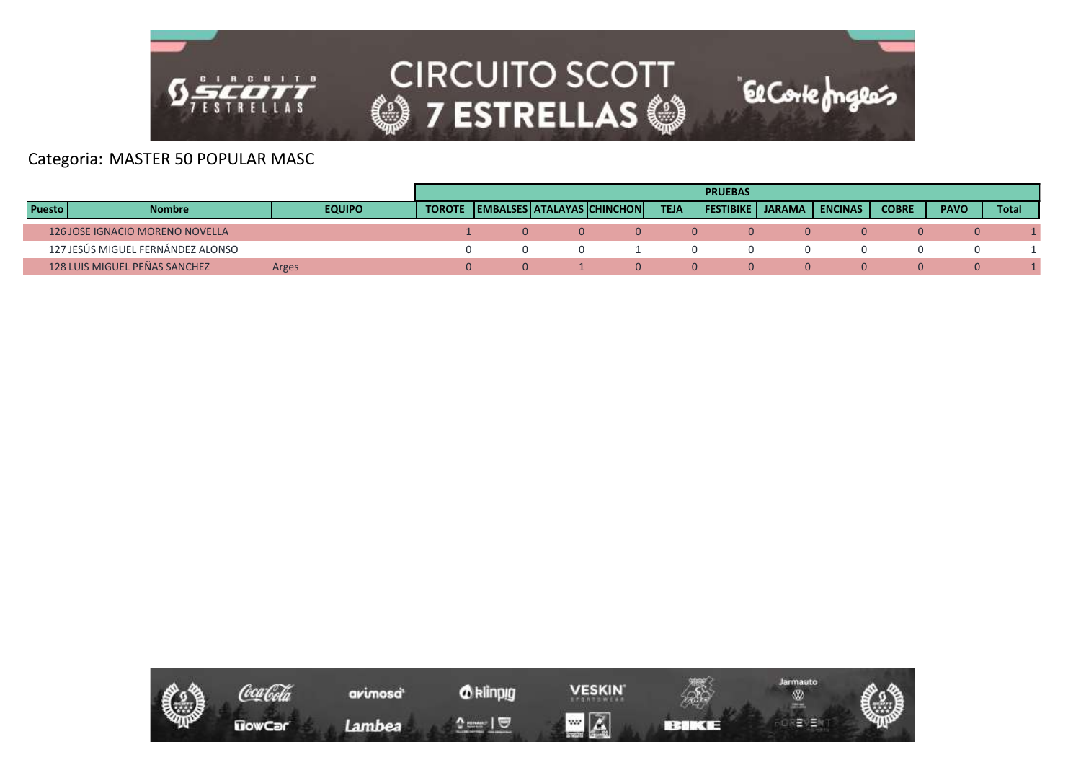

#### Categoria: MASTER 50 POPULAR MASC

|               |                                   |               |  |                                            |                  | <b>PRUEBAS</b>   |        |                |              |             |              |
|---------------|-----------------------------------|---------------|--|--------------------------------------------|------------------|------------------|--------|----------------|--------------|-------------|--------------|
| <b>Puesto</b> | <b>Nombre</b>                     | <b>EQUIPO</b> |  | <b>TOROTE LEMBALSES ATALAYAS CHINCHONI</b> | <b>TEJA</b>      | <b>FESTIBIKE</b> | JARAMA | <b>ENCINAS</b> | <b>COBRE</b> | <b>PAVO</b> | <b>Total</b> |
|               | 126 JOSE IGNACIO MORENO NOVELLA   |               |  | $\Omega$                                   | $\left( \right)$ |                  |        |                |              |             |              |
|               | 127 JESÚS MIGUEL FERNÁNDEZ ALONSO |               |  |                                            |                  |                  |        |                |              |             |              |
|               | 128 LUIS MIGUEL PEÑAS SANCHEZ     | Arges         |  |                                            | $\Omega$         |                  |        |                |              |             |              |

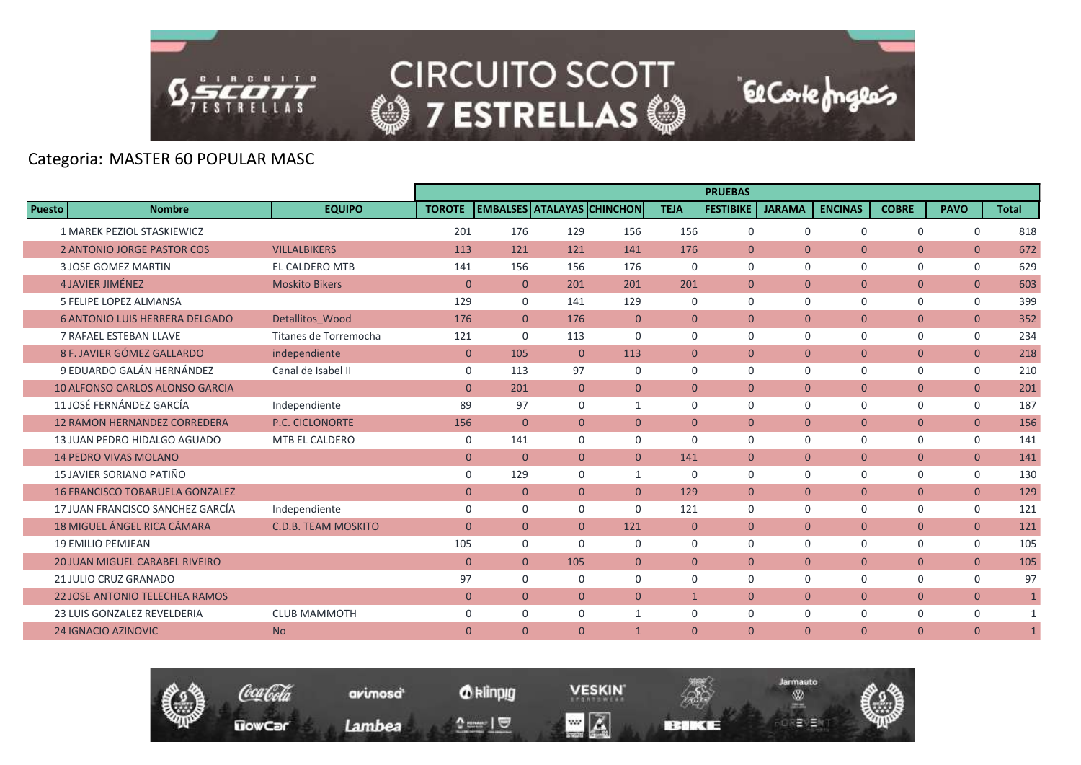

**El Corte fongles** 

# Categoria: MASTER 60 POPULAR MASC

|                                        |                            |                |                |                |                                   |                | <b>PRUEBAS</b>   |                |                |                |                |              |
|----------------------------------------|----------------------------|----------------|----------------|----------------|-----------------------------------|----------------|------------------|----------------|----------------|----------------|----------------|--------------|
| <b>Puesto</b><br><b>Nombre</b>         | <b>EQUIPO</b>              | <b>TOROTE</b>  |                |                | <b>EMBALSES ATALAYAS CHINCHON</b> | <b>TEJA</b>    | <b>FESTIBIKE</b> | <b>JARAMA</b>  | <b>ENCINAS</b> | <b>COBRE</b>   | <b>PAVO</b>    | <b>Total</b> |
| 1 MAREK PEZIOL STASKIEWICZ             |                            | 201            | 176            | 129            | 156                               | 156            | $\mathbf 0$      | $\Omega$       | $\Omega$       | $\Omega$       | $\Omega$       | 818          |
| <b>2 ANTONIO JORGE PASTOR COS</b>      | <b>VILLALBIKERS</b>        | 113            | 121            | 121            | 141                               | 176            | $\overline{0}$   | $\mathbf{0}$   | $\mathbf{0}$   | $\overline{0}$ | $\mathbf{0}$   | 672          |
| <b>3 JOSE GOMEZ MARTIN</b>             | <b>EL CALDERO MTB</b>      | 141            | 156            | 156            | 176                               | $\mathbf 0$    | $\mathbf 0$      | $\Omega$       | $\mathbf 0$    | $\mathbf 0$    | $\mathbf 0$    | 629          |
| <b>4 JAVIER JIMÉNEZ</b>                | <b>Moskito Bikers</b>      | $\mathbf{0}$   | $\overline{0}$ | 201            | 201                               | 201            | $\Omega$         | $\Omega$       | $\overline{0}$ | $\overline{0}$ | $\overline{0}$ | 603          |
| <b>5 FELIPE LOPEZ ALMANSA</b>          |                            | 129            | $\mathbf 0$    | 141            | 129                               | $\Omega$       | $\Omega$         | $\Omega$       | $\Omega$       | $\mathbf 0$    | $\mathbf 0$    | 399          |
| <b>6 ANTONIO LUIS HERRERA DELGADO</b>  | Detallitos Wood            | 176            | $\overline{0}$ | 176            | $\mathbf{0}$                      | $\overline{0}$ | $\overline{0}$   | $\mathbf{0}$   | $\overline{0}$ | $\overline{0}$ | $\overline{0}$ | 352          |
| 7 RAFAEL ESTEBAN LLAVE                 | Titanes de Torremocha      | 121            | $\mathbf 0$    | 113            | $\Omega$                          | $\mathbf 0$    | $\mathbf 0$      | $\mathbf 0$    | $\mathbf 0$    | $\mathbf 0$    | $\mathbf 0$    | 234          |
| 8 F. JAVIER GÓMEZ GALLARDO             | independiente              | $\mathbf{0}$   | 105            | $\overline{0}$ | 113                               | $\mathbf{0}$   | $\overline{0}$   | $\mathbf{0}$   | $\mathbf{0}$   | $\overline{0}$ | $\overline{0}$ | 218          |
| 9 EDUARDO GALÁN HERNÁNDEZ              | Canal de Isabel II         | $\mathbf 0$    | 113            | 97             | $\Omega$                          | $\Omega$       | $\Omega$         | $\Omega$       | $\Omega$       | $\Omega$       | $\mathbf 0$    | 210          |
| <b>10 ALFONSO CARLOS ALONSO GARCIA</b> |                            | $\Omega$       | 201            | $\overline{0}$ | $\Omega$                          | $\theta$       | $\overline{0}$   | $\overline{0}$ | $\overline{0}$ | $\overline{0}$ | $\overline{0}$ | 201          |
| 11 JOSÉ FERNÁNDEZ GARCÍA               | Independiente              | 89             | 97             | $\Omega$       | $\mathbf{1}$                      | $\Omega$       | $\Omega$         | $\Omega$       | $\Omega$       | $\mathbf 0$    | $\mathbf 0$    | 187          |
| <b>12 RAMON HERNANDEZ CORREDERA</b>    | <b>P.C. CICLONORTE</b>     | 156            | $\overline{0}$ | $\overline{0}$ | $\overline{0}$                    | $\mathbf{0}$   | $\overline{0}$   | $\mathbf{0}$   | $\overline{0}$ | $\mathbf{0}$   | $\overline{0}$ | 156          |
| 13 JUAN PEDRO HIDALGO AGUADO           | MTB EL CALDERO             | $\mathbf 0$    | 141            | $\mathbf 0$    | 0                                 | $\mathbf 0$    | $\mathbf 0$      | $\Omega$       | $\mathbf 0$    | $\mathsf{O}$   | $\mathbf 0$    | 141          |
| <b>14 PEDRO VIVAS MOLANO</b>           |                            | $\overline{0}$ | $\overline{0}$ | $\overline{0}$ | $\overline{0}$                    | 141            | $\overline{0}$   | $\overline{0}$ | $\overline{0}$ | $\overline{0}$ | $\overline{0}$ | 141          |
| 15 JAVIER SORIANO PATIÑO               |                            | $\mathbf 0$    | 129            | $\Omega$       | $\mathbf{1}$                      | 0              | $\Omega$         | $\Omega$       | $\mathbf 0$    | $\mathbf 0$    | $\mathbf 0$    | 130          |
| <b>16 FRANCISCO TOBARUELA GONZALEZ</b> |                            | $\mathbf{0}$   | $\overline{0}$ | $\overline{0}$ | $\Omega$                          | 129            | $\overline{0}$   | $\Omega$       | $\overline{0}$ | $\overline{0}$ | $\overline{0}$ | 129          |
| 17 JUAN FRANCISCO SANCHEZ GARCÍA       | Independiente              | $\mathbf 0$    | $\Omega$       | $\Omega$       | $\Omega$                          | 121            | $\Omega$         | $\Omega$       | $\Omega$       | $\mathbf 0$    | $\mathbf 0$    | 121          |
| <b>18 MIGUEL ÁNGEL RICA CÁMARA</b>     | <b>C.D.B. TEAM MOSKITO</b> | $\mathbf{0}$   | $\overline{0}$ | $\overline{0}$ | 121                               | $\mathbf{0}$   | $\overline{0}$   | $\mathbf{0}$   | $\mathbf{0}$   | $\overline{0}$ | $\overline{0}$ | 121          |
| <b>19 EMILIO PEMJEAN</b>               |                            | 105            | $\mathbf 0$    | $\Omega$       | $\mathbf 0$                       | $\mathbf 0$    | $\mathbf 0$      | $\mathbf 0$    | $\mathbf 0$    | 0              | 0              | 105          |
| <b>20 JUAN MIGUEL CARABEL RIVEIRO</b>  |                            | $\overline{0}$ | $\overline{0}$ | 105            | $\mathbf{0}$                      | $\overline{0}$ | $\overline{0}$   | $\mathbf{0}$   | $\overline{0}$ | $\overline{0}$ | $\overline{0}$ | 105          |
| 21 JULIO CRUZ GRANADO                  |                            | 97             | $\mathbf 0$    | $\Omega$       | $\Omega$                          | $\Omega$       | $\Omega$         | $\Omega$       | $\mathbf 0$    | $\mathbf 0$    | $\mathbf 0$    | 97           |
| <b>22 JOSE ANTONIO TELECHEA RAMOS</b>  |                            | $\mathbf{0}$   | $\overline{0}$ | $\overline{0}$ | $\overline{0}$                    | $\mathbf{1}$   | $\mathbf{0}$     | $\overline{0}$ | $\overline{0}$ | $\overline{0}$ | $\overline{0}$ | $\mathbf{1}$ |
| 23 LUIS GONZALEZ REVELDERIA            | <b>CLUB MAMMOTH</b>        | $\mathbf 0$    | $\mathbf 0$    | $\Omega$       | $\mathbf{1}$                      | $\Omega$       | $\mathbf 0$      | $\mathbf 0$    | $\mathbf 0$    | $\mathbf 0$    | $\mathbf 0$    | $\mathbf{1}$ |
| <b>24 IGNACIO AZINOVIC</b>             | <b>No</b>                  | $\mathbf{0}$   | $\overline{0}$ | $\overline{0}$ | $\mathbf{1}$                      | $\mathbf{0}$   | $\mathbf{0}$     | $\Omega$       | $\mathbf{0}$   | $\overline{0}$ | $\mathbf{0}$   | $\mathbf{1}$ |

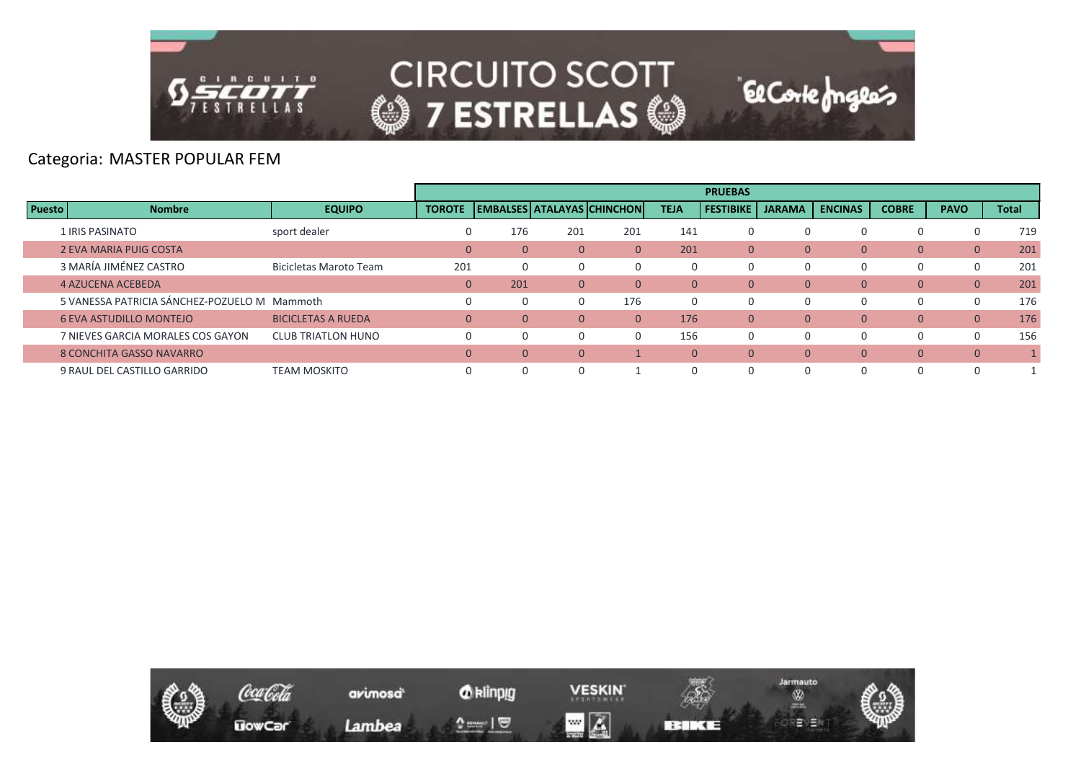

### Categoria: MASTER POPULAR FEM

|               |                                              |                               |               |                |                |                            |              | <b>PRUEBAS</b>   |               |                |                |              |       |
|---------------|----------------------------------------------|-------------------------------|---------------|----------------|----------------|----------------------------|--------------|------------------|---------------|----------------|----------------|--------------|-------|
| <b>Puesto</b> | <b>Nombre</b>                                | <b>EQUIPO</b>                 | <b>TOROTE</b> |                |                | EMBALSES ATALAYAS CHINCHON | <b>TEJA</b>  | <b>FESTIBIKE</b> | <b>JARAMA</b> | <b>ENCINAS</b> | <b>COBRE</b>   | <b>PAVO</b>  | Total |
|               | 1 IRIS PASINATO                              | sport dealer                  | U             | 176            | 201            | 201                        | 141          | 0                |               | 0              |                |              | 719   |
|               | 2 EVA MARIA PUIG COSTA                       |                               | $\mathbf{0}$  | $\overline{0}$ | $\overline{0}$ | $\Omega$                   | 201          | $\mathbf{0}$     | $\Omega$      | $\Omega$       | $\Omega$       | $\mathbf{0}$ | 201   |
|               | 3 MARÍA JIMÉNEZ CASTRO                       | <b>Bicicletas Maroto Team</b> | 201           | $\mathbf{0}$   |                |                            | 0            | 0                |               | 0              |                | 0            | 201   |
|               | 4 AZUCENA ACEBEDA                            |                               | $\mathbf{0}$  | 201            | 0              | $\Omega$                   | $\mathbf{0}$ | $\mathbf{0}$     | $\Omega$      | $\mathbf{0}$   | 0              | $\mathbf{0}$ | 201   |
|               | 5 VANESSA PATRICIA SÁNCHEZ-POZUELO M Mammoth |                               | 0             | $\Omega$       |                | 176                        | $\Omega$     | 0                |               | 0              |                | 0            | 176   |
|               | <b>6 EVA ASTUDILLO MONTEJO</b>               | <b>BICICLETAS A RUEDA</b>     | $\Omega$      | $\Omega$       | 0              |                            | 176          | $\mathbf{0}$     | $\Omega$      | $\Omega$       | $\Omega$       | $\Omega$     | 176   |
|               | 7 NIEVES GARCIA MORALES COS GAYON            | <b>CLUB TRIATLON HUNO</b>     |               | $\Omega$       |                |                            | 156          | 0                |               | 0              |                | $\Omega$     | 156   |
|               | 8 CONCHITA GASSO NAVARRO                     |                               | $\mathbf{0}$  | $\mathbf{0}$   | 0              |                            | $\mathbf{0}$ | $\mathbf{0}$     | $\Omega$      | $\mathbf{0}$   | $\overline{0}$ | $\mathbf{0}$ |       |
|               | 9 RAUL DEL CASTILLO GARRIDO                  | <b>TEAM MOSKITO</b>           |               | $\Omega$       |                |                            | $\Omega$     |                  |               | 0              |                |              |       |

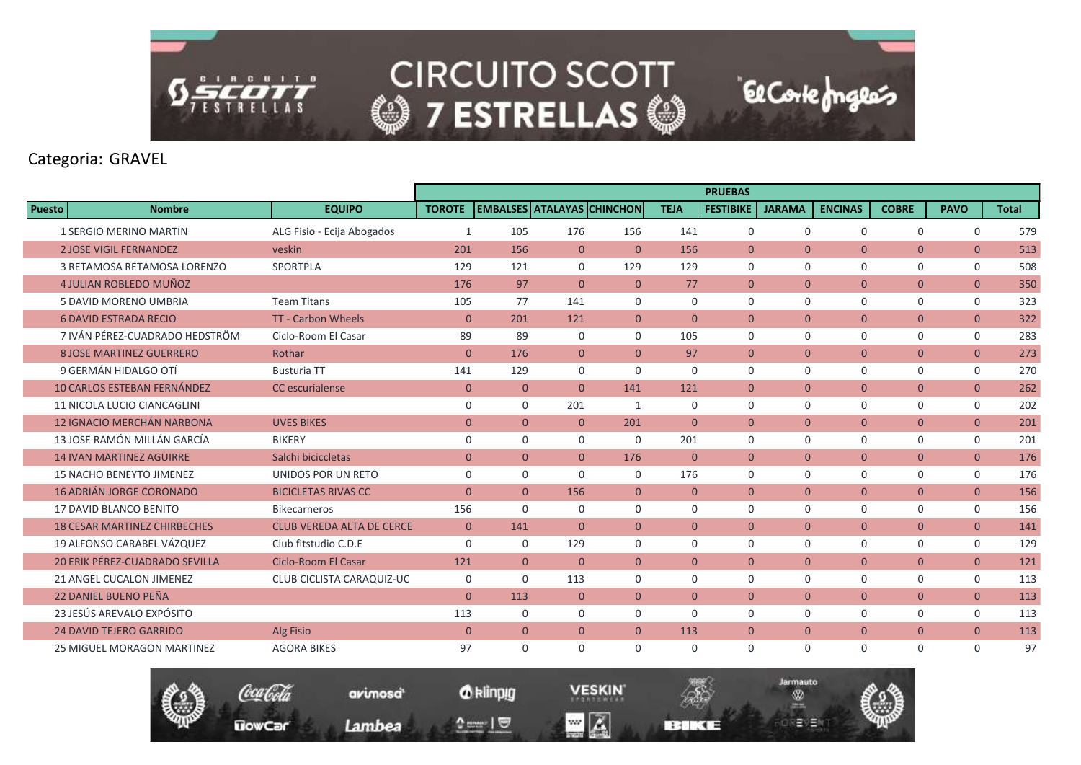

# Categoria: GRAVEL

|               |                                       |                                  |                |                |                |                                   |                | <b>PRUEBAS</b>   |                |                |                |                |              |
|---------------|---------------------------------------|----------------------------------|----------------|----------------|----------------|-----------------------------------|----------------|------------------|----------------|----------------|----------------|----------------|--------------|
| <b>Puesto</b> | <b>Nombre</b>                         | <b>EQUIPO</b>                    | <b>TOROTE</b>  |                |                | <b>EMBALSES ATALAYAS CHINCHON</b> | <b>TEJA</b>    | <b>FESTIBIKE</b> | <b>JARAMA</b>  | <b>ENCINAS</b> | <b>COBRE</b>   | <b>PAVO</b>    | <b>Total</b> |
|               | <b>1 SERGIO MERINO MARTIN</b>         | ALG Fisio - Ecija Abogados       | $\mathbf{1}$   | 105            | 176            | 156                               | 141            | $\mathbf 0$      | $\mathbf 0$    | $\Omega$       | $\mathbf 0$    | $\mathbf 0$    | 579          |
|               | <b>2 JOSE VIGIL FERNANDEZ</b>         | veskin                           | 201            | 156            | $\mathbf{0}$   | $\mathbf{0}$                      | 156            | $\overline{0}$   | $\mathbf{0}$   | $\overline{0}$ | $\mathbf{0}$   | $\overline{0}$ | 513          |
|               | 3 RETAMOSA RETAMOSA LORENZO           | SPORTPLA                         | 129            | 121            | $\Omega$       | 129                               | 129            | $\mathbf 0$      | $\mathbf 0$    | $\Omega$       | $\mathbf 0$    | $\mathsf{O}$   | 508          |
|               | 4 JULIAN ROBLEDO MUÑOZ                |                                  | 176            | 97             | $\Omega$       | $\overline{0}$                    | 77             | $\mathbf{0}$     | $\overline{0}$ | $\overline{0}$ | $\mathbf{0}$   | $\overline{0}$ | 350          |
|               | 5 DAVID MORENO UMBRIA                 | <b>Team Titans</b>               | 105            | 77             | 141            | $\Omega$                          | $\mathbf 0$    | $\mathbf 0$      | $\mathbf 0$    | $\Omega$       | $\mathbf 0$    | $\mathbf 0$    | 323          |
|               | <b>6 DAVID ESTRADA RECIO</b>          | <b>TT - Carbon Wheels</b>        | $\mathbf{0}$   | 201            | 121            | $\overline{0}$                    | $\overline{0}$ | $\overline{0}$   | $\overline{0}$ | $\overline{0}$ | $\overline{0}$ | $\overline{0}$ | 322          |
|               | 7 IVÁN PÉREZ-CUADRADO HEDSTRÖM        | Ciclo-Room El Casar              | 89             | 89             | $\mathbf 0$    | $\mathbf 0$                       | 105            | $\mathbf 0$      | $\mathbf 0$    | $\mathbf 0$    | 0              | $\mathsf{O}$   | 283          |
|               | <b>8 JOSE MARTINEZ GUERRERO</b>       | Rothar                           | $\mathbf{0}$   | 176            | $\overline{0}$ | $\overline{0}$                    | 97             | $\mathbf{0}$     | $\overline{0}$ | $\overline{0}$ | $\mathbf{0}$   | $\overline{0}$ | 273          |
|               | 9 GERMÁN HIDALGO OTÍ                  | <b>Busturia TT</b>               | 141            | 129            | $\Omega$       | $\Omega$                          | $\Omega$       | $\Omega$         | $\mathbf 0$    | $\Omega$       | $\mathbf 0$    | $\overline{0}$ | 270          |
|               | <b>10 CARLOS ESTEBAN FERNÁNDEZ</b>    | <b>CC</b> escurialense           | $\mathbf{0}$   | $\overline{0}$ | $\overline{0}$ | 141                               | 121            | $\overline{0}$   | $\overline{0}$ | $\overline{0}$ | $\overline{0}$ | $\overline{0}$ | 262          |
|               | 11 NICOLA LUCIO CIANCAGLINI           |                                  | $\mathbf 0$    | $\Omega$       | 201            | 1                                 | $\mathbf 0$    | $\Omega$         | $\mathbf 0$    | $\Omega$       | $\mathbf 0$    | $\mathbf 0$    | 202          |
|               | <b>12 IGNACIO MERCHÁN NARBONA</b>     | <b>UVES BIKES</b>                | $\overline{0}$ | $\overline{0}$ | $\overline{0}$ | 201                               | $\overline{0}$ | $\mathbf{0}$     | $\overline{0}$ | $\overline{0}$ | $\overline{0}$ | $\overline{0}$ | 201          |
|               | 13 JOSE RAMÓN MILLÁN GARCÍA           | <b>BIKERY</b>                    | $\mathbf 0$    | $\Omega$       | $\mathbf 0$    | $\Omega$                          | 201            | $\Omega$         | $\Omega$       | $\Omega$       | $\mathbf 0$    | $\mathbf 0$    | 201          |
|               | <b>14 IVAN MARTINEZ AGUIRRE</b>       | Salchi biciccletas               | $\mathbf{0}$   | $\mathbf{0}$   | $\Omega$       | 176                               | $\mathbf{0}$   | $\overline{0}$   | $\mathbf{0}$   | $\overline{0}$ | $\mathbf{0}$   | $\overline{0}$ | 176          |
|               | <b>15 NACHO BENEYTO JIMENEZ</b>       | UNIDOS POR UN RETO               | $\mathbf 0$    | $\mathbf 0$    | $\mathbf 0$    | 0                                 | 176            | $\mathbf 0$      | $\mathbf 0$    | 0              | 0              | $\mathsf{O}$   | 176          |
|               | <b>16 ADRIÁN JORGE CORONADO</b>       | <b>BICICLETAS RIVAS CC</b>       | $\Omega$       | $\Omega$       | 156            | $\Omega$                          | $\Omega$       | $\Omega$         | $\Omega$       | $\Omega$       | $\overline{0}$ | $\overline{0}$ | 156          |
|               | 17 DAVID BLANCO BENITO                | <b>Bikecarneros</b>              | 156            | $\Omega$       | $\mathbf 0$    | $\Omega$                          | $\mathbf 0$    | $\mathbf 0$      | $\mathbf 0$    | 0              | $\mathbf 0$    | $\mathbf 0$    | 156          |
|               | <b>18 CESAR MARTINEZ CHIRBECHES</b>   | <b>CLUB VEREDA ALTA DE CERCE</b> | $\mathbf{0}$   | 141            | $\overline{0}$ | $\overline{0}$                    | $\overline{0}$ | $\overline{0}$   | $\mathbf{0}$   | $\overline{0}$ | $\mathbf{0}$   | $\overline{0}$ | 141          |
|               | 19 ALFONSO CARABEL VÁZOUEZ            | Club fitstudio C.D.E             | $\Omega$       | $\mathbf 0$    | 129            | $\mathbf 0$                       | $\mathbf 0$    | $\mathbf 0$      | $\mathbf 0$    | 0              | 0              | $\mathsf{O}$   | 129          |
|               | <b>20 ERIK PÉREZ-CUADRADO SEVILLA</b> | <b>Ciclo-Room El Casar</b>       | 121            | $\mathbf{0}$   | $\Omega$       | $\Omega$                          | $\Omega$       | $\Omega$         | $\mathbf{0}$   | $\overline{0}$ | $\mathbf{0}$   | $\overline{0}$ | 121          |
|               | 21 ANGEL CUCALON JIMENEZ              | CLUB CICLISTA CARAQUIZ-UC        | 0              | $\Omega$       | 113            | $\Omega$                          | $\Omega$       | $\Omega$         | $\Omega$       | $\Omega$       | $\mathbf 0$    | $\mathbf 0$    | 113          |
|               | <b>22 DANIEL BUENO PEÑA</b>           |                                  | $\mathbf{0}$   | 113            | $\overline{0}$ | $\overline{0}$                    | $\mathbf{0}$   | $\overline{0}$   | $\mathbf{0}$   | $\overline{0}$ | $\mathbf{0}$   | $\overline{0}$ | 113          |
|               | 23 JESÚS AREVALO EXPÓSITO             |                                  | 113            | $\mathbf 0$    | $\mathbf 0$    | $\mathbf 0$                       | $\mathbf 0$    | $\mathbf 0$      | $\mathbf 0$    | 0              | 0              | $\mathsf{O}$   | 113          |
|               | <b>24 DAVID TEJERO GARRIDO</b>        | <b>Alg Fisio</b>                 | $\mathbf{0}$   | $\overline{0}$ | $\overline{0}$ | $\overline{0}$                    | 113            | $\mathbf{0}$     | $\mathbf{0}$   | $\overline{0}$ | $\mathbf{0}$   | $\overline{0}$ | 113          |
|               | <b>25 MIGUEL MORAGON MARTINEZ</b>     | <b>AGORA BIKES</b>               | 97             | $\Omega$       | $\Omega$       | $\Omega$                          | $\Omega$       | $\Omega$         | $\mathbf 0$    | $\Omega$       | $\mathbf 0$    | $\mathbf 0$    | 97           |

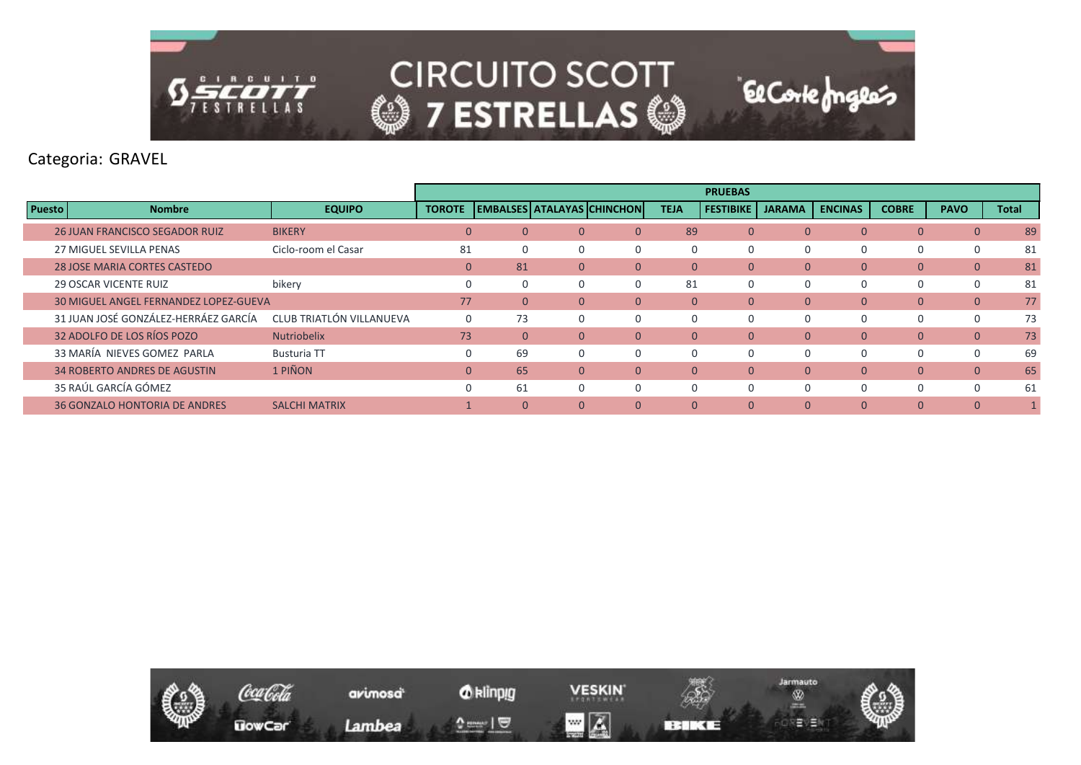

Categoria: GRAVEL

|               |                                              |                          |               |          |          |                            |                | <b>PRUEBAS</b>   |               |                |              |              |              |
|---------------|----------------------------------------------|--------------------------|---------------|----------|----------|----------------------------|----------------|------------------|---------------|----------------|--------------|--------------|--------------|
| <b>Puesto</b> | <b>Nombre</b>                                | <b>EQUIPO</b>            | <b>TOROTE</b> |          |          | EMBALSES ATALAYAS CHINCHON | <b>TEJA</b>    | <b>FESTIBIKE</b> | <b>JARAMA</b> | <b>ENCINAS</b> | <b>COBRE</b> | <b>PAVO</b>  | <b>Total</b> |
|               | <b>26 JUAN FRANCISCO SEGADOR RUIZ</b>        | <b>BIKERY</b>            | $\mathbf{0}$  |          | $\Omega$ | $\Omega$                   | 89             | $\Omega$         | $\Omega$      | $\Omega$       | $\mathbf{0}$ | $\mathbf{0}$ | 89           |
|               | 27 MIGUEL SEVILLA PENAS                      | Ciclo-room el Casar      | 81            |          | 0        | $\Omega$                   | 0              | 0                | $\Omega$      |                | $\Omega$     | $\mathbf 0$  | 81           |
|               | <b>28 JOSE MARIA CORTES CASTEDO</b>          |                          | $\Omega$      | 81       | $\Omega$ | $\overline{0}$             | $\overline{0}$ | $\Omega$         | $\mathbf{0}$  | $\overline{0}$ | $\mathbf{0}$ | $\mathbf{0}$ | 81           |
|               | <b>29 OSCAR VICENTE RUIZ</b>                 | bikery                   |               |          | $\Omega$ |                            | 81             | 0                | $\Omega$      |                | $\Omega$     | $\Omega$     | 81           |
|               | <b>30 MIGUEL ANGEL FERNANDEZ LOPEZ-GUEVA</b> |                          | 77            |          | $\Omega$ | $\Omega$                   | $\overline{0}$ | $\Omega$         | $\Omega$      | $\overline{0}$ | $\mathbf{0}$ | $\mathbf{0}$ | 77           |
|               | 31 JUAN JOSÉ GONZÁLEZ-HERRÁEZ GARCÍA         | CLUB TRIATLÓN VILLANUEVA | $\Omega$      | 73       | $\Omega$ | $\Omega$                   | $\Omega$       | 0                | $\Omega$      |                | $\Omega$     | $\Omega$     | 73           |
|               | 32 ADOLFO DE LOS RÍOS POZO                   | <b>Nutriobelix</b>       | 73            | $\Omega$ | $\Omega$ | $\Omega$                   | $\Omega$       | $\Omega$         | $\Omega$      | $\overline{0}$ | $\mathbf{0}$ | $\mathbf{0}$ | 73           |
|               | 33 MARÍA NIEVES GOMEZ PARLA                  | <b>Busturia TT</b>       |               | 69       | 0        | 0                          |                | $\Omega$         | $\Omega$      |                | $\Omega$     | $\Omega$     | 69           |
|               | 34 ROBERTO ANDRES DE AGUSTIN                 | 1 PIÑON                  | $\Omega$      | 65       | $\Omega$ | $\Omega$                   | $\overline{0}$ | $\mathbf{0}$     | $\Omega$      | $\Omega$       | $\Omega$     | $\mathbf{0}$ | 65           |
|               | 35 RAÚL GARCÍA GÓMEZ                         |                          | $\Omega$      | 61       | $\Omega$ | $\Omega$                   | $\Omega$       | $\Omega$         | $\Omega$      | O              | $\Omega$     | $\Omega$     | 61           |
|               | <b>36 GONZALO HONTORIA DE ANDRES</b>         | <b>SALCHI MATRIX</b>     |               |          | $\Omega$ | $\Omega$                   | $\Omega$       | $\Omega$         | $\Omega$      | $\overline{0}$ | $\Omega$     | $\theta$     |              |

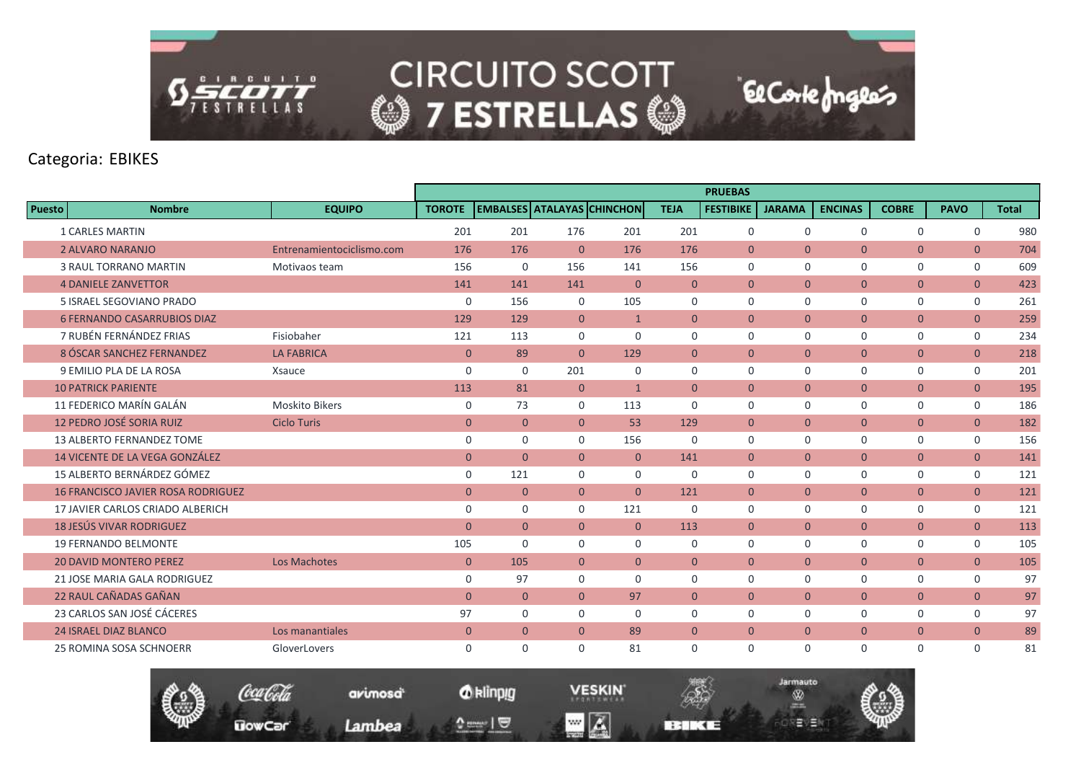

### Categoria: EBIKES

|               |                                           |                           |                |                                   |                |                |                | <b>PRUEBAS</b>   |                |                |                |                |              |
|---------------|-------------------------------------------|---------------------------|----------------|-----------------------------------|----------------|----------------|----------------|------------------|----------------|----------------|----------------|----------------|--------------|
| <b>Puesto</b> | <b>Nombre</b>                             | <b>EQUIPO</b>             | <b>TOROTE</b>  | <b>EMBALSES ATALAYAS CHINCHON</b> |                |                | <b>TEJA</b>    | <b>FESTIBIKE</b> | <b>JARAMA</b>  | <b>ENCINAS</b> | <b>COBRE</b>   | <b>PAVO</b>    | <b>Total</b> |
|               | <b>1 CARLES MARTIN</b>                    |                           | 201            | 201                               | 176            | 201            | 201            | 0                | $\mathbf 0$    | $\Omega$       | $\mathbf 0$    | 0              | 980          |
|               | 2 ALVARO NARANJO                          | Entrenamientociclismo.com | 176            | 176                               | $\overline{0}$ | 176            | 176            | $\mathbf{0}$     | $\overline{0}$ | $\overline{0}$ | $\mathbf{0}$   | $\overline{0}$ | 704          |
|               | <b>3 RAUL TORRANO MARTIN</b>              | Motivaos team             | 156            | $\mathbf 0$                       | 156            | 141            | 156            | $\mathbf 0$      | $\mathbf 0$    | $\mathbf 0$    | $\mathbf 0$    | $\mathbf 0$    | 609          |
|               | <b>4 DANIELE ZANVETTOR</b>                |                           | 141            | 141                               | 141            | $\overline{0}$ | $\overline{0}$ | $\overline{0}$   | $\overline{0}$ | $\overline{0}$ | $\mathbf{0}$   | $\overline{0}$ | 423          |
|               | 5 ISRAEL SEGOVIANO PRADO                  |                           | $\mathbf 0$    | 156                               | $\mathbf{0}$   | 105            | $\Omega$       | $\Omega$         | $\Omega$       | $\Omega$       | $\mathbf 0$    | $\mathbf 0$    | 261          |
|               | <b>6 FERNANDO CASARRUBIOS DIAZ</b>        |                           | 129            | 129                               | $\mathbf{0}$   | $\mathbf{1}$   | $\overline{0}$ | $\mathbf{0}$     | $\overline{0}$ | $\overline{0}$ | $\mathbf{0}$   | $\overline{0}$ | 259          |
|               | 7 RUBÉN FERNÁNDEZ FRIAS                   | Fisiobaher                | 121            | 113                               | $\mathbf 0$    | $\mathbf 0$    | $\mathbf 0$    | $\mathbf 0$      | $\mathbf 0$    | $\mathbf 0$    | $\mathbf 0$    | $\mathbf 0$    | 234          |
|               | 8 ÓSCAR SANCHEZ FERNANDEZ                 | <b>LA FABRICA</b>         | $\mathbf{0}$   | 89                                | $\Omega$       | 129            | $\overline{0}$ | $\overline{0}$   | $\overline{0}$ | $\overline{0}$ | $\mathbf{0}$   | $\overline{0}$ | 218          |
|               | 9 EMILIO PLA DE LA ROSA                   | Xsauce                    | $\mathbf 0$    | $\Omega$                          | 201            | $\Omega$       | $\Omega$       | $\Omega$         | $\mathbf 0$    | $\mathbf 0$    | 0              | $\mathbf{0}$   | 201          |
|               | <b>10 PATRICK PARIENTE</b>                |                           | 113            | 81                                | $\overline{0}$ | $\mathbf{1}$   | $\overline{0}$ | $\overline{0}$   | $\overline{0}$ | $\overline{0}$ | $\mathbf{0}$   | $\overline{0}$ | 195          |
|               | 11 FEDERICO MARÍN GALÁN                   | <b>Moskito Bikers</b>     | $\mathbf 0$    | 73                                | $\mathbf 0$    | 113            | $\mathbf 0$    | $\mathbf 0$      | $\mathbf 0$    | $\mathbf 0$    | $\mathbf 0$    | $\mathbf 0$    | 186          |
|               | 12 PEDRO JOSÉ SORIA RUIZ                  | <b>Ciclo Turis</b>        | $\mathbf{0}$   | $\mathbf{0}$                      | $\Omega$       | 53             | 129            | $\overline{0}$   | $\overline{0}$ | $\overline{0}$ | $\mathbf{0}$   | $\overline{0}$ | 182          |
|               | 13 ALBERTO FERNANDEZ TOME                 |                           | $\mathbf 0$    | $\Omega$                          | $\Omega$       | 156            | $\Omega$       | $\Omega$         | $\mathbf 0$    | $\Omega$       | 0              | $\mathbf 0$    | 156          |
|               | 14 VICENTE DE LA VEGA GONZÁLEZ            |                           | $\mathbf{0}$   | $\overline{0}$                    | $\Omega$       | $\overline{0}$ | 141            | $\mathbf{0}$     | $\overline{0}$ | $\overline{0}$ | $\mathbf{0}$   | $\overline{0}$ | 141          |
|               | 15 ALBERTO BERNÁRDEZ GÓMEZ                |                           | $\mathbf 0$    | 121                               | $\mathbf 0$    | $\mathbf 0$    | $\mathbf 0$    | $\mathbf 0$      | $\mathbf 0$    | $\mathbf 0$    | 0              | $\mathbf 0$    | 121          |
|               | <b>16 FRANCISCO JAVIER ROSA RODRIGUEZ</b> |                           | $\mathbf{0}$   | $\mathbf{0}$                      | $\overline{0}$ | $\overline{0}$ | 121            | $\mathbf{0}$     | $\overline{0}$ | $\overline{0}$ | $\mathbf{0}$   | $\overline{0}$ | 121          |
|               | 17 JAVIER CARLOS CRIADO ALBERICH          |                           | $\mathbf 0$    | $\Omega$                          | $\Omega$       | 121            | $\Omega$       | $\Omega$         | $\mathbf 0$    | $\mathbf 0$    | 0              | $\mathbf 0$    | 121          |
|               | <b>18 JESÚS VIVAR RODRIGUEZ</b>           |                           | $\mathbf{0}$   | $\overline{0}$                    | $\overline{0}$ | $\overline{0}$ | 113            | $\mathbf{0}$     | $\overline{0}$ | $\overline{0}$ | $\overline{0}$ | $\overline{0}$ | 113          |
|               | <b>19 FERNANDO BELMONTE</b>               |                           | 105            | $\Omega$                          | $\mathbf 0$    | $\mathbf 0$    | $\mathbf 0$    | 0                | $\mathbf 0$    | $\mathbf 0$    | 0              | $\mathbf 0$    | 105          |
|               | <b>20 DAVID MONTERO PEREZ</b>             | Los Machotes              | $\mathbf{0}$   | 105                               | $\mathbf{0}$   | $\overline{0}$ | $\mathbf{0}$   | $\mathbf{0}$     | $\overline{0}$ | $\overline{0}$ | $\mathbf{0}$   | $\overline{0}$ | 105          |
|               | 21 JOSE MARIA GALA RODRIGUEZ              |                           | $\mathbf 0$    | 97                                | $\Omega$       | $\Omega$       | $\mathbf 0$    | 0                | $\mathbf 0$    | $\mathbf 0$    | $\mathbf 0$    | $\mathbf 0$    | 97           |
|               | 22 RAUL CAÑADAS GAÑAN                     |                           | $\overline{0}$ | $\mathbf{0}$                      | $\overline{0}$ | 97             | $\overline{0}$ | $\mathbf{0}$     | $\overline{0}$ | $\overline{0}$ | $\overline{0}$ | $\overline{0}$ | 97           |
|               | 23 CARLOS SAN JOSÉ CÁCERES                |                           | 97             | $\Omega$                          | $\Omega$       | $\Omega$       | 0              | $\Omega$         | $\mathbf 0$    | $\mathbf 0$    | 0              | $\mathbf 0$    | 97           |
|               | <b>24 ISRAEL DIAZ BLANCO</b>              | Los manantiales           | $\mathbf{0}$   | $\overline{0}$                    | $\mathbf{0}$   | 89             | $\mathbf{0}$   | $\mathbf{0}$     | $\overline{0}$ | $\overline{0}$ | $\overline{0}$ | $\overline{0}$ | 89           |
|               | 25 ROMINA SOSA SCHNOERR                   | GloverLovers              | $\mathbf 0$    | $\Omega$                          | $\Omega$       | 81             | 0              | 0                | $\mathbf 0$    | $\mathbf 0$    | $\mathbf 0$    | $\mathbf 0$    | 81           |

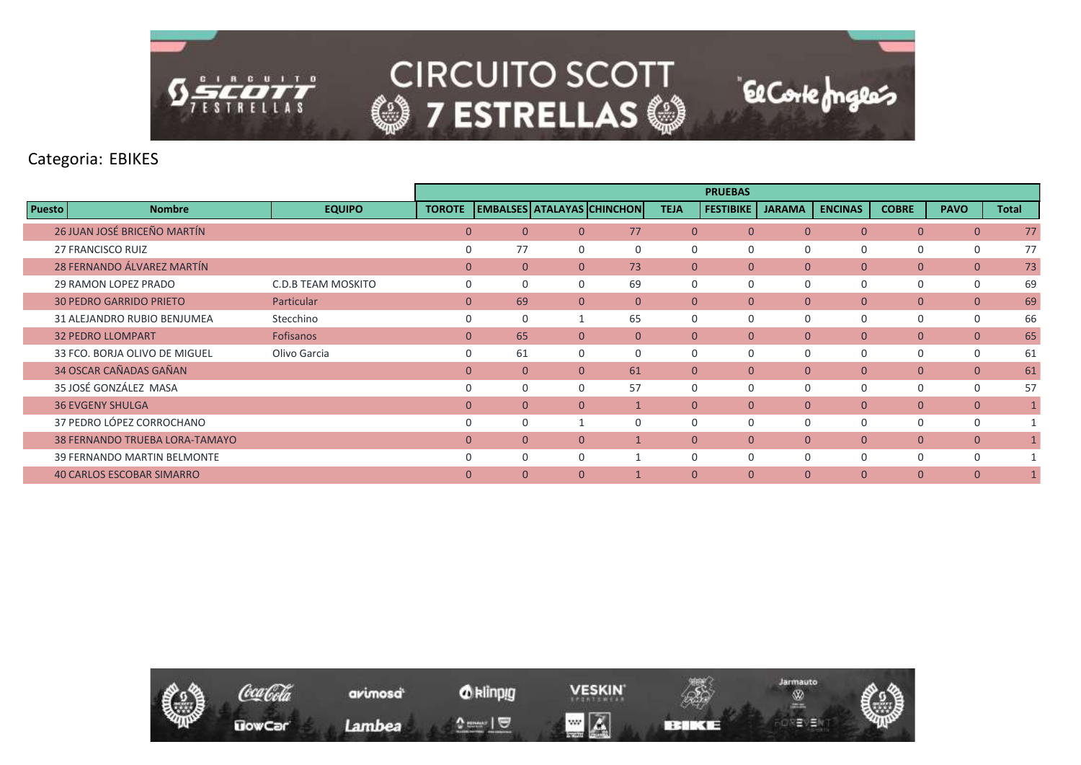

Categoria: EBIKES

|               |                                       |                           |               |          |          |                                   |                | <b>PRUEBAS</b>   |                |                |                |                |              |
|---------------|---------------------------------------|---------------------------|---------------|----------|----------|-----------------------------------|----------------|------------------|----------------|----------------|----------------|----------------|--------------|
| <b>Puesto</b> | <b>Nombre</b>                         | <b>EQUIPO</b>             | <b>TOROTE</b> |          |          | <b>EMBALSES ATALAYAS CHINCHON</b> | <b>TEJA</b>    | <b>FESTIBIKE</b> | <b>JARAMA</b>  | <b>ENCINAS</b> | <b>COBRE</b>   | <b>PAVO</b>    | <b>Total</b> |
|               | 26 JUAN JOSÉ BRICEÑO MARTÍN           |                           | $\mathbf{0}$  | $\Omega$ | $\Omega$ | 77                                | $\overline{0}$ | $\mathbf{0}$     | $\mathbf{0}$   | $\overline{0}$ | $\mathbf{0}$   | $\overline{0}$ | 77           |
|               | <b>27 FRANCISCO RUIZ</b>              |                           |               | 77       | $\Omega$ | $\Omega$                          | 0              | 0                | $\overline{0}$ | 0              | 0              | 0              | 77           |
|               | 28 FERNANDO ÁLVAREZ MARTÍN            |                           | $\Omega$      | $\Omega$ | $\Omega$ | 73                                | $\Omega$       | $\Omega$         | $\mathbf{0}$   | $\overline{0}$ | $\overline{0}$ | $\mathbf{0}$   | 73           |
|               | 29 RAMON LOPEZ PRADO                  | <b>C.D.B TEAM MOSKITO</b> |               |          | $\Omega$ | 69                                | $\Omega$       | $\Omega$         | $\Omega$       | $\Omega$       | 0              | $\mathbf 0$    | 69           |
|               | <b>30 PEDRO GARRIDO PRIETO</b>        | Particular                | $\mathbf{0}$  | 69       | $\Omega$ | $\Omega$                          | $\mathbf{0}$   | $\mathbf{0}$     | $\mathbf{0}$   | $\overline{0}$ | $\mathbf{0}$   | $\mathbf{0}$   | 69           |
|               | 31 ALEJANDRO RUBIO BENJUMEA           | Stecchino                 | 0             |          |          | 65                                | $\mathbf 0$    | 0                | $\overline{0}$ | $\Omega$       | 0              | $\mathbf 0$    | 66           |
|               | <b>32 PEDRO LLOMPART</b>              | <b>Fofisanos</b>          | $\mathbf{0}$  | 65       | $\Omega$ | $\Omega$                          | $\Omega$       | $\Omega$         | $\mathbf{0}$   | $\overline{0}$ | $\overline{0}$ | $\overline{0}$ | 65           |
|               | 33 FCO. BORJA OLIVO DE MIGUEL         | Olivo Garcia              | $\Omega$      | 61       | $\Omega$ | $\Omega$                          | $\Omega$       | $\Omega$         | $\Omega$       | $\Omega$       | 0              | 0              | 61           |
|               | 34 OSCAR CAÑADAS GAÑAN                |                           | $\Omega$      | $\Omega$ | $\Omega$ | 61                                | $\Omega$       | $\Omega$         | $\mathbf{0}$   | $\overline{0}$ | $\mathbf{0}$   | $\mathbf{0}$   | 61           |
|               | 35 JOSÉ GONZÁLEZ MASA                 |                           |               |          | $\Omega$ | 57                                | $\Omega$       | $\Omega$         | $\Omega$       | 0              | 0              | $\mathbf 0$    | 57           |
|               | <b>36 EVGENY SHULGA</b>               |                           | $\Omega$      |          | $\Omega$ |                                   | $\mathbf{0}$   | $\mathbf{0}$     | $\mathbf{0}$   | $\overline{0}$ | $\mathbf{0}$   | $\mathbf{0}$   |              |
|               | 37 PEDRO LÓPEZ CORROCHANO             |                           |               |          |          | $\Omega$                          | $\Omega$       | 0                | $\Omega$       | $\Omega$       | 0              | $\mathbf 0$    |              |
|               | <b>38 FERNANDO TRUEBA LORA-TAMAYO</b> |                           | $\Omega$      | $\Omega$ | $\Omega$ |                                   | $\overline{0}$ | $\mathbf{0}$     | $\mathbf{0}$   | $\overline{0}$ | $\mathbf{0}$   | $\mathbf{0}$   |              |
|               | 39 FERNANDO MARTIN BELMONTE           |                           | <sup>0</sup>  | $\Omega$ | $\Omega$ |                                   | $\Omega$       | $\Omega$         | $\Omega$       | 0              | 0              | $\Omega$       |              |
|               | <b>40 CARLOS ESCOBAR SIMARRO</b>      |                           | $\Omega$      | $\Omega$ | $\Omega$ |                                   | $\overline{0}$ | $\Omega$         | $\Omega$       | $\Omega$       | $\Omega$       | $\Omega$       |              |

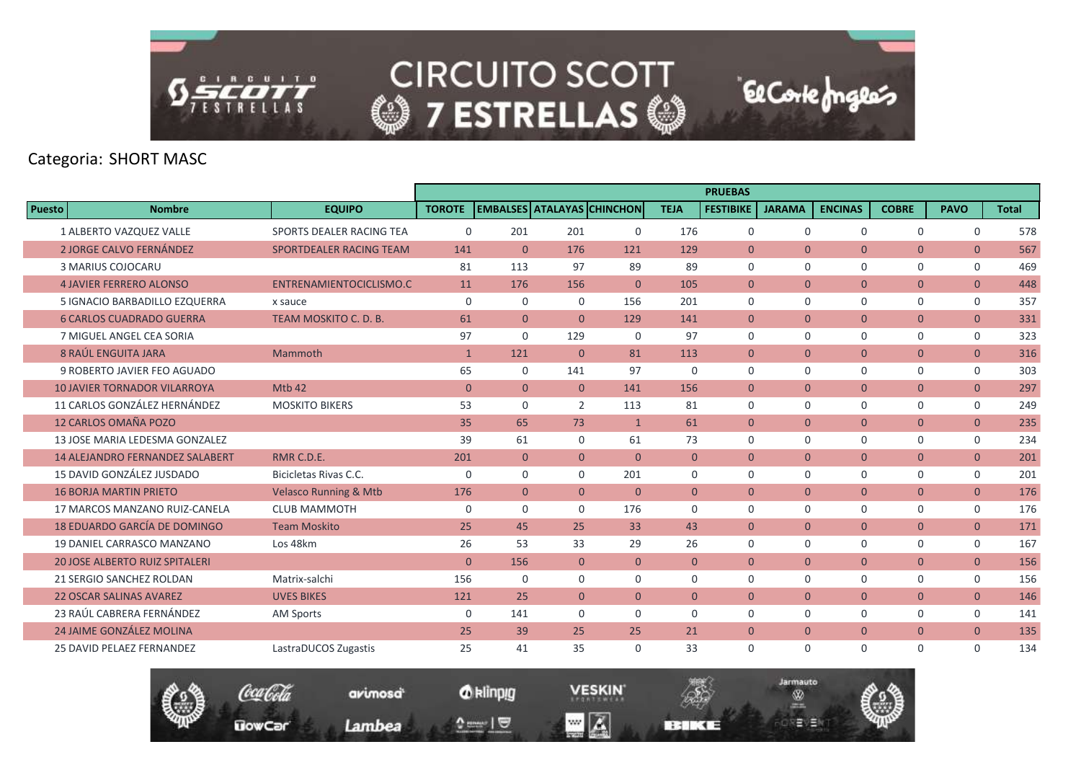

|               |                                        |                                  |                |                |                |                                   |                | <b>PRUEBAS</b>   |                |                |                |                |              |
|---------------|----------------------------------------|----------------------------------|----------------|----------------|----------------|-----------------------------------|----------------|------------------|----------------|----------------|----------------|----------------|--------------|
| <b>Puesto</b> | <b>Nombre</b>                          | <b>EQUIPO</b>                    | <b>TOROTE</b>  |                |                | <b>EMBALSES ATALAYAS CHINCHON</b> | <b>TEJA</b>    | <b>FESTIBIKE</b> | <b>JARAMA</b>  | <b>ENCINAS</b> | <b>COBRE</b>   | <b>PAVO</b>    | <b>Total</b> |
|               | 1 ALBERTO VAZQUEZ VALLE                | SPORTS DEALER RACING TEA         | $\mathbf 0$    | 201            | 201            | $\mathbf 0$                       | 176            | $\mathbf 0$      | $\mathbf 0$    | $\mathbf 0$    | $\mathbf 0$    | $\mathbf 0$    | 578          |
|               | <b>2 JORGE CALVO FERNÁNDEZ</b>         | SPORTDEALER RACING TEAM          | 141            | $\overline{0}$ | 176            | 121                               | 129            | $\mathbf{0}$     | $\overline{0}$ | $\overline{0}$ | $\mathbf{0}$   | $\mathbf{0}$   | 567          |
|               | 3 MARIUS COJOCARU                      |                                  | 81             | 113            | 97             | 89                                | 89             | $\Omega$         | $\Omega$       | $\Omega$       | $\mathbf 0$    | $\mathbf 0$    | 469          |
|               | <b>4 JAVIER FERRERO ALONSO</b>         | ENTRENAMIENTOCICLISMO.C          | 11             | 176            | 156            | $\mathbf{0}$                      | 105            | $\mathbf{0}$     | $\mathbf{0}$   | $\overline{0}$ | $\overline{0}$ | $\mathbf{0}$   | 448          |
|               | 5 IGNACIO BARBADILLO EZQUERRA          | x sauce                          | $\mathbf 0$    | $\mathbf 0$    | $\mathbf 0$    | 156                               | 201            | $\Omega$         | $\Omega$       | $\mathbf 0$    | $\mathbf 0$    | $\mathsf{O}$   | 357          |
|               | <b>6 CARLOS CUADRADO GUERRA</b>        | TEAM MOSKITO C. D. B.            | 61             | $\overline{0}$ | $\Omega$       | 129                               | 141            | $\mathbf{0}$     | $\overline{0}$ | $\overline{0}$ | $\overline{0}$ | $\overline{0}$ | 331          |
|               | 7 MIGUEL ANGEL CEA SORIA               |                                  | 97             | $\Omega$       | 129            | $\mathbf 0$                       | 97             | $\mathbf 0$      | $\mathbf 0$    | $\mathbf 0$    | $\mathbf 0$    | 0              | 323          |
|               | 8 RAÚL ENGUITA JARA                    | Mammoth                          | $\mathbf{1}$   | 121            | $\mathbf{0}$   | 81                                | 113            | $\mathbf{0}$     | $\mathbf{0}$   | $\overline{0}$ | $\mathbf{0}$   | $\overline{0}$ | 316          |
|               | 9 ROBERTO JAVIER FEO AGUADO            |                                  | 65             | $\Omega$       | 141            | 97                                | $\mathbf 0$    | $\mathbf 0$      | $\mathbf 0$    | $\mathbf 0$    | $\mathbf 0$    | $\mathbf 0$    | 303          |
|               | <b>10 JAVIER TORNADOR VILARROYA</b>    | Mtb 42                           | $\overline{0}$ | $\overline{0}$ | $\mathbf{0}$   | 141                               | 156            | $\mathbf{0}$     | $\overline{0}$ | $\overline{0}$ | $\overline{0}$ | $\overline{0}$ | 297          |
|               | 11 CARLOS GONZÁLEZ HERNÁNDEZ           | <b>MOSKITO BIKERS</b>            | 53             | $\Omega$       | $\overline{2}$ | 113                               | 81             | $\mathbf 0$      | $\Omega$       | $\mathbf 0$    | $\mathbf 0$    | 0              | 249          |
|               | 12 CARLOS OMAÑA POZO                   |                                  | 35             | 65             | 73             | $\mathbf{1}$                      | 61             | $\Omega$         | $\overline{0}$ | $\overline{0}$ | $\overline{0}$ | $\overline{0}$ | 235          |
|               | 13 JOSE MARIA LEDESMA GONZALEZ         |                                  | 39             | 61             | $\mathbf 0$    | 61                                | 73             | $\Omega$         | $\Omega$       | $\mathbf 0$    | $\mathbf 0$    | 0              | 234          |
|               | <b>14 ALEJANDRO FERNANDEZ SALABERT</b> | RMR C.D.E.                       | 201            | $\overline{0}$ | $\mathbf{0}$   | $\Omega$                          | $\overline{0}$ | $\mathbf{0}$     | $\mathbf{0}$   | $\overline{0}$ | $\overline{0}$ | $\overline{0}$ | 201          |
|               | 15 DAVID GONZÁLEZ JUSDADO              | Bicicletas Rivas C.C.            | $\mathbf 0$    | $\mathbf 0$    | $\mathbf 0$    | 201                               | $\mathbf 0$    | $\mathbf 0$      | $\mathbf 0$    | $\mathbf 0$    | $\mathbf 0$    | 0              | 201          |
|               | <b>16 BORJA MARTIN PRIETO</b>          | <b>Velasco Running &amp; Mtb</b> | 176            | $\overline{0}$ | $\overline{0}$ | $\mathbf{0}$                      | $\overline{0}$ | $\Omega$         | $\overline{0}$ | $\overline{0}$ | $\overline{0}$ | $\overline{0}$ | 176          |
|               | 17 MARCOS MANZANO RUIZ-CANELA          | <b>CLUB MAMMOTH</b>              | $\mathbf 0$    | $\mathbf 0$    | $\Omega$       | 176                               | $\Omega$       | 0                | $\mathbf 0$    | $\mathbf 0$    | 0              | 0              | 176          |
|               | 18 EDUARDO GARCÍA DE DOMINGO           | <b>Team Moskito</b>              | 25             | 45             | 25             | 33                                | 43             | $\mathbf{0}$     | $\overline{0}$ | $\overline{0}$ | $\overline{0}$ | $\overline{0}$ | 171          |
|               | 19 DANIEL CARRASCO MANZANO             | Los 48km                         | 26             | 53             | 33             | 29                                | 26             | $\mathbf 0$      | $\mathbf 0$    | $\mathbf 0$    | 0              | 0              | 167          |
|               | <b>20 JOSE ALBERTO RUIZ SPITALERI</b>  |                                  | $\overline{0}$ | 156            | $\mathbf{0}$   | $\overline{0}$                    | $\overline{0}$ | $\mathbf{0}$     | $\mathbf{0}$   | $\overline{0}$ | $\overline{0}$ | $\overline{0}$ | 156          |
|               | 21 SERGIO SANCHEZ ROLDAN               | Matrix-salchi                    | 156            | $\Omega$       | $\mathbf 0$    | $\Omega$                          | $\Omega$       | $\mathbf 0$      | $\mathbf 0$    | $\mathbf 0$    | $\mathbf 0$    | 0              | 156          |
|               | <b>22 OSCAR SALINAS AVAREZ</b>         | <b>UVES BIKES</b>                | 121            | 25             | $\Omega$       | $\mathbf{0}$                      | $\overline{0}$ | $\mathbf{0}$     | $\mathbf{0}$   | $\overline{0}$ | $\mathbf{0}$   | $\mathbf{0}$   | 146          |
|               | 23 RAÚL CABRERA FERNÁNDEZ              | <b>AM Sports</b>                 | $\mathbf 0$    | 141            | $\mathbf 0$    | $\mathbf 0$                       | $\mathbf 0$    | $\mathbf 0$      | $\mathbf 0$    | $\mathbf 0$    | 0              | 0              | 141          |
|               | 24 JAIME GONZÁLEZ MOLINA               |                                  | 25             | 39             | 25             | 25                                | 21             | $\mathbf{0}$     | $\overline{0}$ | $\overline{0}$ | $\overline{0}$ | $\overline{0}$ | 135          |
|               | <b>25 DAVID PELAEZ FERNANDEZ</b>       | LastraDUCOS Zugastis             | 25             | 41             | 35             | $\Omega$                          | 33             | $\Omega$         | $\Omega$       | $\mathbf 0$    | $\mathbf 0$    | $\Omega$       | 134          |



*O* klinpig

 $\mathbf{v} = \mathbf{1} \mathbf{0}$ 

avimosa

Lambea

**VESKIN**  $\blacksquare$   $\blacksquare$ 

**BERKE** 

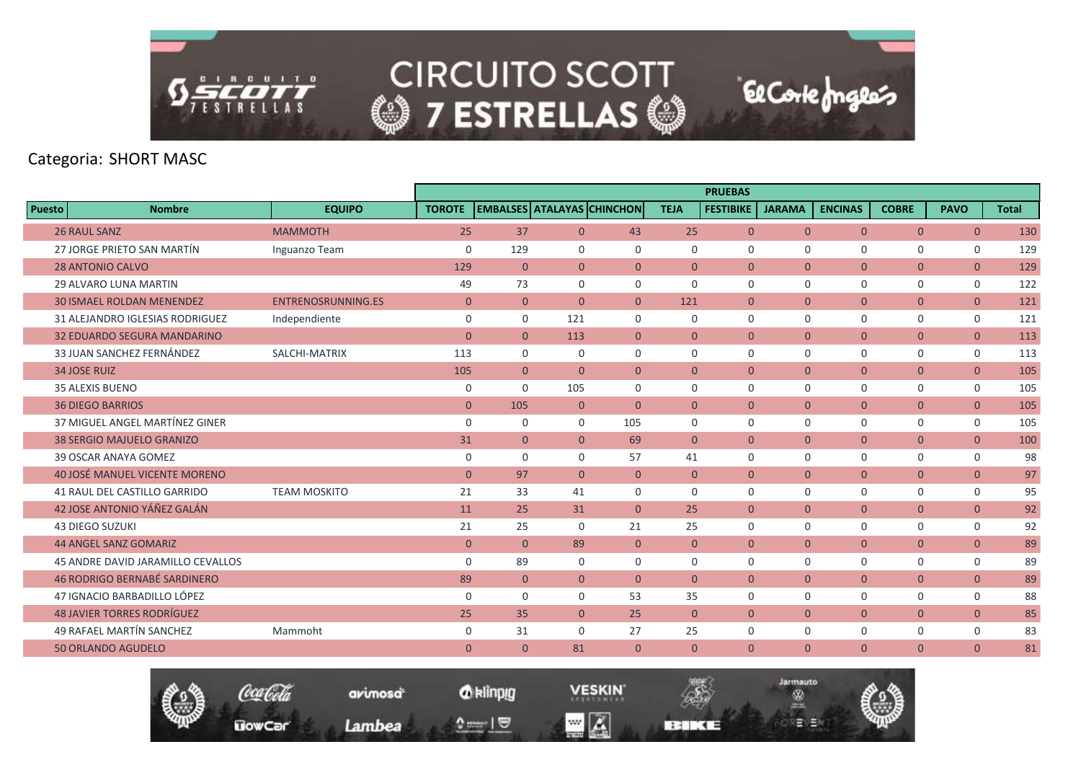

|        |                                          |                           |                |                |                |                                   |                | <b>PRUEBAS</b>   |                |                |                |                |              |
|--------|------------------------------------------|---------------------------|----------------|----------------|----------------|-----------------------------------|----------------|------------------|----------------|----------------|----------------|----------------|--------------|
| Puesto | <b>Nombre</b>                            | <b>EQUIPO</b>             | <b>TOROTE</b>  |                |                | <b>EMBALSES ATALAYAS CHINCHON</b> | <b>TEJA</b>    | <b>FESTIBIKE</b> | <b>JARAMA</b>  | <b>ENCINAS</b> | <b>COBRE</b>   | <b>PAVO</b>    | <b>Total</b> |
|        | <b>26 RAUL SANZ</b>                      | <b>MAMMOTH</b>            | 25             | 37             | $\overline{0}$ | 43                                | 25             | $\overline{0}$   | $\overline{0}$ | $\overline{0}$ | $\overline{0}$ | $\overline{0}$ | 130          |
|        | 27 JORGE PRIETO SAN MARTÍN               | Inguanzo Team             | $\mathbf 0$    | 129            | 0              | $\mathbf 0$                       | $\mathbf 0$    | $\mathbf 0$      | $\mathbf 0$    | $\Omega$       | 0              | 0              | 129          |
|        | <b>28 ANTONIO CALVO</b>                  |                           | 129            | $\mathbf{0}$   | $\overline{0}$ | $\overline{0}$                    | $\mathbf{0}$   | $\mathbf{0}$     | $\overline{0}$ | $\overline{0}$ | $\overline{0}$ | $\overline{0}$ | 129          |
|        | <b>29 ALVARO LUNA MARTIN</b>             |                           | 49             | 73             | $\Omega$       | $\mathbf 0$                       | $\mathbf 0$    | 0                | $\mathbf 0$    | $\mathbf 0$    | 0              | $\mathbf 0$    | 122          |
|        | <b>30 ISMAEL ROLDAN MENENDEZ</b>         | <b>ENTRENOSRUNNING.ES</b> | $\overline{0}$ | $\overline{0}$ | $\overline{0}$ | $\overline{0}$                    | 121            | $\mathbf{0}$     | $\overline{0}$ | $\overline{0}$ | $\overline{0}$ | $\overline{0}$ | 121          |
|        | 31 ALEJANDRO IGLESIAS RODRIGUEZ          | Independiente             | $\mathbf 0$    | $\mathbf 0$    | 121            | $\mathbf 0$                       | $\mathbf 0$    | $\mathbf 0$      | $\mathbf 0$    | $\mathbf 0$    | $\mathbf 0$    | $\mathbf 0$    | 121          |
|        | <b>32 EDUARDO SEGURA MANDARINO</b>       |                           | $\mathbf{0}$   | $\overline{0}$ | 113            | $\overline{0}$                    | $\mathbf{0}$   | $\overline{0}$   | $\overline{0}$ | $\overline{0}$ | $\mathbf{0}$   | $\mathbf{0}$   | 113          |
|        | 33 JUAN SANCHEZ FERNÁNDEZ                | SALCHI-MATRIX             | 113            | $\mathbf 0$    | 0              | $\mathbf 0$                       | $\mathbf 0$    | $\Omega$         | $\mathbf 0$    | $\Omega$       | $\mathbf 0$    | $\mathbf 0$    | 113          |
|        | <b>34 JOSE RUIZ</b>                      |                           | 105            | $\overline{0}$ | $\overline{0}$ | $\overline{0}$                    | $\mathbf{0}$   | $\mathbf{0}$     | $\overline{0}$ | $\overline{0}$ | $\overline{0}$ | $\overline{0}$ | 105          |
|        | <b>35 ALEXIS BUENO</b>                   |                           | $\mathbf 0$    | $\mathbf 0$    | 105            | $\mathbf 0$                       | $\mathbf 0$    | $\mathbf 0$      | $\mathbf 0$    | $\mathbf 0$    | $\mathbf 0$    | $\mathbf 0$    | 105          |
|        | <b>36 DIEGO BARRIOS</b>                  |                           | $\mathbf{0}$   | 105            | $\overline{0}$ | $\mathbf{0}$                      | $\mathbf{0}$   | $\mathbf{0}$     | $\overline{0}$ | $\overline{0}$ | $\mathbf{0}$   | $\mathbf{0}$   | 105          |
|        | 37 MIGUEL ANGEL MARTÍNEZ GINER           |                           | $\mathbf 0$    | $\Omega$       | $\Omega$       | 105                               | $\Omega$       | $\Omega$         | $\mathbf 0$    | $\Omega$       | $\mathbf 0$    | $\mathbf 0$    | 105          |
|        | <b>38 SERGIO MAJUELO GRANIZO</b>         |                           | 31             | $\overline{0}$ | $\overline{0}$ | 69                                | $\overline{0}$ | $\mathbf{0}$     | $\overline{0}$ | $\overline{0}$ | $\mathbf{0}$   | $\mathbf{0}$   | 100          |
|        | 39 OSCAR ANAYA GOMEZ                     |                           | $\mathbf 0$    | $\mathbf 0$    | $\Omega$       | 57                                | 41             | $\mathbf 0$      | $\mathbf 0$    | $\mathbf 0$    | 0              | $\mathsf{O}$   | 98           |
|        | 40 JOSÉ MANUEL VICENTE MORENO            |                           | $\mathbf{0}$   | 97             | $\Omega$       | $\overline{0}$                    | $\Omega$       | $\Omega$         | $\overline{0}$ | $\overline{0}$ | $\mathbf{0}$   | $\mathbf{0}$   | 97           |
|        | 41 RAUL DEL CASTILLO GARRIDO             | <b>TEAM MOSKITO</b>       | 21             | 33             | 41             | 0                                 | $\Omega$       | $\Omega$         | $\mathbf 0$    | $\Omega$       | 0              | $\mathbf 0$    | 95           |
|        | 42 JOSE ANTONIO YÁÑEZ GALÁN              |                           | 11             | 25             | 31             | $\overline{0}$                    | 25             | $\mathbf{0}$     | $\overline{0}$ | $\overline{0}$ | $\overline{0}$ | $\mathbf{0}$   | 92           |
|        | <b>43 DIEGO SUZUKI</b>                   |                           | 21             | 25             | $\mathbf 0$    | 21                                | 25             | $\mathbf 0$      | $\mathbf 0$    | $\mathbf 0$    | 0              | 0              | 92           |
|        | <b>44 ANGEL SANZ GOMARIZ</b>             |                           | $\mathbf{0}$   | $\overline{0}$ | 89             | $\mathbf{0}$                      | $\mathbf{0}$   | $\mathbf{0}$     | $\overline{0}$ | $\overline{0}$ | $\overline{0}$ | $\overline{0}$ | 89           |
|        | <b>45 ANDRE DAVID JARAMILLO CEVALLOS</b> |                           | $\mathbf 0$    | 89             | $\Omega$       | $\mathbf 0$                       | $\mathbf 0$    | $\mathbf 0$      | $\mathbf 0$    | $\mathbf 0$    | 0              | 0              | 89           |
|        | <b>46 RODRIGO BERNABÉ SARDINERO</b>      |                           | 89             | $\overline{0}$ | $\overline{0}$ | $\overline{0}$                    | $\mathbf{0}$   | $\mathbf{0}$     | $\overline{0}$ | $\overline{0}$ | $\overline{0}$ | $\overline{0}$ | 89           |
|        | 47 IGNACIO BARBADILLO LÓPEZ              |                           | $\mathbf 0$    | $\mathbf 0$    | 0              | 53                                | 35             | 0                | $\mathbf 0$    | $\mathbf 0$    | 0              | $\mathbf 0$    | 88           |
|        | <b>48 JAVIER TORRES RODRÍGUEZ</b>        |                           | 25             | 35             | $\Omega$       | 25                                | $\Omega$       | $\Omega$         | $\overline{0}$ | $\overline{0}$ | $\mathbf{0}$   | $\mathbf{0}$   | 85           |
|        | <b>49 RAFAEL MARTÍN SANCHEZ</b>          | Mammoht                   | $\mathbf 0$    | 31             | 0              | 27                                | 25             | 0                | $\mathbf 0$    | $\mathbf 0$    | 0              | $\mathbf 0$    | 83           |
|        | <b>50 ORLANDO AGUDELO</b>                |                           | $\mathbf{0}$   | $\mathbf{0}$   | 81             | $\mathbf{0}$                      | $\Omega$       | $\Omega$         | $\overline{0}$ | $\mathbf{0}$   | $\overline{0}$ | $\overline{0}$ | 81           |
|        |                                          |                           |                |                |                |                                   |                |                  |                |                |                |                |              |



**VESKIN**  $\blacksquare$   $\blacksquare$ 

**BERKE** 

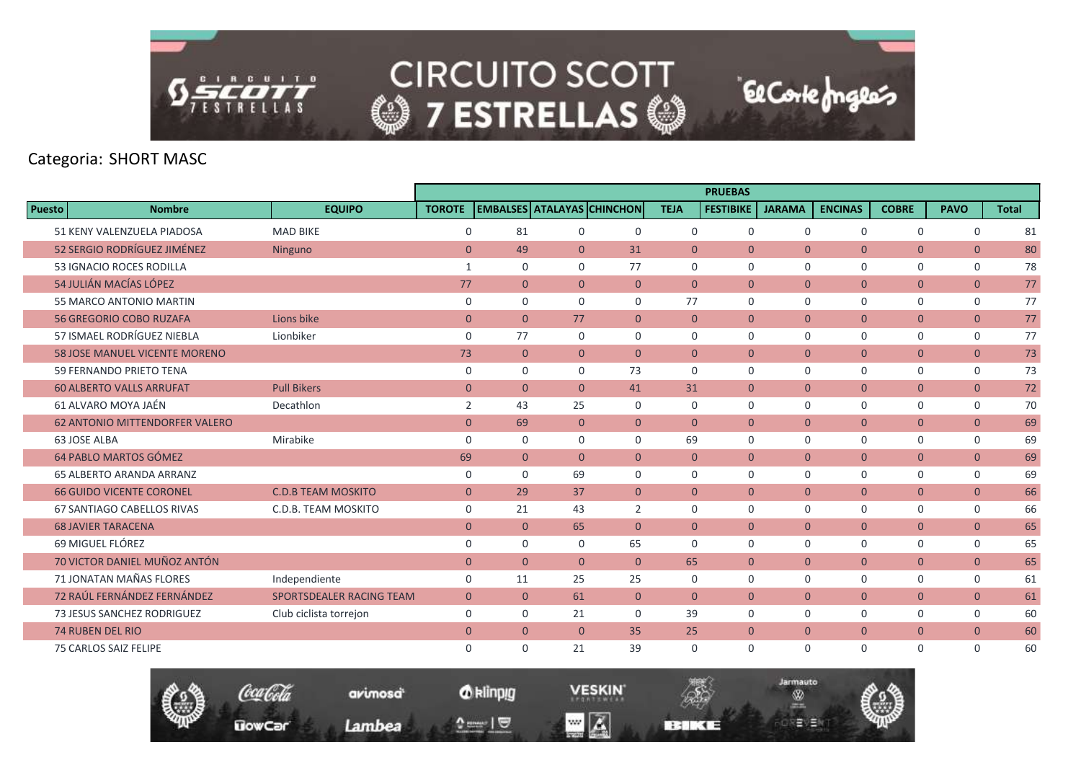

|               |                                       |                           |                |                |                |                                   |                | <b>PRUEBAS</b>   |                |                |                |                |              |
|---------------|---------------------------------------|---------------------------|----------------|----------------|----------------|-----------------------------------|----------------|------------------|----------------|----------------|----------------|----------------|--------------|
| <b>Puesto</b> | <b>Nombre</b>                         | <b>EQUIPO</b>             | <b>TOROTE</b>  |                |                | <b>EMBALSES ATALAYAS CHINCHON</b> | <b>TEJA</b>    | <b>FESTIBIKE</b> | <b>JARAMA</b>  | <b>ENCINAS</b> | <b>COBRE</b>   | <b>PAVO</b>    | <b>Total</b> |
|               | 51 KENY VALENZUELA PIADOSA            | <b>MAD BIKE</b>           | $\mathbf 0$    | 81             | $\mathbf 0$    | $\Omega$                          | $\mathbf 0$    | $\mathbf 0$      | $\mathbf 0$    | $\mathbf 0$    | $\mathbf 0$    | 0              | 81           |
|               | 52 SERGIO RODRÍGUEZ JIMÉNEZ           | Ninguno                   | $\overline{0}$ | 49             | $\mathbf{0}$   | 31                                | $\overline{0}$ | $\mathbf{0}$     | $\mathbf{0}$   | $\overline{0}$ | $\overline{0}$ | $\overline{0}$ | 80           |
|               | 53 IGNACIO ROCES RODILLA              |                           | 1              | 0              | $\mathbf 0$    | 77                                | $\mathbf 0$    | $\mathbf 0$      | $\mathbf 0$    | $\mathbf 0$    | 0              | 0              | 78           |
|               | 54 JULIÁN MACÍAS LÓPEZ                |                           | 77             | $\overline{0}$ | $\mathbf{0}$   | $\mathbf{0}$                      | $\overline{0}$ | $\mathbf{0}$     | $\mathbf{0}$   | $\overline{0}$ | $\mathbf{0}$   | $\mathbf{0}$   | 77           |
|               | 55 MARCO ANTONIO MARTIN               |                           | $\mathbf 0$    | $\Omega$       | $\mathbf 0$    | $\Omega$                          | 77             | $\Omega$         | $\Omega$       | $\mathbf 0$    | $\mathbf 0$    | $\mathbf 0$    | 77           |
|               | <b>56 GREGORIO COBO RUZAFA</b>        | Lions bike                | $\mathbf{0}$   | $\Omega$       | 77             | $\mathbf{0}$                      | $\mathbf{0}$   | $\mathbf{0}$     | $\overline{0}$ | $\overline{0}$ | $\overline{0}$ | $\mathbf{0}$   | 77           |
|               | 57 ISMAEL RODRÍGUEZ NIEBLA            | Lionbiker                 | $\mathbf 0$    | 77             | 0              | $\mathbf 0$                       | $\mathbf 0$    | $\mathbf 0$      | $\mathbf 0$    | $\mathbf 0$    | 0              | 0              | 77           |
|               | <b>58 JOSE MANUEL VICENTE MORENO</b>  |                           | 73             | $\overline{0}$ | $\mathbf{0}$   | $\Omega$                          | $\overline{0}$ | $\Omega$         | $\overline{0}$ | $\overline{0}$ | $\overline{0}$ | $\overline{0}$ | 73           |
|               | 59 FERNANDO PRIETO TENA               |                           | $\Omega$       | $\Omega$       | $\Omega$       | 73                                | $\Omega$       | $\Omega$         | $\Omega$       | $\mathbf 0$    | $\mathbf 0$    | $\mathbf 0$    | 73           |
|               | <b>60 ALBERTO VALLS ARRUFAT</b>       | <b>Pull Bikers</b>        | $\overline{0}$ | $\overline{0}$ | $\mathbf{0}$   | 41                                | 31             | $\overline{0}$   | $\overline{0}$ | $\overline{0}$ | $\overline{0}$ | $\overline{0}$ | 72           |
|               | 61 ALVARO MOYA JAÉN                   | Decathlon                 | 2              | 43             | 25             | $\mathbf 0$                       | $\mathbf 0$    | $\mathbf 0$      | $\mathbf 0$    | $\mathbf 0$    | $\mathbf 0$    | $\mathbf 0$    | 70           |
|               | <b>62 ANTONIO MITTENDORFER VALERO</b> |                           | $\overline{0}$ | 69             | $\overline{0}$ | $\overline{0}$                    | $\overline{0}$ | $\overline{0}$   | $\mathbf{0}$   | $\overline{0}$ | $\overline{0}$ | $\overline{0}$ | 69           |
|               | 63 JOSE ALBA                          | Mirabike                  | $\mathbf 0$    | $\Omega$       | $\mathbf 0$    | $\Omega$                          | 69             | $\Omega$         | 0              | $\mathbf 0$    | $\mathbf 0$    | 0              | 69           |
|               | 64 PABLO MARTOS GÓMEZ                 |                           | 69             | $\overline{0}$ | $\mathbf{0}$   | $\mathbf{0}$                      | $\overline{0}$ | $\mathbf{0}$     | $\mathbf{0}$   | $\overline{0}$ | $\overline{0}$ | $\mathbf{0}$   | 69           |
|               | <b>65 ALBERTO ARANDA ARRANZ</b>       |                           | $\mathbf 0$    | $\mathbf 0$    | 69             | $\mathbf 0$                       | $\mathbf 0$    | $\mathbf 0$      | $\mathbf 0$    | $\mathbf 0$    | 0              | 0              | 69           |
|               | <b>66 GUIDO VICENTE CORONEL</b>       | <b>C.D.B TEAM MOSKITO</b> | $\mathbf{0}$   | 29             | 37             | $\mathbf{0}$                      | $\mathbf{0}$   | $\Omega$         | $\overline{0}$ | $\overline{0}$ | $\overline{0}$ | $\overline{0}$ | 66           |
|               | <b>67 SANTIAGO CABELLOS RIVAS</b>     | C.D.B. TEAM MOSKITO       | $\mathbf 0$    | 21             | 43             | 2                                 | $\Omega$       | $\Omega$         | $\Omega$       | $\mathbf 0$    | $\mathbf 0$    | $\mathbf 0$    | 66           |
|               | <b>68 JAVIER TARACENA</b>             |                           | $\overline{0}$ | $\overline{0}$ | 65             | $\mathbf{0}$                      | $\overline{0}$ | $\mathbf{0}$     | $\overline{0}$ | $\overline{0}$ | $\overline{0}$ | $\mathbf{0}$   | 65           |
|               | 69 MIGUEL FLÓREZ                      |                           | $\mathbf 0$    | $\Omega$       | $\mathbf 0$    | 65                                | $\Omega$       | $\Omega$         | $\mathbf 0$    | $\mathbf 0$    | 0              | $\mathbf 0$    | 65           |
|               | 70 VICTOR DANIEL MUÑOZ ANTÓN          |                           | $\overline{0}$ | $\Omega$       | $\Omega$       | $\Omega$                          | 65             | $\Omega$         | $\Omega$       | $\overline{0}$ | $\mathbf{0}$   | $\overline{0}$ | 65           |
|               | 71 JONATAN MAÑAS FLORES               | Independiente             | $\mathbf 0$    | 11             | 25             | 25                                | $\mathbf 0$    | $\mathbf 0$      | $\mathbf 0$    | $\mathbf 0$    | $\mathbf 0$    | $\mathbf 0$    | 61           |
|               | 72 RAÚL FERNÁNDEZ FERNÁNDEZ           | SPORTSDEALER RACING TEAM  | $\mathbf{0}$   | $\overline{0}$ | 61             | $\mathbf{0}$                      | $\overline{0}$ | $\overline{0}$   | $\overline{0}$ | $\overline{0}$ | $\overline{0}$ | $\mathbf{0}$   | 61           |
|               | 73 JESUS SANCHEZ RODRIGUEZ            | Club ciclista torrejon    | $\mathbf 0$    | $\mathbf 0$    | 21             | $\mathbf 0$                       | 39             | $\mathbf 0$      | 0              | $\mathbf 0$    | 0              | 0              | 60           |
|               | <b>74 RUBEN DEL RIO</b>               |                           | $\mathbf{0}$   | $\overline{0}$ | $\Omega$       | 35                                | 25             | $\overline{0}$   | $\overline{0}$ | $\overline{0}$ | $\overline{0}$ | $\mathbf{0}$   | 60           |
|               | 75 CARLOS SAIZ FELIPE                 |                           | $\mathbf 0$    | $\Omega$       | 21             | 39                                | $\Omega$       | $\Omega$         | $\Omega$       | $\mathbf 0$    | $\mathbf 0$    | $\mathbf 0$    | 60           |

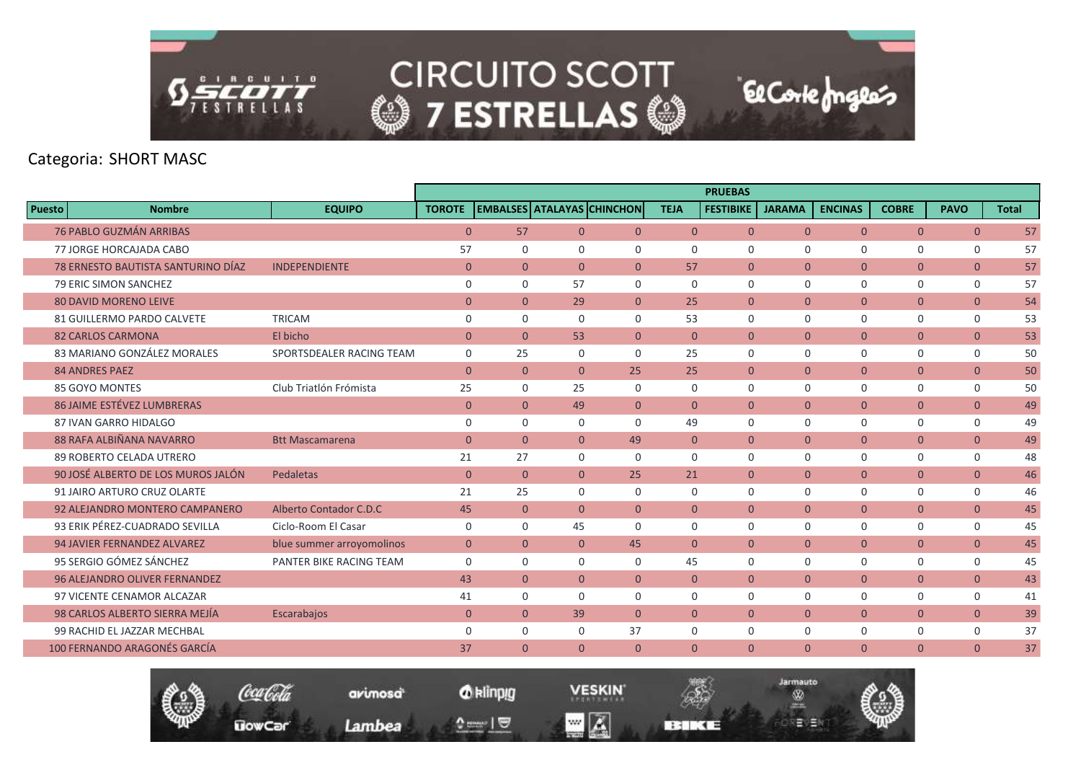

|               |                                      |                           |                |                                   |                |                |                | <b>PRUEBAS</b>   |                |                |                |                |              |
|---------------|--------------------------------------|---------------------------|----------------|-----------------------------------|----------------|----------------|----------------|------------------|----------------|----------------|----------------|----------------|--------------|
| <b>Puesto</b> | <b>Nombre</b>                        | <b>EQUIPO</b>             | <b>TOROTE</b>  | <b>EMBALSES ATALAYAS CHINCHON</b> |                |                | <b>TEJA</b>    | <b>FESTIBIKE</b> | <b>JARAMA</b>  | <b>ENCINAS</b> | <b>COBRE</b>   | <b>PAVO</b>    | <b>Total</b> |
|               | <b>76 PABLO GUZMÁN ARRIBAS</b>       |                           | $\mathbf{0}$   | 57                                | $\overline{0}$ | $\overline{0}$ | $\overline{0}$ | $\mathbf{0}$     | $\overline{0}$ | $\overline{0}$ | $\overline{0}$ | $\overline{0}$ | 57           |
|               | 77 JORGE HORCAJADA CABO              |                           | 57             | 0                                 | 0              | $\mathbf 0$    | $\mathbf 0$    | $\mathbf 0$      | $\mathbf 0$    | $\mathbf 0$    | 0              | 0              | 57           |
|               | 78 ERNESTO BAUTISTA SANTURINO DÍAZ   | <b>INDEPENDIENTE</b>      | $\mathbf{0}$   | $\overline{0}$                    | $\overline{0}$ | $\overline{0}$ | 57             | $\mathbf{0}$     | $\mathbf{0}$   | $\overline{0}$ | $\overline{0}$ | $\overline{0}$ | 57           |
|               | 79 ERIC SIMON SANCHEZ                |                           | $\mathbf 0$    | $\Omega$                          | 57             | $\Omega$       | $\Omega$       | $\Omega$         | $\Omega$       | $\Omega$       | 0              | $\mathbf 0$    | 57           |
|               | <b>80 DAVID MORENO LEIVE</b>         |                           | $\overline{0}$ | $\overline{0}$                    | 29             | $\overline{0}$ | 25             | $\mathbf{0}$     | $\mathbf{0}$   | $\overline{0}$ | $\overline{0}$ | $\overline{0}$ | 54           |
|               | <b>81 GUILLERMO PARDO CALVETE</b>    | <b>TRICAM</b>             | $\mathbf 0$    | $\Omega$                          | $\Omega$       | $\mathbf 0$    | 53             | $\Omega$         | $\Omega$       | $\Omega$       | 0              | $\mathbf 0$    | 53           |
|               | <b>82 CARLOS CARMONA</b>             | El bicho                  | $\mathbf{0}$   | $\overline{0}$                    | 53             | $\overline{0}$ | $\overline{0}$ | $\mathbf{0}$     | $\overline{0}$ | $\overline{0}$ | $\overline{0}$ | $\mathbf{0}$   | 53           |
|               | 83 MARIANO GONZÁLEZ MORALES          | SPORTSDEALER RACING TEAM  | $\mathbf 0$    | 25                                | $\Omega$       | $\Omega$       | 25             | $\Omega$         | $\Omega$       | $\Omega$       | 0              | $\mathbf 0$    | 50           |
|               | <b>84 ANDRES PAEZ</b>                |                           | $\Omega$       | $\Omega$                          | $\Omega$       | 25             | 25             | $\Omega$         | $\mathbf{0}$   | $\overline{0}$ | $\overline{0}$ | $\overline{0}$ | 50           |
|               | 85 GOYO MONTES                       | Club Triatlón Frómista    | 25             | $\mathbf 0$                       | 25             | $\mathbf 0$    | $\mathbf 0$    | $\mathbf 0$      | $\mathbf 0$    | $\mathbf 0$    | 0              | $\mathbf 0$    | 50           |
|               | <b>86 JAIME ESTÉVEZ LUMBRERAS</b>    |                           | $\mathbf{0}$   | $\Omega$                          | 49             | $\overline{0}$ | $\Omega$       | $\Omega$         | $\Omega$       | $\overline{0}$ | $\mathbf{0}$   | $\overline{0}$ | 49           |
|               | 87 IVAN GARRO HIDALGO                |                           | $\mathbf 0$    | $\Omega$                          | $\Omega$       | $\Omega$       | 49             | $\Omega$         | $\Omega$       | $\Omega$       | 0              | $\mathbf 0$    | 49           |
|               | 88 RAFA ALBIÑANA NAVARRO             | <b>Btt Mascamarena</b>    | $\mathbf{0}$   | $\overline{0}$                    | $\overline{0}$ | 49             | $\overline{0}$ | $\mathbf{0}$     | $\overline{0}$ | $\overline{0}$ | $\mathbf{0}$   | $\overline{0}$ | 49           |
|               | 89 ROBERTO CELADA UTRERO             |                           | 21             | 27                                | 0              | $\mathbf 0$    | $\mathbf 0$    | $\mathbf 0$      | $\mathbf 0$    | $\mathbf 0$    | 0              | 0              | 48           |
|               | 90 JOSÉ ALBERTO DE LOS MUROS JALÓN   | Pedaletas                 | $\mathbf{0}$   | $\Omega$                          | $\Omega$       | 25             | 21             | $\Omega$         | $\Omega$       | $\overline{0}$ | $\mathbf{0}$   | $\overline{0}$ | 46           |
|               | 91 JAIRO ARTURO CRUZ OLARTE          |                           | 21             | 25                                | $\Omega$       | $\mathbf 0$    | $\Omega$       | $\mathbf 0$      | $\mathbf 0$    | $\mathbf 0$    | 0              | 0              | 46           |
|               | 92 ALEJANDRO MONTERO CAMPANERO       | Alberto Contador C.D.C    | 45             | $\mathbf{0}$                      | $\Omega$       | $\mathbf{0}$   | $\overline{0}$ | $\mathbf{0}$     | $\overline{0}$ | $\mathbf{0}$   | $\mathbf{0}$   | $\mathbf{0}$   | 45           |
|               | 93 ERIK PÉREZ-CUADRADO SEVILLA       | Ciclo-Room El Casar       | $\mathbf 0$    | $\mathbf 0$                       | 45             | $\mathbf 0$    | $\mathbf 0$    | $\mathbf 0$      | $\mathbf 0$    | $\mathbf 0$    | 0              | $\mathbf 0$    | 45           |
|               | 94 JAVIER FERNANDEZ ALVAREZ          | blue summer arroyomolinos | $\overline{0}$ | $\overline{0}$                    | $\Omega$       | 45             | $\Omega$       | $\Omega$         | $\Omega$       | $\overline{0}$ | $\overline{0}$ | $\overline{0}$ | 45           |
|               | 95 SERGIO GÓMEZ SÁNCHEZ              | PANTER BIKE RACING TEAM   | $\Omega$       | $\Omega$                          | $\Omega$       | $\Omega$       | 45             | $\Omega$         | $\Omega$       | $\mathbf 0$    | 0              | $\mathbf 0$    | 45           |
|               | <b>96 ALEJANDRO OLIVER FERNANDEZ</b> |                           | 43             | $\overline{0}$                    | $\overline{0}$ | $\overline{0}$ | $\overline{0}$ | $\mathbf{0}$     | $\overline{0}$ | $\overline{0}$ | $\overline{0}$ | $\overline{0}$ | 43           |
|               | 97 VICENTE CENAMOR ALCAZAR           |                           | 41             | $\mathbf 0$                       | $\Omega$       | $\mathbf 0$    | $\Omega$       | $\Omega$         | $\mathbf 0$    | $\mathbf 0$    | 0              | $\mathbf 0$    | 41           |
|               | 98 CARLOS ALBERTO SIERRA MEJÍA       | Escarabajos               | $\overline{0}$ | $\Omega$                          | 39             | $\Omega$       | $\Omega$       | $\Omega$         | $\mathbf{0}$   | $\overline{0}$ | $\overline{0}$ | $\overline{0}$ | 39           |
|               | 99 RACHID EL JAZZAR MECHBAL          |                           | $\mathbf 0$    | $\mathbf 0$                       | 0              | 37             | $\mathbf 0$    | $\mathbf 0$      | $\mathbf 0$    | $\mathbf 0$    | 0              | 0              | 37           |
|               | 100 FERNANDO ARAGONÉS GARCÍA         |                           | 37             | $\mathbf{0}$                      | $\overline{0}$ | $\overline{0}$ | $\mathbf{0}$   | $\mathbf{0}$     | $\overline{0}$ | $\overline{0}$ | $\overline{0}$ | $\mathbf{0}$   | 37           |
|               |                                      |                           |                |                                   |                |                |                |                  |                |                |                |                |              |



*O* klinpig

and  $\sqrt{2}$ 

avimosa<sup>t</sup>

Lambea

**VESKIN**  $\blacksquare$   $\blacksquare$ 

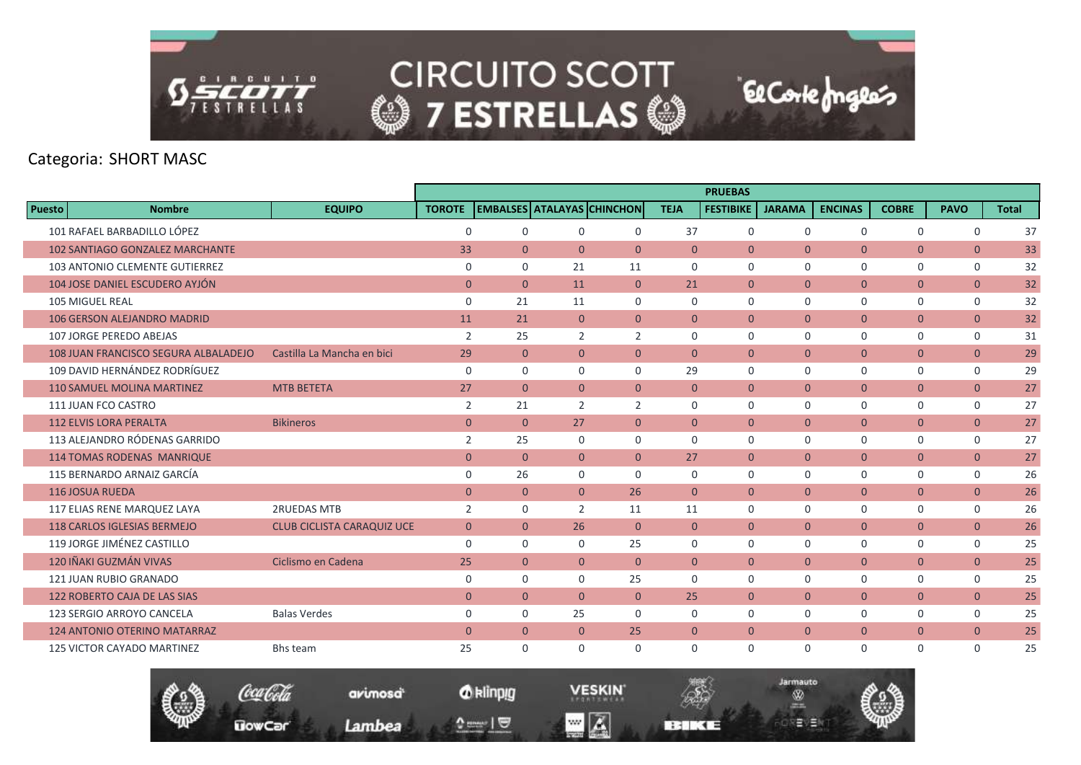

|               |                                        |                                   |                |                |                |                                   |                | <b>PRUEBAS</b>   |                |                |                |                |              |
|---------------|----------------------------------------|-----------------------------------|----------------|----------------|----------------|-----------------------------------|----------------|------------------|----------------|----------------|----------------|----------------|--------------|
| <b>Puesto</b> | <b>Nombre</b>                          | <b>EQUIPO</b>                     | <b>TOROTE</b>  |                |                | <b>EMBALSES ATALAYAS CHINCHON</b> | <b>TEJA</b>    | <b>FESTIBIKE</b> | <b>JARAMA</b>  | <b>ENCINAS</b> | <b>COBRE</b>   | <b>PAVO</b>    | <b>Total</b> |
|               | 101 RAFAEL BARBADILLO LÓPEZ            |                                   | $\mathbf 0$    | $\Omega$       | $\mathbf 0$    | 0                                 | 37             | $\mathbf 0$      | $\mathbf 0$    | $\mathbf 0$    | $\mathbf 0$    | $\mathbf 0$    | 37           |
|               | <b>102 SANTIAGO GONZALEZ MARCHANTE</b> |                                   | 33             | $\overline{0}$ | $\mathbf{0}$   | $\mathbf{0}$                      | $\overline{0}$ | $\mathbf{0}$     | $\overline{0}$ | $\overline{0}$ | $\mathbf{0}$   | $\mathbf{0}$   | 33           |
|               | <b>103 ANTONIO CLEMENTE GUTIERREZ</b>  |                                   | $\mathbf 0$    | $\mathbf 0$    | 21             | 11                                | $\mathbf 0$    | $\mathbf 0$      | $\mathbf 0$    | $\mathbf 0$    | 0              | $\mathbf 0$    | 32           |
|               | 104 JOSE DANIEL ESCUDERO AYJÓN         |                                   | $\mathbf{0}$   | $\Omega$       | 11             | $\mathbf{0}$                      | 21             | $\mathbf{0}$     | $\overline{0}$ | $\overline{0}$ | $\mathbf{0}$   | $\overline{0}$ | 32           |
|               | <b>105 MIGUEL REAL</b>                 |                                   | $\mathbf 0$    | 21             | 11             | $\Omega$                          | $\mathbf 0$    | $\mathbf 0$      | $\mathbf 0$    | $\mathbf 0$    | $\mathbf 0$    | $\mathbf 0$    | 32           |
|               | <b>106 GERSON ALEJANDRO MADRID</b>     |                                   | 11             | 21             | $\mathbf{0}$   | $\mathbf{0}$                      | $\overline{0}$ | $\mathbf{0}$     | $\overline{0}$ | $\overline{0}$ | $\overline{0}$ | $\overline{0}$ | 32           |
|               | <b>107 JORGE PEREDO ABEJAS</b>         |                                   | $\overline{2}$ | 25             | 2              | 2                                 | $\mathbf 0$    | 0                | $\mathbf 0$    | $\mathsf{O}$   | 0              | 0              | 31           |
|               | 108 JUAN FRANCISCO SEGURA ALBALADEJO   | Castilla La Mancha en bici        | 29             | $\overline{0}$ | $\mathbf{0}$   | $\mathbf{0}$                      | $\overline{0}$ | $\mathbf{0}$     | $\overline{0}$ | $\overline{0}$ | $\overline{0}$ | $\overline{0}$ | 29           |
|               | 109 DAVID HERNÁNDEZ RODRÍGUEZ          |                                   | $\mathbf 0$    | $\Omega$       | $\Omega$       | $\Omega$                          | 29             | $\mathbf 0$      | $\mathbf 0$    | $\mathbf 0$    | $\mathbf 0$    | $\mathbf 0$    | 29           |
|               | <b>110 SAMUEL MOLINA MARTINEZ</b>      | <b>MTB BETETA</b>                 | 27             | $\overline{0}$ | $\mathbf{0}$   | $\mathbf{0}$                      | $\overline{0}$ | $\mathbf{0}$     | $\overline{0}$ | $\overline{0}$ | $\overline{0}$ | $\overline{0}$ | 27           |
|               | 111 JUAN FCO CASTRO                    |                                   | $\overline{2}$ | 21             | $\overline{2}$ | $\overline{2}$                    | $\mathbf 0$    | $\mathbf 0$      | $\mathbf 0$    | $\mathsf{O}$   | 0              | $\mathbf 0$    | 27           |
|               | <b>112 ELVIS LORA PERALTA</b>          | <b>Bikineros</b>                  | $\mathbf{0}$   | $\Omega$       | 27             | $\overline{0}$                    | $\overline{0}$ | $\mathbf{0}$     | $\overline{0}$ | $\overline{0}$ | $\overline{0}$ | $\overline{0}$ | 27           |
|               | 113 ALEJANDRO RÓDENAS GARRIDO          |                                   | 2              | 25             | $\mathbf 0$    | $\mathbf 0$                       | $\Omega$       | $\mathbf 0$      | $\mathbf 0$    | $\mathbf 0$    | 0              | 0              | 27           |
|               | <b>114 TOMAS RODENAS MANRIQUE</b>      |                                   | $\mathbf{0}$   | $\overline{0}$ | $\mathbf{0}$   | $\mathbf{0}$                      | 27             | $\mathbf{0}$     | $\overline{0}$ | $\overline{0}$ | $\overline{0}$ | $\overline{0}$ | 27           |
|               | 115 BERNARDO ARNAIZ GARCÍA             |                                   | $\mathbf 0$    | 26             | $\mathbf 0$    | $\mathbf 0$                       | $\mathbf 0$    | $\mathbf 0$      | $\mathbf 0$    | $\mathbf 0$    | 0              | 0              | 26           |
|               | <b>116 JOSUA RUEDA</b>                 |                                   | $\overline{0}$ | $\Omega$       | $\Omega$       | 26                                | $\Omega$       | $\Omega$         | $\Omega$       | $\overline{0}$ | $\overline{0}$ | $\overline{0}$ | 26           |
|               | 117 ELIAS RENE MARQUEZ LAYA            | <b>2RUEDAS MTB</b>                | 2              | $\mathbf 0$    | $\overline{2}$ | 11                                | 11             | $\mathbf 0$      | $\mathbf 0$    | $\mathbf 0$    | $\mathbf 0$    | $\mathbf 0$    | 26           |
|               | <b>118 CARLOS IGLESIAS BERMEJO</b>     | <b>CLUB CICLISTA CARAQUIZ UCE</b> | $\overline{0}$ | $\overline{0}$ | 26             | $\overline{0}$                    | $\overline{0}$ | $\mathbf{0}$     | $\overline{0}$ | $\overline{0}$ | $\overline{0}$ | $\mathbf{0}$   | 26           |
|               | 119 JORGE JIMÉNEZ CASTILLO             |                                   | $\mathbf 0$    | $\mathbf 0$    | 0              | 25                                | $\mathbf 0$    | $\mathbf 0$      | $\mathbf 0$    | $\mathbf 0$    | 0              | 0              | 25           |
|               | 120 IÑAKI GUZMÁN VIVAS                 | Ciclismo en Cadena                | 25             | $\Omega$       | $\Omega$       | $\Omega$                          | $\Omega$       | $\Omega$         | $\overline{0}$ | $\overline{0}$ | $\mathbf{0}$   | $\mathbf{0}$   | 25           |
|               | 121 JUAN RUBIO GRANADO                 |                                   | $\mathbf 0$    | $\Omega$       | $\Omega$       | 25                                | $\Omega$       | $\Omega$         | $\Omega$       | $\mathbf 0$    | $\mathbf 0$    | $\mathbf 0$    | 25           |
|               | <b>122 ROBERTO CAJA DE LAS SIAS</b>    |                                   | $\overline{0}$ | $\overline{0}$ | $\mathbf{0}$   | $\overline{0}$                    | 25             | $\mathbf{0}$     | $\mathbf{0}$   | $\overline{0}$ | $\mathbf{0}$   | $\mathbf{0}$   | 25           |
|               | 123 SERGIO ARROYO CANCELA              | <b>Balas Verdes</b>               | $\mathbf 0$    | $\mathbf 0$    | 25             | $\mathbf 0$                       | $\mathbf 0$    | $\mathbf 0$      | $\mathbf 0$    | $\mathsf{O}$   | 0              | 0              | 25           |
|               | <b>124 ANTONIO OTERINO MATARRAZ</b>    |                                   | $\overline{0}$ | $\overline{0}$ | $\mathbf{0}$   | 25                                | $\overline{0}$ | $\mathbf{0}$     | $\overline{0}$ | $\overline{0}$ | $\overline{0}$ | $\mathbf{0}$   | 25           |
|               | <b>125 VICTOR CAYADO MARTINEZ</b>      | Bhs team                          | 25             | $\Omega$       | $\Omega$       | $\Omega$                          | $\Omega$       | $\Omega$         | $\Omega$       | $\mathbf 0$    | $\mathbf 0$    | $\mathbf 0$    | 25           |

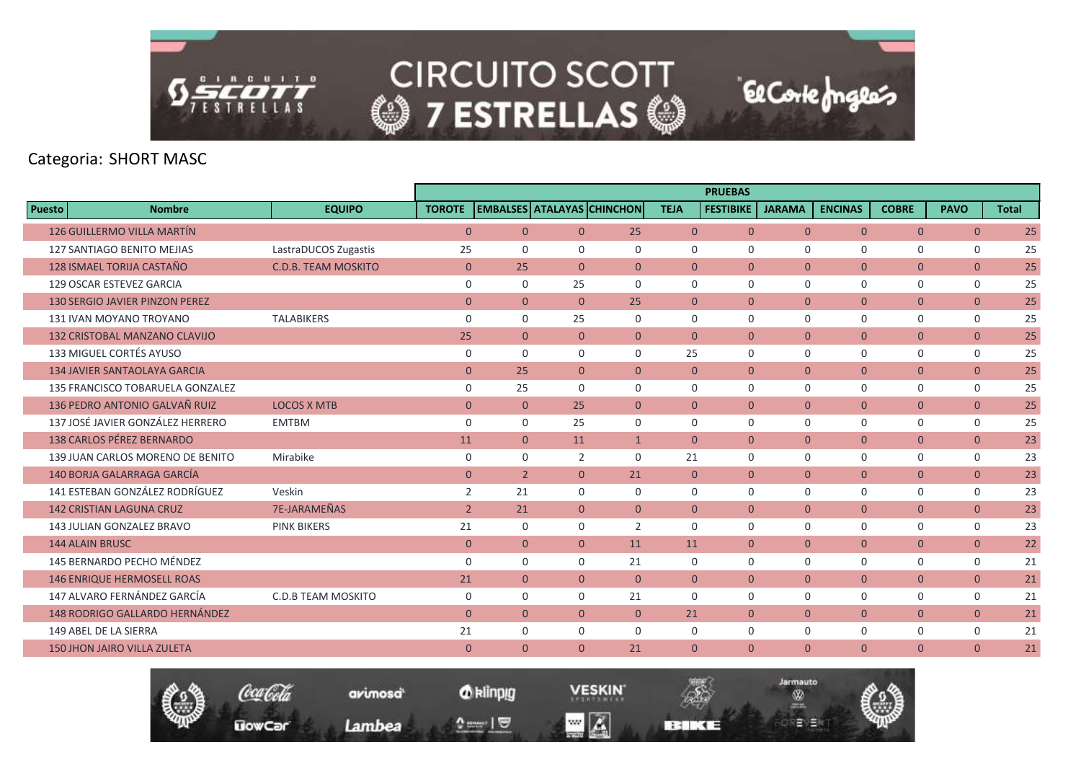

|                                       |                            |                |                |                                   |                |                | <b>PRUEBAS</b>   |                |                |                |                |              |
|---------------------------------------|----------------------------|----------------|----------------|-----------------------------------|----------------|----------------|------------------|----------------|----------------|----------------|----------------|--------------|
| <b>Puesto</b><br><b>Nombre</b>        | <b>EQUIPO</b>              | <b>TOROTE</b>  |                | <b>EMBALSES ATALAYAS CHINCHON</b> |                | <b>TEJA</b>    | <b>FESTIBIKE</b> | <b>JARAMA</b>  | <b>ENCINAS</b> | <b>COBRE</b>   | <b>PAVO</b>    | <b>Total</b> |
| <b>126 GUILLERMO VILLA MARTÍN</b>     |                            | $\Omega$       | $\Omega$       | $\Omega$                          | 25             | $\overline{0}$ | $\mathbf{0}$     | $\Omega$       | $\overline{0}$ | $\overline{0}$ | $\overline{0}$ | 25           |
| 127 SANTIAGO BENITO MEJIAS            | LastraDUCOS Zugastis       | 25             | $\mathbf 0$    | $\mathbf 0$                       | $\mathbf 0$    | $\mathbf 0$    | $\mathbf 0$      | $\mathbf 0$    | $\mathbf 0$    | 0              | 0              | 25           |
| 128 ISMAEL TORIJA CASTAÑO             | <b>C.D.B. TEAM MOSKITO</b> | $\mathbf{0}$   | 25             | $\overline{0}$                    | $\overline{0}$ | $\overline{0}$ | $\mathbf{0}$     | $\mathbf{0}$   | $\overline{0}$ | $\overline{0}$ | $\overline{0}$ | 25           |
| 129 OSCAR ESTEVEZ GARCIA              |                            | $\mathbf 0$    | $\Omega$       | 25                                | $\Omega$       | $\Omega$       | $\Omega$         | $\Omega$       | $\mathbf 0$    | 0              | 0              | 25           |
| <b>130 SERGIO JAVIER PINZON PEREZ</b> |                            | $\mathbf{0}$   | $\overline{0}$ | $\overline{0}$                    | 25             | $\overline{0}$ | $\overline{0}$   | $\overline{0}$ | $\overline{0}$ | $\overline{0}$ | $\overline{0}$ | 25           |
| 131 IVAN MOYANO TROYANO               | <b>TALABIKERS</b>          | $\mathbf 0$    | $\Omega$       | 25                                | $\Omega$       | $\mathbf 0$    | $\mathbf 0$      | $\mathbf 0$    | $\mathbf 0$    | 0              | $\mathsf{O}$   | 25           |
| 132 CRISTOBAL MANZANO CLAVIJO         |                            | 25             | $\overline{0}$ | $\overline{0}$                    | $\overline{0}$ | $\overline{0}$ | $\overline{0}$   | $\mathbf{0}$   | $\mathbf{0}$   | $\overline{0}$ | $\overline{0}$ | 25           |
| 133 MIGUEL CORTÉS AYUSO               |                            | $\Omega$       | $\Omega$       | $\Omega$                          | $\Omega$       | 25             | $\Omega$         | $\Omega$       | $\Omega$       | $\Omega$       | $\mathbf 0$    | 25           |
| <b>134 JAVIER SANTAOLAYA GARCIA</b>   |                            | $\mathbf{0}$   | 25             | $\overline{0}$                    | $\overline{0}$ | $\mathbf{0}$   | $\mathbf{0}$     | $\mathbf{0}$   | $\overline{0}$ | $\overline{0}$ | $\overline{0}$ | 25           |
| 135 FRANCISCO TOBARUELA GONZALEZ      |                            | $\mathbf 0$    | 25             | $\Omega$                          | $\mathbf 0$    | $\mathbf 0$    | $\mathbf 0$      | $\mathbf 0$    | $\mathbf 0$    | 0              | $\mathsf{O}$   | 25           |
| 136 PEDRO ANTONIO GALVAÑ RUIZ         | <b>LOCOS X MTB</b>         | $\mathbf{0}$   | $\mathbf{0}$   | 25                                | $\overline{0}$ | $\Omega$       | $\Omega$         | $\mathbf{0}$   | $\Omega$       | $\overline{0}$ | $\overline{0}$ | 25           |
| 137 JOSÉ JAVIER GONZÁLEZ HERRERO      | <b>EMTBM</b>               | $\mathbf 0$    | $\mathbf 0$    | 25                                | $\Omega$       | $\mathbf 0$    | $\Omega$         | $\mathbf 0$    | $\mathbf 0$    | $\mathbf 0$    | $\mathsf{O}$   | 25           |
| 138 CARLOS PÉREZ BERNARDO             |                            | 11             | $\overline{0}$ | 11                                | $\mathbf{1}$   | $\mathbf{0}$   | $\mathbf{0}$     | $\mathbf{0}$   | $\overline{0}$ | $\overline{0}$ | $\overline{0}$ | 23           |
| 139 JUAN CARLOS MORENO DE BENITO      | Mirabike                   | $\mathbf 0$    | $\Omega$       | $\overline{2}$                    | $\Omega$       | 21             | $\Omega$         | $\mathbf 0$    | $\Omega$       | 0              | $\mathsf{O}$   | 23           |
| 140 BORJA GALARRAGA GARCÍA            |                            | $\mathbf{0}$   | $\overline{2}$ | $\Omega$                          | 21             | $\overline{0}$ | $\overline{0}$   | $\mathbf{0}$   | $\overline{0}$ | $\overline{0}$ | $\overline{0}$ | 23           |
| 141 ESTEBAN GONZÁLEZ RODRÍGUEZ        | Veskin                     | 2              | 21             | $\Omega$                          | $\Omega$       | $\Omega$       | $\Omega$         | $\Omega$       | $\Omega$       | 0              | $\mathbf 0$    | 23           |
| <b>142 CRISTIAN LAGUNA CRUZ</b>       | 7E-JARAMEÑAS               | $\overline{2}$ | 21             | $\Omega$                          | $\overline{0}$ | $\mathbf{0}$   | $\mathbf{0}$     | $\mathbf{0}$   | $\overline{0}$ | $\overline{0}$ | $\overline{0}$ | 23           |
| 143 JULIAN GONZALEZ BRAVO             | <b>PINK BIKERS</b>         | 21             | $\mathbf 0$    | $\mathbf 0$                       | $\overline{2}$ | $\mathbf 0$    | $\mathbf 0$      | $\mathbf 0$    | $\mathbf 0$    | 0              | $\mathbf 0$    | 23           |
| <b>144 ALAIN BRUSC</b>                |                            | $\mathbf{0}$   | $\overline{0}$ | $\Omega$                          | 11             | 11             | $\Omega$         | $\Omega$       | $\overline{0}$ | $\overline{0}$ | $\overline{0}$ | 22           |
| 145 BERNARDO PECHO MÉNDEZ             |                            | $\Omega$       | $\Omega$       | $\Omega$                          | 21             | $\Omega$       | $\Omega$         | $\mathbf 0$    | $\mathbf 0$    | 0              | $\mathbf 0$    | 21           |
| <b>146 ENRIQUE HERMOSELL ROAS</b>     |                            | 21             | $\overline{0}$ | $\overline{0}$                    | $\overline{0}$ | $\overline{0}$ | $\mathbf{0}$     | $\overline{0}$ | $\overline{0}$ | $\overline{0}$ | $\overline{0}$ | 21           |
| 147 ALVARO FERNÁNDEZ GARCÍA           | <b>C.D.B TEAM MOSKITO</b>  | $\mathbf 0$    | $\mathbf 0$    | $\mathbf 0$                       | 21             | $\mathbf 0$    | $\Omega$         | $\mathbf 0$    | $\mathbf 0$    | 0              | $\mathsf{O}$   | 21           |
| <b>148 RODRIGO GALLARDO HERNÁNDEZ</b> |                            | $\Omega$       | $\Omega$       | $\Omega$                          | $\Omega$       | 21             | $\Omega$         | $\Omega$       | $\overline{0}$ | $\overline{0}$ | $\overline{0}$ | 21           |
| 149 ABEL DE LA SIERRA                 |                            | 21             | $\mathbf 0$    | 0                                 | $\mathbf 0$    | 0              | $\mathbf 0$      | $\mathbf 0$    | $\mathbf 0$    | 0              | $\mathsf{O}$   | 21           |
| <b>150 JHON JAIRO VILLA ZULETA</b>    |                            | $\mathbf{0}$   | $\mathbf{0}$   | $\overline{0}$                    | 21             | $\mathbf{0}$   | $\overline{0}$   | $\mathbf{0}$   | $\mathbf{0}$   | $\overline{0}$ | $\overline{0}$ | 21           |



**VESKIN**  $\blacksquare$   $\blacksquare$ 

**BERKE** 

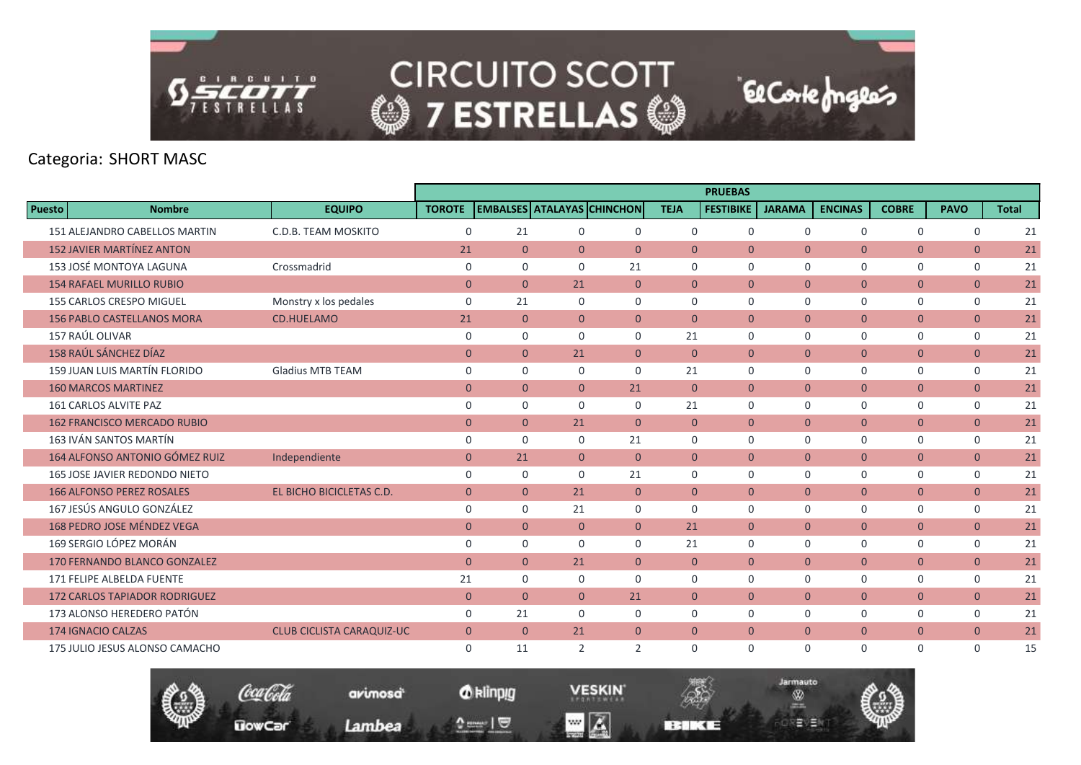

|               |                                      |                                  |                |                |                |                                   |                | <b>PRUEBAS</b>   |                |                |                |                |              |
|---------------|--------------------------------------|----------------------------------|----------------|----------------|----------------|-----------------------------------|----------------|------------------|----------------|----------------|----------------|----------------|--------------|
| <b>Puesto</b> | <b>Nombre</b>                        | <b>EQUIPO</b>                    | <b>TOROTE</b>  |                |                | <b>EMBALSES ATALAYAS CHINCHON</b> | <b>TEJA</b>    | <b>FESTIBIKE</b> | <b>JARAMA</b>  | <b>ENCINAS</b> | <b>COBRE</b>   | <b>PAVO</b>    | <b>Total</b> |
|               | 151 ALEJANDRO CABELLOS MARTIN        | C.D.B. TEAM MOSKITO              | $\mathbf 0$    | 21             | $\Omega$       | $\mathbf 0$                       | $\Omega$       | $\Omega$         | $\mathbf 0$    | $\Omega$       | $\mathbf 0$    | $\mathbf 0$    | 21           |
|               | <b>152 JAVIER MARTÍNEZ ANTON</b>     |                                  | 21             | $\overline{0}$ | $\overline{0}$ | $\overline{0}$                    | $\mathbf{0}$   | $\Omega$         | $\overline{0}$ | $\overline{0}$ | $\overline{0}$ | $\mathbf{0}$   | 21           |
|               | 153 JOSÉ MONTOYA LAGUNA              | Crossmadrid                      | $\mathbf 0$    | $\Omega$       | $\Omega$       | 21                                | $\Omega$       | 0                | $\mathbf 0$    | $\mathbf 0$    | 0              | $\mathbf 0$    | 21           |
|               | <b>154 RAFAEL MURILLO RUBIO</b>      |                                  | $\mathbf{0}$   | $\overline{0}$ | 21             | $\overline{0}$                    | $\mathbf{0}$   | $\mathbf{0}$     | $\overline{0}$ | $\overline{0}$ | $\overline{0}$ | $\mathbf{0}$   | 21           |
|               | <b>155 CARLOS CRESPO MIGUEL</b>      | Monstry x los pedales            | $\mathbf 0$    | 21             | $\Omega$       | $\Omega$                          | $\Omega$       | $\Omega$         | $\Omega$       | $\Omega$       | $\mathbf 0$    | $\mathbf 0$    | 21           |
|               | <b>156 PABLO CASTELLANOS MORA</b>    | <b>CD.HUELAMO</b>                | 21             | $\overline{0}$ | $\overline{0}$ | $\overline{0}$                    | $\mathbf{0}$   | $\overline{0}$   | $\overline{0}$ | $\overline{0}$ | $\overline{0}$ | $\mathbf{0}$   | 21           |
|               | 157 RAÚL OLIVAR                      |                                  | $\mathbf 0$    | $\mathbf 0$    | $\Omega$       | $\mathbf 0$                       | 21             | $\mathbf 0$      | $\mathbf 0$    | $\Omega$       | $\mathbf 0$    | 0              | 21           |
|               | 158 RAÚL SÁNCHEZ DÍAZ                |                                  | $\overline{0}$ | $\overline{0}$ | 21             | $\overline{0}$                    | $\mathbf{0}$   | $\overline{0}$   | $\overline{0}$ | $\overline{0}$ | $\overline{0}$ | $\mathbf{0}$   | 21           |
|               | 159 JUAN LUIS MARTÍN FLORIDO         | <b>Gladius MTB TEAM</b>          | $\mathbf 0$    | 0              | $\Omega$       | $\mathbf 0$                       | 21             | 0                | $\mathbf 0$    | $\mathbf 0$    | $\mathbf 0$    | $\mathbf 0$    | 21           |
|               | <b>160 MARCOS MARTINEZ</b>           |                                  | $\overline{0}$ | $\overline{0}$ | $\overline{0}$ | 21                                | $\mathbf{0}$   | $\mathbf{0}$     | $\overline{0}$ | $\overline{0}$ | $\overline{0}$ | $\overline{0}$ | 21           |
|               | 161 CARLOS ALVITE PAZ                |                                  | $\mathbf 0$    | 0              | $\Omega$       | 0                                 | 21             | $\mathbf 0$      | $\mathbf 0$    | $\mathbf 0$    | 0              | 0              | 21           |
|               | <b>162 FRANCISCO MERCADO RUBIO</b>   |                                  | $\mathbf{0}$   | $\overline{0}$ | 21             | $\overline{0}$                    | $\overline{0}$ | $\overline{0}$   | $\overline{0}$ | $\overline{0}$ | $\mathbf{0}$   | $\mathbf{0}$   | 21           |
|               | 163 IVÁN SANTOS MARTÍN               |                                  | $\mathbf 0$    | $\Omega$       | $\Omega$       | 21                                | $\Omega$       | $\Omega$         | $\Omega$       | $\Omega$       | $\mathbf 0$    | $\mathbf 0$    | 21           |
|               | 164 ALFONSO ANTONIO GÓMEZ RUIZ       | Independiente                    | $\mathbf{0}$   | 21             | $\overline{0}$ | $\overline{0}$                    | $\mathbf{0}$   | $\mathbf{0}$     | $\overline{0}$ | $\overline{0}$ | $\overline{0}$ | $\mathbf{0}$   | 21           |
|               | 165 JOSE JAVIER REDONDO NIETO        |                                  | $\mathbf 0$    | $\mathbf 0$    | 0              | 21                                | $\mathbf 0$    | $\mathbf 0$      | $\mathbf 0$    | $\mathbf 0$    | 0              | $\mathbf 0$    | 21           |
|               | <b>166 ALFONSO PEREZ ROSALES</b>     | EL BICHO BICICLETAS C.D.         | $\mathbf{0}$   | $\overline{0}$ | 21             | $\overline{0}$                    | $\mathbf{0}$   | $\mathbf{0}$     | $\overline{0}$ | $\overline{0}$ | $\mathbf{0}$   | $\mathbf{0}$   | 21           |
|               | 167 JESÚS ANGULO GONZÁLEZ            |                                  | $\mathbf 0$    | $\Omega$       | 21             | $\Omega$                          | $\Omega$       | $\Omega$         | $\mathbf 0$    | $\mathbf 0$    | 0              | $\mathbf 0$    | 21           |
|               | 168 PEDRO JOSE MÉNDEZ VEGA           |                                  | $\overline{0}$ | $\overline{0}$ | $\overline{0}$ | $\overline{0}$                    | 21             | $\mathbf{0}$     | $\overline{0}$ | $\overline{0}$ | $\overline{0}$ | $\mathbf{0}$   | 21           |
|               | 169 SERGIO LÓPEZ MORÁN               |                                  | $\mathbf 0$    | 0              | 0              | $\mathbf 0$                       | 21             | $\mathbf 0$      | $\mathbf 0$    | $\mathbf 0$    | 0              | $\mathbf 0$    | 21           |
|               | 170 FERNANDO BLANCO GONZALEZ         |                                  | $\mathbf{0}$   | $\overline{0}$ | 21             | $\overline{0}$                    | $\overline{0}$ | $\overline{0}$   | $\overline{0}$ | $\overline{0}$ | $\mathbf{0}$   | $\mathbf{0}$   | 21           |
|               | 171 FELIPE ALBELDA FUENTE            |                                  | 21             | 0              | 0              | $\Omega$                          | $\mathbf 0$    | $\mathbf 0$      | $\mathbf 0$    | $\mathbf 0$    | 0              | 0              | 21           |
|               | <b>172 CARLOS TAPIADOR RODRIGUEZ</b> |                                  | $\mathbf{0}$   | $\Omega$       | $\overline{0}$ | 21                                | $\mathbf{0}$   | $\mathbf{0}$     | $\overline{0}$ | $\overline{0}$ | $\mathbf{0}$   | $\mathbf{0}$   | 21           |
|               | 173 ALONSO HEREDERO PATÓN            |                                  | $\mathbf 0$    | 21             | 0              | $\mathbf 0$                       | $\mathbf 0$    | 0                | $\mathbf 0$    | $\mathbf 0$    | 0              | $\mathbf 0$    | 21           |
|               | <b>174 IGNACIO CALZAS</b>            | <b>CLUB CICLISTA CARAQUIZ-UC</b> | $\overline{0}$ | $\Omega$       | 21             | $\mathbf{0}$                      | $\Omega$       | $\Omega$         | $\overline{0}$ | $\overline{0}$ | $\overline{0}$ | $\overline{0}$ | 21           |
|               | 175 JULIO JESUS ALONSO CAMACHO       |                                  | $\mathbf 0$    | 11             | 2              | 2                                 | $\Omega$       | 0                | $\mathbf 0$    | $\Omega$       | $\mathbf 0$    | $\mathbf 0$    | 15           |

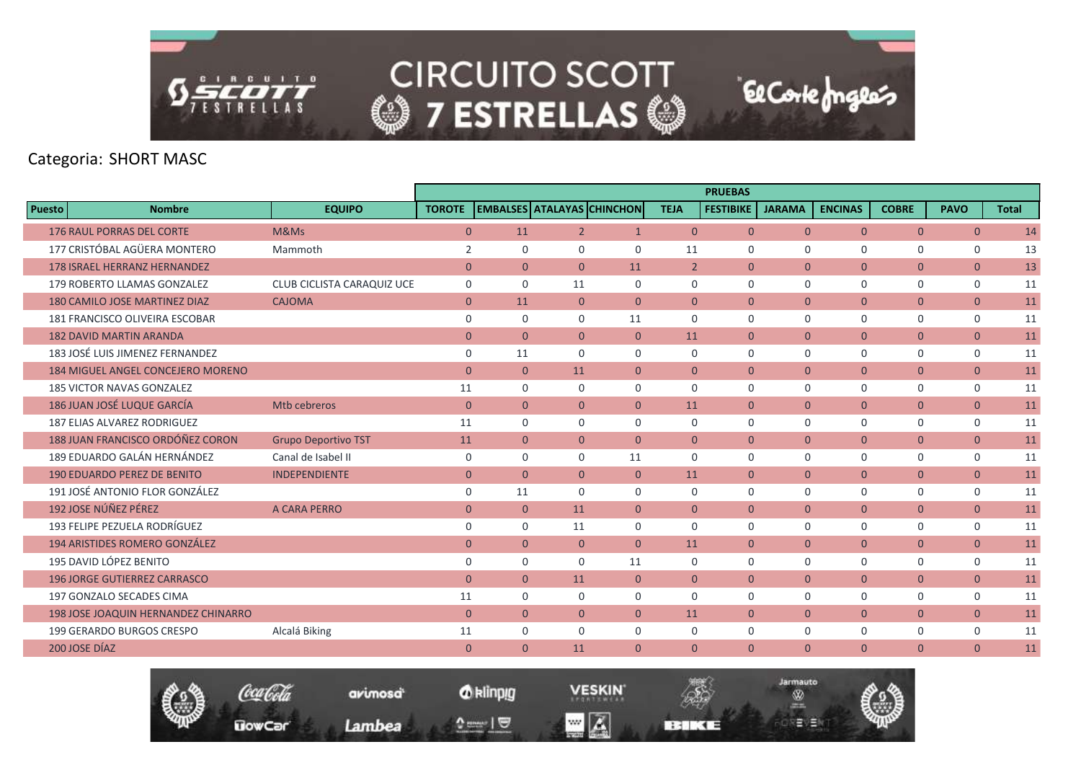

|                                      |                            |                |                |                |                                   |                | <b>PRUEBAS</b>   |                |                |                |                |              |
|--------------------------------------|----------------------------|----------------|----------------|----------------|-----------------------------------|----------------|------------------|----------------|----------------|----------------|----------------|--------------|
| <b>Nombre</b><br><b>Puesto</b>       | <b>EQUIPO</b>              | <b>TOROTE</b>  |                |                | <b>EMBALSES ATALAYAS CHINCHON</b> | <b>TEJA</b>    | <b>FESTIBIKE</b> | <b>JARAMA</b>  | <b>ENCINAS</b> | <b>COBRE</b>   | <b>PAVO</b>    | <b>Total</b> |
| <b>176 RAUL PORRAS DEL CORTE</b>     | M&Ms                       | $\overline{0}$ | 11             | 2 <sup>1</sup> | $\mathbf{1}$                      | $\overline{0}$ | $\Omega$         | $\Omega$       | $\overline{0}$ | $\overline{0}$ | $\overline{0}$ | 14           |
| 177 CRISTÓBAL AGÜERA MONTERO         | Mammoth                    | 2              | $\Omega$       | $\Omega$       | $\Omega$                          | 11             | $\Omega$         | $\mathbf 0$    | $\Omega$       | $\mathbf 0$    | $\mathbf 0$    | 13           |
| <b>178 ISRAEL HERRANZ HERNANDEZ</b>  |                            | $\mathbf{0}$   | $\overline{0}$ | $\overline{0}$ | 11                                | $2^{\circ}$    | $\overline{0}$   | $\mathbf{0}$   | $\overline{0}$ | $\mathbf{0}$   | $\overline{0}$ | 13           |
| 179 ROBERTO LLAMAS GONZALEZ          | CLUB CICLISTA CARAQUIZ UCE | $\mathbf 0$    | $\mathbf 0$    | 11             | $\mathbf 0$                       | $\mathbf 0$    | $\mathbf 0$      | $\mathbf 0$    | $\mathbf 0$    | 0              | $\mathsf{O}$   | 11           |
| <b>180 CAMILO JOSE MARTINEZ DIAZ</b> | <b>CAJOMA</b>              | $\overline{0}$ | 11             | $\overline{0}$ | $\overline{0}$                    | $\overline{0}$ | $\overline{0}$   | $\overline{0}$ | $\overline{0}$ | $\overline{0}$ | $\overline{0}$ | 11           |
| 181 FRANCISCO OLIVEIRA ESCOBAR       |                            | $\mathbf 0$    | $\Omega$       | $\Omega$       | 11                                | $\Omega$       | $\mathbf 0$      | $\mathbf 0$    | $\mathbf 0$    | 0              | 0              | 11           |
| <b>182 DAVID MARTIN ARANDA</b>       |                            | $\overline{0}$ | $\overline{0}$ | $\overline{0}$ | $\overline{0}$                    | 11             | $\mathbf{0}$     | $\overline{0}$ | $\overline{0}$ | $\mathbf{0}$   | $\mathbf{0}$   | 11           |
| 183 JOSÉ LUIS JIMENEZ FERNANDEZ      |                            | $\mathbf 0$    | 11             | 0              | $\mathbf 0$                       | $\mathbf 0$    | 0                | $\mathbf 0$    | $\mathbf 0$    | $\mathbf 0$    | $\mathbf 0$    | 11           |
| 184 MIGUEL ANGEL CONCEJERO MORENO    |                            | $\mathbf{0}$   | $\overline{0}$ | 11             | $\overline{0}$                    | $\overline{0}$ | $\overline{0}$   | $\overline{0}$ | $\overline{0}$ | $\overline{0}$ | $\overline{0}$ | 11           |
| <b>185 VICTOR NAVAS GONZALEZ</b>     |                            | 11             | $\Omega$       | $\Omega$       | $\mathbf 0$                       | $\Omega$       | $\mathbf 0$      | $\mathbf 0$    | $\Omega$       | $\mathbf 0$    | $\mathsf{O}$   | 11           |
| 186 JUAN JOSÉ LUQUE GARCÍA           | Mtb cebreros               | $\mathbf{0}$   | $\overline{0}$ | $\overline{0}$ | $\overline{0}$                    | 11             | $\mathbf{0}$     | $\overline{0}$ | $\overline{0}$ | $\overline{0}$ | $\overline{0}$ | 11           |
| <b>187 ELIAS ALVAREZ RODRIGUEZ</b>   |                            | 11             | $\Omega$       | $\Omega$       | $\mathbf 0$                       | $\Omega$       | $\Omega$         | $\mathbf 0$    | $\mathbf 0$    | 0              | 0              | 11           |
| 188 JUAN FRANCISCO ORDÓÑEZ CORON     | <b>Grupo Deportivo TST</b> | 11             | $\overline{0}$ | $\overline{0}$ | $\overline{0}$                    | $\Omega$       | $\Omega$         | $\overline{0}$ | $\overline{0}$ | $\overline{0}$ | $\overline{0}$ | 11           |
| 189 EDUARDO GALÁN HERNÁNDEZ          | Canal de Isabel II         | $\mathbf 0$    | $\Omega$       | $\Omega$       | 11                                | $\mathbf 0$    | $\mathbf 0$      | $\mathbf 0$    | $\mathbf 0$    | $\mathbf 0$    | $\mathbf 0$    | 11           |
| <b>190 EDUARDO PEREZ DE BENITO</b>   | <b>INDEPENDIENTE</b>       | $\mathbf{0}$   | $\overline{0}$ | $\overline{0}$ | $\overline{0}$                    | 11             | $\overline{0}$   | $\overline{0}$ | $\overline{0}$ | $\mathbf{0}$   | $\mathbf{0}$   | 11           |
| 191 JOSÉ ANTONIO FLOR GONZÁLEZ       |                            | $\mathbf 0$    | 11             | $\Omega$       | $\Omega$                          | $\Omega$       | $\Omega$         | $\Omega$       | $\Omega$       | $\mathbf 0$    | $\mathbf 0$    | 11           |
| 192 JOSE NÚÑEZ PÉREZ                 | A CARA PERRO               | $\mathbf{0}$   | $\overline{0}$ | 11             | $\overline{0}$                    | $\overline{0}$ | $\mathbf{0}$     | $\overline{0}$ | $\overline{0}$ | $\mathbf{0}$   | $\mathbf{0}$   | 11           |
| 193 FELIPE PEZUELA RODRÍGUEZ         |                            | $\mathbf 0$    | $\Omega$       | 11             | $\mathbf 0$                       | $\mathbf 0$    | $\mathbf 0$      | $\mathbf 0$    | $\mathbf 0$    | 0              | 0              | 11           |
| <b>194 ARISTIDES ROMERO GONZÁLEZ</b> |                            | $\mathbf{0}$   | $\overline{0}$ | $\overline{0}$ | $\overline{0}$                    | 11             | $\mathbf{0}$     | $\overline{0}$ | $\overline{0}$ | $\overline{0}$ | $\overline{0}$ | 11           |
| 195 DAVID LÓPEZ BENITO               |                            | $\mathbf 0$    | $\Omega$       | $\Omega$       | 11                                | $\Omega$       | 0                | $\mathbf 0$    | $\mathbf 0$    | 0              | $\mathbf 0$    | 11           |
| <b>196 JORGE GUTIERREZ CARRASCO</b>  |                            | $\mathbf{0}$   | $\overline{0}$ | 11             | $\overline{0}$                    | $\overline{0}$ | $\overline{0}$   | $\overline{0}$ | $\overline{0}$ | $\mathbf{0}$   | $\mathbf{0}$   | 11           |
| 197 GONZALO SECADES CIMA             |                            | 11             | $\mathbf 0$    | 0              | $\mathbf 0$                       | $\mathbf 0$    | $\mathbf 0$      | $\mathbf 0$    | $\mathbf 0$    | 0              | $\mathbf 0$    | 11           |
| 198 JOSE JOAQUIN HERNANDEZ CHINARRO  |                            | $\mathbf{0}$   | $\Omega$       | $\Omega$       | $\overline{0}$                    | 11             | $\Omega$         | $\overline{0}$ | $\overline{0}$ | $\mathbf{0}$   | $\mathbf{0}$   | 11           |
| 199 GERARDO BURGOS CRESPO            | Alcalá Biking              | 11             | $\Omega$       | $\Omega$       | $\Omega$                          | $\Omega$       | $\Omega$         | $\mathbf 0$    | $\mathbf 0$    | 0              | $\mathbf 0$    | 11           |
| 200 JOSE DÍAZ                        |                            | $\mathbf{0}$   | $\overline{0}$ | 11             | $\overline{0}$                    | $\mathbf{0}$   | $\mathbf{0}$     | $\overline{0}$ | $\overline{0}$ | $\overline{0}$ | $\overline{0}$ | 11           |

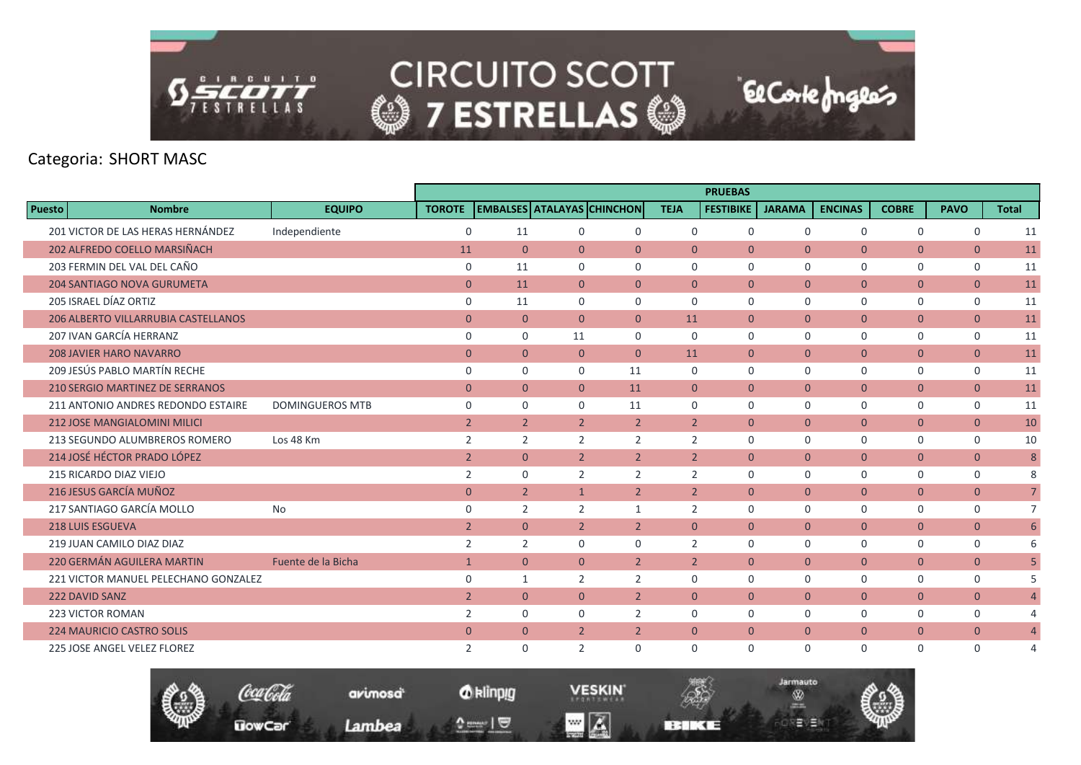

|               |                                            |                        |                |                |                                   |                |                | <b>PRUEBAS</b>   |                |                |                |                |                 |
|---------------|--------------------------------------------|------------------------|----------------|----------------|-----------------------------------|----------------|----------------|------------------|----------------|----------------|----------------|----------------|-----------------|
| <b>Puesto</b> | <b>Nombre</b>                              | <b>EQUIPO</b>          | <b>TOROTE</b>  |                | <b>EMBALSES ATALAYAS CHINCHON</b> |                | <b>TEJA</b>    | <b>FESTIBIKE</b> | <b>JARAMA</b>  | <b>ENCINAS</b> | <b>COBRE</b>   | <b>PAVO</b>    | <b>Total</b>    |
|               | 201 VICTOR DE LAS HERAS HERNÁNDEZ          | Independiente          | $\mathbf 0$    | 11             | $\Omega$                          | 0              | $\Omega$       | $\Omega$         | $\mathbf 0$    | $\Omega$       | $\mathbf 0$    | $\mathbf 0$    | 11              |
|               | 202 ALFREDO COELLO MARSIÑACH               |                        | 11             | $\overline{0}$ | $\overline{0}$                    | $\overline{0}$ | $\mathbf{0}$   | $\mathbf{0}$     | $\overline{0}$ | $\overline{0}$ | $\mathbf{0}$   | $\mathbf{0}$   | 11              |
|               | 203 FERMIN DEL VAL DEL CAÑO                |                        | $\mathbf 0$    | 11             | $\Omega$                          | $\Omega$       | $\Omega$       | $\mathbf 0$      | $\mathbf 0$    | $\mathbf 0$    | $\mathbf 0$    | $\mathbf 0$    | 11              |
|               | <b>204 SANTIAGO NOVA GURUMETA</b>          |                        | $\mathbf{0}$   | 11             | $\overline{0}$                    | $\overline{0}$ | $\mathbf{0}$   | $\overline{0}$   | $\overline{0}$ | $\overline{0}$ | $\overline{0}$ | $\mathbf{0}$   | 11              |
|               | 205 ISRAEL DÍAZ ORTIZ                      |                        | $\mathbf 0$    | 11             | $\Omega$                          | $\Omega$       | $\Omega$       | $\Omega$         | $\Omega$       | $\Omega$       | $\mathbf 0$    | $\mathbf 0$    | 11              |
|               | <b>206 ALBERTO VILLARRUBIA CASTELLANOS</b> |                        | $\mathbf{0}$   | $\overline{0}$ | $\overline{0}$                    | $\overline{0}$ | 11             | $\mathbf{0}$     | $\overline{0}$ | $\overline{0}$ | $\overline{0}$ | $\mathbf{0}$   | 11              |
|               | 207 IVAN GARCÍA HERRANZ                    |                        | $\mathbf 0$    | $\Omega$       | 11                                | 0              | 0              | $\mathbf 0$      | $\mathbf 0$    | 0              | 0              | 0              | 11              |
|               | <b>208 JAVIER HARO NAVARRO</b>             |                        | $\mathbf{0}$   | $\overline{0}$ | $\overline{0}$                    | $\overline{0}$ | 11             | $\mathbf{0}$     | $\overline{0}$ | $\overline{0}$ | $\overline{0}$ | $\mathbf{0}$   | 11              |
|               | 209 JESÚS PABLO MARTÍN RECHE               |                        | $\mathbf 0$    | $\Omega$       | $\Omega$                          | 11             | $\Omega$       | $\Omega$         | $\mathbf 0$    | $\mathbf 0$    | 0              | 0              | 11              |
|               | 210 SERGIO MARTINEZ DE SERRANOS            |                        | $\mathbf{0}$   | $\overline{0}$ | $\overline{0}$                    | 11             | $\mathbf{0}$   | $\mathbf{0}$     | $\overline{0}$ | $\overline{0}$ | $\overline{0}$ | $\overline{0}$ | 11              |
|               | 211 ANTONIO ANDRES REDONDO ESTAIRE         | <b>DOMINGUEROS MTB</b> | $\Omega$       | $\Omega$       | $\Omega$                          | 11             | $\Omega$       | $\mathbf 0$      | $\mathbf 0$    | $\mathbf 0$    | 0              | 0              | 11              |
|               | <b>212 JOSE MANGIALOMINI MILICI</b>        |                        | $\overline{2}$ | $\overline{2}$ | 2 <sup>1</sup>                    | $\overline{2}$ | $\overline{2}$ | $\mathbf{0}$     | $\overline{0}$ | $\overline{0}$ | $\mathbf{0}$   | $\mathbf{0}$   | 10              |
|               | 213 SEGUNDO ALUMBREROS ROMERO              | Los 48 Km              | 2              | $\overline{2}$ | $\overline{2}$                    | $\overline{2}$ | $\overline{2}$ | $\Omega$         | $\Omega$       | $\Omega$       | $\mathbf 0$    | $\mathbf 0$    | 10              |
|               | 214 JOSÉ HÉCTOR PRADO LÓPEZ                |                        | $\overline{2}$ | $\overline{0}$ | $\overline{2}$                    | $\overline{2}$ | $\overline{2}$ | $\mathbf{0}$     | $\overline{0}$ | $\overline{0}$ | $\overline{0}$ | $\mathbf{0}$   | 8               |
|               | 215 RICARDO DIAZ VIEJO                     |                        | 2              | $\Omega$       | 2                                 | 2              | 2              | $\mathbf 0$      | $\mathbf 0$    | $\mathbf 0$    | 0              | $\mathbf 0$    | 8               |
|               | 216 JESUS GARCÍA MUÑOZ                     |                        | $\mathbf{0}$   | 2 <sup>1</sup> | $\mathbf{1}$                      | $\overline{2}$ | $\overline{2}$ | $\mathbf{0}$     | $\overline{0}$ | $\overline{0}$ | $\overline{0}$ | $\mathbf{0}$   | $7\overline{ }$ |
|               | 217 SANTIAGO GARCÍA MOLLO                  | <b>No</b>              | $\mathbf 0$    | $\overline{2}$ | $\overline{2}$                    | $\mathbf{1}$   | $\overline{2}$ | $\Omega$         | $\Omega$       | $\mathbf 0$    | 0              | $\mathbf 0$    | $\overline{7}$  |
|               | <b>218 LUIS ESGUEVA</b>                    |                        | $\overline{2}$ | $\overline{0}$ | $2^{\circ}$                       | $\overline{2}$ | $\overline{0}$ | $\overline{0}$   | $\overline{0}$ | $\overline{0}$ | $\overline{0}$ | $\mathbf{0}$   | 6               |
|               | 219 JUAN CAMILO DIAZ DIAZ                  |                        | 2              | $\overline{2}$ | $\Omega$                          | 0              | 2              | $\mathbf 0$      | $\mathbf 0$    | $\mathbf 0$    | 0              | 0              | 6               |
|               | 220 GERMÁN AGUILERA MARTIN                 | Fuente de la Bicha     | $\mathbf{1}$   | $\overline{0}$ | $\overline{0}$                    | $\overline{2}$ | $\overline{2}$ | $\overline{0}$   | $\overline{0}$ | $\overline{0}$ | $\mathbf{0}$   | $\mathbf{0}$   | 5               |
|               | 221 VICTOR MANUEL PELECHANO GONZALEZ       |                        | $\mathbf 0$    | $\mathbf{1}$   | $\overline{2}$                    | 2              | $\Omega$       | $\Omega$         | $\mathbf 0$    | $\Omega$       | 0              | $\mathbf 0$    | 5               |
|               | <b>222 DAVID SANZ</b>                      |                        | $\overline{2}$ | $\overline{0}$ | $\overline{0}$                    | $\overline{2}$ | $\Omega$       | $\mathbf{0}$     | $\overline{0}$ | $\overline{0}$ | $\overline{0}$ | $\mathbf{0}$   | $\overline{4}$  |
|               | <b>223 VICTOR ROMAN</b>                    |                        | $\overline{2}$ | 0              | $\Omega$                          | 2              | $\mathbf 0$    | $\mathbf 0$      | $\mathbf 0$    | $\mathbf 0$    | 0              | 0              | 4               |
|               | <b>224 MAURICIO CASTRO SOLIS</b>           |                        | $\mathbf{0}$   | $\overline{0}$ | $\overline{2}$                    | $\overline{2}$ | $\mathbf{0}$   | $\mathbf{0}$     | $\overline{0}$ | $\overline{0}$ | $\mathbf{0}$   | $\mathbf{0}$   | $\overline{4}$  |
|               | 225 JOSE ANGEL VELEZ FLOREZ                |                        | $\overline{2}$ | $\Omega$       | $\overline{2}$                    | $\Omega$       | $\Omega$       | $\Omega$         | $\Omega$       | $\Omega$       | $\Omega$       | $\Omega$       | $\Delta$        |

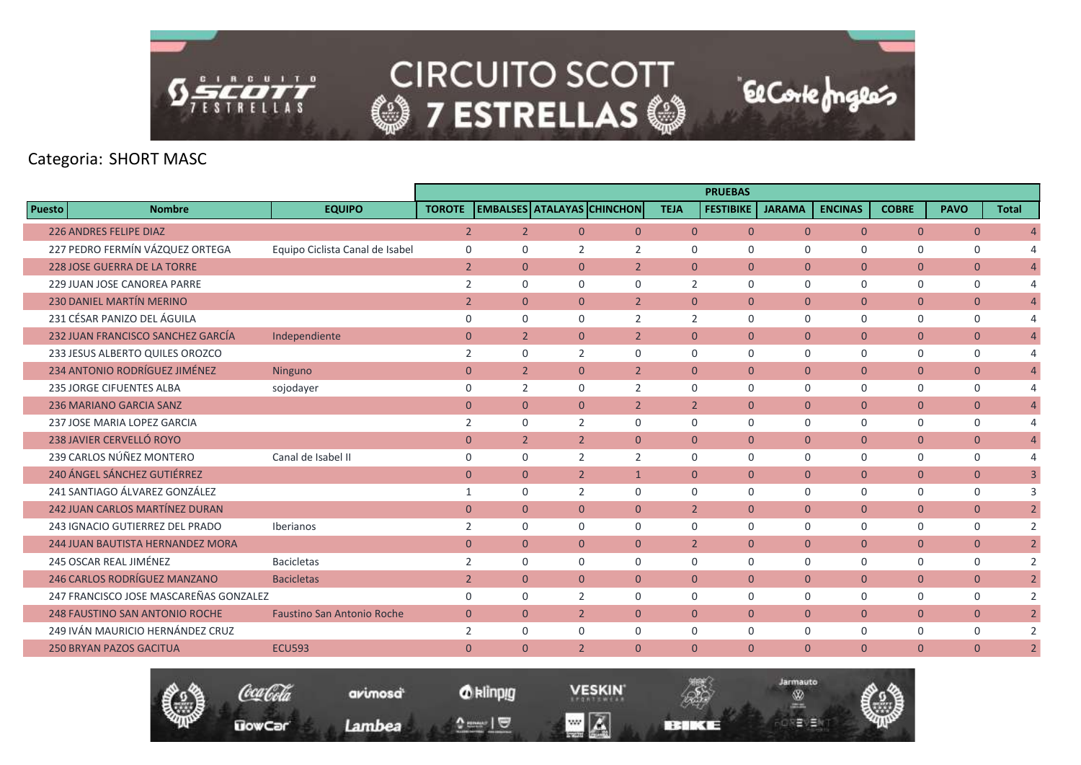

|               |                                         |                                   |                |                                   |                |                |                | <b>PRUEBAS</b>   |                |                |                |                |              |                |
|---------------|-----------------------------------------|-----------------------------------|----------------|-----------------------------------|----------------|----------------|----------------|------------------|----------------|----------------|----------------|----------------|--------------|----------------|
| <b>Puesto</b> | <b>Nombre</b>                           | <b>EQUIPO</b>                     | <b>TOROTE</b>  | <b>EMBALSES ATALAYAS CHINCHON</b> |                |                | <b>TEJA</b>    | <b>FESTIBIKE</b> | <b>JARAMA</b>  | <b>ENCINAS</b> | <b>COBRE</b>   | <b>PAVO</b>    | <b>Total</b> |                |
|               | <b>226 ANDRES FELIPE DIAZ</b>           |                                   | $\overline{2}$ | 2 <sup>1</sup>                    | $\overline{0}$ | $\overline{0}$ | $\overline{0}$ | $\overline{0}$   | $\overline{0}$ | $\overline{0}$ | $\overline{0}$ | $\overline{0}$ |              | $\overline{4}$ |
|               | 227 PEDRO FERMÍN VÁZQUEZ ORTEGA         | Equipo Ciclista Canal de Isabel   | $\mathbf 0$    | 0                                 | 2              | 2              | $\mathbf 0$    | 0                | $\mathbf 0$    | $\mathbf 0$    | 0              | 0              |              | 4              |
|               | <b>228 JOSE GUERRA DE LA TORRE</b>      |                                   | $\overline{2}$ | $\overline{0}$                    | $\overline{0}$ | $\overline{2}$ | $\mathbf{0}$   | $\overline{0}$   | $\overline{0}$ | $\overline{0}$ | $\overline{0}$ | $\mathbf{0}$   |              | $\overline{4}$ |
|               | 229 JUAN JOSE CANOREA PARRE             |                                   | 2              | $\Omega$                          | $\Omega$       | $\Omega$       | $\overline{2}$ | $\Omega$         | $\mathbf 0$    | $\Omega$       | $\mathbf 0$    | $\mathbf 0$    |              | 4              |
|               | <b>230 DANIEL MARTÍN MERINO</b>         |                                   | $\overline{2}$ | $\overline{0}$                    | $\overline{0}$ | $\overline{2}$ | $\overline{0}$ | $\mathbf{0}$     | $\overline{0}$ | $\overline{0}$ | $\overline{0}$ | $\mathbf{0}$   |              | $\overline{4}$ |
|               | 231 CÉSAR PANIZO DEL ÁGUILA             |                                   | $\Omega$       | 0                                 | $\Omega$       | 2              | $\overline{2}$ | $\Omega$         | $\mathbf 0$    | $\Omega$       | $\mathbf 0$    | $\mathbf 0$    |              | 4              |
|               | 232 JUAN FRANCISCO SANCHEZ GARCÍA       | Independiente                     | $\mathbf{0}$   | $\overline{2}$                    | $\overline{0}$ | $\overline{2}$ | $\overline{0}$ | $\overline{0}$   | $\overline{0}$ | $\overline{0}$ | $\overline{0}$ | $\overline{0}$ |              | $\overline{4}$ |
|               | 233 JESUS ALBERTO QUILES OROZCO         |                                   | 2              | $\Omega$                          | 2              | $\Omega$       | $\Omega$       | $\Omega$         | $\Omega$       | $\Omega$       | $\mathbf 0$    | $\mathbf 0$    |              | 4              |
|               | 234 ANTONIO RODRÍGUEZ JIMÉNEZ           | Ninguno                           | $\mathbf{0}$   | $\overline{2}$                    | $\Omega$       | $\overline{2}$ | $\Omega$       | $\Omega$         | $\overline{0}$ | $\overline{0}$ | $\overline{0}$ | $\overline{0}$ |              | $\overline{4}$ |
|               | <b>235 JORGE CIFUENTES ALBA</b>         | sojodayer                         | $\mathbf 0$    | 2                                 | 0              | 2              | $\mathbf 0$    | $\mathbf 0$      | $\mathbf 0$    | $\mathbf 0$    | $\mathbf 0$    | $\mathbf 0$    |              | 4              |
|               | <b>236 MARIANO GARCIA SANZ</b>          |                                   | $\mathbf{0}$   | $\overline{0}$                    | $\Omega$       | $\overline{2}$ | $\overline{2}$ | $\Omega$         | $\overline{0}$ | $\Omega$       | $\overline{0}$ | $\overline{0}$ |              | $\overline{4}$ |
|               | 237 JOSE MARIA LOPEZ GARCIA             |                                   | $\overline{2}$ | $\Omega$                          | $\overline{2}$ | $\Omega$       | $\Omega$       | $\Omega$         | $\Omega$       | $\Omega$       | $\mathbf 0$    | $\mathbf 0$    |              | 4              |
|               | 238 JAVIER CERVELLÓ ROYO                |                                   | $\mathbf{0}$   | 2 <sup>2</sup>                    | $2^{\circ}$    | $\overline{0}$ | $\overline{0}$ | $\mathbf{0}$     | $\overline{0}$ | $\overline{0}$ | $\mathbf{0}$   | $\mathbf{0}$   |              | $\overline{4}$ |
|               | 239 CARLOS NÚÑEZ MONTERO                | Canal de Isabel II                | $\mathbf 0$    | 0                                 | $\overline{2}$ | 2              | $\mathbf 0$    | $\mathbf 0$      | $\mathbf 0$    | $\mathbf 0$    | 0              | 0              |              | 4              |
|               | 240 ÁNGEL SÁNCHEZ GUTIÉRREZ             |                                   | $\Omega$       | $\Omega$                          | $\overline{2}$ | $\mathbf{1}$   | $\Omega$       | $\Omega$         | $\Omega$       | $\overline{0}$ | $\overline{0}$ | $\overline{0}$ |              | $\overline{3}$ |
|               | 241 SANTIAGO ÁLVAREZ GONZÁLEZ           |                                   | 1              | 0                                 | 2              | $\Omega$       | $\Omega$       | $\Omega$         | $\mathbf 0$    | $\mathbf 0$    | 0              | 0              |              | 3              |
|               | <b>242 JUAN CARLOS MARTÍNEZ DURAN</b>   |                                   | $\mathbf{0}$   | $\overline{0}$                    | $\Omega$       | $\mathbf{0}$   | $\overline{2}$ | $\mathbf{0}$     | $\mathbf{0}$   | $\overline{0}$ | $\mathbf{0}$   | $\overline{0}$ |              | $\overline{2}$ |
|               | 243 IGNACIO GUTIERREZ DEL PRADO         | Iberianos                         | $\overline{2}$ | 0                                 | 0              | $\mathbf 0$    | $\mathbf 0$    | $\mathbf 0$      | $\mathbf 0$    | $\mathbf 0$    | $\mathbf 0$    | $\mathbf 0$    |              | 2              |
|               | <b>244 JUAN BAUTISTA HERNANDEZ MORA</b> |                                   | $\overline{0}$ | $\overline{0}$                    | $\Omega$       | $\overline{0}$ | $\overline{2}$ | $\Omega$         | $\overline{0}$ | $\overline{0}$ | $\overline{0}$ | $\mathbf{0}$   |              | $\overline{2}$ |
|               | 245 OSCAR REAL JIMÉNEZ                  | <b>Bacicletas</b>                 | 2              | 0                                 | $\Omega$       | $\Omega$       | $\Omega$       | $\Omega$         | $\Omega$       | $\Omega$       | $\mathbf 0$    | 0              |              | 2              |
|               | 246 CARLOS RODRÍGUEZ MANZANO            | <b>Bacicletas</b>                 | $\overline{2}$ | $\overline{0}$                    | $\overline{0}$ | $\overline{0}$ | $\overline{0}$ | $\mathbf{0}$     | $\overline{0}$ | $\overline{0}$ | $\overline{0}$ | $\overline{0}$ |              | $\overline{2}$ |
|               | 247 FRANCISCO JOSE MASCAREÑAS GONZALEZ  |                                   | $\Omega$       | $\Omega$                          | $\overline{2}$ | $\mathbf 0$    | $\Omega$       | $\Omega$         | $\mathbf 0$    | $\mathbf 0$    | 0              | 0              |              | $\overline{2}$ |
|               | <b>248 FAUSTINO SAN ANTONIO ROCHE</b>   | <b>Faustino San Antonio Roche</b> | $\overline{0}$ | $\overline{0}$                    | $\overline{2}$ | $\Omega$       | $\Omega$       | $\Omega$         | $\overline{0}$ | $\overline{0}$ | $\overline{0}$ | $\overline{0}$ |              | $\overline{2}$ |
|               | 249 IVÁN MAURICIO HERNÁNDEZ CRUZ        |                                   | 2              | 0                                 | 0              | $\mathbf 0$    | $\mathbf 0$    | $\mathbf 0$      | $\mathbf 0$    | $\mathbf 0$    | 0              | 0              |              | $\overline{2}$ |
|               | <b>250 BRYAN PAZOS GACITUA</b>          | <b>ECU593</b>                     | $\Omega$       | $\Omega$                          | $\overline{2}$ | $\overline{0}$ | $\mathbf{0}$   | $\mathbf{0}$     | $\overline{0}$ | $\overline{0}$ | $\overline{0}$ | $\overline{0}$ |              | $\overline{2}$ |
|               |                                         |                                   |                |                                   |                |                |                |                  |                |                |                |                |              |                |



*O* klinpig

 $\mathbf{v} = \mathbf{1} \mathbf{0}$ 

**VESKIN**  $\blacksquare$   $\blacksquare$ 

**BERKE** 

Jarmauto

®

역달방울장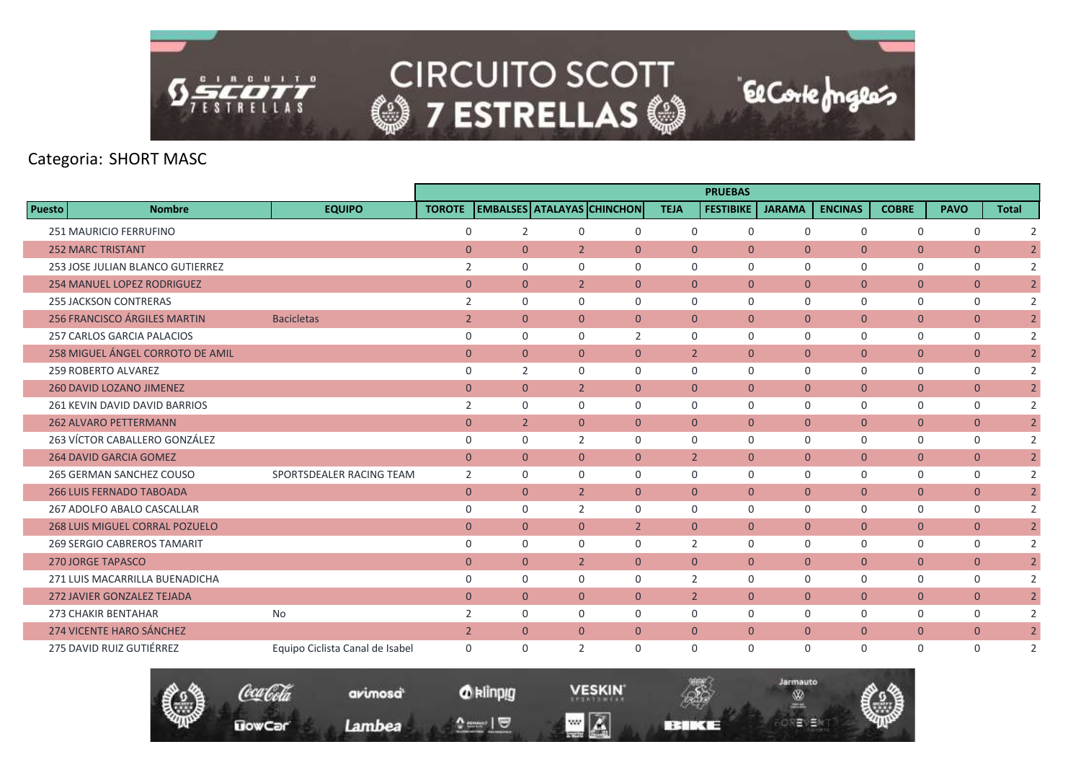

|               |                                       |                                 |                |                |                                  |                                   |                | <b>PRUEBAS</b>   |                |                |                |                |                |
|---------------|---------------------------------------|---------------------------------|----------------|----------------|----------------------------------|-----------------------------------|----------------|------------------|----------------|----------------|----------------|----------------|----------------|
| <b>Puesto</b> | <b>Nombre</b>                         | <b>EQUIPO</b>                   | <b>TOROTE</b>  |                |                                  | <b>EMBALSES ATALAYAS CHINCHON</b> | <b>TEJA</b>    | <b>FESTIBIKE</b> | <b>JARAMA</b>  | <b>ENCINAS</b> | <b>COBRE</b>   | <b>PAVO</b>    | <b>Total</b>   |
|               | <b>251 MAURICIO FERRUFINO</b>         |                                 | $\mathbf 0$    | 2              | $\Omega$                         | $\Omega$                          | $\mathbf 0$    | $\mathbf 0$      | $\Omega$       | $\mathbf 0$    | 0              | 0              | 2              |
|               | <b>252 MARC TRISTANT</b>              |                                 | $\overline{0}$ |                | $\overline{0}$<br>$\overline{2}$ | $\mathbf{0}$                      | $\overline{0}$ | $\mathbf{0}$     | $\overline{0}$ | $\overline{0}$ | $\mathbf{0}$   | $\mathbf{0}$   | $\overline{2}$ |
|               | 253 JOSE JULIAN BLANCO GUTIERREZ      |                                 | 2              | $\mathbf 0$    | $\mathbf 0$                      | $\mathbf 0$                       | $\mathbf 0$    | $\mathbf 0$      | $\mathbf 0$    | $\mathbf 0$    | $\mathbf 0$    | $\mathbf 0$    | 2              |
|               | <b>254 MANUEL LOPEZ RODRIGUEZ</b>     |                                 | $\mathbf{0}$   | $\overline{0}$ | $\overline{2}$                   | $\mathbf{0}$                      | $\overline{0}$ | $\mathbf{0}$     | $\overline{0}$ | $\overline{0}$ | $\mathbf{0}$   | $\overline{0}$ | $\overline{2}$ |
|               | <b>255 JACKSON CONTRERAS</b>          |                                 | 2              | $\Omega$       | $\Omega$                         | $\Omega$                          | $\Omega$       | $\Omega$         | $\Omega$       | $\mathbf 0$    | $\mathbf 0$    | $\mathbf 0$    | 2              |
|               | 256 FRANCISCO ÁRGILES MARTIN          | <b>Bacicletas</b>               | $\overline{2}$ | $\Omega$       | $\Omega$                         | $\mathbf{0}$                      | $\overline{0}$ | $\mathbf{0}$     | $\overline{0}$ | $\overline{0}$ | $\overline{0}$ | $\overline{0}$ | $\overline{2}$ |
|               | <b>257 CARLOS GARCIA PALACIOS</b>     |                                 | $\mathbf 0$    | $\mathbf 0$    | $\mathbf 0$                      | $\overline{2}$                    | $\mathbf 0$    | $\mathbf 0$      | $\mathbf 0$    | $\mathbf 0$    | $\mathbf 0$    | $\mathbf 0$    | $\overline{2}$ |
|               | 258 MIGUEL ÁNGEL CORROTO DE AMIL      |                                 | $\overline{0}$ | $\overline{0}$ | $\mathbf{0}$                     | $\mathbf{0}$                      | $\overline{2}$ | $\Omega$         | $\overline{0}$ | $\overline{0}$ | $\mathbf{0}$   | $\mathbf{0}$   | $\overline{2}$ |
|               | 259 ROBERTO ALVAREZ                   |                                 | $\mathbf 0$    | 2              | $\Omega$                         | $\Omega$                          | $\Omega$       | $\mathbf 0$      | $\mathbf 0$    | $\mathbf 0$    | $\mathbf 0$    | $\mathbf 0$    | 2              |
|               | 260 DAVID LOZANO JIMENEZ              |                                 | $\overline{0}$ |                | $\overline{0}$<br>$\overline{2}$ | $\overline{0}$                    | $\overline{0}$ | $\mathbf{0}$     | $\overline{0}$ | $\overline{0}$ | $\mathbf{0}$   | $\overline{0}$ | $\overline{2}$ |
|               | 261 KEVIN DAVID DAVID BARRIOS         |                                 | $\overline{2}$ | $\mathbf 0$    | $\mathbf 0$                      | $\mathbf 0$                       | $\mathbf 0$    | $\mathbf 0$      | $\mathbf 0$    | $\mathbf 0$    | $\mathbf 0$    | $\mathbf 0$    | $\overline{2}$ |
|               | <b>262 ALVARO PETTERMANN</b>          |                                 | $\overline{0}$ |                | 2 <sup>1</sup><br>$\Omega$       | $\Omega$                          | $\Omega$       | $\Omega$         | $\overline{0}$ | $\overline{0}$ | $\mathbf{0}$   | $\overline{0}$ | $\overline{2}$ |
|               | 263 VÍCTOR CABALLERO GONZÁLEZ         |                                 | $\mathbf 0$    | $\Omega$       | 2                                | $\Omega$                          | $\Omega$       | $\Omega$         | $\Omega$       | $\mathbf 0$    | $\mathbf 0$    | $\mathbf 0$    | $\overline{2}$ |
|               | <b>264 DAVID GARCIA GOMEZ</b>         |                                 | $\overline{0}$ | $\Omega$       | $\Omega$                         | $\Omega$                          | $\overline{2}$ | $\Omega$         | $\mathbf{0}$   | $\overline{0}$ | $\mathbf{0}$   | $\mathbf{0}$   | $\overline{2}$ |
|               | 265 GERMAN SANCHEZ COUSO              | SPORTSDEALER RACING TEAM        | 2              | $\mathbf 0$    | $\mathbf 0$                      | $\mathbf 0$                       | $\mathbf 0$    | $\mathbf 0$      | $\mathbf 0$    | $\mathsf{O}$   | 0              | 0              | $\overline{2}$ |
|               | <b>266 LUIS FERNADO TABOADA</b>       |                                 | $\overline{0}$ |                | $\overline{0}$<br>$\overline{2}$ | $\mathbf{0}$                      | $\overline{0}$ | $\Omega$         | $\overline{0}$ | $\overline{0}$ | $\overline{0}$ | $\overline{0}$ | $\overline{2}$ |
|               | 267 ADOLFO ABALO CASCALLAR            |                                 | 0              | $\Omega$       | $\overline{2}$                   | $\Omega$                          | $\Omega$       | $\mathbf 0$      | $\mathbf 0$    | $\mathbf 0$    | $\mathbf 0$    | $\mathbf 0$    | $\overline{2}$ |
|               | <b>268 LUIS MIGUEL CORRAL POZUELO</b> |                                 | $\overline{0}$ |                | $\overline{0}$<br>$\mathbf{0}$   | $\overline{2}$                    | $\overline{0}$ | $\mathbf{0}$     | $\overline{0}$ | $\overline{0}$ | $\overline{0}$ | $\mathbf{0}$   | $\overline{2}$ |
|               | 269 SERGIO CABREROS TAMARIT           |                                 | $\mathbf 0$    | $\mathbf 0$    | $\mathbf 0$                      | $\mathbf 0$                       | 2              | $\mathbf 0$      | $\mathbf 0$    | $\mathbf 0$    | $\mathbf 0$    | 0              | $\overline{2}$ |
|               | <b>270 JORGE TAPASCO</b>              |                                 | $\overline{0}$ |                | $\overline{0}$<br>$\overline{2}$ | $\mathbf{0}$                      | $\overline{0}$ | $\mathbf{0}$     | $\mathbf{0}$   | $\overline{0}$ | $\overline{0}$ | $\mathbf{0}$   | $\overline{2}$ |
|               | 271 LUIS MACARRILLA BUENADICHA        |                                 | $\mathbf 0$    | $\Omega$       | $\Omega$                         | $\Omega$                          | $\overline{2}$ | $\mathbf 0$      | $\mathbf 0$    | $\mathbf 0$    | $\mathbf 0$    | $\mathbf 0$    | $\overline{2}$ |
|               | <b>272 JAVIER GONZALEZ TEJADA</b>     |                                 | $\overline{0}$ | $\overline{0}$ | $\mathbf{0}$                     | $\mathbf{0}$                      | $\overline{2}$ | $\mathbf{0}$     | $\mathbf{0}$   | $\overline{0}$ | $\overline{0}$ | $\mathbf{0}$   | $\overline{2}$ |
|               | <b>273 CHAKIR BENTAHAR</b>            | No                              | $\overline{2}$ | $\Omega$       | $\Omega$                         | $\Omega$                          | $\Omega$       | $\Omega$         | $\mathbf 0$    | $\mathbf 0$    | $\mathbf 0$    | $\mathbf 0$    | $\overline{2}$ |
|               | <b>274 VICENTE HARO SÁNCHEZ</b>       |                                 | $\overline{2}$ |                | $\overline{0}$<br>$\mathbf{0}$   | $\mathbf{0}$                      | $\overline{0}$ | $\mathbf{0}$     | $\mathbf{0}$   | $\overline{0}$ | $\overline{0}$ | $\mathbf{0}$   | $\overline{2}$ |
|               | 275 DAVID RUIZ GUTIÉRREZ              | Equipo Ciclista Canal de Isabel | $\mathbf 0$    | $\Omega$       | $\overline{2}$                   | $\mathbf 0$                       | $\mathbf 0$    | $\mathbf 0$      | $\mathbf 0$    | $\mathbf 0$    | $\mathbf 0$    | $\mathbf 0$    | 2              |



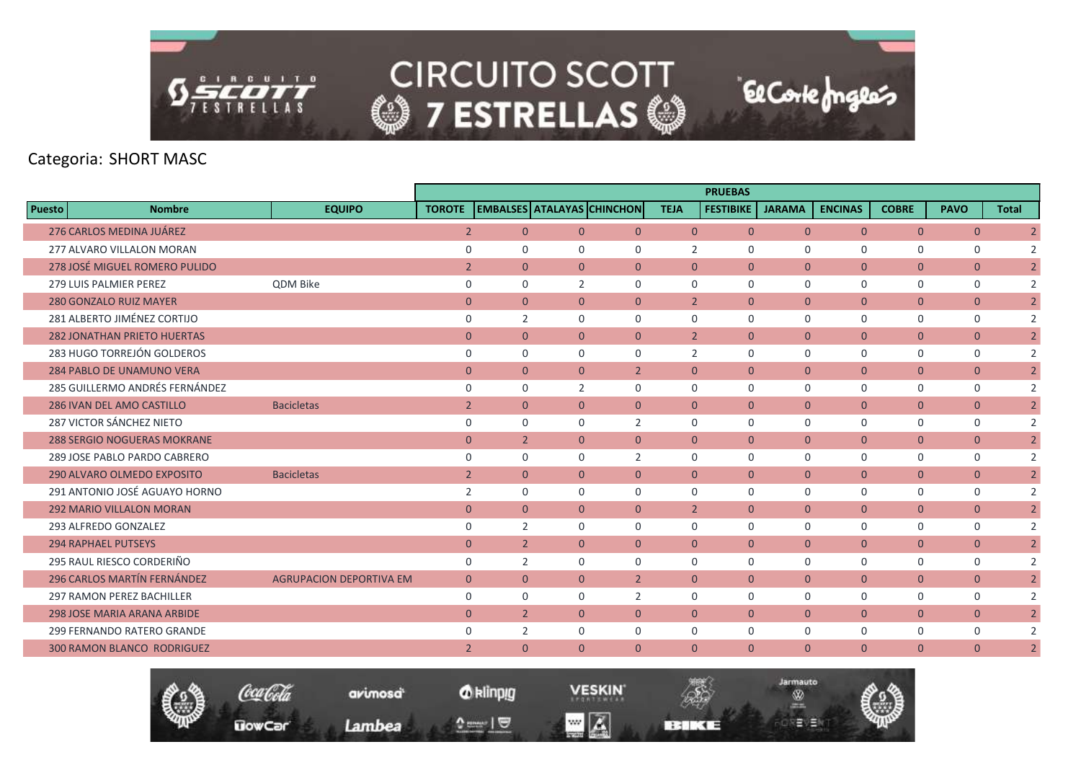

|                                    |                                |                |                |                |                                   |                | <b>PRUEBAS</b>   |                |                |                |                |                |
|------------------------------------|--------------------------------|----------------|----------------|----------------|-----------------------------------|----------------|------------------|----------------|----------------|----------------|----------------|----------------|
| <b>Puesto</b><br><b>Nombre</b>     | <b>EQUIPO</b>                  | <b>TOROTE</b>  |                |                | <b>EMBALSES ATALAYAS CHINCHON</b> | <b>TEJA</b>    | <b>FESTIBIKE</b> | <b>JARAMA</b>  | <b>ENCINAS</b> | <b>COBRE</b>   | <b>PAVO</b>    | <b>Total</b>   |
| 276 CARLOS MEDINA JUÁREZ           |                                | $\overline{2}$ | $\overline{0}$ | $\overline{0}$ | $\overline{0}$                    | $\overline{0}$ | $\mathbf{0}$     | $\overline{0}$ | $\overline{0}$ | $\overline{0}$ | $\mathbf{0}$   | $\overline{2}$ |
| 277 ALVARO VILLALON MORAN          |                                | $\mathbf 0$    | $\Omega$       | $\Omega$       | $\mathbf{0}$                      | 2              | $\mathbf 0$      | $\mathbf 0$    | $\mathbf 0$    | 0              | 0              | $\overline{2}$ |
| 278 JOSÉ MIGUEL ROMERO PULIDO      |                                | $\overline{2}$ | $\overline{0}$ | $\overline{0}$ | $\mathbf{0}$                      | $\overline{0}$ | $\mathbf{0}$     | $\overline{0}$ | $\overline{0}$ | $\overline{0}$ | $\overline{0}$ | $\overline{2}$ |
| <b>279 LUIS PALMIER PEREZ</b>      | QDM Bike                       | $\mathbf 0$    | $\mathbf 0$    | $\overline{2}$ | $\mathbf 0$                       | $\mathbf 0$    | $\Omega$         | $\mathbf 0$    | $\mathbf 0$    | 0              | 0              | $\overline{2}$ |
| <b>280 GONZALO RUIZ MAYER</b>      |                                | $\overline{0}$ | $\overline{0}$ | $\overline{0}$ | $\overline{0}$                    | $\overline{2}$ | $\mathbf{0}$     | $\overline{0}$ | $\overline{0}$ | $\overline{0}$ | $\overline{0}$ | $\overline{2}$ |
| 281 ALBERTO JIMÉNEZ CORTIJO        |                                | $\mathbf 0$    | $\overline{2}$ | $\Omega$       | $\Omega$                          | $\Omega$       | $\Omega$         | $\Omega$       | $\Omega$       | $\mathbf 0$    | $\mathbf 0$    | $\overline{2}$ |
| <b>282 JONATHAN PRIETO HUERTAS</b> |                                | $\overline{0}$ | $\overline{0}$ | $\overline{0}$ | $\overline{0}$                    | $\overline{2}$ | $\mathbf{0}$     | $\overline{0}$ | $\overline{0}$ | $\overline{0}$ | $\overline{0}$ | $\overline{2}$ |
| 283 HUGO TORREJÓN GOLDEROS         |                                | $\mathbf 0$    | $\Omega$       | $\Omega$       | $\mathbf 0$                       | $\overline{2}$ | $\Omega$         | $\Omega$       | $\mathbf 0$    | 0              | 0              | 2              |
| <b>284 PABLO DE UNAMUNO VERA</b>   |                                | $\mathbf{0}$   | $\overline{0}$ | $\Omega$       | $\overline{2}$                    | $\Omega$       | $\Omega$         | $\mathbf{0}$   | $\overline{0}$ | $\overline{0}$ | $\overline{0}$ | $\overline{2}$ |
| 285 GUILLERMO ANDRÉS FERNÁNDEZ     |                                | $\mathbf 0$    | $\mathbf 0$    | 2              | $\mathbf 0$                       | $\mathbf 0$    | $\mathbf 0$      | $\mathbf 0$    | $\mathbf 0$    | $\mathbf 0$    | $\mathbf 0$    | $\overline{2}$ |
| 286 IVAN DEL AMO CASTILLO          | <b>Bacicletas</b>              | $\overline{2}$ | $\overline{0}$ | $\overline{0}$ | $\overline{0}$                    | $\overline{0}$ | $\mathbf{0}$     | $\mathbf{0}$   | $\overline{0}$ | $\overline{0}$ | $\mathbf{0}$   | $\overline{2}$ |
| 287 VICTOR SÁNCHEZ NIETO           |                                | $\mathbf 0$    | $\Omega$       | $\Omega$       | 2                                 | $\Omega$       | $\Omega$         | $\Omega$       | $\mathbf 0$    | 0              | 0              | 2              |
| <b>288 SERGIO NOGUERAS MOKRANE</b> |                                | $\mathbf{0}$   | $\overline{2}$ | $\overline{0}$ | $\overline{0}$                    | $\Omega$       | $\mathbf{0}$     | $\overline{0}$ | $\overline{0}$ | $\mathbf{0}$   | $\overline{0}$ | $\overline{2}$ |
| 289 JOSE PABLO PARDO CABRERO       |                                | $\mathbf 0$    | $\mathbf 0$    | 0              | $\overline{2}$                    | $\mathbf 0$    | $\mathbf 0$      | $\mathbf 0$    | $\mathbf 0$    | $\mathbf 0$    | $\mathbf 0$    | 2              |
| 290 ALVARO OLMEDO EXPOSITO         | <b>Bacicletas</b>              | $\overline{2}$ | $\overline{0}$ | $\overline{0}$ | $\overline{0}$                    | $\overline{0}$ | $\mathbf{0}$     | $\overline{0}$ | $\overline{0}$ | $\mathbf{0}$   | $\overline{0}$ | $\overline{2}$ |
| 291 ANTONIO JOSÉ AGUAYO HORNO      |                                | 2              | $\Omega$       | $\Omega$       | $\Omega$                          | $\Omega$       | $\Omega$         | $\Omega$       | $\mathbf 0$    | $\mathbf 0$    | $\mathbf 0$    | 2              |
| <b>292 MARIO VILLALON MORAN</b>    |                                | $\mathbf{0}$   | $\overline{0}$ | $\overline{0}$ | $\overline{0}$                    | $\overline{2}$ | $\mathbf{0}$     | $\overline{0}$ | $\overline{0}$ | $\mathbf{0}$   | $\overline{0}$ | $\overline{2}$ |
| 293 ALFREDO GONZALEZ               |                                | $\mathbf 0$    | $\overline{2}$ | 0              | $\mathsf{O}$                      | $\mathbf 0$    | $\mathbf 0$      | $\mathbf 0$    | $\mathsf{O}$   | 0              | 0              | 2              |
| <b>294 RAPHAEL PUTSEYS</b>         |                                | $\mathbf{0}$   | $\overline{2}$ | $\overline{0}$ | $\mathbf{0}$                      | $\overline{0}$ | $\Omega$         | $\overline{0}$ | $\overline{0}$ | $\mathbf{0}$   | $\mathbf{0}$   | $\overline{2}$ |
| 295 RAUL RIESCO CORDERIÑO          |                                | $\mathbf 0$    | $\overline{2}$ | $\Omega$       | $\Omega$                          | $\Omega$       | $\Omega$         | $\mathbf 0$    | $\mathbf 0$    | 0              | $\mathbf 0$    | 2              |
| 296 CARLOS MARTÍN FERNÁNDEZ        | <b>AGRUPACION DEPORTIVA EM</b> | $\overline{0}$ | $\overline{0}$ | $\overline{0}$ | $\overline{2}$                    | $\overline{0}$ | $\mathbf{0}$     | $\overline{0}$ | $\overline{0}$ | $\mathbf{0}$   | $\overline{0}$ | $\overline{2}$ |
| <b>297 RAMON PEREZ BACHILLER</b>   |                                | 0              | $\mathbf 0$    | 0              | 2                                 | $\mathbf 0$    | $\mathbf 0$      | $\mathbf 0$    | 0              | 0              | 0              | 2              |
| <b>298 JOSE MARIA ARANA ARBIDE</b> |                                | $\mathbf{0}$   | $\overline{2}$ | $\Omega$       | $\mathbf{0}$                      | $\Omega$       | $\Omega$         | $\Omega$       | $\overline{0}$ | $\mathbf{0}$   | $\overline{0}$ | $\overline{2}$ |
| 299 FERNANDO RATERO GRANDE         |                                | $\Omega$       | 2              | $\Omega$       | $\Omega$                          | $\Omega$       | $\Omega$         | $\Omega$       | $\mathbf 0$    | $\mathbf 0$    | $\mathbf 0$    | 2              |
| <b>300 RAMON BLANCO RODRIGUEZ</b>  |                                | $\overline{2}$ | $\overline{0}$ | $\overline{0}$ | $\overline{0}$                    | $\overline{0}$ | $\mathbf{0}$     | $\overline{0}$ | $\overline{0}$ | $\overline{0}$ | $\overline{0}$ | $\overline{2}$ |



*O* klinpig

and  $\sqrt{2}$ 

**VESKIN**  $\blacksquare$   $\blacksquare$ 

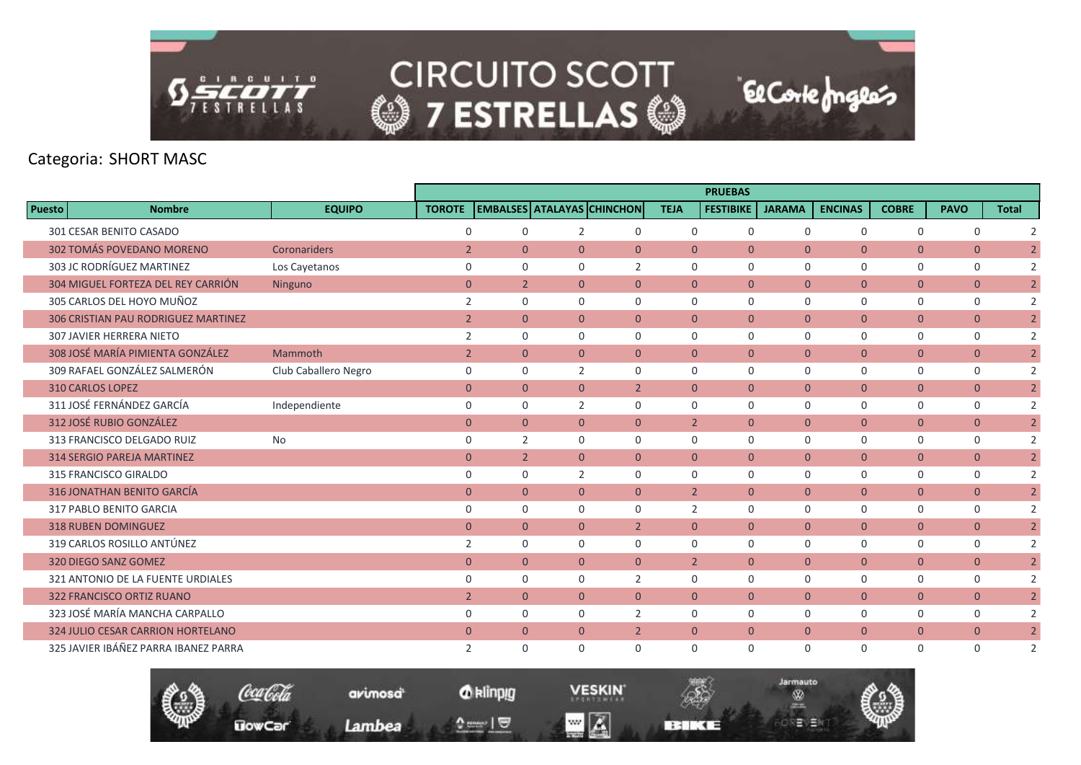

|               |                                      |                      |                |                |                |                                   |                | <b>PRUEBAS</b>   |                |                |                |                |                |
|---------------|--------------------------------------|----------------------|----------------|----------------|----------------|-----------------------------------|----------------|------------------|----------------|----------------|----------------|----------------|----------------|
| <b>Puesto</b> | <b>Nombre</b>                        | <b>EQUIPO</b>        | <b>TOROTE</b>  |                |                | <b>EMBALSES ATALAYAS CHINCHON</b> | <b>TEJA</b>    | <b>FESTIBIKE</b> | <b>JARAMA</b>  | <b>ENCINAS</b> | <b>COBRE</b>   | <b>PAVO</b>    | <b>Total</b>   |
|               | 301 CESAR BENITO CASADO              |                      | $\Omega$       | $\Omega$       | $\overline{2}$ | 0                                 | $\Omega$       | $\mathbf 0$      | $\Omega$       | $\mathbf 0$    | $\mathbf 0$    | 0              | $\overline{2}$ |
|               | 302 TOMÁS POVEDANO MORENO            | Coronariders         | $\overline{2}$ | $\overline{0}$ | $\overline{0}$ | $\overline{0}$                    | $\overline{0}$ | $\overline{0}$   | $\mathbf{0}$   | $\overline{0}$ | $\mathbf{0}$   | $\overline{0}$ | $\overline{2}$ |
|               | 303 JC RODRÍGUEZ MARTINEZ            | Los Cayetanos        | $\mathbf 0$    | $\mathbf 0$    | 0              | 2                                 | $\mathbf 0$    | $\mathbf 0$      | $\mathbf 0$    | $\mathbf 0$    | $\mathbf 0$    | $\mathbf 0$    | 2              |
|               | 304 MIGUEL FORTEZA DEL REY CARRIÓN   | Ninguno              | $\mathbf{0}$   | $\overline{2}$ | $\overline{0}$ | $\overline{0}$                    | $\overline{0}$ | $\overline{0}$   | $\mathbf{0}$   | $\overline{0}$ | $\mathbf{0}$   | $\overline{0}$ | $\overline{2}$ |
|               | 305 CARLOS DEL HOYO MUÑOZ            |                      | 2              | $\mathbf 0$    | 0              | $\mathbf 0$                       | $\mathbf 0$    | $\mathbf 0$      | $\mathbf 0$    | $\mathbf 0$    | $\mathbf 0$    | 0              | 2              |
|               | 306 CRISTIAN PAU RODRIGUEZ MARTINEZ  |                      | $\overline{2}$ | $\Omega$       | $\Omega$       | $\Omega$                          | $\Omega$       | $\Omega$         | $\mathbf{0}$   | $\overline{0}$ | $\overline{0}$ | $\overline{0}$ | $\overline{2}$ |
|               | <b>307 JAVIER HERRERA NIETO</b>      |                      | 2              | $\mathbf 0$    | 0              | $\mathbf 0$                       | $\mathbf 0$    | $\mathbf 0$      | $\mathbf 0$    | $\mathbf 0$    | $\mathbf 0$    | 0              | $\overline{2}$ |
|               | 308 JOSÉ MARÍA PIMIENTA GONZÁLEZ     | Mammoth              | $\overline{2}$ | $\overline{0}$ | $\overline{0}$ | $\overline{0}$                    | $\overline{0}$ | $\overline{0}$   | $\overline{0}$ | $\overline{0}$ | $\mathbf{0}$   | $\overline{0}$ | $\overline{2}$ |
|               | 309 RAFAEL GONZÁLEZ SALMERÓN         | Club Caballero Negro | $\mathbf 0$    | $\mathbf 0$    | $\overline{2}$ | $\mathbf 0$                       | $\mathbf 0$    | $\mathbf 0$      | $\mathbf 0$    | $\mathbf 0$    | $\mathbf 0$    | 0              | 2              |
|               | <b>310 CARLOS LOPEZ</b>              |                      | $\overline{0}$ | $\overline{0}$ | $\overline{0}$ | $\overline{2}$                    | $\overline{0}$ | $\overline{0}$   | $\mathbf{0}$   | $\overline{0}$ | $\overline{0}$ | $\overline{0}$ | $\overline{2}$ |
|               | 311 JOSÉ FERNÁNDEZ GARCÍA            | Independiente        | $\mathbf 0$    | $\mathbf 0$    | 2              | $\mathbf 0$                       | $\mathbf 0$    | $\mathbf 0$      | $\mathbf 0$    | $\mathsf{O}$   | $\mathbf 0$    | 0              | $\overline{2}$ |
|               | 312 JOSÉ RUBIO GONZÁLEZ              |                      | $\mathbf{0}$   | $\overline{0}$ | $\overline{0}$ | $\overline{0}$                    | $\overline{2}$ | $\overline{0}$   | $\mathbf{0}$   | $\overline{0}$ | $\mathbf{0}$   | $\overline{0}$ | $\overline{2}$ |
|               | 313 FRANCISCO DELGADO RUIZ           | No                   | $\mathbf 0$    | 2              | 0              | $\Omega$                          | $\Omega$       | $\Omega$         | $\Omega$       | $\mathbf 0$    | $\mathbf 0$    | 0              | 2              |
|               | <b>314 SERGIO PAREJA MARTINEZ</b>    |                      | $\overline{0}$ | 2 <sup>2</sup> | $\overline{0}$ | $\overline{0}$                    | $\mathbf{0}$   | $\overline{0}$   | $\mathbf{0}$   | $\overline{0}$ | $\mathbf{0}$   | $\overline{0}$ | $\overline{2}$ |
|               | 315 FRANCISCO GIRALDO                |                      | $\mathbf 0$    | $\mathbf 0$    | 2              | $\mathbf 0$                       | $\mathbf 0$    | $\mathbf 0$      | $\mathbf 0$    | 0              | $\mathbf 0$    | 0              | 2              |
|               | 316 JONATHAN BENITO GARCÍA           |                      | $\overline{0}$ | $\overline{0}$ | $\overline{0}$ | $\overline{0}$                    | $\overline{2}$ | $\mathbf{0}$     | $\mathbf{0}$   | $\overline{0}$ | $\mathbf{0}$   | $\overline{0}$ | $\overline{2}$ |
|               | 317 PABLO BENITO GARCIA              |                      | $\mathbf 0$    | $\Omega$       | 0              | $\Omega$                          | $\overline{2}$ | $\Omega$         | $\Omega$       | $\mathbf 0$    | $\mathbf 0$    | 0              | 2              |
|               | <b>318 RUBEN DOMINGUEZ</b>           |                      | $\overline{0}$ | $\overline{0}$ | $\overline{0}$ | $\overline{2}$                    | $\overline{0}$ | $\overline{0}$   | $\mathbf{0}$   | $\overline{0}$ | $\overline{0}$ | $\overline{0}$ | $\overline{2}$ |
|               | 319 CARLOS ROSILLO ANTÚNEZ           |                      | 2              | $\mathbf 0$    | 0              | 0                                 | $\mathbf 0$    | 0                | 0              | 0              | $\mathbf 0$    | $\mathbf 0$    | $\overline{2}$ |
|               | 320 DIEGO SANZ GOMEZ                 |                      | $\overline{0}$ | $\overline{0}$ | $\overline{0}$ | $\overline{0}$                    | $\overline{2}$ | $\overline{0}$   | $\mathbf{0}$   | $\overline{0}$ | $\mathbf{0}$   | $\overline{0}$ | $\overline{2}$ |
|               | 321 ANTONIO DE LA FUENTE URDIALES    |                      | $\Omega$       | $\Omega$       | 0              | $\overline{2}$                    | $\Omega$       | $\Omega$         | $\Omega$       | $\mathbf 0$    | $\mathbf 0$    | 0              | 2              |
|               | <b>322 FRANCISCO ORTIZ RUANO</b>     |                      | $\overline{2}$ | $\overline{0}$ | $\overline{0}$ | $\overline{0}$                    | $\Omega$       | $\overline{0}$   | $\mathbf{0}$   | $\overline{0}$ | $\overline{0}$ | $\overline{0}$ | $\overline{2}$ |
|               | 323 JOSÉ MARÍA MANCHA CARPALLO       |                      | $\mathbf 0$    | $\mathbf 0$    | 0              | 2                                 | $\mathbf 0$    | $\mathbf 0$      | $\Omega$       | $\mathbf 0$    | $\mathbf 0$    | $\mathbf 0$    | $\overline{2}$ |
|               | 324 JULIO CESAR CARRION HORTELANO    |                      | $\Omega$       | $\Omega$       | $\overline{0}$ | $\overline{2}$                    | $\Omega$       | $\Omega$         | $\overline{0}$ | $\overline{0}$ | $\mathbf{0}$   | $\overline{0}$ | $\overline{2}$ |
|               | 325 JAVIER IBÁÑEZ PARRA IBANEZ PARRA |                      | 2              | $\Omega$       | 0              | $\Omega$                          | $\Omega$       | $\Omega$         | $\Omega$       | $\Omega$       | $\Omega$       | $\Omega$       | $\overline{2}$ |

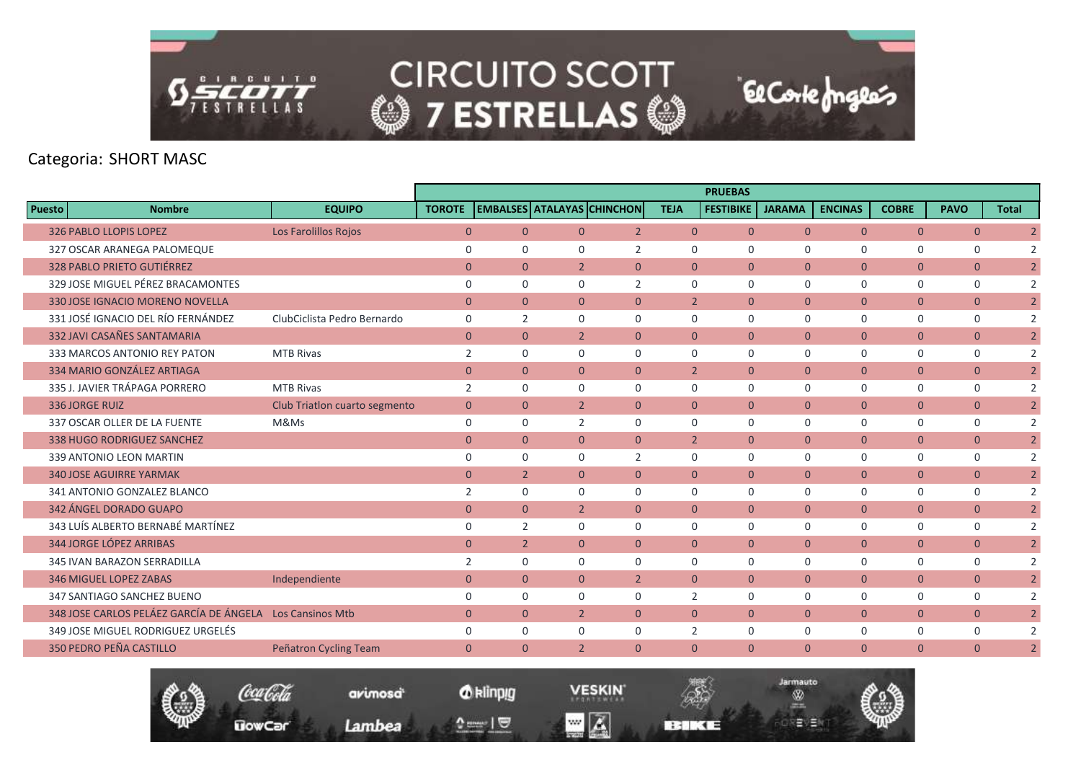

|        |                                                          |                               |                |                                   |                |                |                | <b>PRUEBAS</b>   |                |                |                |                |              |                |
|--------|----------------------------------------------------------|-------------------------------|----------------|-----------------------------------|----------------|----------------|----------------|------------------|----------------|----------------|----------------|----------------|--------------|----------------|
| Puesto | <b>Nombre</b>                                            | <b>EQUIPO</b>                 | <b>TOROTE</b>  | <b>EMBALSES ATALAYAS CHINCHON</b> |                |                | <b>TEJA</b>    | <b>FESTIBIKE</b> | <b>JARAMA</b>  | <b>ENCINAS</b> | <b>COBRE</b>   | <b>PAVO</b>    | <b>Total</b> |                |
|        | <b>326 PABLO LLOPIS LOPEZ</b>                            | Los Farolillos Rojos          | $\overline{0}$ | $\overline{0}$                    | $\overline{0}$ | $\overline{2}$ | $\overline{0}$ | $\mathbf{0}$     | $\overline{0}$ | $\overline{0}$ | $\overline{0}$ | $\overline{0}$ |              | $\overline{2}$ |
|        | 327 OSCAR ARANEGA PALOMEQUE                              |                               | $\mathbf 0$    | $\Omega$                          | $\Omega$       | 2              | $\mathbf 0$    | $\mathbf 0$      | $\mathbf 0$    | $\mathbf 0$    | 0              | $\mathbf 0$    |              | $\overline{2}$ |
|        | <b>328 PABLO PRIETO GUTIÉRREZ</b>                        |                               | $\overline{0}$ | $\overline{0}$                    | 2 <sup>1</sup> | $\overline{0}$ | $\overline{0}$ | $\mathbf{0}$     | $\mathbf{0}$   | $\overline{0}$ | $\overline{0}$ | $\overline{0}$ |              | $\overline{2}$ |
|        | 329 JOSE MIGUEL PÉREZ BRACAMONTES                        |                               | $\mathbf 0$    | $\Omega$                          | $\Omega$       | $\overline{2}$ | $\Omega$       | $\Omega$         | $\mathbf 0$    | $\mathbf 0$    | 0              | $\mathbf 0$    |              | 2              |
|        | 330 JOSE IGNACIO MORENO NOVELLA                          |                               | $\overline{0}$ | $\Omega$                          | $\Omega$       | $\overline{0}$ | $\overline{2}$ | $\Omega$         | $\Omega$       | $\overline{0}$ | $\overline{0}$ | $\overline{0}$ |              | $\overline{2}$ |
|        | 331 JOSÉ IGNACIO DEL RÍO FERNÁNDEZ                       | ClubCiclista Pedro Bernardo   | $\mathbf 0$    | $\overline{2}$                    | $\Omega$       | $\mathbf 0$    | $\mathbf 0$    | $\Omega$         | $\Omega$       | $\mathbf 0$    | 0              | $\mathbf 0$    |              | 2              |
|        | 332 JAVI CASAÑES SANTAMARIA                              |                               | $\overline{0}$ | $\overline{0}$                    | $\overline{2}$ | $\overline{0}$ | $\overline{0}$ | $\mathbf{0}$     | $\mathbf{0}$   | $\overline{0}$ | $\overline{0}$ | $\mathbf{0}$   |              | $\overline{2}$ |
|        | 333 MARCOS ANTONIO REY PATON                             | <b>MTB Rivas</b>              | 2              | $\Omega$                          | $\Omega$       | $\Omega$       | $\Omega$       | $\Omega$         | $\Omega$       | $\mathbf 0$    | 0              | $\mathbf 0$    |              | 2              |
|        | 334 MARIO GONZÁLEZ ARTIAGA                               |                               | $\mathbf{0}$   | $\Omega$                          | $\Omega$       | $\overline{0}$ | $\overline{2}$ | $\Omega$         | $\mathbf{0}$   | $\overline{0}$ | $\overline{0}$ | $\overline{0}$ |              | $\overline{2}$ |
|        | 335 J. JAVIER TRÁPAGA PORRERO                            | <b>MTB Rivas</b>              | 2              | $\mathbf 0$                       | 0              | $\mathbf 0$    | $\mathbf 0$    | $\mathbf 0$      | $\mathbf 0$    | $\mathbf 0$    | 0              | $\mathbf 0$    |              | 2              |
|        | <b>336 JORGE RUIZ</b>                                    | Club Triatlon cuarto segmento | $\mathbf{0}$   | $\overline{0}$                    | $\overline{2}$ | $\overline{0}$ | $\Omega$       | $\Omega$         | $\overline{0}$ | $\overline{0}$ | $\overline{0}$ | $\mathbf{0}$   |              | $\overline{2}$ |
|        | 337 OSCAR OLLER DE LA FUENTE                             | M&Ms                          | $\mathbf 0$    | $\Omega$                          | 2              | $\Omega$       | $\Omega$       | $\Omega$         | $\Omega$       | $\Omega$       | 0              | $\mathbf 0$    |              | 2              |
|        | 338 HUGO RODRIGUEZ SANCHEZ                               |                               | $\mathbf{0}$   | $\overline{0}$                    | $\overline{0}$ | $\overline{0}$ | 2 <sup>1</sup> | $\mathbf{0}$     | $\overline{0}$ | $\overline{0}$ | $\mathbf{0}$   | $\overline{0}$ |              | $\overline{2}$ |
|        | 339 ANTONIO LEON MARTIN                                  |                               | $\mathbf 0$    | $\Omega$                          | $\Omega$       | 2              | $\Omega$       | $\Omega$         | $\Omega$       | $\mathbf 0$    | 0              | $\mathbf 0$    |              | 2              |
|        | <b>340 JOSE AGUIRRE YARMAK</b>                           |                               | $\mathbf{0}$   | $\overline{2}$                    | $\Omega$       | $\overline{0}$ | $\Omega$       | $\Omega$         | $\mathbf{0}$   | $\overline{0}$ | $\overline{0}$ | $\overline{0}$ |              | $\overline{2}$ |
|        | 341 ANTONIO GONZALEZ BLANCO                              |                               | 2              | $\Omega$                          | $\Omega$       | $\Omega$       | $\Omega$       | $\Omega$         | $\Omega$       | $\Omega$       | 0              | $\mathbf 0$    |              | 2              |
|        | 342 ÁNGEL DORADO GUAPO                                   |                               | $\mathbf{0}$   | $\overline{0}$                    | $\overline{2}$ | $\overline{0}$ | $\overline{0}$ | $\mathbf{0}$     | $\overline{0}$ | $\overline{0}$ | $\overline{0}$ | $\overline{0}$ |              | $\overline{2}$ |
|        | 343 LUÍS ALBERTO BERNABÉ MARTÍNEZ                        |                               | $\mathbf 0$    | $\overline{2}$                    | 0              | $\mathbf 0$    | $\Omega$       | $\Omega$         | $\mathbf 0$    | $\mathbf 0$    | 0              | 0              |              | $\overline{2}$ |
|        | 344 JORGE LÓPEZ ARRIBAS                                  |                               | $\mathbf{0}$   | $\overline{2}$                    | $\overline{0}$ | $\mathbf{0}$   | $\overline{0}$ | $\mathbf{0}$     | $\mathbf{0}$   | $\overline{0}$ | $\overline{0}$ | $\overline{0}$ |              | $\overline{2}$ |
|        | 345 IVAN BARAZON SERRADILLA                              |                               | 2              | $\Omega$                          | $\Omega$       | $\Omega$       | $\Omega$       | $\mathbf 0$      | $\mathbf 0$    | $\mathbf 0$    | 0              | 0              |              | $\overline{2}$ |
|        | <b>346 MIGUEL LOPEZ ZABAS</b>                            | Independiente                 | $\overline{0}$ | $\overline{0}$                    | $\overline{0}$ | $\overline{2}$ | $\overline{0}$ | $\Omega$         | $\overline{0}$ | $\overline{0}$ | $\overline{0}$ | $\overline{0}$ |              | $\overline{2}$ |
|        | 347 SANTIAGO SANCHEZ BUENO                               |                               | $\mathbf 0$    | $\Omega$                          | $\Omega$       | $\mathbf 0$    | $\overline{2}$ | $\Omega$         | $\mathbf 0$    | $\mathbf 0$    | 0              | 0              |              | 2              |
|        | 348 JOSE CARLOS PELÁEZ GARCÍA DE ÁNGELA Los Cansinos Mtb |                               | $\overline{0}$ | $\Omega$                          | $\overline{2}$ | $\Omega$       | $\Omega$       | $\Omega$         | $\mathbf{0}$   | $\overline{0}$ | $\overline{0}$ | $\overline{0}$ |              | $\overline{2}$ |
|        | 349 JOSE MIGUEL RODRIGUEZ URGELÉS                        |                               | $\mathbf 0$    | $\Omega$                          | 0              | $\mathbf 0$    | 2              | $\mathbf 0$      | $\mathbf 0$    | $\mathbf 0$    | 0              | 0              |              | 2              |
|        | 350 PEDRO PEÑA CASTILLO                                  | Peñatron Cycling Team         | $\overline{0}$ | $\Omega$                          | $\overline{2}$ | $\Omega$       | $\Omega$       | $\Omega$         | $\Omega$       | $\overline{0}$ | $\overline{0}$ | $\mathbf{0}$   |              | $\overline{2}$ |
|        |                                                          |                               |                |                                   |                |                |                |                  |                |                |                |                |              |                |



*O* klinpig

and  $\sqrt{2}$ 

avimosa<sup>t</sup>

Lambea

**VESKIN**  $\blacksquare$   $\blacksquare$ 

**BERKE** 

Jarmauto

®

역달방울장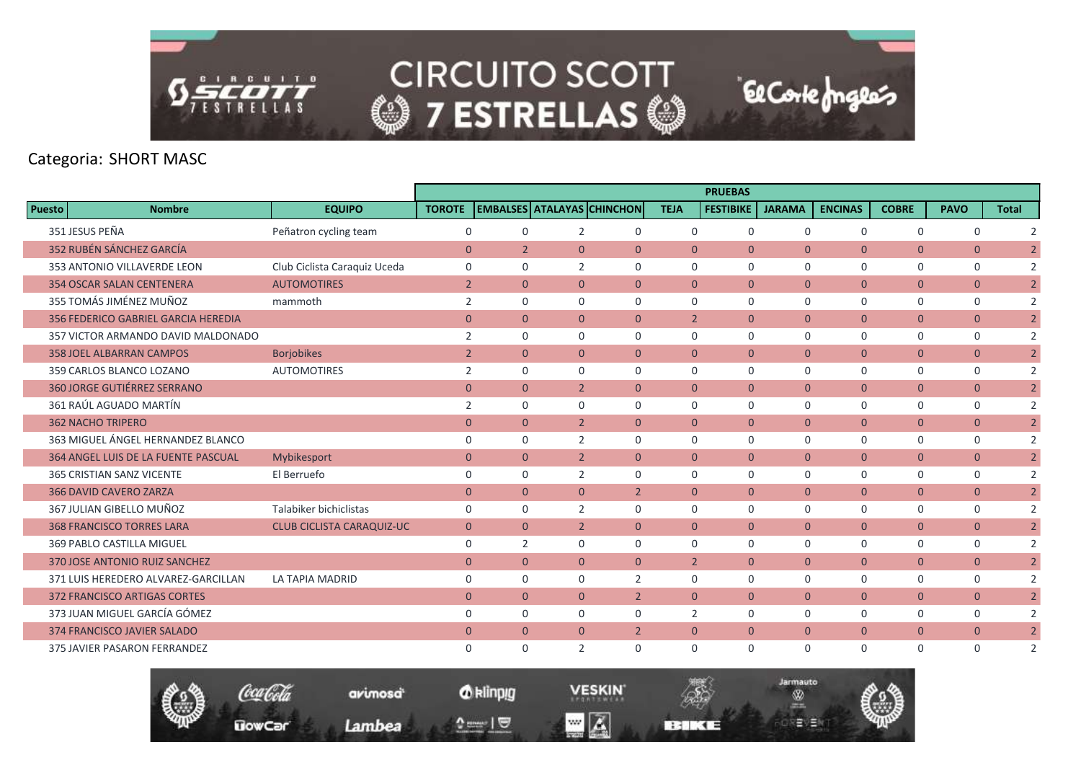

|               |                                            |                                  |                |                |                |                                   |                | <b>PRUEBAS</b>   |                |                |                |                |                |
|---------------|--------------------------------------------|----------------------------------|----------------|----------------|----------------|-----------------------------------|----------------|------------------|----------------|----------------|----------------|----------------|----------------|
| <b>Puesto</b> | <b>Nombre</b>                              | <b>EQUIPO</b>                    | <b>TOROTE</b>  |                |                | <b>EMBALSES ATALAYAS CHINCHON</b> | <b>TEJA</b>    | <b>FESTIBIKE</b> | <b>JARAMA</b>  | <b>ENCINAS</b> | <b>COBRE</b>   | <b>PAVO</b>    | <b>Total</b>   |
|               | 351 JESUS PEÑA                             | Peñatron cycling team            | $\mathbf 0$    | $\Omega$       | $\overline{2}$ | $\mathbf 0$                       | $\Omega$       | $\Omega$         | $\Omega$       | $\Omega$       | 0              | $\mathbf 0$    | 2              |
|               | 352 RUBÉN SÁNCHEZ GARCÍA                   |                                  | $\overline{0}$ | $\overline{2}$ | $\overline{0}$ | $\overline{0}$                    | $\overline{0}$ | $\Omega$         | $\mathbf{0}$   | $\overline{0}$ | $\overline{0}$ | $\mathbf{0}$   | $\overline{2}$ |
|               | 353 ANTONIO VILLAVERDE LEON                | Club Ciclista Caraquiz Uceda     | $\mathbf 0$    | $\Omega$       | $\overline{2}$ | $\mathbf 0$                       | $\mathbf 0$    | $\mathbf 0$      | $\mathbf 0$    | $\mathbf 0$    | $\mathbf 0$    | $\mathbf 0$    | 2              |
|               | <b>354 OSCAR SALAN CENTENERA</b>           | <b>AUTOMOTIRES</b>               | $\overline{2}$ | $\overline{0}$ | $\overline{0}$ | $\overline{0}$                    | $\overline{0}$ | $\mathbf{0}$     | $\overline{0}$ | $\overline{0}$ | $\overline{0}$ | $\overline{0}$ | $\overline{2}$ |
|               | 355 TOMÁS JIMÉNEZ MUÑOZ                    | mammoth                          | 2              | $\Omega$       | $\Omega$       | $\mathbf 0$                       | $\Omega$       | $\Omega$         | $\Omega$       | $\mathbf 0$    | 0              | 0              | 2              |
|               | 356 FEDERICO GABRIEL GARCIA HEREDIA        |                                  | $\overline{0}$ | $\overline{0}$ | $\overline{0}$ | $\overline{0}$                    | $\overline{2}$ | $\mathbf{0}$     | $\mathbf{0}$   | $\overline{0}$ | $\overline{0}$ | $\overline{0}$ | $\overline{2}$ |
|               | 357 VICTOR ARMANDO DAVID MALDONADO         |                                  | 2              | $\Omega$       | 0              | $\mathbf 0$                       | $\mathbf 0$    | $\mathbf 0$      | $\mathbf 0$    | $\mathbf 0$    | 0              | 0              | 2              |
|               | <b>358 JOEL ALBARRAN CAMPOS</b>            | <b>Borjobikes</b>                | $\overline{2}$ | $\overline{0}$ | $\overline{0}$ | $\overline{0}$                    | $\overline{0}$ | $\mathbf{0}$     | $\overline{0}$ | $\overline{0}$ | $\overline{0}$ | $\mathbf{0}$   | $\overline{2}$ |
|               | 359 CARLOS BLANCO LOZANO                   | <b>AUTOMOTIRES</b>               | 2              | $\Omega$       | $\Omega$       | $\mathbf 0$                       | $\Omega$       | $\Omega$         | $\mathbf 0$    | $\mathbf 0$    | 0              | 0              | 2              |
|               | <b>360 JORGE GUTIÉRREZ SERRANO</b>         |                                  | $\overline{0}$ | $\overline{0}$ | $\overline{2}$ | $\overline{0}$                    | $\Omega$       | $\Omega$         | $\mathbf{0}$   | $\overline{0}$ | $\overline{0}$ | $\overline{0}$ | $\overline{2}$ |
|               | 361 RAÚL AGUADO MARTÍN                     |                                  | 2              | $\Omega$       | $\Omega$       | $\mathbf 0$                       | $\Omega$       | $\Omega$         | $\Omega$       | $\Omega$       | 0              | $\mathbf 0$    | 2              |
|               | <b>362 NACHO TRIPERO</b>                   |                                  | $\mathbf{0}$   | $\overline{0}$ | $\overline{2}$ | $\overline{0}$                    | $\overline{0}$ | $\mathbf{0}$     | $\overline{0}$ | $\overline{0}$ | $\overline{0}$ | $\mathbf{0}$   | $\overline{2}$ |
|               | 363 MIGUEL ÁNGEL HERNANDEZ BLANCO          |                                  | $\mathbf 0$    | $\Omega$       | $\overline{2}$ | $\mathbf 0$                       | $\Omega$       | $\Omega$         | $\mathbf 0$    | $\mathbf 0$    | 0              | 0              | 2              |
|               | <b>364 ANGEL LUIS DE LA FUENTE PASCUAL</b> | Mybikesport                      | $\mathbf{0}$   | $\overline{0}$ | $\overline{2}$ | $\overline{0}$                    | $\Omega$       | $\mathbf{0}$     | $\mathbf{0}$   | $\overline{0}$ | $\overline{0}$ | $\overline{0}$ | $\overline{2}$ |
|               | 365 CRISTIAN SANZ VICENTE                  | El Berruefo                      | $\mathbf 0$    | $\Omega$       | 2              | $\mathbf 0$                       | $\mathbf 0$    | 0                | $\mathbf 0$    | $\mathbf 0$    | 0              | 0              | 2              |
|               | <b>366 DAVID CAVERO ZARZA</b>              |                                  | $\mathbf{0}$   | $\overline{0}$ | $\overline{0}$ | $\overline{2}$                    | $\mathbf{0}$   | $\Omega$         | $\overline{0}$ | $\overline{0}$ | $\overline{0}$ | $\mathbf{0}$   | $\overline{2}$ |
|               | 367 JULIAN GIBELLO MUÑOZ                   | Talabiker bichiclistas           | $\mathbf 0$    | $\Omega$       | $\overline{2}$ | $\Omega$                          | $\Omega$       | $\Omega$         | $\Omega$       | $\mathbf 0$    | 0              | $\mathbf 0$    | 2              |
|               | <b>368 FRANCISCO TORRES LARA</b>           | <b>CLUB CICLISTA CARAQUIZ-UC</b> | $\overline{0}$ | $\overline{0}$ | $\overline{2}$ | $\overline{0}$                    | $\Omega$       | $\Omega$         | $\mathbf{0}$   | $\overline{0}$ | $\overline{0}$ | $\overline{0}$ | $\overline{2}$ |
|               | 369 PABLO CASTILLA MIGUEL                  |                                  | $\mathbf 0$    | $\overline{2}$ | 0              | $\mathbf 0$                       | $\mathbf 0$    | $\mathbf 0$      | $\mathbf 0$    | $\mathbf 0$    | 0              | $\mathbf 0$    | 2              |
|               | 370 JOSE ANTONIO RUIZ SANCHEZ              |                                  | $\mathbf{0}$   | $\overline{0}$ | $\overline{0}$ | $\overline{0}$                    | $\overline{2}$ | $\mathbf{0}$     | $\mathbf{0}$   | $\overline{0}$ | $\overline{0}$ | $\mathbf{0}$   | $\overline{2}$ |
|               | 371 LUIS HEREDERO ALVAREZ-GARCILLAN        | LA TAPIA MADRID                  | $\mathbf 0$    | $\Omega$       | $\Omega$       | 2                                 | $\Omega$       | $\Omega$         | $\Omega$       | $\mathbf 0$    | 0              | $\mathbf 0$    | 2              |
|               | 372 FRANCISCO ARTIGAS CORTES               |                                  | $\mathbf{0}$   | $\overline{0}$ | $\overline{0}$ | $\overline{2}$                    | $\Omega$       | $\mathbf{0}$     | $\mathbf{0}$   | $\overline{0}$ | $\overline{0}$ | $\overline{0}$ | $\overline{2}$ |
|               | 373 JUAN MIGUEL GARCÍA GÓMEZ               |                                  | $\mathbf 0$    | $\Omega$       | $\Omega$       | 0                                 | 2              | 0                | 0              | $\mathbf 0$    | 0              | $\mathbf 0$    | 2              |
|               | 374 FRANCISCO JAVIER SALADO                |                                  | $\Omega$       | $\Omega$       | $\overline{0}$ | $\overline{2}$                    | $\overline{0}$ | $\Omega$         | $\overline{0}$ | $\overline{0}$ | $\overline{0}$ | $\mathbf{0}$   | $\overline{2}$ |
|               | <b>375 JAVIER PASARON FERRANDEZ</b>        |                                  | $\Omega$       | $\Omega$       | $\overline{2}$ | $\Omega$                          | $\Omega$       | $\Omega$         | $\Omega$       | $\Omega$       | $\Omega$       | $\Omega$       | 2              |

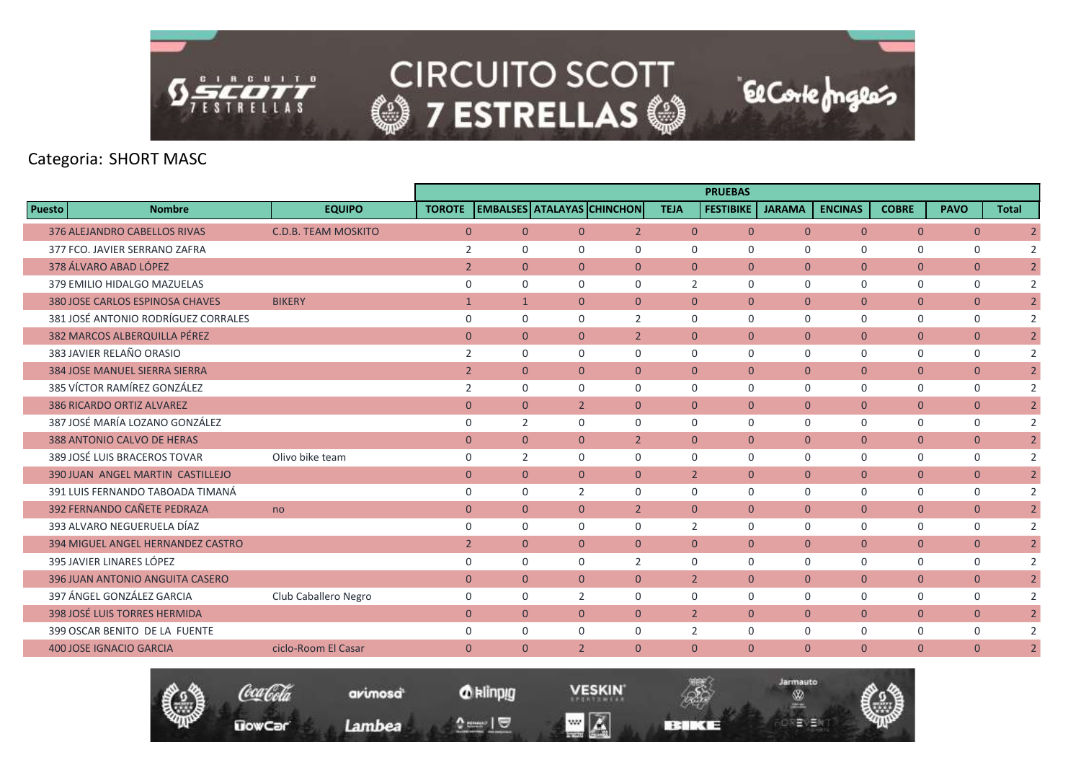

|               |                                      |                            |                |                |                |                                   |                | <b>PRUEBAS</b>   |                |                |                |                |                |
|---------------|--------------------------------------|----------------------------|----------------|----------------|----------------|-----------------------------------|----------------|------------------|----------------|----------------|----------------|----------------|----------------|
| <b>Puesto</b> | <b>Nombre</b>                        | <b>EQUIPO</b>              | <b>TOROTE</b>  |                |                | <b>EMBALSES ATALAYAS CHINCHON</b> | <b>TEJA</b>    | <b>FESTIBIKE</b> | <b>JARAMA</b>  | <b>ENCINAS</b> | <b>COBRE</b>   | <b>PAVO</b>    | <b>Total</b>   |
|               | 376 ALEJANDRO CABELLOS RIVAS         | <b>C.D.B. TEAM MOSKITO</b> | $\overline{0}$ | $\overline{0}$ | $\overline{0}$ | $\overline{2}$                    | $\overline{0}$ | $\mathbf{0}$     | $\overline{0}$ | $\overline{0}$ | $\overline{0}$ | $\overline{0}$ | $\overline{2}$ |
|               | 377 FCO. JAVIER SERRANO ZAFRA        |                            | 2              | $\Omega$       | 0              | $\mathbf 0$                       | $\mathbf 0$    | $\mathbf 0$      | $\mathbf 0$    | $\mathbf 0$    | $\mathbf 0$    | 0              | $\overline{2}$ |
|               | 378 ÁLVARO ABAD LÓPEZ                |                            | $\overline{2}$ | $\overline{0}$ | $\overline{0}$ | $\overline{0}$                    | $\overline{0}$ | $\mathbf{0}$     | $\mathbf{0}$   | $\overline{0}$ | $\overline{0}$ | $\overline{0}$ | $\overline{2}$ |
|               | 379 EMILIO HIDALGO MAZUELAS          |                            | $\mathbf 0$    | $\Omega$       | $\Omega$       | $\mathbf 0$                       | $\overline{2}$ | $\Omega$         | $\Omega$       | $\mathbf 0$    | $\mathbf 0$    | 0              | $\overline{2}$ |
|               | 380 JOSE CARLOS ESPINOSA CHAVES      | <b>BIKERY</b>              | $\mathbf{1}$   | $\mathbf{1}$   | $\overline{0}$ | $\Omega$                          | $\Omega$       | $\Omega$         | $\Omega$       | $\overline{0}$ | $\overline{0}$ | $\overline{0}$ | $\overline{2}$ |
|               | 381 JOSÉ ANTONIO RODRÍGUEZ CORRALES  |                            | $\mathbf 0$    | $\Omega$       | $\Omega$       | $\overline{2}$                    | $\mathbf 0$    | $\mathbf 0$      | $\mathbf 0$    | $\mathbf 0$    | $\mathbf 0$    | $\mathbf 0$    | $\overline{2}$ |
|               | 382 MARCOS ALBERQUILLA PÉREZ         |                            | $\overline{0}$ | $\overline{0}$ | $\overline{0}$ | $\overline{2}$                    | $\overline{0}$ | $\mathbf{0}$     | $\mathbf{0}$   | $\overline{0}$ | $\mathbf{0}$   | $\overline{0}$ | $\overline{2}$ |
|               | 383 JAVIER RELAÑO ORASIO             |                            | 2              | $\Omega$       | $\Omega$       | $\mathbf 0$                       | $\Omega$       | $\Omega$         | $\Omega$       | $\mathbf 0$    | $\mathbf 0$    | 0              | 2              |
|               | <b>384 JOSE MANUEL SIERRA SIERRA</b> |                            | $\overline{2}$ | $\overline{0}$ | $\Omega$       | $\Omega$                          | $\Omega$       | $\Omega$         | $\mathbf{0}$   | $\overline{0}$ | $\overline{0}$ | $\overline{0}$ | $\overline{2}$ |
|               | 385 VÍCTOR RAMÍREZ GONZÁLEZ          |                            | 2              | $\mathbf 0$    | 0              | $\mathbf 0$                       | $\mathbf 0$    | $\mathbf 0$      | $\mathbf 0$    | $\mathbf 0$    | $\mathbf 0$    | $\mathbf 0$    | $\overline{2}$ |
|               | <b>386 RICARDO ORTIZ ALVAREZ</b>     |                            | $\mathbf{0}$   | $\overline{0}$ | $\overline{2}$ | $\overline{0}$                    | $\overline{0}$ | $\Omega$         | $\mathbf{0}$   | $\overline{0}$ | $\mathbf{0}$   | $\overline{0}$ | $\overline{2}$ |
|               | 387 JOSÉ MARÍA LOZANO GONZÁLEZ       |                            | $\Omega$       | $\overline{2}$ | $\Omega$       | $\Omega$                          | $\Omega$       | $\Omega$         | $\Omega$       | $\mathbf 0$    | $\mathbf 0$    | 0              | 2              |
|               | 388 ANTONIO CALVO DE HERAS           |                            | $\overline{0}$ | $\overline{0}$ | $\overline{0}$ | $\overline{2}$                    | $\overline{0}$ | $\mathbf{0}$     | $\overline{0}$ | $\overline{0}$ | $\mathbf{0}$   | $\overline{0}$ | $\overline{2}$ |
|               | 389 JOSÉ LUIS BRACEROS TOVAR         | Olivo bike team            | $\mathbf 0$    | $\overline{2}$ | $\Omega$       | $\mathbf 0$                       | $\Omega$       | $\mathbf 0$      | $\Omega$       | $\mathbf 0$    | $\mathbf 0$    | 0              | $\overline{2}$ |
|               | 390 JUAN ANGEL MARTIN CASTILLEJO     |                            | $\mathbf{0}$   | $\Omega$       | $\Omega$       | $\overline{0}$                    | $\overline{2}$ | $\Omega$         | $\mathbf{0}$   | $\overline{0}$ | $\mathbf{0}$   | $\overline{0}$ | $\overline{2}$ |
|               | 391 LUIS FERNANDO TABOADA TIMANÁ     |                            | $\mathbf 0$    | $\Omega$       | $\overline{2}$ | $\Omega$                          | $\Omega$       | $\Omega$         | $\Omega$       | $\mathbf 0$    | $\mathbf 0$    | 0              | 2              |
|               | 392 FERNANDO CAÑETE PEDRAZA          | no                         | $\mathbf{0}$   | $\overline{0}$ | $\overline{0}$ | $\overline{2}$                    | $\overline{0}$ | $\mathbf{0}$     | $\mathbf{0}$   | $\overline{0}$ | $\mathbf{0}$   | $\overline{0}$ | $\overline{2}$ |
|               | 393 ALVARO NEGUERUELA DÍAZ           |                            | $\mathbf 0$    | $\mathbf 0$    | 0              | $\mathbf 0$                       | $\overline{2}$ | $\mathbf 0$      | $\mathbf 0$    | $\mathbf 0$    | 0              | 0              | $\overline{2}$ |
|               | 394 MIGUEL ANGEL HERNANDEZ CASTRO    |                            | $\overline{2}$ | $\overline{0}$ | $\overline{0}$ | $\mathbf{0}$                      | $\overline{0}$ | $\mathbf{0}$     | $\mathbf{0}$   | $\overline{0}$ | $\overline{0}$ | $\overline{0}$ | $\overline{2}$ |
|               | 395 JAVIER LINARES LÓPEZ             |                            | $\mathbf 0$    | $\Omega$       | $\Omega$       | $\overline{2}$                    | $\mathbf 0$    | $\mathbf 0$      | $\mathbf 0$    | 0              | $\mathbf 0$    | 0              | $\overline{2}$ |
|               | 396 JUAN ANTONIO ANGUITA CASERO      |                            | $\overline{0}$ | $\overline{0}$ | $\overline{0}$ | $\overline{0}$                    | $\overline{2}$ | $\Omega$         | $\mathbf{0}$   | $\overline{0}$ | $\overline{0}$ | $\overline{0}$ | $\overline{2}$ |
|               | 397 ÁNGEL GONZÁLEZ GARCIA            | Club Caballero Negro       | $\mathbf 0$    | $\Omega$       | $\overline{2}$ | $\mathbf 0$                       | $\Omega$       | $\Omega$         | $\Omega$       | $\mathbf 0$    | $\mathbf 0$    | $\mathbf 0$    | $\overline{2}$ |
|               | 398 JOSÉ LUIS TORRES HERMIDA         |                            | $\Omega$       | $\Omega$       | $\Omega$       | $\Omega$                          | $\overline{2}$ | $\Omega$         | $\overline{0}$ | $\overline{0}$ | $\overline{0}$ | $\overline{0}$ | $\overline{2}$ |
|               | 399 OSCAR BENITO DE LA FUENTE        |                            | $\mathbf 0$    | $\mathbf 0$    | 0              | 0                                 | 2              | $\mathbf 0$      | $\mathbf 0$    | 0              | $\mathbf 0$    | 0              | $\overline{2}$ |
|               | <b>400 JOSE IGNACIO GARCIA</b>       | ciclo-Room El Casar        | $\mathbf{0}$   | $\Omega$       | $\overline{2}$ | $\Omega$                          | $\Omega$       | $\Omega$         | $\Omega$       | $\overline{0}$ | $\overline{0}$ | $\overline{0}$ | $\overline{2}$ |
|               |                                      |                            |                |                |                |                                   |                |                  |                |                |                |                |                |



*O* klinpig

and  $\sqrt{2}$ 

avimosa<sup>t</sup>

Lambea

**VESKIN**  $\blacksquare$   $\blacksquare$ 

**BERKE** 

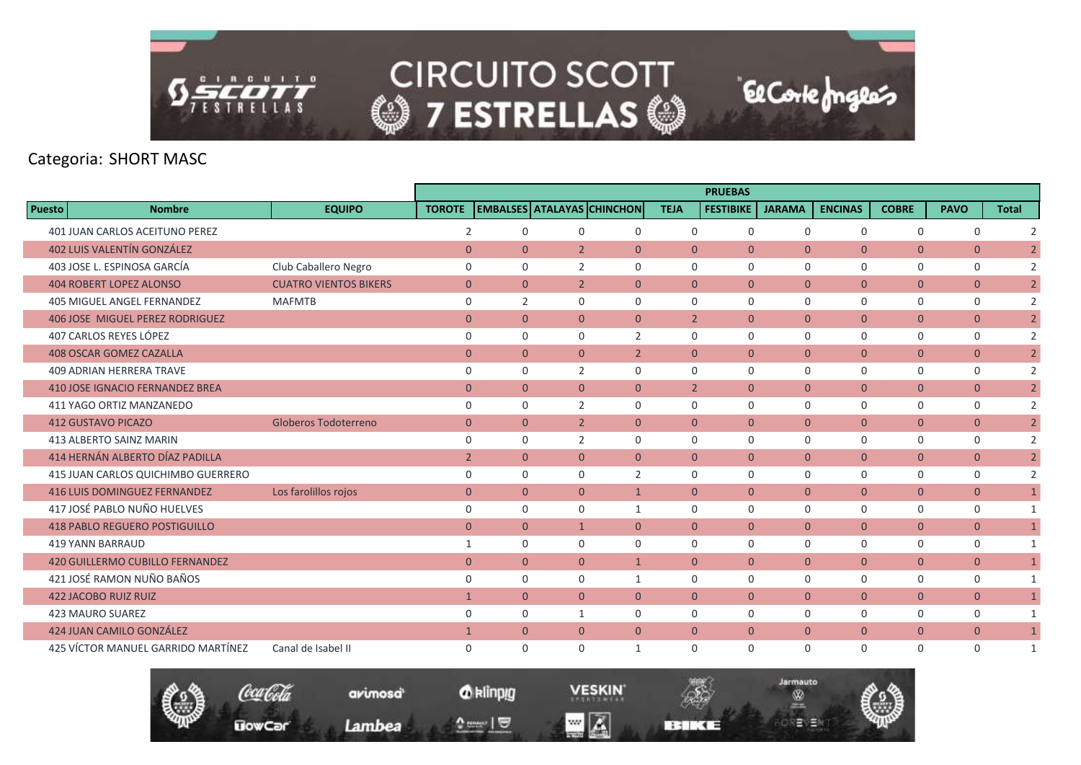

|               |                                        |                              |                |                |                |                                   |                | <b>PRUEBAS</b>   |                |                |                |                |                |
|---------------|----------------------------------------|------------------------------|----------------|----------------|----------------|-----------------------------------|----------------|------------------|----------------|----------------|----------------|----------------|----------------|
| <b>Puesto</b> | <b>Nombre</b>                          | <b>EQUIPO</b>                | <b>TOROTE</b>  |                |                | <b>EMBALSES ATALAYAS CHINCHON</b> | <b>TEJA</b>    | <b>FESTIBIKE</b> | <b>JARAMA</b>  | <b>ENCINAS</b> | <b>COBRE</b>   | <b>PAVO</b>    | <b>Total</b>   |
|               | <b>401 JUAN CARLOS ACEITUNO PEREZ</b>  |                              | 2              | $\Omega$       | 0              | $\mathbf 0$                       | $\mathbf 0$    | $\mathbf 0$      | $\mathbf 0$    | $\mathbf 0$    | $\mathbf 0$    | $\mathbf 0$    | $\overline{2}$ |
|               | <b>402 LUIS VALENTÍN GONZÁLEZ</b>      |                              | $\overline{0}$ | $\overline{0}$ | $\overline{2}$ | $\mathbf{0}$                      | $\overline{0}$ | $\mathbf{0}$     | $\overline{0}$ | $\mathbf{0}$   | $\overline{0}$ | $\mathbf{0}$   | $\overline{2}$ |
|               | 403 JOSE L. ESPINOSA GARCÍA            | Club Caballero Negro         | $\Omega$       | $\Omega$       | 2              | $\Omega$                          | $\Omega$       | $\Omega$         | $\Omega$       | $\mathbf 0$    | $\mathbf 0$    | $\mathbf 0$    | $\overline{2}$ |
|               | <b>404 ROBERT LOPEZ ALONSO</b>         | <b>CUATRO VIENTOS BIKERS</b> | $\mathbf{0}$   | $\overline{0}$ | $\overline{2}$ | $\mathbf{0}$                      | $\mathbf{0}$   | $\mathbf{0}$     | $\mathbf{0}$   | $\overline{0}$ | $\mathbf{0}$   | $\mathbf{0}$   | $\overline{2}$ |
|               | <b>405 MIGUEL ANGEL FERNANDEZ</b>      | <b>MAFMTB</b>                | $\mathbf 0$    | $\overline{2}$ | $\Omega$       | $\Omega$                          | $\mathbf 0$    | $\mathbf 0$      | 0              | $\mathbf 0$    | 0              | 0              | $\overline{2}$ |
|               | <b>406 JOSE MIGUEL PEREZ RODRIGUEZ</b> |                              | $\overline{0}$ | $\overline{0}$ | $\overline{0}$ | $\mathbf{0}$                      | $\overline{2}$ | $\mathbf{0}$     | $\overline{0}$ | $\overline{0}$ | $\overline{0}$ | $\mathbf{0}$   | $\overline{2}$ |
|               | 407 CARLOS REYES LÓPEZ                 |                              | 0              | $\Omega$       | $\Omega$       | $\overline{2}$                    | $\mathbf 0$    | 0                | 0              | 0              | $\mathbf 0$    | 0              | $\overline{2}$ |
|               | <b>408 OSCAR GOMEZ CAZALLA</b>         |                              | $\overline{0}$ | $\overline{0}$ | $\overline{0}$ | $\overline{2}$                    | $\overline{0}$ | $\mathbf{0}$     | $\overline{0}$ | $\overline{0}$ | $\overline{0}$ | $\mathbf{0}$   | $\overline{2}$ |
|               | <b>409 ADRIAN HERRERA TRAVE</b>        |                              | $\mathbf 0$    | $\Omega$       | $\overline{2}$ | $\Omega$                          | $\Omega$       | $\mathbf 0$      | $\mathbf 0$    | $\mathbf 0$    | $\mathbf 0$    | $\mathbf 0$    | $\overline{2}$ |
|               | <b>410 JOSE IGNACIO FERNANDEZ BREA</b> |                              | $\overline{0}$ | $\overline{0}$ | $\overline{0}$ | $\mathbf{0}$                      | $\overline{2}$ | $\mathbf{0}$     | $\overline{0}$ | $\overline{0}$ | $\overline{0}$ | $\mathbf{0}$   | $\overline{2}$ |
|               | 411 YAGO ORTIZ MANZANEDO               |                              | 0              | $\Omega$       | 2              | $\Omega$                          | $\mathbf 0$    | $\Omega$         | $\Omega$       | $\mathbf 0$    | $\mathbf 0$    | $\mathbf 0$    | $\overline{2}$ |
|               | <b>412 GUSTAVO PICAZO</b>              | <b>Globeros Todoterreno</b>  | $\mathbf{0}$   | $\overline{0}$ | $\overline{2}$ | $\Omega$                          | $\overline{0}$ | $\mathbf{0}$     | $\mathbf{0}$   | $\overline{0}$ | $\overline{0}$ | $\mathbf{0}$   | $\overline{2}$ |
|               | 413 ALBERTO SAINZ MARIN                |                              | $\mathbf 0$    | $\Omega$       | $\overline{2}$ | $\Omega$                          | $\mathbf 0$    | $\Omega$         | 0              | $\mathbf 0$    | $\mathsf{O}$   | 0              | $\overline{2}$ |
|               | 414 HERNÁN ALBERTO DÍAZ PADILLA        |                              | $\overline{2}$ | $\overline{0}$ | $\overline{0}$ | $\mathbf{0}$                      | $\overline{0}$ | $\mathbf{0}$     | $\overline{0}$ | $\mathbf{0}$   | $\overline{0}$ | $\mathbf{0}$   | $\overline{2}$ |
|               | 415 JUAN CARLOS QUICHIMBO GUERRERO     |                              | $\mathbf 0$    | $\Omega$       | 0              | $\overline{2}$                    | $\mathbf 0$    | $\mathbf 0$      | $\mathbf 0$    | $\mathbf 0$    | 0              | 0              | $\overline{2}$ |
|               | <b>416 LUIS DOMINGUEZ FERNANDEZ</b>    | Los farolillos rojos         | $\overline{0}$ | $\overline{0}$ | $\overline{0}$ | $\mathbf{1}$                      | $\overline{0}$ | $\mathbf{0}$     | $\overline{0}$ | $\overline{0}$ | $\overline{0}$ | $\mathbf{0}$   | $\overline{1}$ |
|               | 417 JOSÉ PABLO NUÑO HUELVES            |                              | $\mathbf 0$    | $\Omega$       | $\Omega$       | $\mathbf{1}$                      | $\Omega$       | $\mathbf 0$      | 0              | 0              | 0              | 0              | $\mathbf{1}$   |
|               | <b>418 PABLO REGUERO POSTIGUILLO</b>   |                              | $\overline{0}$ | $\overline{0}$ | $\mathbf{1}$   | $\overline{0}$                    | $\overline{0}$ | $\mathbf{0}$     | $\mathbf{0}$   | $\overline{0}$ | $\overline{0}$ | $\mathbf{0}$   | $\mathbf{1}$   |
|               | 419 YANN BARRAUD                       |                              | 1              | $\mathbf 0$    | 0              | $\mathbf 0$                       | $\Omega$       | $\mathbf 0$      | 0              | $\mathbf 0$    | 0              | 0              | $\mathbf{1}$   |
|               | <b>420 GUILLERMO CUBILLO FERNANDEZ</b> |                              | $\mathbf{0}$   | $\overline{0}$ | $\overline{0}$ | $\mathbf{1}$                      | $\overline{0}$ | $\mathbf{0}$     | $\overline{0}$ | $\overline{0}$ | $\overline{0}$ | $\overline{0}$ | $\mathbf{1}$   |
|               | 421 JOSÉ RAMON NUÑO BAÑOS              |                              | $\mathbf 0$    | $\mathbf 0$    | 0              | 1                                 | $\Omega$       | $\mathbf 0$      | 0              | $\mathbf 0$    | 0              | 0              | $\mathbf{1}$   |
|               | <b>422 JACOBO RUIZ RUIZ</b>            |                              | $\mathbf{1}$   | $\mathbf{0}$   | $\overline{0}$ | $\mathbf{0}$                      | $\overline{0}$ | $\mathbf{0}$     | $\mathbf{0}$   | $\mathbf{0}$   | $\mathbf{0}$   | $\mathbf{0}$   | $\mathbf{1}$   |
|               | <b>423 MAURO SUAREZ</b>                |                              | $\mathbf 0$    | $\mathbf 0$    | $\mathbf{1}$   | $\mathbf 0$                       | $\mathbf 0$    | $\mathbf 0$      | 0              | $\mathbf 0$    | $\mathsf{O}$   | 0              | $\mathbf{1}$   |
|               | 424 JUAN CAMILO GONZÁLEZ               |                              | $\mathbf{1}$   | $\overline{0}$ | $\overline{0}$ | $\mathbf{0}$                      | $\overline{0}$ | $\mathbf{0}$     | $\overline{0}$ | $\overline{0}$ | $\overline{0}$ | $\mathbf{0}$   | $\mathbf{1}$   |
|               | 425 VÍCTOR MANUEL GARRIDO MARTÍNEZ     | Canal de Isabel II           | $\mathbf 0$    | $\Omega$       | $\Omega$       | 1                                 | $\Omega$       | $\Omega$         | $\Omega$       | $\mathbf 0$    | $\mathbf 0$    | $\mathbf 0$    | $\mathbf{1}$   |

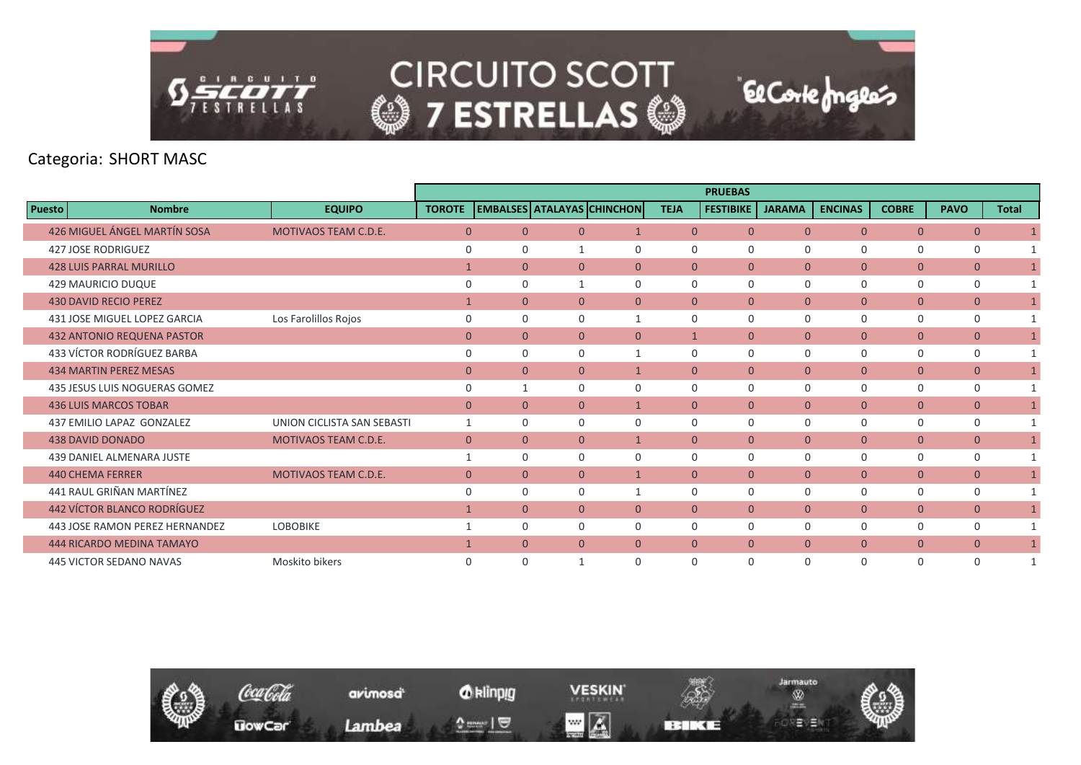

|               |                                    |                             |               |                |                |                                   |                | <b>PRUEBAS</b>   |                |                |                |                |              |
|---------------|------------------------------------|-----------------------------|---------------|----------------|----------------|-----------------------------------|----------------|------------------|----------------|----------------|----------------|----------------|--------------|
| <b>Puesto</b> | <b>Nombre</b>                      | <b>EQUIPO</b>               | <b>TOROTE</b> |                |                | <b>EMBALSES ATALAYAS CHINCHON</b> | <b>TEJA</b>    | <b>FESTIBIKE</b> | <b>JARAMA</b>  | <b>ENCINAS</b> | <b>COBRE</b>   | <b>PAVO</b>    | <b>Total</b> |
|               | 426 MIGUEL ÁNGEL MARTÍN SOSA       | <b>MOTIVAOS TEAM C.D.E.</b> | $\Omega$      | $\Omega$       | $\Omega$       | $\overline{1}$                    | $\overline{0}$ | $\Omega$         | $\Omega$       | $\overline{0}$ | $\overline{0}$ | $\overline{0}$ |              |
|               | <b>427 JOSE RODRIGUEZ</b>          |                             | $\Omega$      | 0              | 1              | $\Omega$                          | $\mathbf 0$    | 0                | 0              | $\mathbf 0$    | $\mathbf 0$    | $\mathbf 0$    | $\mathbf{1}$ |
|               | <b>428 LUIS PARRAL MURILLO</b>     |                             |               | $\overline{0}$ | $\Omega$       | $\mathbf{0}$                      | $\overline{0}$ | $\overline{0}$   | $\overline{0}$ | $\overline{0}$ | $\overline{0}$ | $\overline{0}$ | $\mathbf{1}$ |
|               | <b>429 MAURICIO DUQUE</b>          |                             | $\Omega$      | $\Omega$       | 1              | $\Omega$                          | $\mathbf 0$    | $\mathbf 0$      | 0              | $\mathbf 0$    | $\mathbf 0$    | $\mathbf 0$    | $\mathbf{1}$ |
|               | <b>430 DAVID RECIO PEREZ</b>       |                             | $\mathbf{1}$  | $\overline{0}$ | $\Omega$       | $\Omega$                          | $\overline{0}$ | $\mathbf{0}$     | $\overline{0}$ | $\overline{0}$ | $\overline{0}$ | $\overline{0}$ | $\mathbf{1}$ |
|               | 431 JOSE MIGUEL LOPEZ GARCIA       | Los Farolillos Rojos        | $\mathbf 0$   | $\Omega$       | 0              | 1                                 | $\Omega$       | $\Omega$         | 0              | $\mathbf 0$    | $\mathbf 0$    | 0              |              |
|               | <b>432 ANTONIO REQUENA PASTOR</b>  |                             | $\mathbf{0}$  | $\overline{0}$ | $\overline{0}$ | $\overline{0}$                    | $\mathbf{1}$   | $\mathbf{0}$     | $\overline{0}$ | $\overline{0}$ | $\overline{0}$ | $\overline{0}$ | $\mathbf{1}$ |
|               | 433 VÍCTOR RODRÍGUEZ BARBA         |                             | $\Omega$      | $\Omega$       | $\mathbf 0$    |                                   | $\mathbf 0$    | $\Omega$         | 0              | $\mathbf 0$    | $\mathbf 0$    | $\mathbf 0$    |              |
|               | <b>434 MARTIN PEREZ MESAS</b>      |                             | $\mathbf{0}$  | $\overline{0}$ | $\Omega$       | $\mathbf{1}$                      | $\overline{0}$ | $\mathbf{0}$     | $\overline{0}$ | $\mathbf{0}$   | $\overline{0}$ | $\overline{0}$ | $\mathbf{1}$ |
|               | 435 JESUS LUIS NOGUERAS GOMEZ      |                             | $\Omega$      |                | $\Omega$       | $\Omega$                          | 0              | $\Omega$         | 0              | $\mathbf 0$    | $\mathbf 0$    | $\mathbf 0$    | $\mathbf{1}$ |
|               | <b>436 LUIS MARCOS TOBAR</b>       |                             | $\mathbf{0}$  | $\overline{0}$ | $\overline{0}$ | $\mathbf{1}$                      | $\overline{0}$ | $\mathbf{0}$     | $\overline{0}$ | $\overline{0}$ | $\overline{0}$ | $\overline{0}$ | $\mathbf{1}$ |
|               | 437 EMILIO LAPAZ GONZALEZ          | UNION CICLISTA SAN SEBASTI  | $\mathbf{1}$  | $\Omega$       | $\Omega$       | $\Omega$                          | $\Omega$       | $\Omega$         | 0              | $\mathbf 0$    | $\mathbf 0$    | $\mathbf 0$    | $\mathbf{1}$ |
|               | <b>438 DAVID DONADO</b>            | <b>MOTIVAOS TEAM C.D.E.</b> | $\mathbf{0}$  | $\overline{0}$ | $\overline{0}$ | $\mathbf{1}$                      | $\overline{0}$ | $\overline{0}$   | $\overline{0}$ | $\overline{0}$ | $\overline{0}$ | $\overline{0}$ | $\mathbf{1}$ |
|               | <b>439 DANIEL ALMENARA JUSTE</b>   |                             |               | $\Omega$       | $\Omega$       | $\Omega$                          | $\mathbf 0$    | $\Omega$         | $\Omega$       | $\mathbf 0$    | $\mathbf 0$    | $\mathbf 0$    | $\mathbf{1}$ |
|               | <b>440 CHEMA FERRER</b>            | <b>MOTIVAOS TEAM C.D.E.</b> | $\mathbf{0}$  | $\overline{0}$ | $\mathbf{0}$   | $\mathbf{1}$                      | $\overline{0}$ | $\overline{0}$   | $\overline{0}$ | $\overline{0}$ | $\overline{0}$ | $\mathbf{0}$   | $\mathbf{1}$ |
|               | 441 RAUL GRIÑAN MARTÍNEZ           |                             | $\mathbf 0$   | $\mathbf 0$    | 0              | 1                                 | $\mathbf 0$    | $\mathbf 0$      | 0              | $\mathbf 0$    | $\mathbf 0$    | $\mathbf 0$    |              |
|               | <b>442 VÍCTOR BLANCO RODRÍGUEZ</b> |                             | $\mathbf{1}$  | $\overline{0}$ | $\Omega$       | $\mathbf{0}$                      | $\overline{0}$ | $\mathbf{0}$     | $\overline{0}$ | $\overline{0}$ | $\overline{0}$ | $\overline{0}$ | $\mathbf{1}$ |
|               | 443 JOSE RAMON PEREZ HERNANDEZ     | <b>LOBOBIKE</b>             |               | $\Omega$       | $\Omega$       | $\Omega$                          | $\Omega$       | $\Omega$         | 0              | 0              | $\mathbf 0$    | $\mathbf 0$    |              |
|               | <b>444 RICARDO MEDINA TAMAYO</b>   |                             |               | $\overline{0}$ | $\mathbf{0}$   | $\mathbf{0}$                      | $\overline{0}$ | $\overline{0}$   | $\overline{0}$ | $\overline{0}$ | $\overline{0}$ | $\mathbf{0}$   | $\mathbf{1}$ |
|               | <b>445 VICTOR SEDANO NAVAS</b>     | Moskito bikers              | $\mathbf 0$   | $\Omega$       | 1              | $\Omega$                          | 0              | $\Omega$         | $\Omega$       | 0              | $\Omega$       | 0              |              |

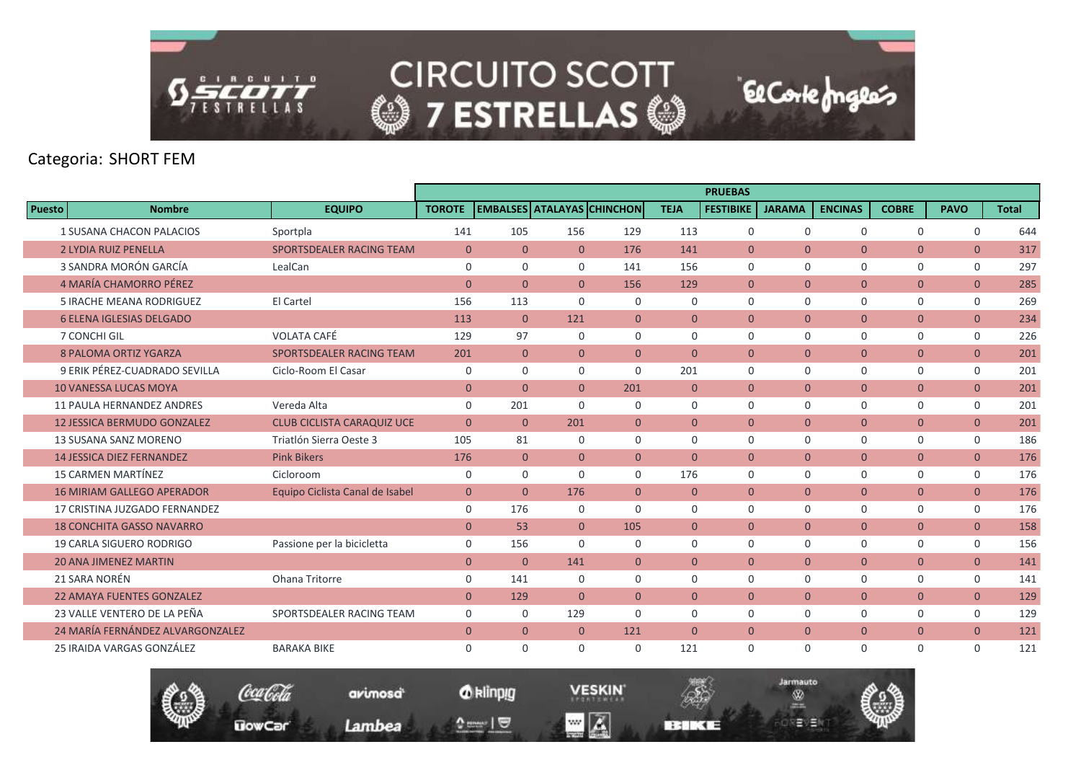

# Categoria: SHORT FEM

|               |                                    |                                   |                |                                   |                |                |                | <b>PRUEBAS</b>   |                |                |                |                |              |
|---------------|------------------------------------|-----------------------------------|----------------|-----------------------------------|----------------|----------------|----------------|------------------|----------------|----------------|----------------|----------------|--------------|
| <b>Puesto</b> | <b>Nombre</b>                      | <b>EQUIPO</b>                     | <b>TOROTE</b>  | <b>EMBALSES ATALAYAS CHINCHON</b> |                |                | <b>TEJA</b>    | <b>FESTIBIKE</b> | <b>JARAMA</b>  | <b>ENCINAS</b> | <b>COBRE</b>   | <b>PAVO</b>    | <b>Total</b> |
|               | <b>1 SUSANA CHACON PALACIOS</b>    | Sportpla                          | 141            | 105                               | 156            | 129            | 113            | 0                | $\mathbf 0$    | $\Omega$       | $\mathbf 0$    | $\mathbf 0$    | 644          |
|               | <b>2 LYDIA RUIZ PENELLA</b>        | <b>SPORTSDEALER RACING TEAM</b>   | $\overline{0}$ | $\mathbf{0}$                      | $\overline{0}$ | 176            | 141            | $\mathbf{0}$     | $\mathbf{0}$   | $\overline{0}$ | $\mathbf{0}$   | $\mathbf{0}$   | 317          |
|               | 3 SANDRA MORÓN GARCÍA              | LealCan                           | $\mathbf 0$    | $\mathbf 0$                       | $\mathbf 0$    | 141            | 156            | $\mathbf 0$      | $\mathbf 0$    | $\mathbf 0$    | $\mathbf 0$    | $\mathbf 0$    | 297          |
|               | 4 MARÍA CHAMORRO PÉREZ             |                                   | $\overline{0}$ | $\mathbf{0}$                      | $\Omega$       | 156            | 129            | $\mathbf{0}$     | $\overline{0}$ | $\overline{0}$ | $\mathbf{0}$   | $\overline{0}$ | 285          |
|               | <b>5 IRACHE MEANA RODRIGUEZ</b>    | El Cartel                         | 156            | 113                               | $\Omega$       | $\Omega$       | $\Omega$       | $\Omega$         | $\Omega$       | $\Omega$       | $\mathbf 0$    | $\mathbf 0$    | 269          |
|               | <b>6 ELENA IGLESIAS DELGADO</b>    |                                   | 113            | $\mathbf{0}$                      | 121            | $\Omega$       | $\Omega$       | $\Omega$         | $\overline{0}$ | $\overline{0}$ | $\overline{0}$ | $\overline{0}$ | 234          |
|               | 7 CONCHI GIL                       | <b>VOLATA CAFÉ</b>                | 129            | 97                                | $\mathbf 0$    | $\mathbf 0$    | $\mathbf 0$    | $\mathbf 0$      | $\mathbf 0$    | $\mathbf 0$    | $\mathbf 0$    | $\mathbf 0$    | 226          |
|               | <b>8 PALOMA ORTIZ YGARZA</b>       | SPORTSDEALER RACING TEAM          | 201            | $\overline{0}$                    | $\overline{0}$ | $\overline{0}$ | $\Omega$       | $\Omega$         | $\overline{0}$ | $\overline{0}$ | $\mathbf{0}$   | $\overline{0}$ | 201          |
|               | 9 ERIK PÉREZ-CUADRADO SEVILLA      | Ciclo-Room El Casar               | 0              | $\Omega$                          | $\Omega$       | $\Omega$       | 201            | 0                | $\mathbf 0$    | $\mathbf 0$    | 0              | $\mathbf 0$    | 201          |
|               | <b>10 VANESSA LUCAS MOYA</b>       |                                   | $\mathbf{0}$   | $\mathbf{0}$                      | $\Omega$       | 201            | $\overline{0}$ | $\mathbf{0}$     | $\mathbf{0}$   | $\overline{0}$ | $\overline{0}$ | $\mathbf{0}$   | 201          |
|               | <b>11 PAULA HERNANDEZ ANDRES</b>   | Vereda Alta                       | $\mathbf 0$    | 201                               | $\mathbf 0$    | $\mathbf 0$    | $\mathbf 0$    | $\mathbf 0$      | $\mathbf 0$    | $\mathbf 0$    | 0              | $\mathbf 0$    | 201          |
|               | <b>12 JESSICA BERMUDO GONZALEZ</b> | <b>CLUB CICLISTA CARAQUIZ UCE</b> | $\Omega$       | $\Omega$                          | 201            | $\overline{0}$ | $\Omega$       | $\Omega$         | $\mathbf{0}$   | $\overline{0}$ | $\mathbf{0}$   | $\overline{0}$ | 201          |
|               | 13 SUSANA SANZ MORENO              | Triatlón Sierra Oeste 3           | 105            | 81                                | $\Omega$       | $\Omega$       | $\Omega$       | $\Omega$         | $\mathbf 0$    | $\Omega$       | 0              | $\mathbf 0$    | 186          |
|               | <b>14 JESSICA DIEZ FERNANDEZ</b>   | <b>Pink Bikers</b>                | 176            | $\Omega$                          | $\Omega$       | $\overline{0}$ | $\Omega$       | $\mathbf{0}$     | $\mathbf{0}$   | $\overline{0}$ | $\overline{0}$ | $\mathbf{0}$   | 176          |
|               | <b>15 CARMEN MARTÍNEZ</b>          | Cicloroom                         | $\mathbf 0$    | $\mathbf 0$                       | $\mathbf 0$    | $\mathbf 0$    | 176            | $\mathbf 0$      | $\mathbf 0$    | $\mathbf 0$    | 0              | $\mathsf{O}$   | 176          |
|               | <b>16 MIRIAM GALLEGO APERADOR</b>  | Equipo Ciclista Canal de Isabel   | $\overline{0}$ | $\Omega$                          | 176            | $\Omega$       | $\overline{0}$ | $\Omega$         | $\Omega$       | $\overline{0}$ | $\overline{0}$ | $\overline{0}$ | 176          |
|               | 17 CRISTINA JUZGADO FERNANDEZ      |                                   | $\mathbf 0$    | 176                               | $\Omega$       | $\Omega$       | $\Omega$       | $\Omega$         | $\mathbf 0$    | $\Omega$       | $\mathbf 0$    | $\mathbf 0$    | 176          |
|               | <b>18 CONCHITA GASSO NAVARRO</b>   |                                   | $\mathbf{0}$   | 53                                | $\overline{0}$ | 105            | $\overline{0}$ | $\mathbf{0}$     | $\mathbf{0}$   | $\overline{0}$ | $\overline{0}$ | $\overline{0}$ | 158          |
|               | <b>19 CARLA SIGUERO RODRIGO</b>    | Passione per la bicicletta        | 0              | 156                               | $\Omega$       | $\mathbf 0$    | 0              | 0                | $\mathbf 0$    | $\mathbf 0$    | 0              | 0              | 156          |
|               | <b>20 ANA JIMENEZ MARTIN</b>       |                                   | $\overline{0}$ | $\mathbf{0}$                      | 141            | $\overline{0}$ | $\overline{0}$ | $\Omega$         | $\mathbf{0}$   | $\overline{0}$ | $\mathbf{0}$   | $\overline{0}$ | 141          |
|               | 21 SARA NORÉN                      | Ohana Tritorre                    | $\mathbf 0$    | 141                               | $\Omega$       | $\mathbf 0$    | $\Omega$       | 0                | $\mathbf 0$    | $\Omega$       | $\mathbf 0$    | $\mathbf 0$    | 141          |
|               | <b>22 AMAYA FUENTES GONZALEZ</b>   |                                   | $\mathbf{0}$   | 129                               | $\overline{0}$ | $\overline{0}$ | $\overline{0}$ | $\mathbf{0}$     | $\overline{0}$ | $\overline{0}$ | $\overline{0}$ | $\overline{0}$ | 129          |
|               | 23 VALLE VENTERO DE LA PEÑA        | SPORTSDEALER RACING TEAM          | $\mathbf 0$    | $\mathbf 0$                       | 129            | $\Omega$       | $\Omega$       | 0                | $\mathbf 0$    | $\mathbf 0$    | $\mathbf 0$    | 0              | 129          |
|               | 24 MARÍA FERNÁNDEZ ALVARGONZALEZ   |                                   | $\overline{0}$ | $\overline{0}$                    | $\overline{0}$ | 121            | $\mathbf{0}$   | $\mathbf{0}$     | $\mathbf{0}$   | $\overline{0}$ | $\overline{0}$ | $\overline{0}$ | 121          |
|               | 25 IRAIDA VARGAS GONZÁLEZ          | <b>BARAKA BIKE</b>                | $\mathbf 0$    | $\Omega$                          | $\Omega$       | 0              | 121            | 0                | $\mathbf 0$    | $\Omega$       | $\mathbf 0$    | $\mathbf 0$    | 121          |